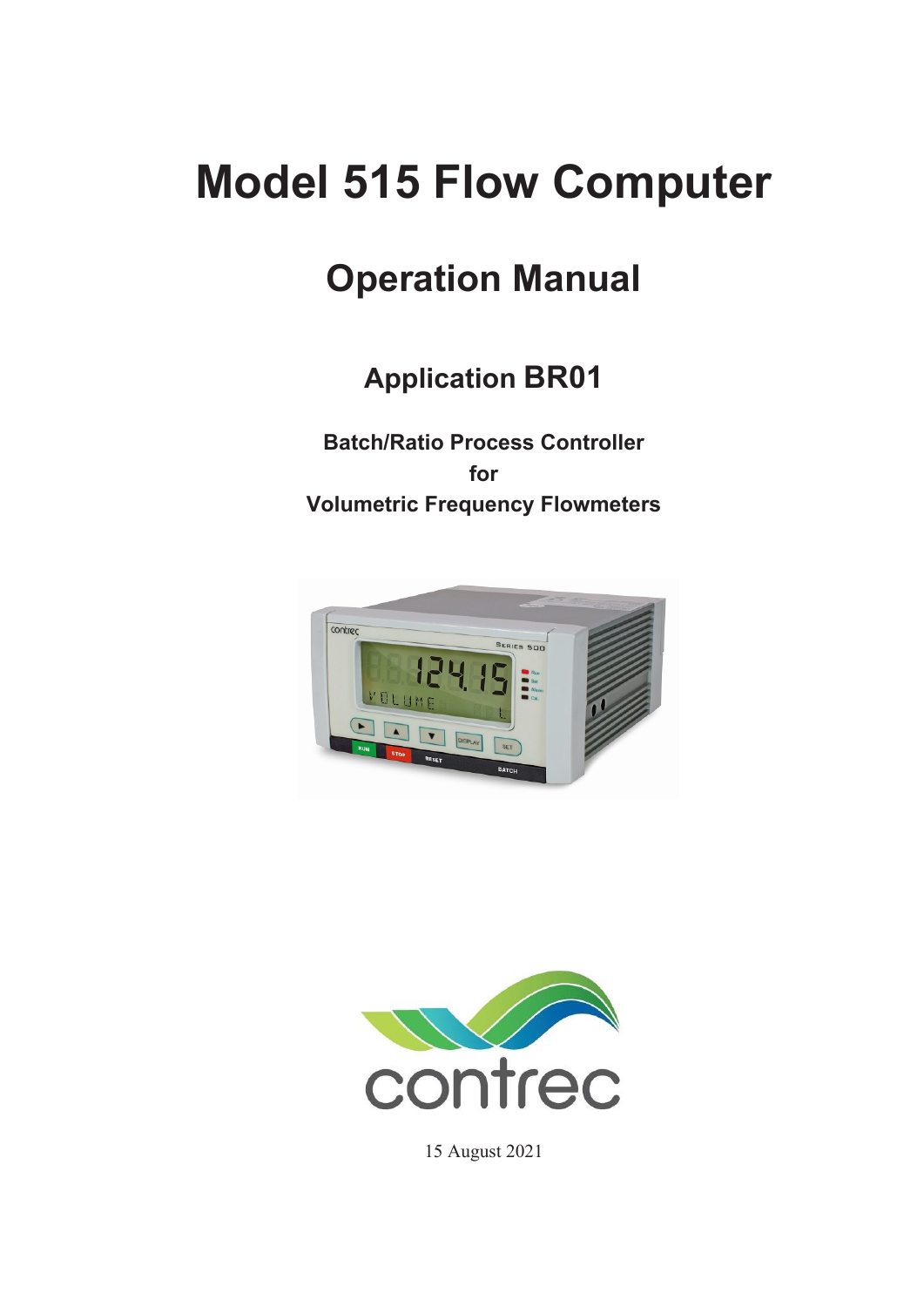# **Model 515 Flow Computer**

# **Operation Manual**

# **Application BR01**

**Batch/Ratio Process Controller for Volumetric Frequency Flowmeters**





15 August 2021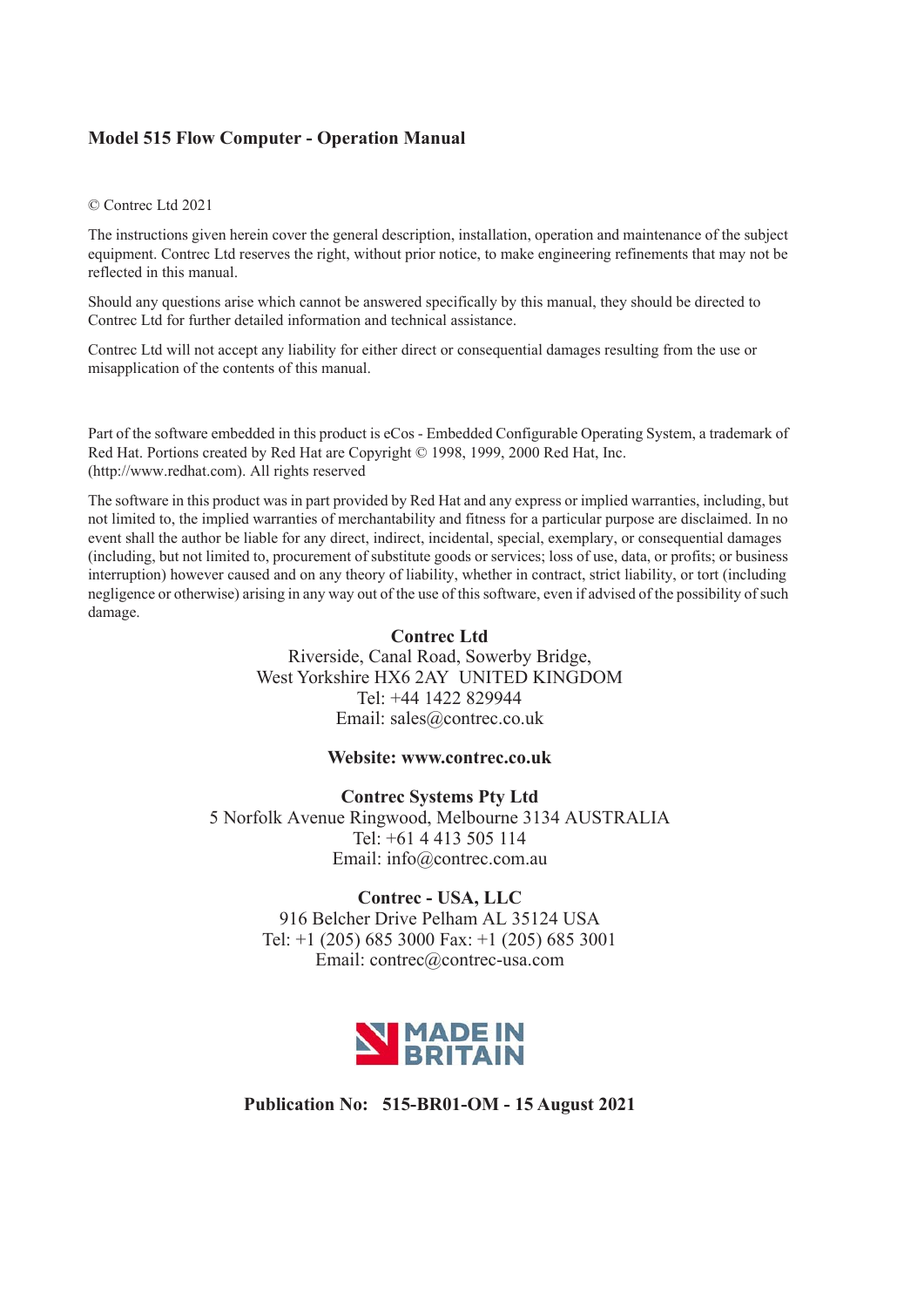#### **Model 515 Flow Computer - Operation Manual**

#### © Contrec Ltd 2021

The instructions given herein cover the general description, installation, operation and maintenance of the subject equipment. Contrec Ltd reserves the right, without prior notice, to make engineering refinements that may not be reflected in this manual.

Should any questions arise which cannot be answered specifically by this manual, they should be directed to Contrec Ltd for further detailed information and technical assistance.

Contrec Ltd will not accept any liability for either direct or consequential damages resulting from the use or misapplication of the contents of this manual.

Part of the software embedded in this product is eCos - Embedded Configurable Operating System, a trademark of Red Hat. Portions created by Red Hat are Copyright © 1998, 1999, 2000 Red Hat, Inc. (http://www.redhat.com). All rights reserved

The software in this product was in part provided by Red Hat and any express or implied warranties, including, but not limited to, the implied warranties of merchantability and fitness for a particular purpose are disclaimed. In no event shall the author be liable for any direct, indirect, incidental, special, exemplary, or consequential damages (including, but not limited to, procurement of substitute goods or services; loss of use, data, or profits; or business interruption) however caused and on any theory of liability, whether in contract, strict liability, or tort (including negligence or otherwise) arising in any way out of the use of this software, even if advised of the possibility of such damage.

#### **Contrec Ltd**

Riverside, Canal Road, Sowerby Bridge, West Yorkshire HX6 2AY UNITED KINGDOM Tel: +44 1422 829944 Email: sales@contrec.co.uk

#### **Website: www.contrec.co.uk**

**Contrec Systems Pty Ltd** 5 Norfolk Avenue Ringwood, Melbourne 3134 AUSTRALIA Tel: +61 4 413 505 114 Email: info@contrec.com.au

## **Contrec - USA, LLC**

916 Belcher Drive Pelham AL 35124 USA Tel: +1 (205) 685 3000 Fax: +1 (205) 685 3001 Email: contrec@contrec-usa.com



**Publication No: 515-BR01-OM - 15 August 2021**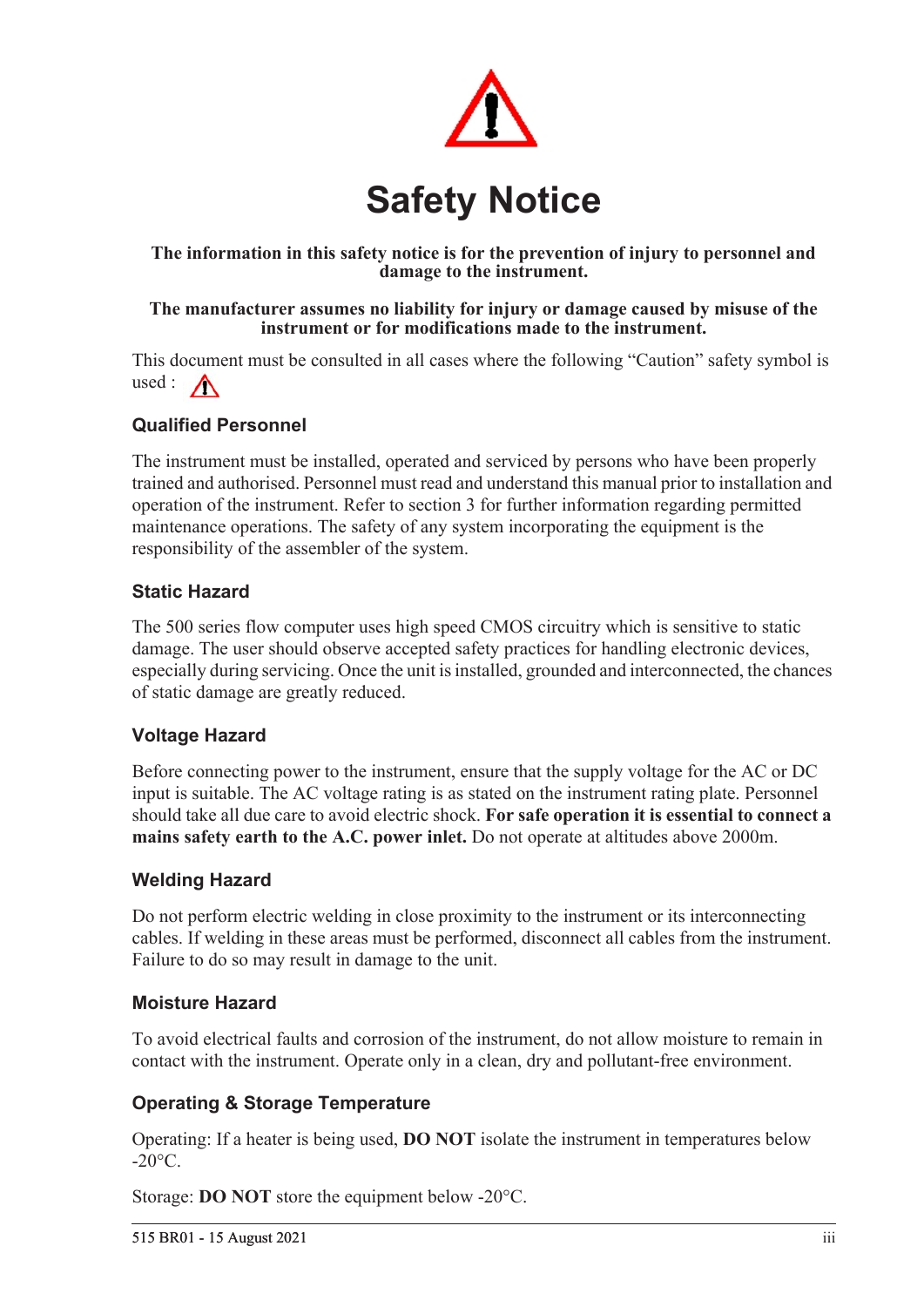

#### **The information in this safety notice is for the prevention of injury to personnel and damage to the instrument.**

#### **The manufacturer assumes no liability for injury or damage caused by misuse of the instrument or for modifications made to the instrument.**

This document must be consulted in all cases where the following "Caution" safety symbol is used :  $\bigwedge$ 

#### **Qualified Personnel**

The instrument must be installed, operated and serviced by persons who have been properly trained and authorised. Personnel must read and understand this manual prior to installation and operation of the instrument. Refer to section 3 for further information regarding permitted maintenance operations. The safety of any system incorporating the equipment is the responsibility of the assembler of the system.

#### **Static Hazard**

The 500 series flow computer uses high speed CMOS circuitry which is sensitive to static damage. The user should observe accepted safety practices for handling electronic devices, especially during servicing. Once the unit is installed, grounded and interconnected, the chances of static damage are greatly reduced.

#### **Voltage Hazard**

Before connecting power to the instrument, ensure that the supply voltage for the AC or DC input is suitable. The AC voltage rating is as stated on the instrument rating plate. Personnel should take all due care to avoid electric shock. **For safe operation it is essential to connect a mains safety earth to the A.C. power inlet.** Do not operate at altitudes above 2000m.

#### **Welding Hazard**

Do not perform electric welding in close proximity to the instrument or its interconnecting cables. If welding in these areas must be performed, disconnect all cables from the instrument. Failure to do so may result in damage to the unit.

#### **Moisture Hazard**

To avoid electrical faults and corrosion of the instrument, do not allow moisture to remain in contact with the instrument. Operate only in a clean, dry and pollutant-free environment.

#### **Operating & Storage Temperature**

Operating: If a heater is being used, **DO NOT** isolate the instrument in temperatures below  $-20^{\circ}$ C.

Storage: **DO NOT** store the equipment below -20°C.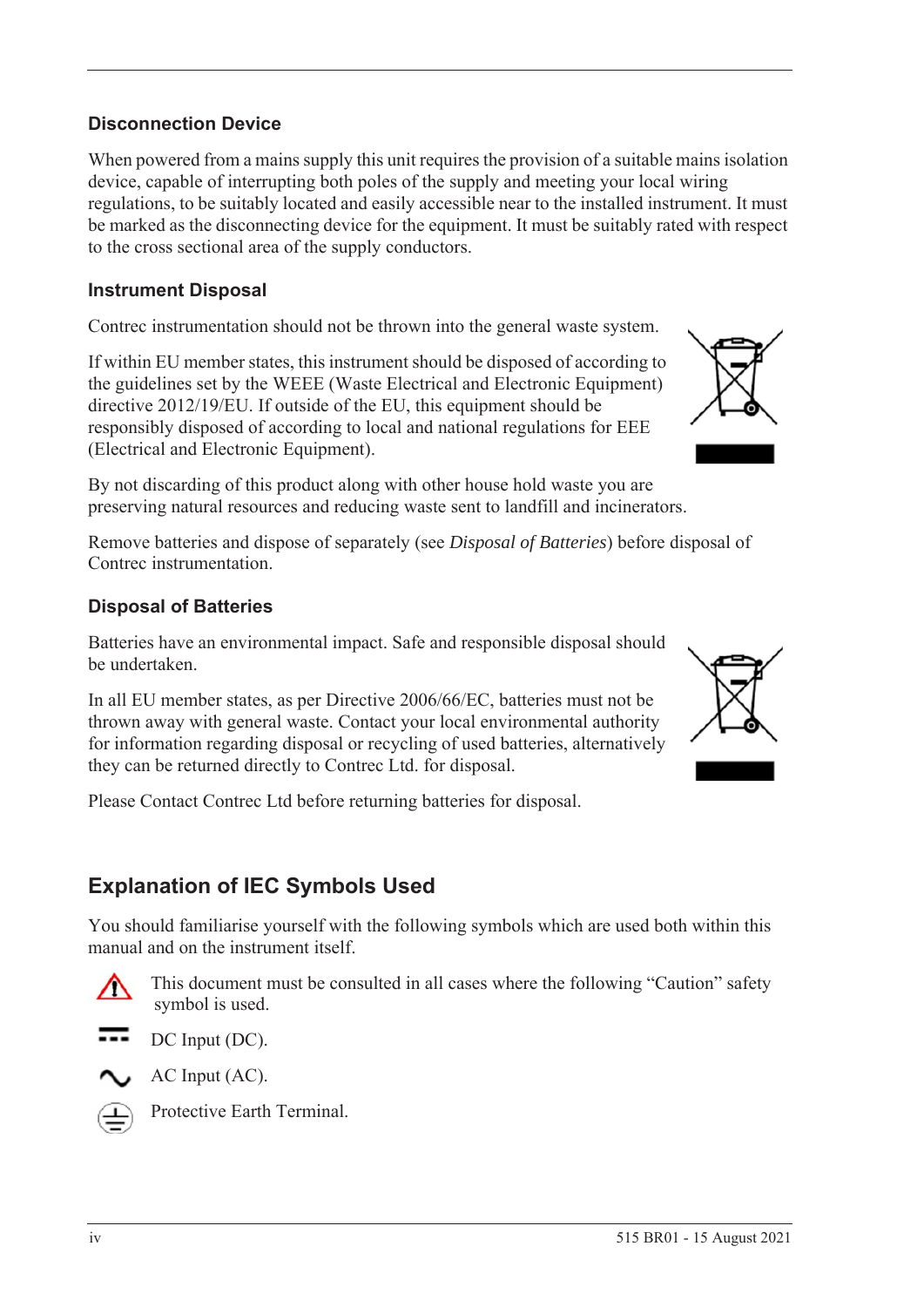#### **Disconnection Device**

When powered from a mains supply this unit requires the provision of a suitable mains isolation device, capable of interrupting both poles of the supply and meeting your local wiring regulations, to be suitably located and easily accessible near to the installed instrument. It must be marked as the disconnecting device for the equipment. It must be suitably rated with respect to the cross sectional area of the supply conductors.

#### **Instrument Disposal**

Contrec instrumentation should not be thrown into the general waste system.

If within EU member states, this instrument should be disposed of according to the guidelines set by the WEEE (Waste Electrical and Electronic Equipment) directive 2012/19/EU. If outside of the EU, this equipment should be responsibly disposed of according to local and national regulations for EEE (Electrical and Electronic Equipment).

By not discarding of this product along with other house hold waste you are preserving natural resources and reducing waste sent to landfill and incinerators.

Remove batteries and dispose of separately (see *Disposal of Batteries*) before disposal of Contrec instrumentation.

#### **Disposal of Batteries**

Batteries have an environmental impact. Safe and responsible disposal should be undertaken.

In all EU member states, as per Directive 2006/66/EC, batteries must not be thrown away with general waste. Contact your local environmental authority for information regarding disposal or recycling of used batteries, alternatively they can be returned directly to Contrec Ltd. for disposal.

Please Contact Contrec Ltd before returning batteries for disposal.

## **Explanation of IEC Symbols Used**

You should familiarise yourself with the following symbols which are used both within this manual and on the instrument itself.

 This document must be consulted in all cases where the following "Caution" safety symbol is used.

| -- |  | DC Input (DC). |  |
|----|--|----------------|--|
|----|--|----------------|--|





Protective Earth Terminal.



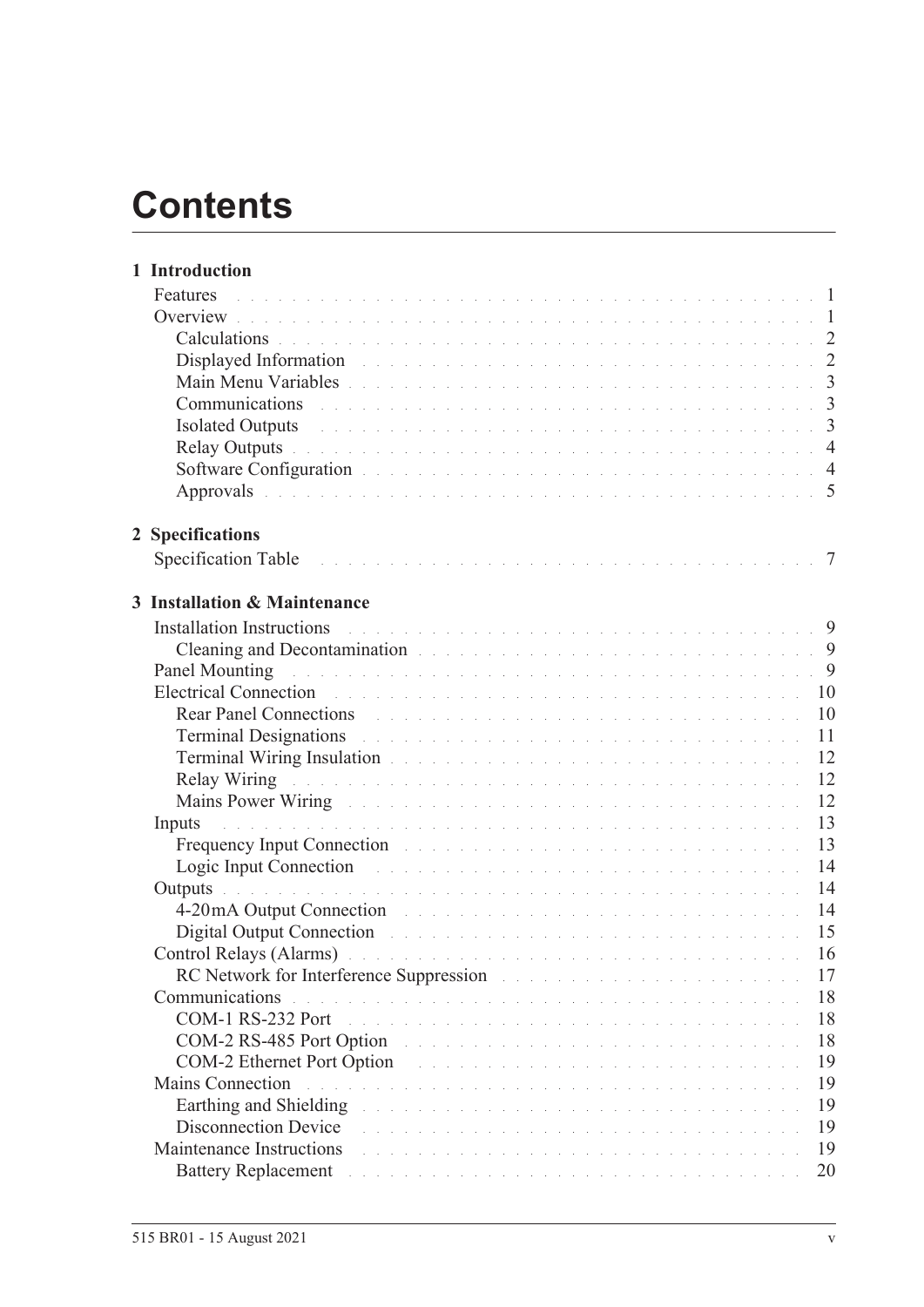# **Contents**

| 1 Introduction                                                                                                                                                                                                                      |    |
|-------------------------------------------------------------------------------------------------------------------------------------------------------------------------------------------------------------------------------------|----|
| Features<br>. The contract of the contract of the contract of the contract of the contract of $\mathcal{A}$                                                                                                                         |    |
|                                                                                                                                                                                                                                     |    |
|                                                                                                                                                                                                                                     |    |
| Displayed Information and the contract of the contract of the contract of the contract of the 2                                                                                                                                     |    |
|                                                                                                                                                                                                                                     |    |
| Communications research and contract the contract of the contract of the contract of the 3                                                                                                                                          |    |
| Isolated Outputs and a contract the contract of the contract of the contract of the contract of 3                                                                                                                                   |    |
|                                                                                                                                                                                                                                     |    |
|                                                                                                                                                                                                                                     |    |
| Approvals received a conservation of the conservation of the conservation of 5                                                                                                                                                      |    |
| 2 Specifications                                                                                                                                                                                                                    |    |
|                                                                                                                                                                                                                                     |    |
| 3 Installation & Maintenance                                                                                                                                                                                                        |    |
| Installation Instructions and a contract the contract of the contract of the contract of the set of the set of the set of the set of the set of the set of the set of the set of the set of the set of the set of the set of t      |    |
| Cleaning and Decontamination and the contract of the contract of the contract of the property of the contract of the contract of the contract of the contract of the contract of the contract of the contract of the contract       |    |
| Panel Mounting received a contract of the contract of the contract of the contract of the P                                                                                                                                         |    |
| Electrical Connection and a subsequently and a subsequently and a subsequently and the subsequently and the subsequently and the subsequently and the subsequently and the subsequently and the subsequently and the subsequen      |    |
| Rear Panel Connections and the connection of the connection of the connection of the connection of the connection of the connection of the connection of the connection of the connection of the connection of the connection       | 10 |
| <b>Terminal Designations</b> and the contract of the contract of the contract of the contract of the contract of the contract of the contract of the contract of the contract of the contract of the contract of the contract of th | 11 |
| Terminal Wiring Insulation and a contract the contract of the contract of the contract of the contract of the contract of the contract of the contract of the contract of the contract of the contract of the contract of the       | 12 |
|                                                                                                                                                                                                                                     | 12 |
| Mains Power Wiring <b>Experience Communication</b> Communication and Communication Communication Communication Communication Communication Communication Communication Communication Communication Communication Communication Comm | 12 |
| Inputs<br>in de la caractería de la caractería de la caractería de la caractería de la caractería de la caractería de la                                                                                                            | 13 |
| Frequency Input Connection and a construction of the contract of the contract of the contract of the contract of the contract of the contract of the contract of the contract of the contract of the contract of the contract       | 13 |
| Logic Input Connection and a construction of the contract of the contract of the contract of the contract of the contract of the contract of the contract of the contract of the contract of the contract of the contract of t      | 14 |
|                                                                                                                                                                                                                                     | 14 |
| 4-20 mA Output Connection and a construction of the contract of the contract of the contract of the contract of the contract of the contract of the contract of the contract of the contract of the contract of the contract o      | 14 |
| Digital Output Connection and a construction of the contract of the contract of the contract of the contract of                                                                                                                     | 15 |
| Control Relays (Alarms) and a control of the control of the control of the control of the control of the control of the control of the control of the control of the control of the control of the control of the control of t      | 16 |
| RC Network for Interference Suppression and a contract to the contract of the set of the set of the set of the                                                                                                                      | 17 |
| Communications<br>.<br>In the company of the company of the company of the company of the company of the company of the company of th                                                                                               | 18 |
| COM-1 RS-232 Port<br>.<br>In the second complete state of the second complete state of the second complete state of the second complete                                                                                             | 18 |
| COM-2 RS-485 Port Option                                                                                                                                                                                                            | 18 |
| COM-2 Ethernet Port Option<br>.<br>In the first product of the first product of the first product of the first product of the first product of th                                                                                   | 19 |
| Mains Connection<br>de la caractería de la caractería de la caractería de la caractería de la caractería de la caractería                                                                                                           | 19 |
| Earthing and Shielding<br>a característica de la característica de la característica de la característica de la característica de la car                                                                                            | 19 |
| <b>Disconnection Device</b><br>.<br>In the second complete state of the second complete state of the second complete state of the second complete                                                                                   | 19 |
| Maintenance Instructions<br>.<br>In the second contract of the second contract of the second contract of the second contract of the second contr                                                                                    | 19 |
| <b>Battery Replacement</b><br>والمتعاون والمتعاون والمتعاون والمتعاون والمتعاون والمتعاون والمتعاون والمتعاون والمتعاون والمتعاون والمتعاون                                                                                         | 20 |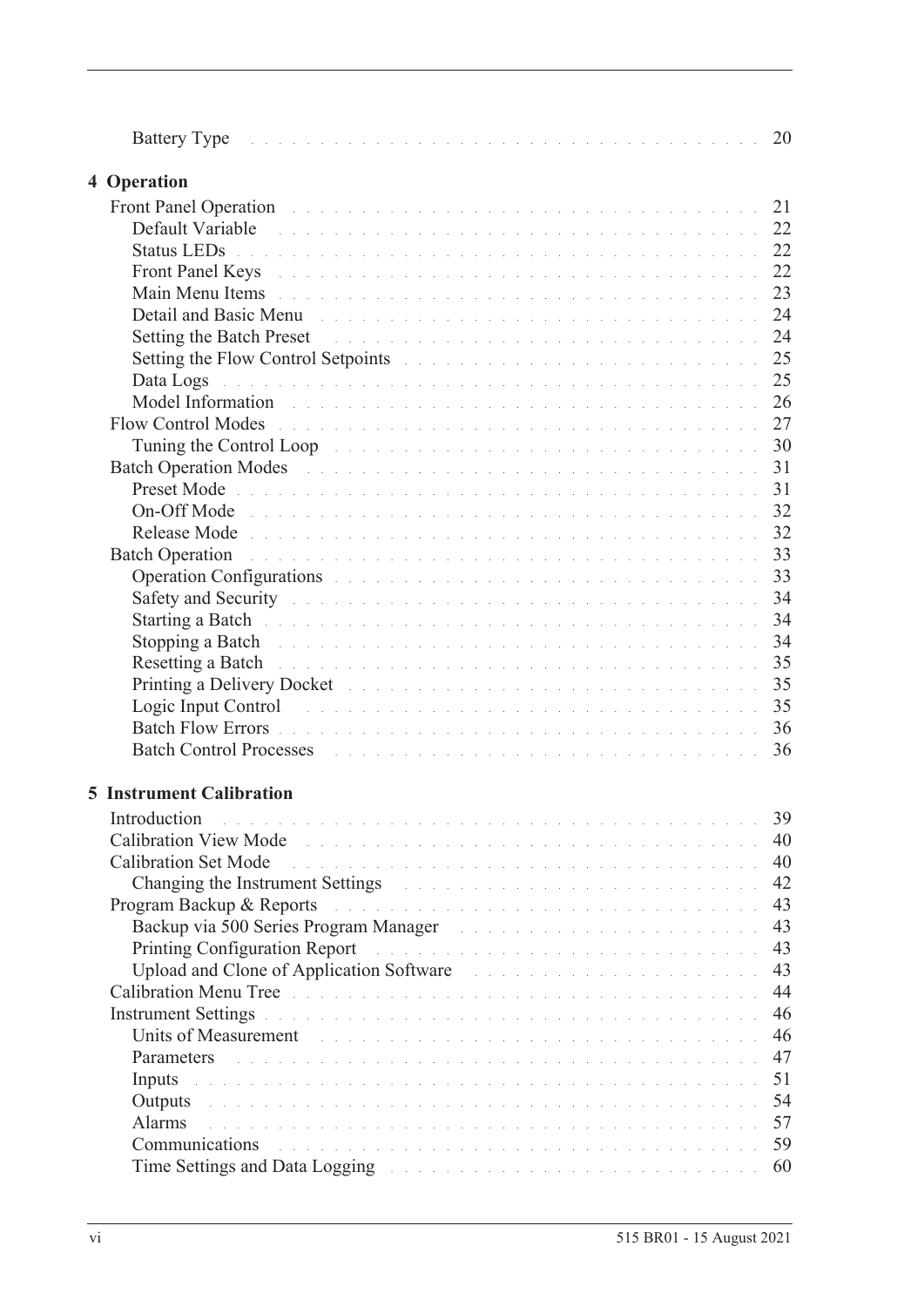|    | <b>Battery Type</b><br>in de la caractería de la caractería de la caractería de la caractería de la caractería de la caractería                                                                                                                    |  |  |  |  |  |  |  | 20 |
|----|----------------------------------------------------------------------------------------------------------------------------------------------------------------------------------------------------------------------------------------------------|--|--|--|--|--|--|--|----|
|    | 4 Operation                                                                                                                                                                                                                                        |  |  |  |  |  |  |  |    |
|    | Front Panel Operation and a contract the contract of the contract of the contract of the contract of the contract of the contract of the contract of the contract of the contract of the contract of the contract of the contr                     |  |  |  |  |  |  |  | 21 |
|    | Default Variable<br>in de la caractería de la caractería de la caractería de la caractería de la caractería de la caractería                                                                                                                       |  |  |  |  |  |  |  | 22 |
|    | <b>Status LEDs</b><br>and the company of the company of the company of the company of the company of the company of the company of the                                                                                                             |  |  |  |  |  |  |  | 22 |
|    | Front Panel Keys<br>and the second control of the second control of the second control of the second control of the second control of the second control of the second control of the second control of the second control of the second control o |  |  |  |  |  |  |  | 22 |
|    | Main Menu Items<br>de la caractería de la caractería de la caractería de la caractería de la caractería de la caractería                                                                                                                           |  |  |  |  |  |  |  | 23 |
|    | Detail and Basic Menu and a substitution of the substantial contract the substantial contract of the substantial contract of the substantial contract of the substantial contract of the substantial contract of the substanti                     |  |  |  |  |  |  |  | 24 |
|    | Setting the Batch Preset                                                                                                                                                                                                                           |  |  |  |  |  |  |  | 24 |
|    | <b>Setting the Flow Control Setpoints</b> and a substitution of the set of the set of the set of the set of the set of the set of the set of the set of the set of the set of the set of the set of the set of the set of the set o                |  |  |  |  |  |  |  | 25 |
|    | Data Logs<br>.<br>In the second term of the second term of the second term of the second term of the second term of the second t                                                                                                                   |  |  |  |  |  |  |  | 25 |
|    | Model Information and a contract the contract of the contract of the contract of the contract of the contract of the contract of the contract of the contract of the contract of the contract of the contract of the contract                      |  |  |  |  |  |  |  | 26 |
|    | Flow Control Modes and a contract the contract of the contract of the contract of the contract of the contract of the contract of the contract of the contract of the contract of the contract of the contract of the contract                     |  |  |  |  |  |  |  | 27 |
|    | <b>Tuning the Control Loop Experience Intervention Control Control Control Control Control Control Control Control</b>                                                                                                                             |  |  |  |  |  |  |  | 30 |
|    | Batch Operation Modes and a subsequence of the set of the set of the set of the set of the set of the set of the set of the set of the set of the set of the set of the set of the set of the set of the set of the set of the                     |  |  |  |  |  |  |  | 31 |
|    |                                                                                                                                                                                                                                                    |  |  |  |  |  |  |  | 31 |
|    | Preset Mode de la comparativa de la comparativa de la comparativa de la comparativa de la comparativa de la co                                                                                                                                     |  |  |  |  |  |  |  |    |
|    | On-Off Mode<br>in the second contract of the second contract of the second contract of the second contract of the second contr                                                                                                                     |  |  |  |  |  |  |  | 32 |
|    | Release Mode received a construction of the contract of the construction of the construction of the construction of the construction of the construction of the construction of the construction of the construction of the co                     |  |  |  |  |  |  |  | 32 |
|    | Batch Operation and a construction of the construction of the construction of the construction of the construction of the construction of the construction of the construction of the construction of the construction of the                      |  |  |  |  |  |  |  | 33 |
|    | Operation Configurations                                                                                                                                                                                                                           |  |  |  |  |  |  |  | 33 |
|    | Safety and Security and the same state of the same state of the same state of the same state of the same state of the same state of the same state of the same state of the same state of the same state of the same state of                      |  |  |  |  |  |  |  | 34 |
|    | Starting a Batch <b>Starting a Batch</b> (Starting Contract of the Contract of the Contract of the Contract of the Contract of the Contract of the Contract of the Contract of the Contract of the Contract of the Contract of the                 |  |  |  |  |  |  |  | 34 |
|    | Stopping a Batch and a community of the community of the community of the community of the community of the community of the community of the community of the community of the community of the community of the community of                     |  |  |  |  |  |  |  | 34 |
|    | <b>Resetting a Batch expansion of the contract of the contract of the contract of the contract of the contract of the contract of the contract of the contract of the contract of the contract of the contract of the contract</b>                 |  |  |  |  |  |  |  | 35 |
|    |                                                                                                                                                                                                                                                    |  |  |  |  |  |  |  | 35 |
|    | Logic Input Control the control of the control of the control of the control of the control of the control of the control of the control of the control of the control of the control of the control of the control of the con                     |  |  |  |  |  |  |  | 35 |
|    | Batch Flow Errors                                                                                                                                                                                                                                  |  |  |  |  |  |  |  | 36 |
|    | <b>Batch Control Processes</b><br>in the contract of the contract of the contract of the contract of the contract of the                                                                                                                           |  |  |  |  |  |  |  | 36 |
| 5. | <b>Instrument Calibration</b>                                                                                                                                                                                                                      |  |  |  |  |  |  |  |    |
|    |                                                                                                                                                                                                                                                    |  |  |  |  |  |  |  |    |
|    | Introduction                                                                                                                                                                                                                                       |  |  |  |  |  |  |  | 39 |
|    | <b>Calibration View Mode</b><br>.<br>In the second complete service of the second complete service in the second complete service of the service of                                                                                                |  |  |  |  |  |  |  | 40 |
|    | <b>Calibration Set Mode</b><br>.<br>In the company of the company of the company of the company of the company of the company of the company of th                                                                                                 |  |  |  |  |  |  |  | 40 |
|    | Changing the Instrument Settings and a contract of the contract of the contract of the contract of the contract of the contract of the contract of the contract of the contract of the contract of the contract of the contrac                     |  |  |  |  |  |  |  | 42 |
|    | Program Backup & Reports and the contract of the contract of the contract of the contract of the contract of the contract of the contract of the contract of the contract of the contract of the contract of the contract of t                     |  |  |  |  |  |  |  | 43 |
|    | Backup via 500 Series Program Manager and a construction of the construction of the series of the construction of the construction of the construction of the construction of the construction of the construction of the cons                     |  |  |  |  |  |  |  | 43 |
|    | Printing Configuration Report<br>.<br>In the company of the company of the company of the company of the company of the company of the company of th                                                                                               |  |  |  |  |  |  |  | 43 |
|    | Upload and Clone of Application Software and a substitution of the state of the state of the state of the state of the state of the state of the state of the state of the state of the state of the state of the state of the                     |  |  |  |  |  |  |  | 43 |
|    | Calibration Menu Tree Albert and Albert and Albert and Albert and Albert and Albert and Albert and Albert and                                                                                                                                      |  |  |  |  |  |  |  | 44 |
|    | Instrument Settings and a contract of the contract of the contract of the contract of the contract of the contract of the contract of the contract of the contract of the contract of the contract of the contract of the cont                     |  |  |  |  |  |  |  | 46 |
|    | Units of Measurement<br>.<br>In de la casa de la casa de la casa de la casa de la casa de la casa de la casa de la casa de la casa de la ca                                                                                                        |  |  |  |  |  |  |  | 46 |
|    | Parameters<br><u>. The second second second second second second second second second second second second second second second</u>                                                                                                                |  |  |  |  |  |  |  | 47 |
|    | Inputs<br>in di serie di serie della conservazione di serie di serie di serie di serie di serie di serie di serie di ser                                                                                                                           |  |  |  |  |  |  |  | 51 |
|    |                                                                                                                                                                                                                                                    |  |  |  |  |  |  |  | 54 |
|    | <b>Alarms</b><br>a construction of the construction of the construction of the construction of the construction of the construction                                                                                                                |  |  |  |  |  |  |  | 57 |
|    | Communications<br>.<br>In the first product of the first product of the first product of the first product of the first product of th                                                                                                              |  |  |  |  |  |  |  | 59 |
|    | Time Settings and Data Logging and Library and the contract of the Settings and Data Logging                                                                                                                                                       |  |  |  |  |  |  |  | 60 |
|    |                                                                                                                                                                                                                                                    |  |  |  |  |  |  |  |    |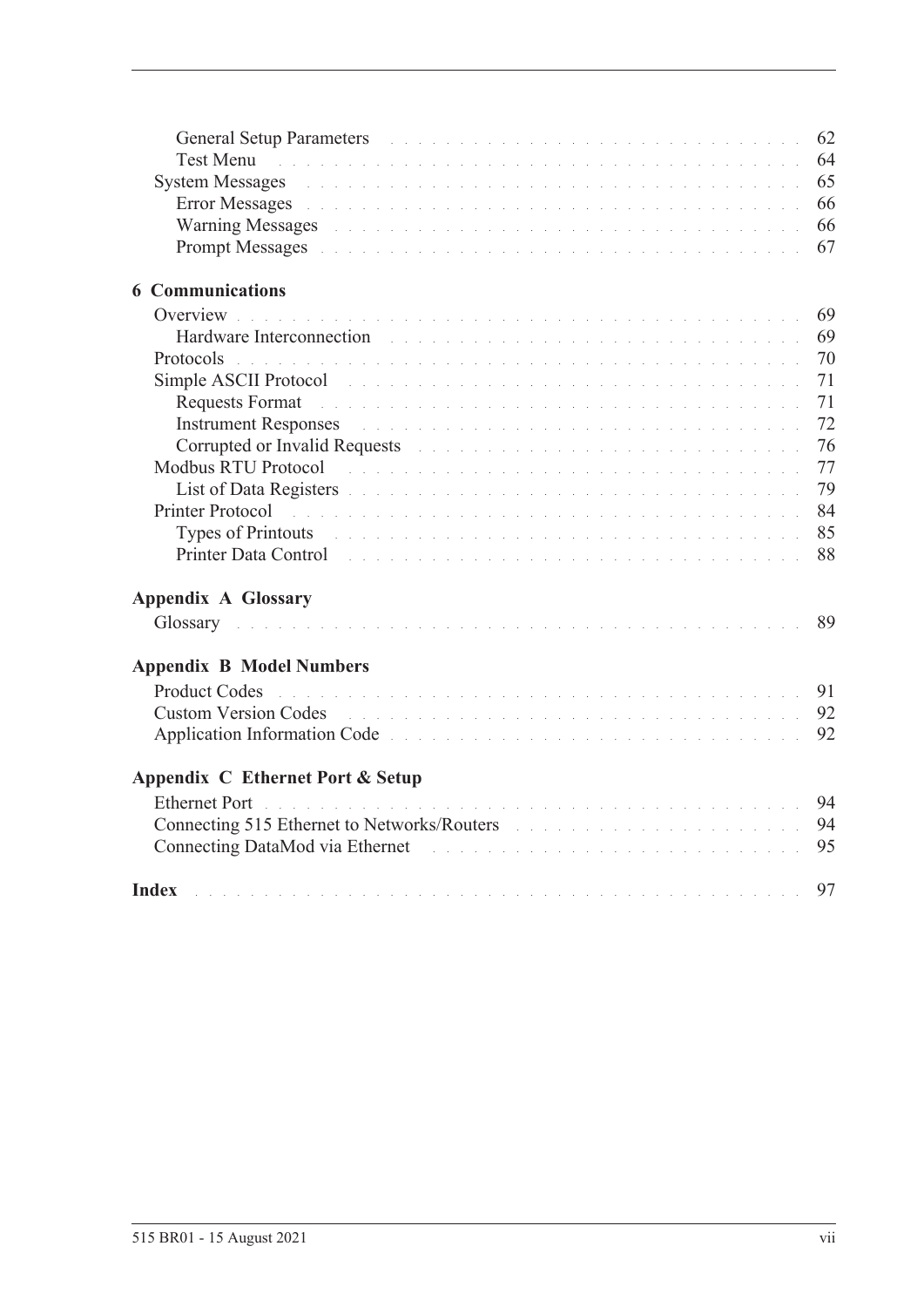| <b>General Setup Parameters <i>CONDITY CONDITERRY ALCOHOLOGY CONDITERRY ARRANGEMENT CONDITION</i></b><br>Test Menu and a construction of the contract of the construction of the construction of the construction of the construction of the construction of the construction of the construction of the construction of the constructi<br>System Messages and a contract of the contract of the contract of the contract of the contract of the contract of the contract of the contract of the contract of the contract of the contract of the contract of the contract<br>Warning Messages and a contract the contract of the contract of the contract of the contract of the contract of the contract of the contract of the contract of the contract of the contract of the contract of the contract o | 62<br>64<br>65<br>66<br>66<br>67 |
|-------------------------------------------------------------------------------------------------------------------------------------------------------------------------------------------------------------------------------------------------------------------------------------------------------------------------------------------------------------------------------------------------------------------------------------------------------------------------------------------------------------------------------------------------------------------------------------------------------------------------------------------------------------------------------------------------------------------------------------------------------------------------------------------------------------|----------------------------------|
| <b>6</b> Communications                                                                                                                                                                                                                                                                                                                                                                                                                                                                                                                                                                                                                                                                                                                                                                                     |                                  |
| Overview responsibility of the contract of the contract of the contract of the contract of the contract of the                                                                                                                                                                                                                                                                                                                                                                                                                                                                                                                                                                                                                                                                                              | 69                               |
| Hardware Interconnection and the contract of the contract of the contract of the contract of the contract of the contract of the contract of the contract of the contract of the contract of the contract of the contract of t                                                                                                                                                                                                                                                                                                                                                                                                                                                                                                                                                                              | 69                               |
| Protocols and a construction of the construction of the construction of the construction of the construction of the construction of the construction of the construction of the construction of the construction of the constr                                                                                                                                                                                                                                                                                                                                                                                                                                                                                                                                                                              | 70                               |
| Simple ASCII Protocol and the community of the community of the state of the community of the community of the community of the community of the community of the community of the community of the community of the community                                                                                                                                                                                                                                                                                                                                                                                                                                                                                                                                                                              | 71                               |
| Requests Format enterity and a contract of the contract of the contract of the contract of the contract of the                                                                                                                                                                                                                                                                                                                                                                                                                                                                                                                                                                                                                                                                                              | 71                               |
| Instrument Responses and the contract of the contract of the contract of the contract of the contract of the contract of the contract of the contract of the contract of the contract of the contract of the contract of the c                                                                                                                                                                                                                                                                                                                                                                                                                                                                                                                                                                              | 72                               |
| Corrupted or Invalid Requests and the contract of the contract of the contract of the contract of the contract of the contract of the contract of the contract of the contract of the contract of the contract of the contract                                                                                                                                                                                                                                                                                                                                                                                                                                                                                                                                                                              | 76                               |
| Modbus RTU Protocol<br>a provincia de la caractería de la caractería de la caractería de la caractería de la caractería de la caracterí                                                                                                                                                                                                                                                                                                                                                                                                                                                                                                                                                                                                                                                                     | 77                               |
| List of Data Registers and a construction of the construction of the construction of                                                                                                                                                                                                                                                                                                                                                                                                                                                                                                                                                                                                                                                                                                                        | 79                               |
| Printer Protocol<br>.<br>In the second complete service of the second complete service in the second complete service in the service of                                                                                                                                                                                                                                                                                                                                                                                                                                                                                                                                                                                                                                                                     | 84                               |
| Types of Printouts and the contract of the contract of the contract of the contract of the contract of the contract of the contract of the contract of the contract of the contract of the contract of the contract of the con                                                                                                                                                                                                                                                                                                                                                                                                                                                                                                                                                                              | 85                               |
| Printer Data Control and a control of the control of the control of the control of the control of the control of the control of the control of the control of the control of the control of the control of the control of the                                                                                                                                                                                                                                                                                                                                                                                                                                                                                                                                                                               | 88                               |
| <b>Appendix A Glossary</b>                                                                                                                                                                                                                                                                                                                                                                                                                                                                                                                                                                                                                                                                                                                                                                                  |                                  |
| Glossary and a communication of the communication of the communication of the communication of the communication of the communication of the communication of the communication of the communication of the communication of t                                                                                                                                                                                                                                                                                                                                                                                                                                                                                                                                                                              | 89                               |
| <b>Appendix B Model Numbers</b>                                                                                                                                                                                                                                                                                                                                                                                                                                                                                                                                                                                                                                                                                                                                                                             |                                  |
| .<br>In the second complete service of the second complete service service service service service service service<br>Product Codes                                                                                                                                                                                                                                                                                                                                                                                                                                                                                                                                                                                                                                                                         | 91                               |
| Custom Version Codes (Fig. 1991) and the contract of the contract of the contract of the contract of the contract of the contract of the contract of the contract of the contract of the contract of the contract of the contr                                                                                                                                                                                                                                                                                                                                                                                                                                                                                                                                                                              | 92                               |
|                                                                                                                                                                                                                                                                                                                                                                                                                                                                                                                                                                                                                                                                                                                                                                                                             | 92                               |
|                                                                                                                                                                                                                                                                                                                                                                                                                                                                                                                                                                                                                                                                                                                                                                                                             |                                  |
| Appendix C Ethernet Port & Setup                                                                                                                                                                                                                                                                                                                                                                                                                                                                                                                                                                                                                                                                                                                                                                            |                                  |
| Ethernet Port and a communication of the communication of the communication of the communication                                                                                                                                                                                                                                                                                                                                                                                                                                                                                                                                                                                                                                                                                                            | 94                               |
| Connecting 515 Ethernet to Networks/Routers and a substitution of the state of the state of the state of the state of the state of the state of the state of the state of the state of the state of the state of the state of                                                                                                                                                                                                                                                                                                                                                                                                                                                                                                                                                                               | 94                               |
|                                                                                                                                                                                                                                                                                                                                                                                                                                                                                                                                                                                                                                                                                                                                                                                                             | 95                               |
|                                                                                                                                                                                                                                                                                                                                                                                                                                                                                                                                                                                                                                                                                                                                                                                                             |                                  |
| <b>Index</b><br>in de la caractería de la caractería de la caractería de la caractería de la caractería de la caractería de la                                                                                                                                                                                                                                                                                                                                                                                                                                                                                                                                                                                                                                                                              | 97                               |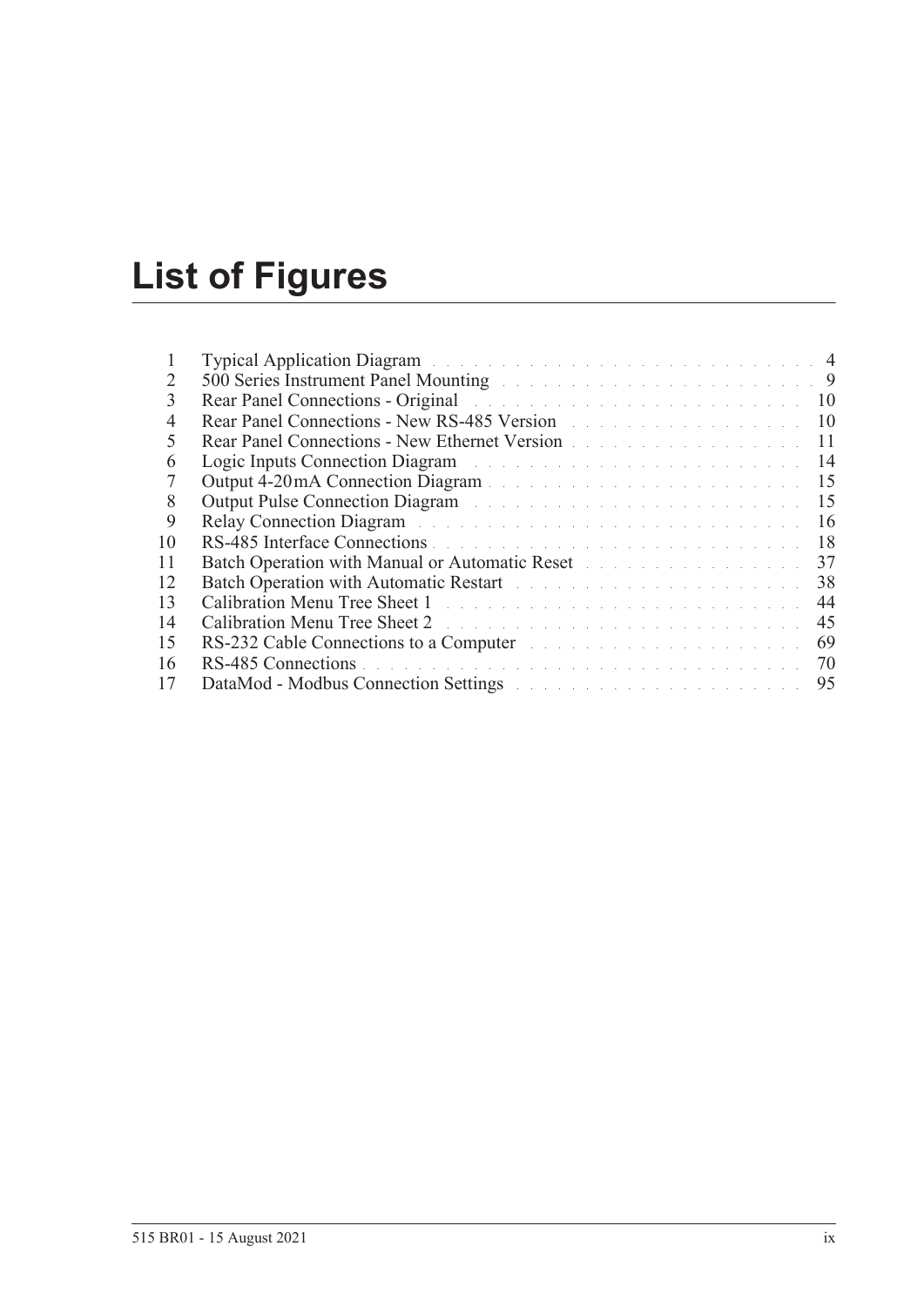# **List of Figures**

| 1                           | Typical Application Diagram and a contract of the contract of the contract of the 4                                                                                                                                                  |  |
|-----------------------------|--------------------------------------------------------------------------------------------------------------------------------------------------------------------------------------------------------------------------------------|--|
| $\mathcal{D}_{\mathcal{L}}$ | 500 Series Instrument Panel Mounting and a contract of the series of the series of 9                                                                                                                                                 |  |
| 3                           | <b>Rear Panel Connections - Original</b>                                                                                                                                                                                             |  |
| 4                           | Rear Panel Connections - New RS-485 Version<br>10                                                                                                                                                                                    |  |
| 5                           | Rear Panel Connections - New Ethernet Version                                                                                                                                                                                        |  |
| 6                           | Logic Inputs Connection Diagram and a substitution of the set of the set of the 14                                                                                                                                                   |  |
|                             | Output 4-20mA Connection Diagram                                                                                                                                                                                                     |  |
| 8                           | Output Pulse Connection Diagram and a connection of the Connection of the Connection of the Connection of the Connection of the Connection of the Connection of the Connection of the Connection of the Connection of the Conn<br>15 |  |
| 9                           | 16<br>Relay Connection Diagram and a construction of the contract of the contract of the contract of the contract of                                                                                                                 |  |
| 10                          | RS-485 Interface Connections                                                                                                                                                                                                         |  |
| 11                          | Batch Operation with Manual or Automatic Reset <b>Election Lines and State 19 and State 19 and State 1</b>                                                                                                                           |  |
| 12                          | Batch Operation with Automatic Restart Marshall and Automatic Restart<br>38                                                                                                                                                          |  |
| 13                          | 44                                                                                                                                                                                                                                   |  |
| 14                          | 45<br>Calibration Menu Tree Sheet 2 and the contract of the contract of the contract of the contract of the contract of the contract of the contract of the contract of the contract of the contract of the contract of the contract |  |
| 15                          | 69<br>RS-232 Cable Connections to a Computer and a substitution of the set of the set of the set of the set of the set of the set of the set of the set of the set of the set of the set of the set of the set of the set of the set |  |
| 16                          | RS-485 Connections and the connection of the connection of the connection of the connection of the connection of the connection of the connection of the connection of the connection of the connection of the connection of t       |  |
| 17                          | 95<br>DataMod - Modbus Connection Settings and a connection of the settings of the settings of the settings of the settings of the settings of the settings of the settings of the settings of the settings of the settings of the s |  |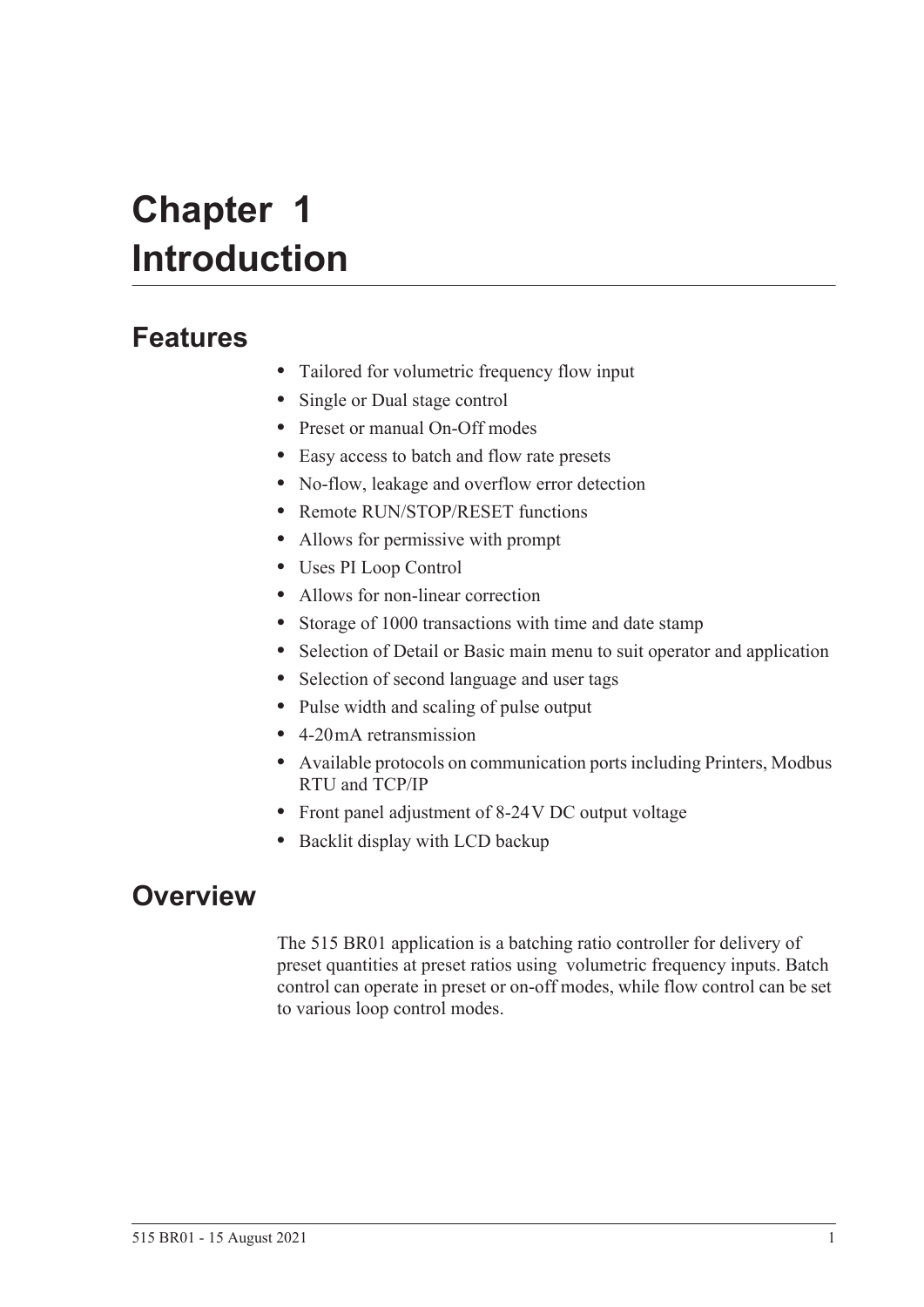# <span id="page-10-0"></span>**Chapter 1 Introduction**

# <span id="page-10-1"></span>**Features**

- **•** Tailored for volumetric frequency flow input
- **•** Single or Dual stage control
- **•** Preset or manual On-Off modes
- **•** Easy access to batch and flow rate presets
- No-flow, leakage and overflow error detection
- **•** Remote RUN/STOP/RESET functions
- Allows for permissive with prompt
- **•** Uses PI Loop Control
- Allows for non-linear correction
- **•** Storage of 1000 transactions with time and date stamp
- **•** Selection of Detail or Basic main menu to suit operator and application
- **•** Selection of second language and user tags
- **•** Pulse width and scaling of pulse output
- **•** 4-20 mA retransmission
- **•** Available protocols on communication ports including Printers, Modbus RTU and TCP/IP
- **•** Front panel adjustment of 8-24 V DC output voltage
- **•** Backlit display with LCD backup

## <span id="page-10-2"></span>**Overview**

The 515 BR01 application is a batching ratio controller for delivery of preset quantities at preset ratios using volumetric frequency inputs. Batch control can operate in preset or on-off modes, while flow control can be set to various loop control modes.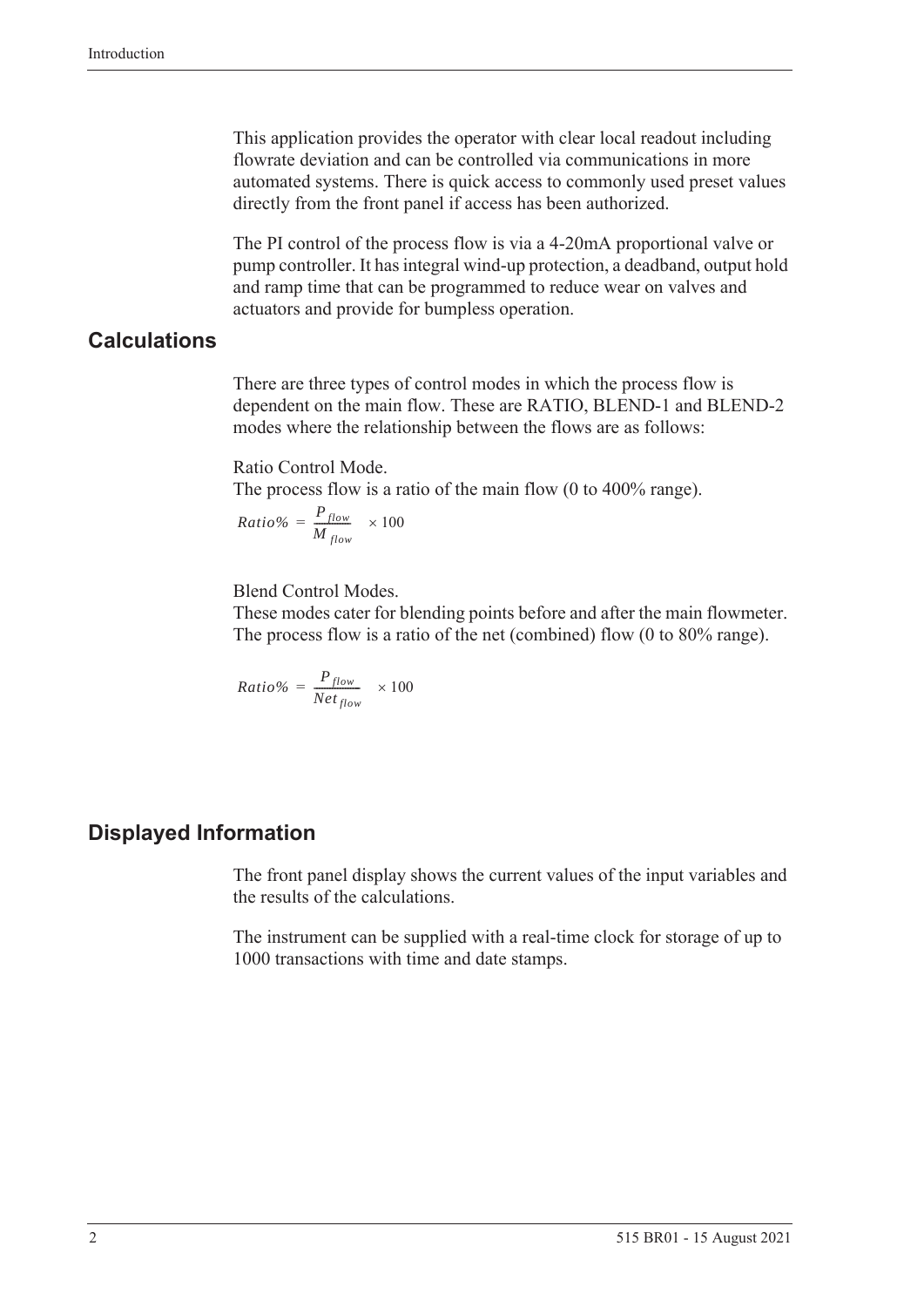This application provides the operator with clear local readout including flowrate deviation and can be controlled via communications in more automated systems. There is quick access to commonly used preset values directly from the front panel if access has been authorized.

The PI control of the process flow is via a 4-20mA proportional valve or pump controller. It has integral wind-up protection, a deadband, output hold and ramp time that can be programmed to reduce wear on valves and actuators and provide for bumpless operation.

#### <span id="page-11-0"></span>**Calculations**

There are three types of control modes in which the process flow is dependent on the main flow. These are RATIO, BLEND-1 and BLEND-2 modes where the relationship between the flows are as follows:

#### Ratio Control Mode.

The process flow is a ratio of the main flow (0 to 400% range).

$$
Ratio\% = \frac{P_{flow}}{M_{flow}} \times 100
$$

Blend Control Modes.

These modes cater for blending points before and after the main flowmeter. The process flow is a ratio of the net (combined) flow (0 to 80% range).

$$
Ratio\% = \frac{P_{flow}}{Net_{flow}} \times 100
$$

#### <span id="page-11-1"></span>**Displayed Information**

The front panel display shows the current values of the input variables and the results of the calculations.

The instrument can be supplied with a real-time clock for storage of up to 1000 transactions with time and date stamps.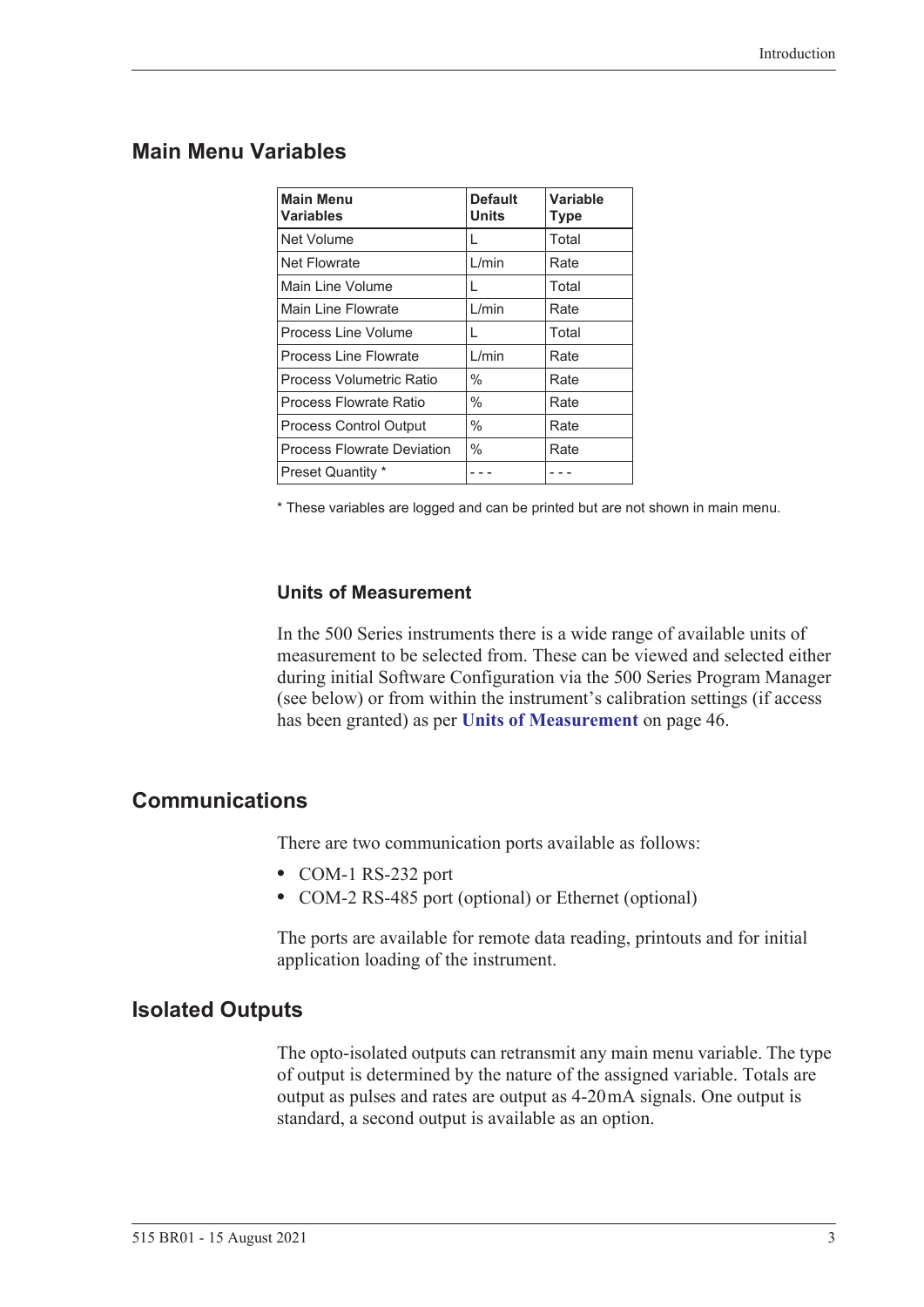## <span id="page-12-0"></span>**Main Menu Variables**

| <b>Main Menu</b><br><b>Variables</b> | <b>Default</b><br><b>Units</b> | <b>Variable</b><br><b>Type</b> |
|--------------------------------------|--------------------------------|--------------------------------|
| Net Volume                           |                                | Total                          |
| <b>Net Flowrate</b>                  | L/min                          | Rate                           |
| Main Line Volume                     | L                              | Total                          |
| Main Line Flowrate                   | L/min                          | Rate                           |
| Process Line Volume                  |                                | Total                          |
| <b>Process Line Flowrate</b>         | L/min                          | Rate                           |
| Process Volumetric Ratio             | %                              | Rate                           |
| Process Flowrate Ratio               | $\%$                           | Rate                           |
| <b>Process Control Output</b>        | $\%$                           | Rate                           |
| <b>Process Flowrate Deviation</b>    | $\%$                           | Rate                           |
| Preset Quantity *                    |                                |                                |

\* These variables are logged and can be printed but are not shown in main menu.

#### **Units of Measurement**

In the 500 Series instruments there is a wide range of available units of measurement to be selected from. These can be viewed and selected either during initial Software Configuration via the 500 Series Program Manager (see below) or from within the instrument's calibration settings (if access has been granted) as per **[Units of Measurement](#page-55-2)** on page 46.

#### <span id="page-12-1"></span>**Communications**

There are two communication ports available as follows:

- **•** COM-1 RS-232 port
- **•** COM-2 RS-485 port (optional) or Ethernet (optional)

The ports are available for remote data reading, printouts and for initial application loading of the instrument.

#### <span id="page-12-2"></span>**Isolated Outputs**

The opto-isolated outputs can retransmit any main menu variable. The type of output is determined by the nature of the assigned variable. Totals are output as pulses and rates are output as 4-20 mA signals. One output is standard, a second output is available as an option.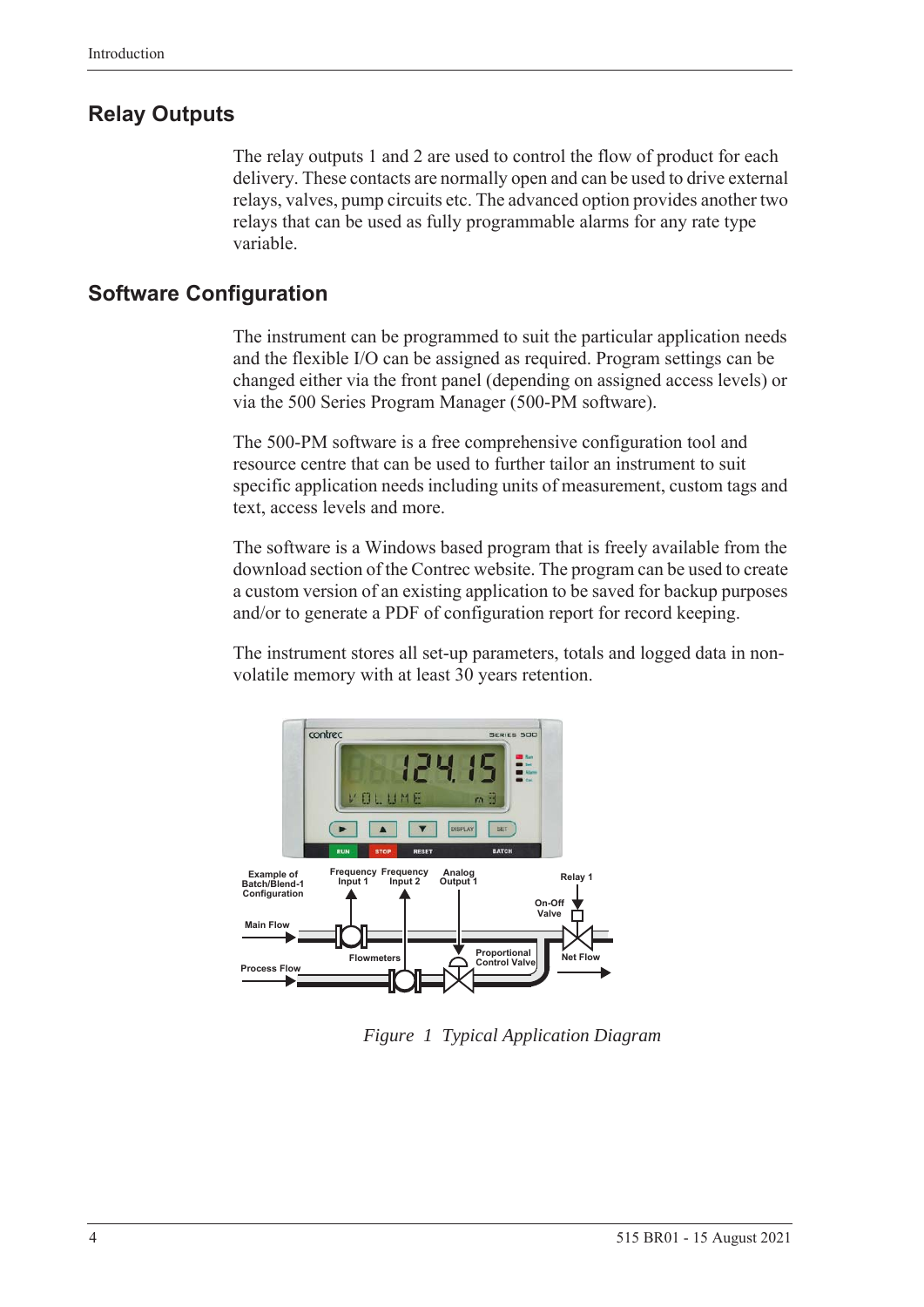## <span id="page-13-0"></span>**Relay Outputs**

The relay outputs 1 and 2 are used to control the flow of product for each delivery. These contacts are normally open and can be used to drive external relays, valves, pump circuits etc. The advanced option provides another two relays that can be used as fully programmable alarms for any rate type variable.

### <span id="page-13-1"></span>**Software Configuration**

The instrument can be programmed to suit the particular application needs and the flexible I/O can be assigned as required. Program settings can be changed either via the front panel (depending on assigned access levels) or via the 500 Series Program Manager (500-PM software).

The 500-PM software is a free comprehensive configuration tool and resource centre that can be used to further tailor an instrument to suit specific application needs including units of measurement, custom tags and text, access levels and more.

The software is a Windows based program that is freely available from the download section of the Contrec website. The program can be used to create a custom version of an existing application to be saved for backup purposes and/or to generate a PDF of configuration report for record keeping.

The instrument stores all set-up parameters, totals and logged data in nonvolatile memory with at least 30 years retention.



<span id="page-13-2"></span>*Figure 1 Typical Application Diagram*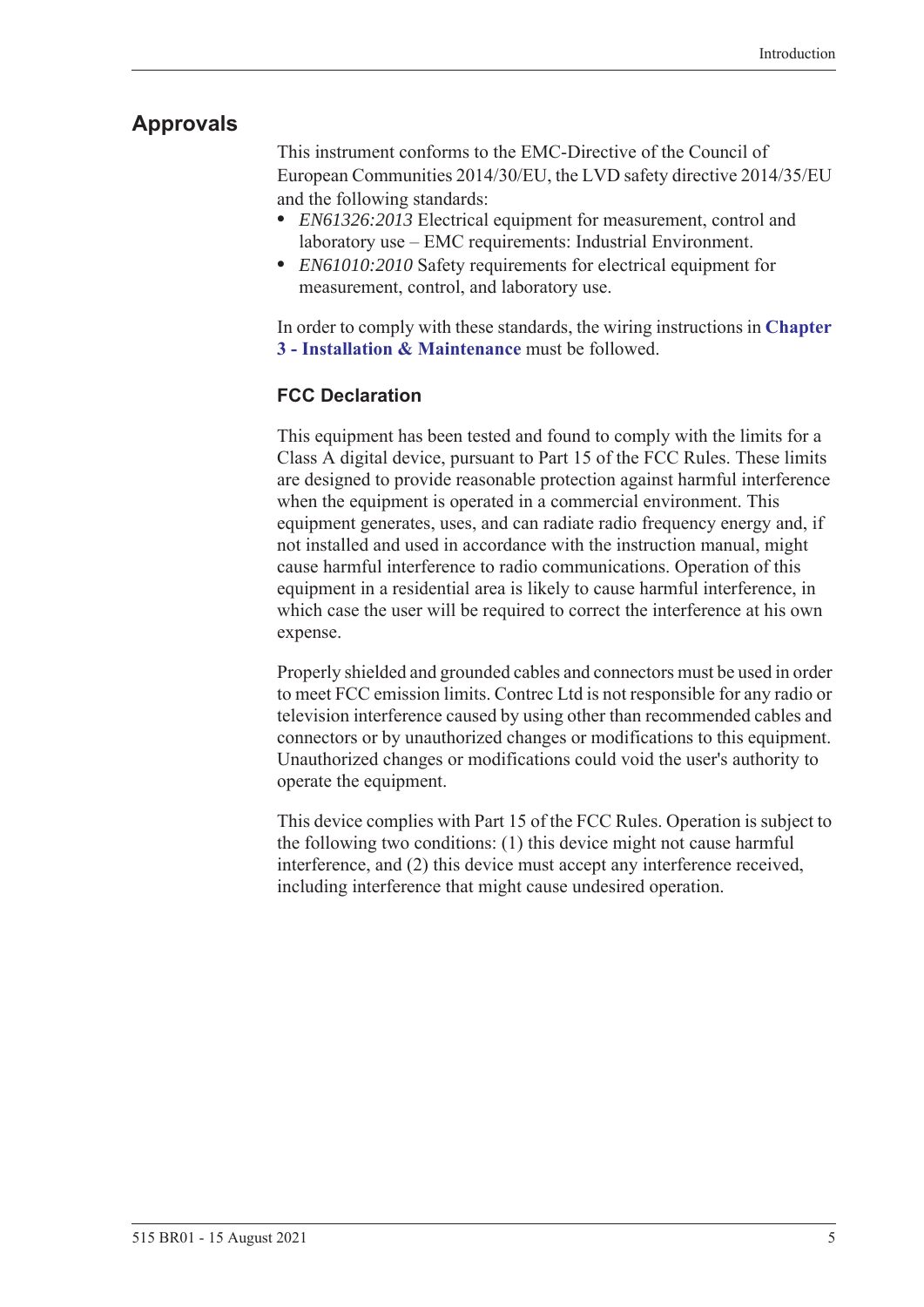### <span id="page-14-0"></span>**Approvals**

This instrument conforms to the EMC-Directive of the Council of European Communities 2014/30/EU, the LVD safety directive 2014/35/EU and the following standards:

- **•** *EN61326:2013* Electrical equipment for measurement, control and laboratory use – EMC requirements: Industrial Environment.
- *EN61010:2010* Safety requirements for electrical equipment for measurement, control, and laboratory use.

In order to comply with these standards, the wiring instructions in **[Chapter](#page-18-5)  [3 - Installation & Maintenance](#page-18-5)** must be followed.

#### **FCC Declaration**

This equipment has been tested and found to comply with the limits for a Class A digital device, pursuant to Part 15 of the FCC Rules. These limits are designed to provide reasonable protection against harmful interference when the equipment is operated in a commercial environment. This equipment generates, uses, and can radiate radio frequency energy and, if not installed and used in accordance with the instruction manual, might cause harmful interference to radio communications. Operation of this equipment in a residential area is likely to cause harmful interference, in which case the user will be required to correct the interference at his own expense.

Properly shielded and grounded cables and connectors must be used in order to meet FCC emission limits. Contrec Ltd is not responsible for any radio or television interference caused by using other than recommended cables and connectors or by unauthorized changes or modifications to this equipment. Unauthorized changes or modifications could void the user's authority to operate the equipment.

This device complies with Part 15 of the FCC Rules. Operation is subject to the following two conditions: (1) this device might not cause harmful interference, and (2) this device must accept any interference received, including interference that might cause undesired operation.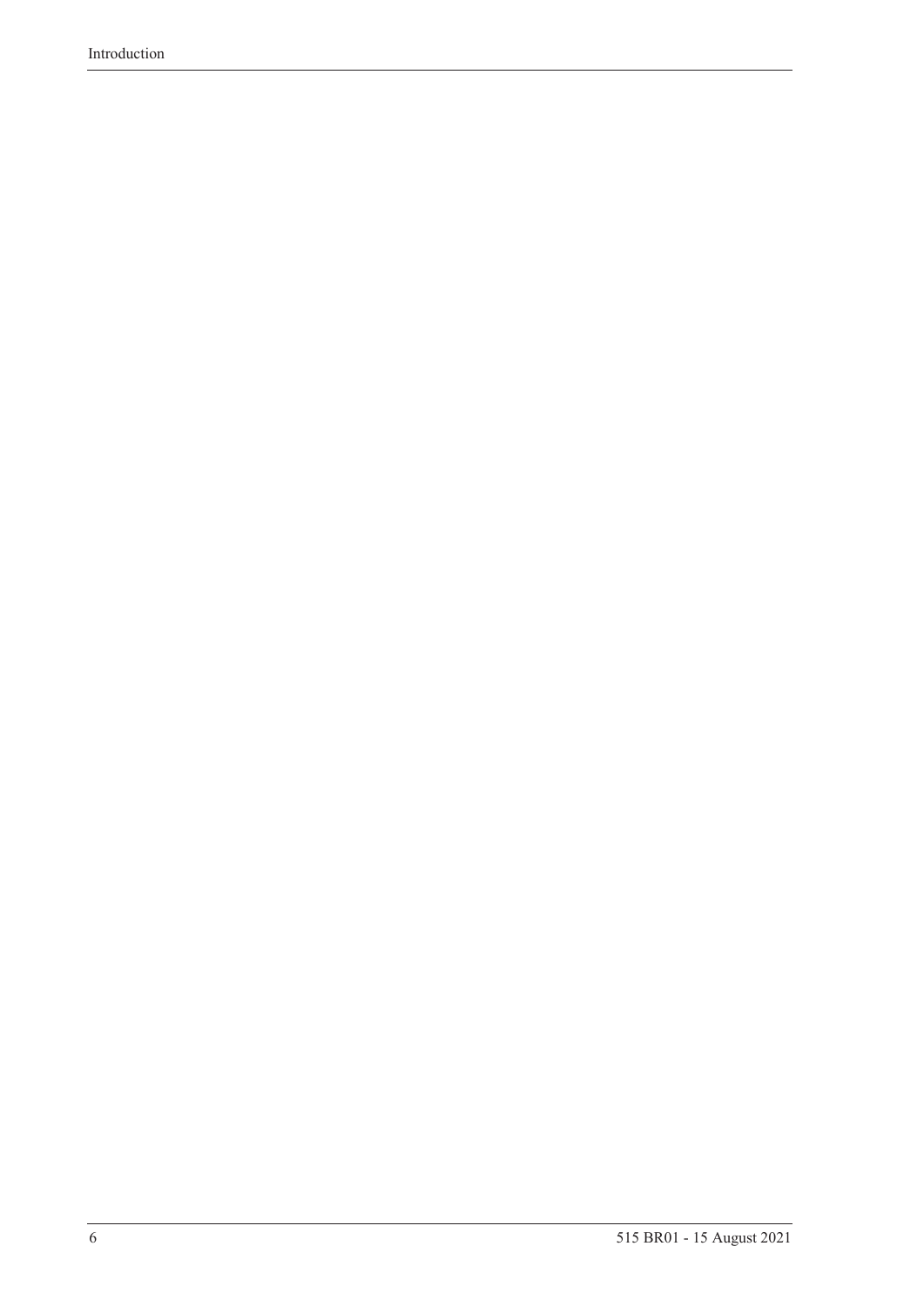Introduction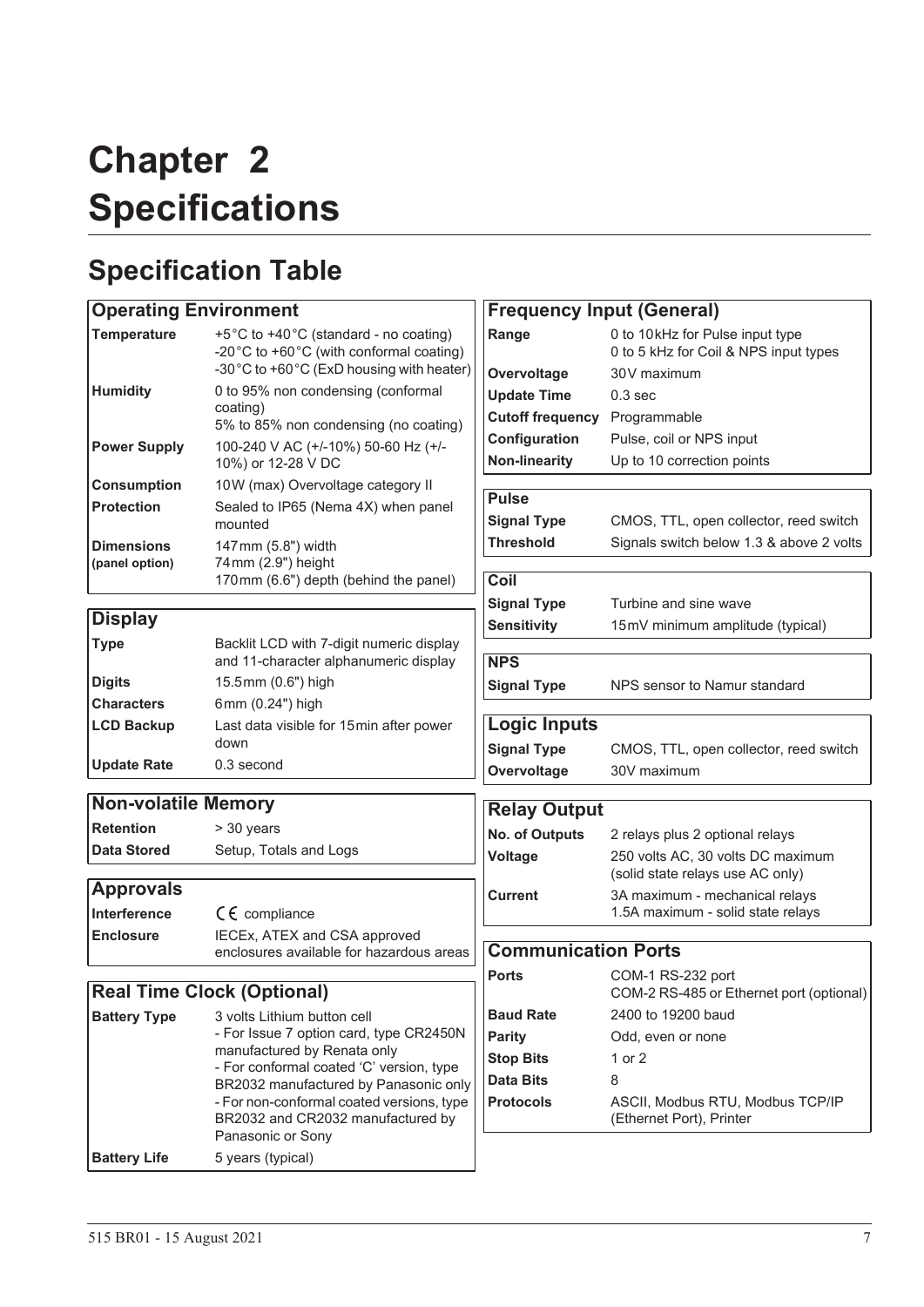# <span id="page-16-0"></span>**Chapter 2 Specifications**

# <span id="page-16-1"></span>**Specification Table**

#### **Operating Environment Temperature**  $+5^{\circ}$ C to  $+40^{\circ}$ C (standard - no coating) -20 °C to +60 °C (with conformal coating) -30 °C to +60 °C (ExD housing with heater) **Humidity** 0 to 95% non condensing (conformal coating) 5% to 85% non condensing (no coating) **Power Supply** 100-240 V AC (+/-10%) 50-60 Hz (+/- 10%) or 12-28 V DC **Consumption** 10W (max) Overvoltage category II **Protection** Sealed to IP65 (Nema 4X) when panel mounted **Dimensions (panel option)** 147 mm (5.8") width 74 mm (2.9") height 170 mm (6.6") depth (behind the panel) **Display Type** Backlit LCD with 7-digit numeric display and 11-character alphanumeric display **Digits** 15.5 mm (0.6") high **Characters** 6mm (0.24") high **LCD Backup** Last data visible for 15 min after power down **Update Rate** 0.3 second **Non-volatile Memory Retention** > 30 years **Data Stored** Setup, Totals and Logs **Approvals Interference** C E compliance **Enclosure** IECEx, ATEX and CSA approved enclosures available for hazardous areas **Real Time Clock (Optional) Battery Type** 3 volts Lithium button cell - For Issue 7 option card, type CR2450N manufactured by Renata only - For conformal coated 'C' version, type BR2032 manufactured by Panasonic only - For non-conformal coated versions, type BR2032 and CR2032 manufactured by Panasonic or Sony **Battery Life** 5 years (typical) **Frequency Input (General) Range** 0 to 10 kHz for Pulse input type 0 to 5 kHz for Coil & NPS input types **Overvoltage** 30V maximum **Update Time** 0.3 sec **Cutoff frequency** Programmable **Configuration** Pulse, coil or NPS input **Non-linearity** Up to 10 correction points **Pulse Signal Type** CMOS, TTL, open collector, reed switch **Threshold** Signals switch below 1.3 & above 2 volts **Coil Signal Type** Turbine and sine wave **Sensitivity** 15mV minimum amplitude (typical) **NPS Signal Type** NPS sensor to Namur standard **Logic Inputs Signal Type** CMOS, TTL, open collector, reed switch **Overvoltage** 30V maximum **Relay Output No. of Outputs** 2 relays plus 2 optional relays **Voltage** 250 volts AC, 30 volts DC maximum (solid state relays use AC only) **Current** 3A maximum - mechanical relays 1.5A maximum - solid state relays **Communication Ports** Ports **COM-1 RS-232 port** COM-2 RS-485 or Ethernet port (optional) **Baud Rate** 2400 to 19200 baud **Parity** Odd, even or none **Stop Bits** 1 or 2 **Data Bits** 8 **Protocols** ASCII, Modbus RTU, Modbus TCP/IP (Ethernet Port), Printer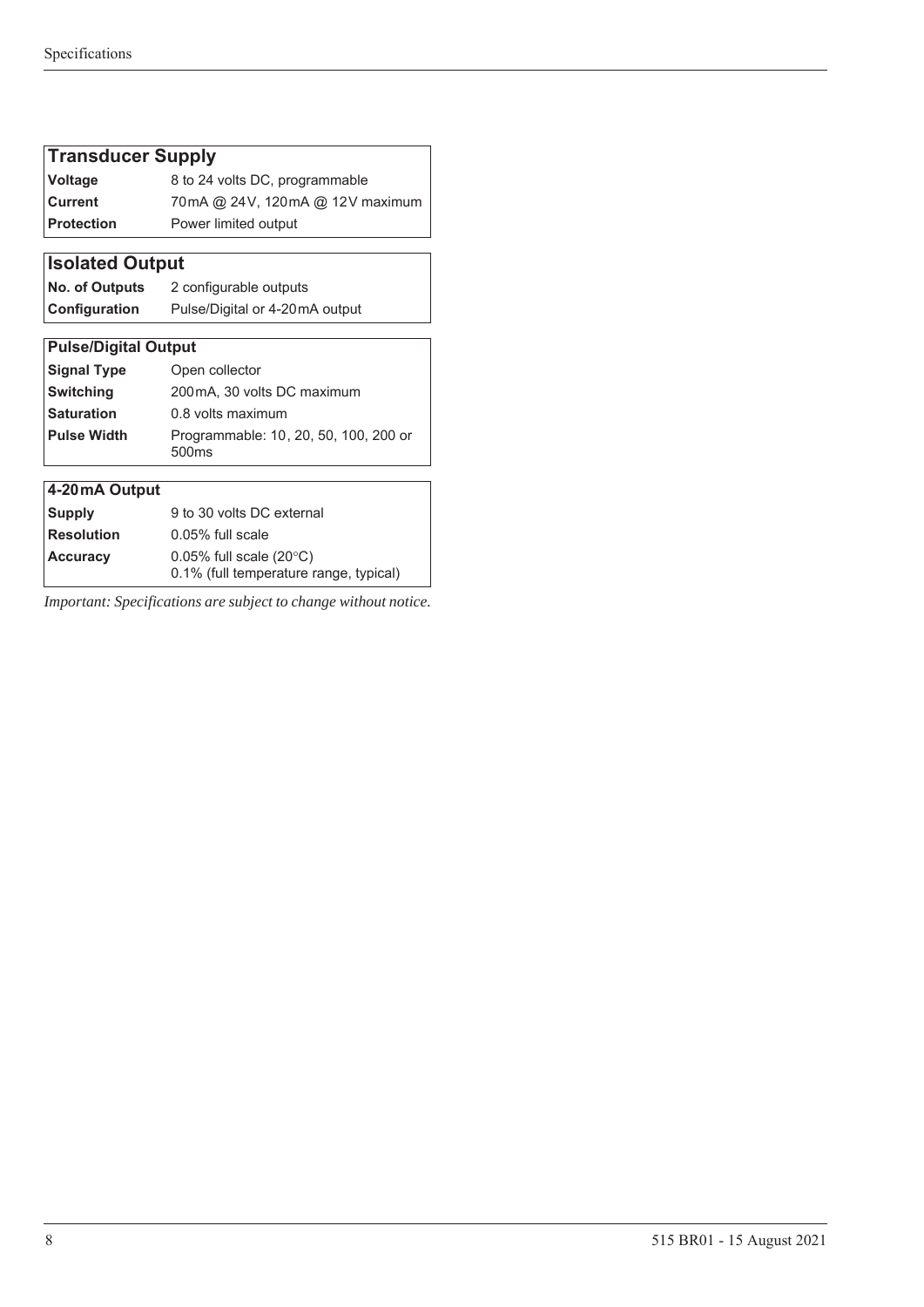| <b>Transducer Supply</b>    |                                                                                |
|-----------------------------|--------------------------------------------------------------------------------|
| Voltage                     | 8 to 24 volts DC, programmable                                                 |
| <b>Current</b>              | 70mA @ 24V, 120mA @ 12V maximum                                                |
| <b>Protection</b>           | Power limited output                                                           |
|                             |                                                                                |
| <b>Isolated Output</b>      |                                                                                |
| <b>No. of Outputs</b>       | 2 configurable outputs                                                         |
| Configuration               | Pulse/Digital or 4-20 mA output                                                |
|                             |                                                                                |
| <b>Pulse/Digital Output</b> |                                                                                |
| <b>Signal Type</b>          | Open collector                                                                 |
| Switching                   | 200 mA. 30 volts DC maximum                                                    |
| <b>Saturation</b>           | 0.8 volts maximum                                                              |
| <b>Pulse Width</b>          | Programmable: 10, 20, 50, 100, 200 or<br>500ms                                 |
| 4-20 mA Output              |                                                                                |
| Supply                      | 9 to 30 volts DC external                                                      |
| <b>Resolution</b>           | $0.05\%$ full scale                                                            |
| <b>Accuracy</b>             | $0.05\%$ full scale (20 $\degree$ C)<br>0.1% (full temperature range, typical) |

*Important: Specifications are subject to change without notice.*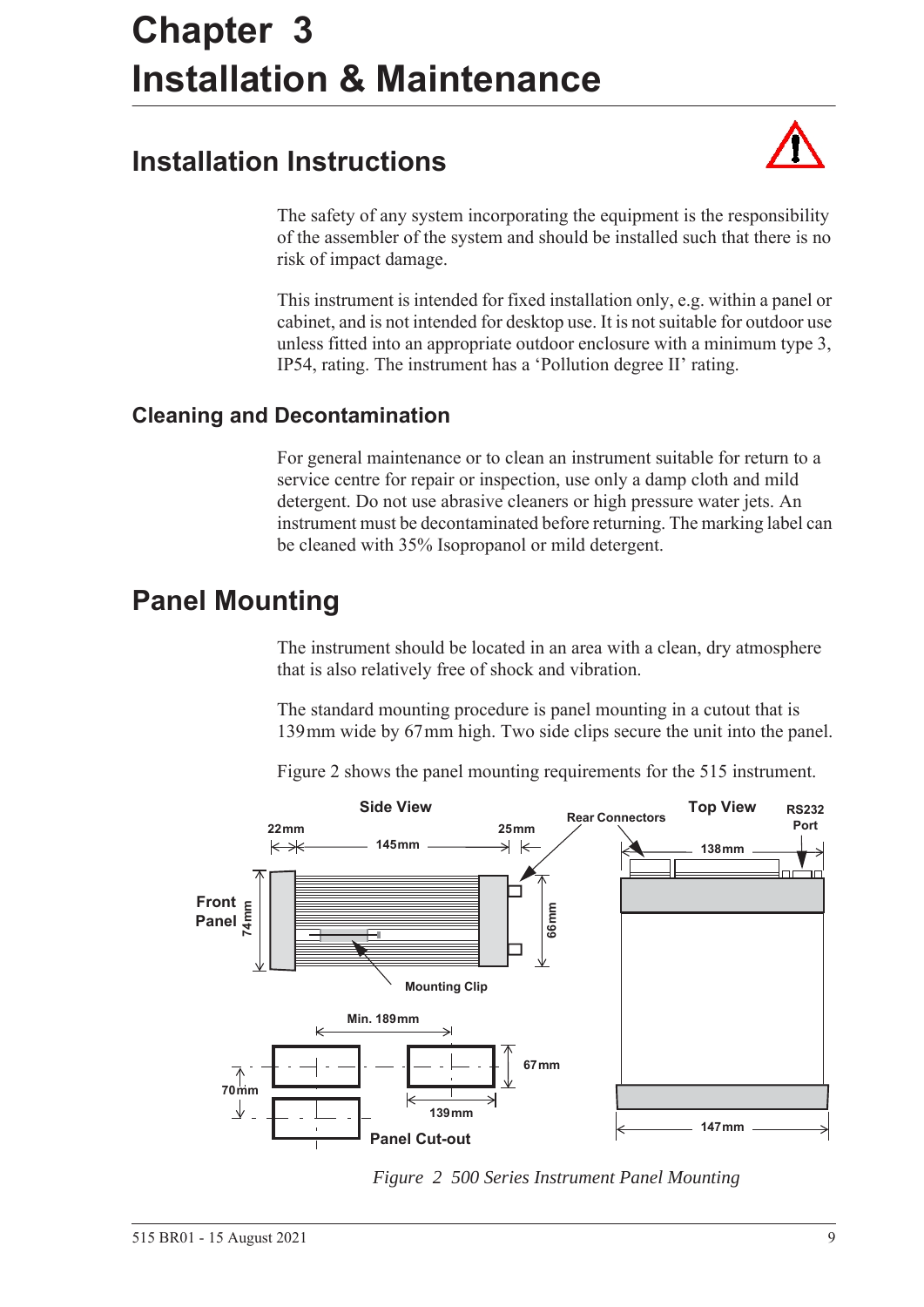# <span id="page-18-5"></span><span id="page-18-0"></span>**Chapter 3 Installation & Maintenance**

# <span id="page-18-1"></span>**Installation Instructions**



The safety of any system incorporating the equipment is the responsibility of the assembler of the system and should be installed such that there is no risk of impact damage.

This instrument is intended for fixed installation only, e.g. within a panel or cabinet, and is not intended for desktop use. It is not suitable for outdoor use unless fitted into an appropriate outdoor enclosure with a minimum type 3, IP54, rating. The instrument has a 'Pollution degree II' rating.

## <span id="page-18-2"></span>**Cleaning and Decontamination**

For general maintenance or to clean an instrument suitable for return to a service centre for repair or inspection, use only a damp cloth and mild detergent. Do not use abrasive cleaners or high pressure water jets. An instrument must be decontaminated before returning. The marking label can be cleaned with 35% Isopropanol or mild detergent.

# <span id="page-18-3"></span>**Panel Mounting**

The instrument should be located in an area with a clean, dry atmosphere that is also relatively free of shock and vibration.

The standard mounting procedure is panel mounting in a cutout that is 139 mm wide by 67 mm high. Two side clips secure the unit into the panel.



[Figure 2](#page-18-4) shows the panel mounting requirements for the 515 instrument.

<span id="page-18-4"></span>*Figure 2 500 Series Instrument Panel Mounting*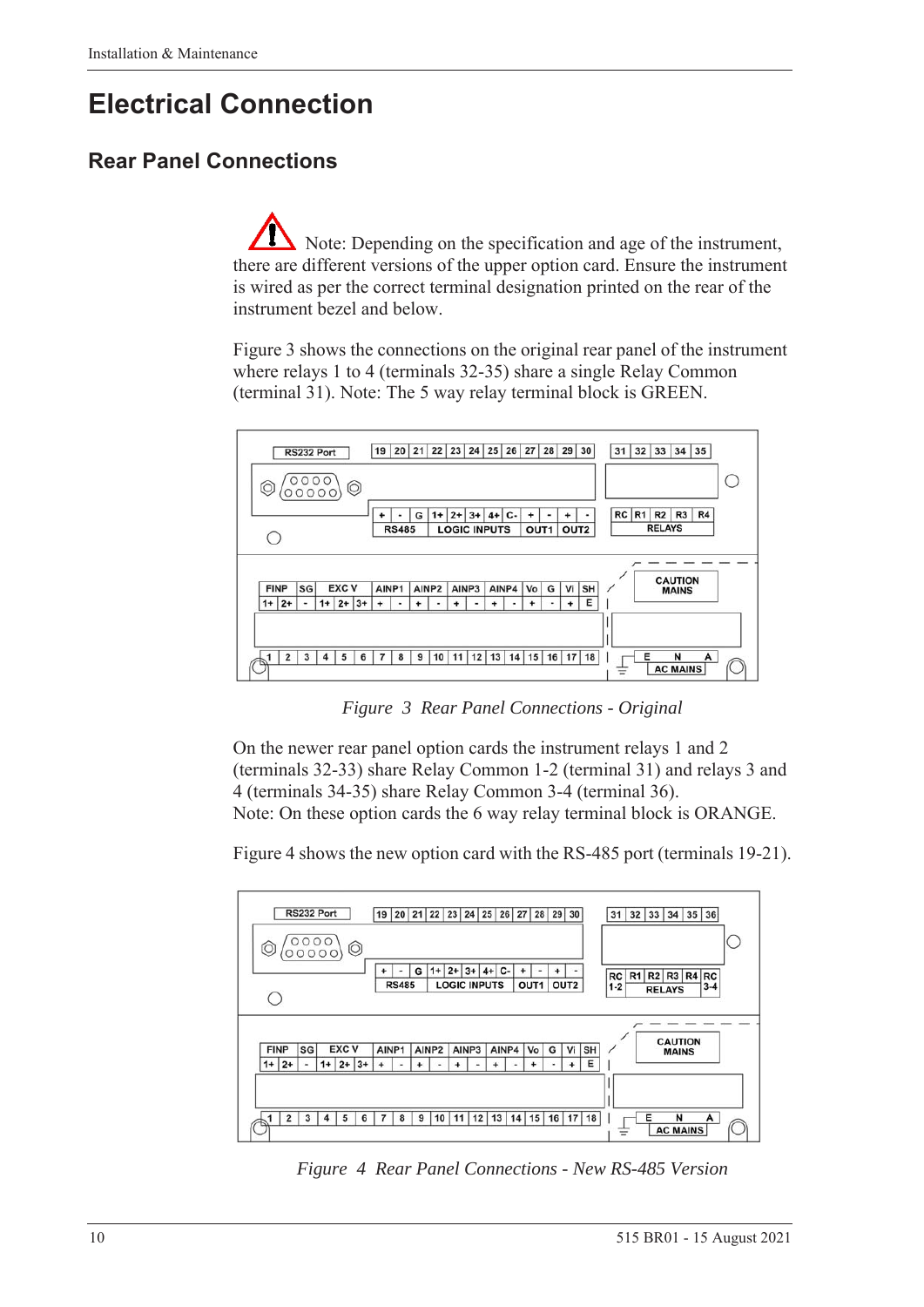# <span id="page-19-0"></span>**Electrical Connection**

## <span id="page-19-1"></span>**Rear Panel Connections**

Note: Depending on the specification and age of the instrument, there are different versions of the upper option card. Ensure the instrument is wired as per the correct terminal designation printed on the rear of the instrument bezel and below.

[Figure 3](#page-19-2) shows the connections on the original rear panel of the instrument where relays 1 to 4 (terminals 32-35) share a single Relay Common (terminal 31). Note: The 5 way relay terminal block is GREEN.



*Figure 3 Rear Panel Connections - Original*

<span id="page-19-2"></span>On the newer rear panel option cards the instrument relays 1 and 2 (terminals 32-33) share Relay Common 1-2 (terminal 31) and relays 3 and 4 (terminals 34-35) share Relay Common 3-4 (terminal 36). Note: On these option cards the 6 way relay terminal block is ORANGE.

[Figure 4](#page-19-3) shows the new option card with the RS-485 port (terminals 19-21).



<span id="page-19-3"></span>*Figure 4 Rear Panel Connections - New RS-485 Version*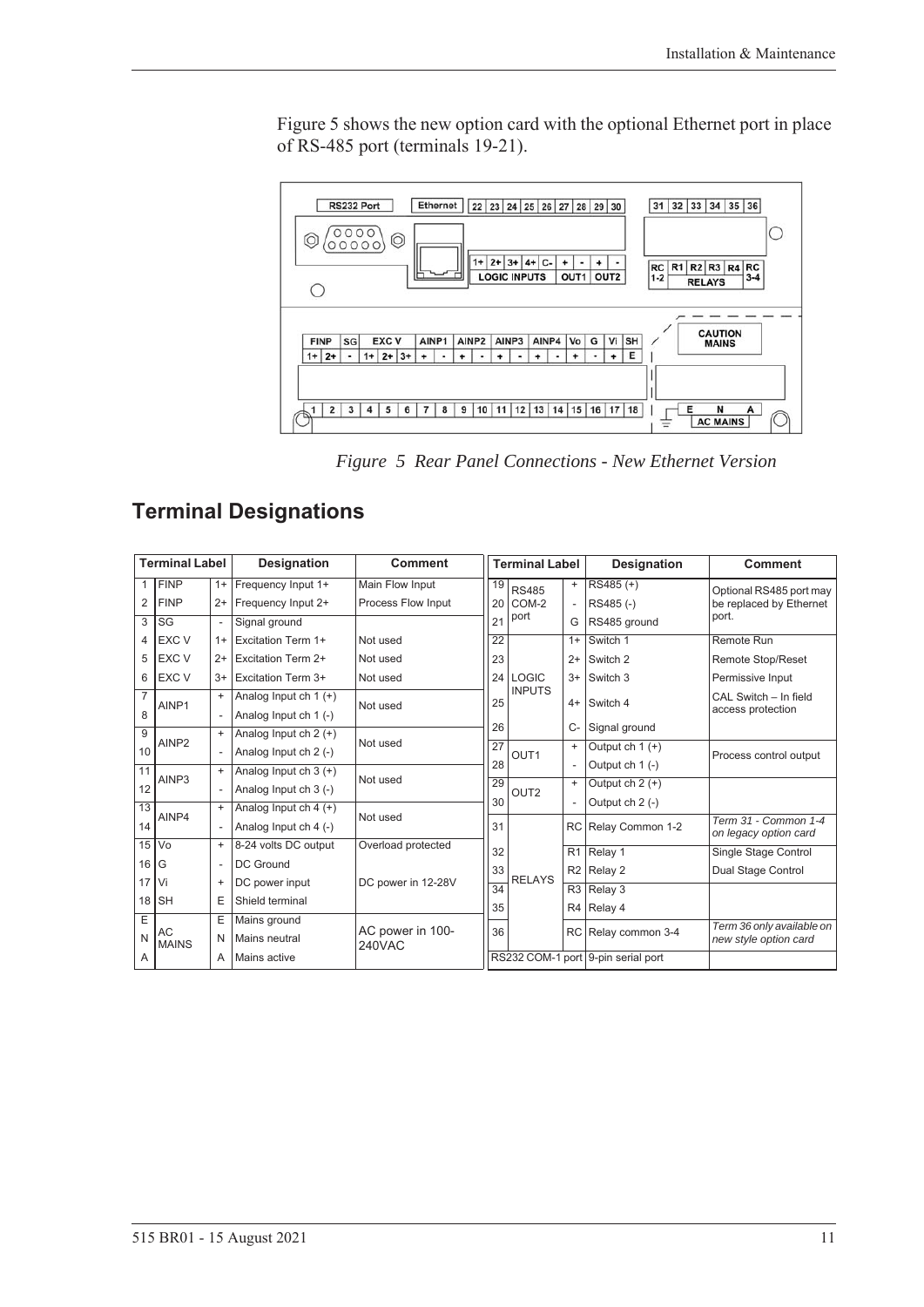[Figure 5](#page-20-1) shows the new option card with the optional Ethernet port in place of RS-485 port (terminals 19-21).



<span id="page-20-1"></span>*Figure 5 Rear Panel Connections - New Ethernet Version*

## <span id="page-20-0"></span>**Terminal Designations**

|    | <b>Terminal Label</b>  |                          | Designation               | <b>Comment</b>     | <b>Terminal Label</b> |                  |                | <b>Designation</b>                 | <b>Comment</b>                                |
|----|------------------------|--------------------------|---------------------------|--------------------|-----------------------|------------------|----------------|------------------------------------|-----------------------------------------------|
|    | <b>FINP</b>            | $1+$                     | Frequency Input 1+        | Main Flow Input    | 19                    | <b>RS485</b>     | $\ddot{}$      | $RS485 (+)$                        | Optional RS485 port may                       |
| 2  | <b>FINP</b>            | $2+$                     | Frequency Input 2+        | Process Flow Input | 20                    | COM-2            |                | RS485 (-)                          | be replaced by Ethernet                       |
| 3  | $\overline{\text{SG}}$ | $\overline{\phantom{a}}$ | Signal ground             |                    | 21                    | port             | G              | RS485 ground                       | port.                                         |
| 4  | EXC V                  | $1+$                     | Excitation Term 1+        | Not used           | 22                    |                  | $1+$           | Switch 1                           | Remote Run                                    |
| 5  | EXC V                  | $2+$                     | <b>Excitation Term 2+</b> | Not used           | 23                    |                  | $2+$           | Switch 2                           | Remote Stop/Reset                             |
| 6  | <b>EXC V</b>           | $3+$                     | Excitation Term 3+        | Not used           | 24                    | <b>LOGIC</b>     | $3+$           | Switch 3                           | Permissive Input                              |
| 7  | AINP1                  | $\ddot{}$                | Analog Input ch $1 (+)$   | Not used           | 25                    | <b>INPUTS</b>    | $4+$           | Switch 4                           | CAL Switch - In field                         |
| 8  |                        |                          | Analog Input ch 1 (-)     |                    |                       |                  |                |                                    | access protection                             |
| 9  | AINP <sub>2</sub>      | $\ddot{}$                | Analog Input ch $2 (+)$   | Not used           | 26                    |                  | $C-$           | Signal ground                      |                                               |
| 10 |                        |                          | Analog Input ch 2 (-)     |                    | 27                    | OUT1             | $\ddot{}$      | Output ch $1 (+)$                  | Process control output                        |
| 11 |                        | $\ddot{}$                | Analog Input ch $3 (+)$   |                    | 28                    |                  |                | Output ch 1 (-)                    |                                               |
| 12 | AINP3                  | $\overline{\phantom{a}}$ | Analog Input ch 3 (-)     | Not used           | 29                    | OUT <sub>2</sub> | $\ddot{}$      | Output $ch 2 (+)$                  |                                               |
| 13 |                        | $\ddot{}$                | Analog Input ch 4 (+)     |                    | 30                    |                  |                | Output $ch 2$ (-)                  |                                               |
| 14 | AINP4                  | $\overline{\phantom{a}}$ | Analog Input ch 4 (-)     | Not used           | 31                    |                  | <b>RC</b>      | Relay Common 1-2                   | Term 31 - Common 1-4<br>on legacy option card |
| 15 | Vo                     | $\ddot{}$                | 8-24 volts DC output      | Overload protected | 32                    |                  | R1             | Relay 1                            | Single Stage Control                          |
| 16 | G                      | $\overline{\phantom{a}}$ | DC Ground                 |                    | 33                    |                  | R <sub>2</sub> | Relay 2                            | Dual Stage Control                            |
| 17 | Vi                     | $\ddot{}$                | DC power input            | DC power in 12-28V | $\overline{34}$       | <b>RELAYS</b>    | R <sub>3</sub> | Relay 3                            |                                               |
| 18 | <b>SH</b>              | Ε                        | Shield terminal           |                    | 35                    |                  | R4             | Relay 4                            |                                               |
| E  |                        | E                        | Mains ground              | AC power in 100-   |                       |                  |                |                                    | Term 36 only available on                     |
| N  | AC<br><b>MAINS</b>     | N                        | Mains neutral             | <b>240VAC</b>      | 36                    |                  | <b>RC</b>      | Relay common 3-4                   | new style option card                         |
| A  |                        | Α                        | Mains active              |                    |                       |                  |                | RS232 COM-1 port 9-pin serial port |                                               |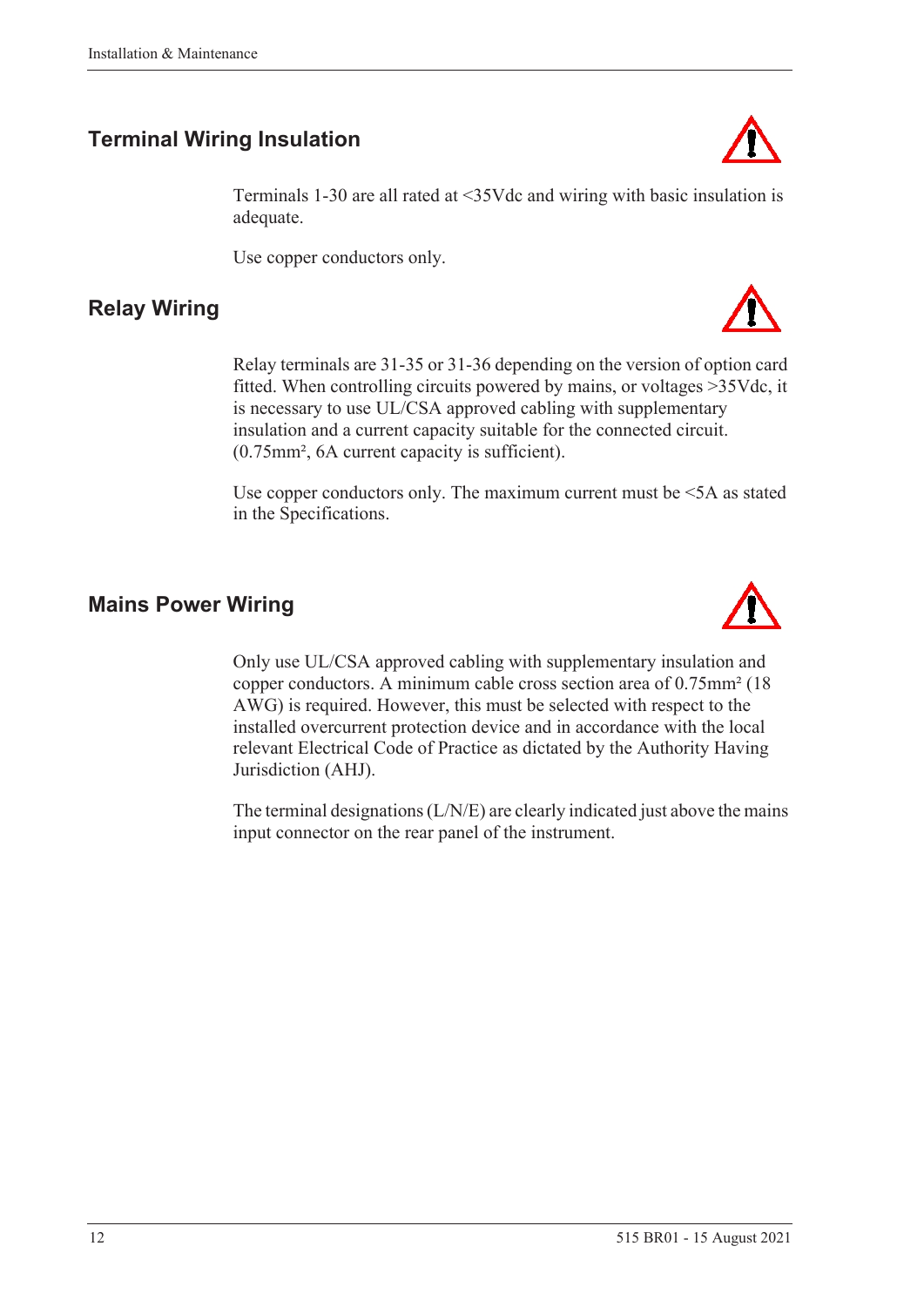## <span id="page-21-0"></span>**Terminal Wiring Insulation**

Terminals 1-30 are all rated at <35Vdc and wiring with basic insulation is adequate.

Use copper conductors only.

## <span id="page-21-1"></span>**Relay Wiring**

Relay terminals are 31-35 or 31-36 depending on the version of option card fitted. When controlling circuits powered by mains, or voltages >35Vdc, it is necessary to use UL/CSA approved cabling with supplementary insulation and a current capacity suitable for the connected circuit. (0.75mm², 6A current capacity is sufficient).

Use copper conductors only. The maximum current must be  $\leq 5A$  as stated in the Specifications.

## <span id="page-21-2"></span>**Mains Power Wiring**

Only use UL/CSA approved cabling with supplementary insulation and copper conductors. A minimum cable cross section area of 0.75mm² (18 AWG) is required. However, this must be selected with respect to the installed overcurrent protection device and in accordance with the local relevant Electrical Code of Practice as dictated by the Authority Having Jurisdiction (AHJ).

The terminal designations (L/N/E) are clearly indicated just above the mains input connector on the rear panel of the instrument.



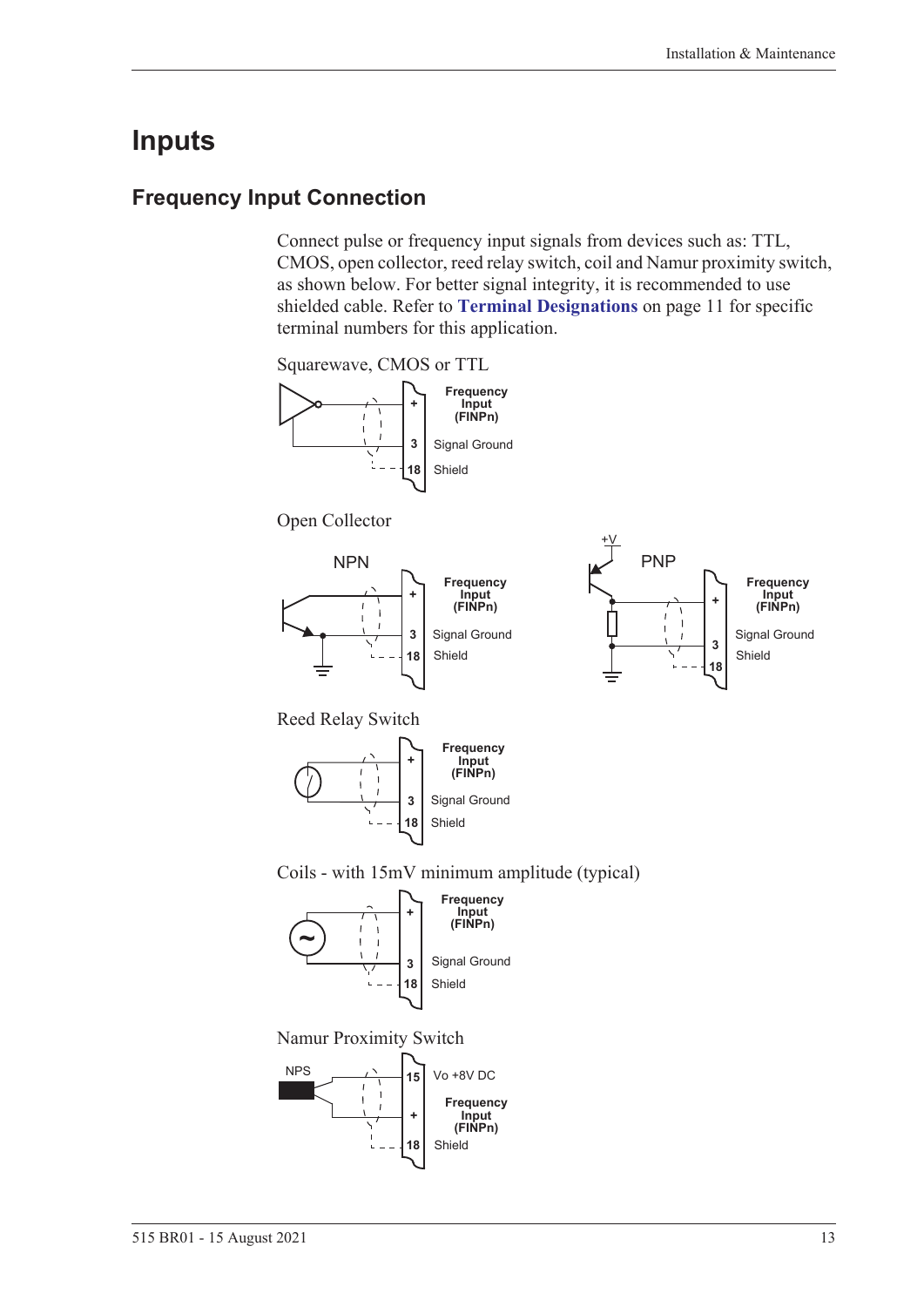# <span id="page-22-0"></span>**Inputs**

### <span id="page-22-1"></span>**Frequency Input Connection**

Connect pulse or frequency input signals from devices such as: TTL, CMOS, open collector, reed relay switch, coil and Namur proximity switch, as shown below. For better signal integrity, it is recommended to use shielded cable. Refer to **[Terminal Designations](#page-20-0)** on page 11 for specific terminal numbers for this application.

Squarewave, CMOS or TTL



Open Collector





Reed Relay Switch



Coils - with 15mV minimum amplitude (typical)



Namur Proximity Switch

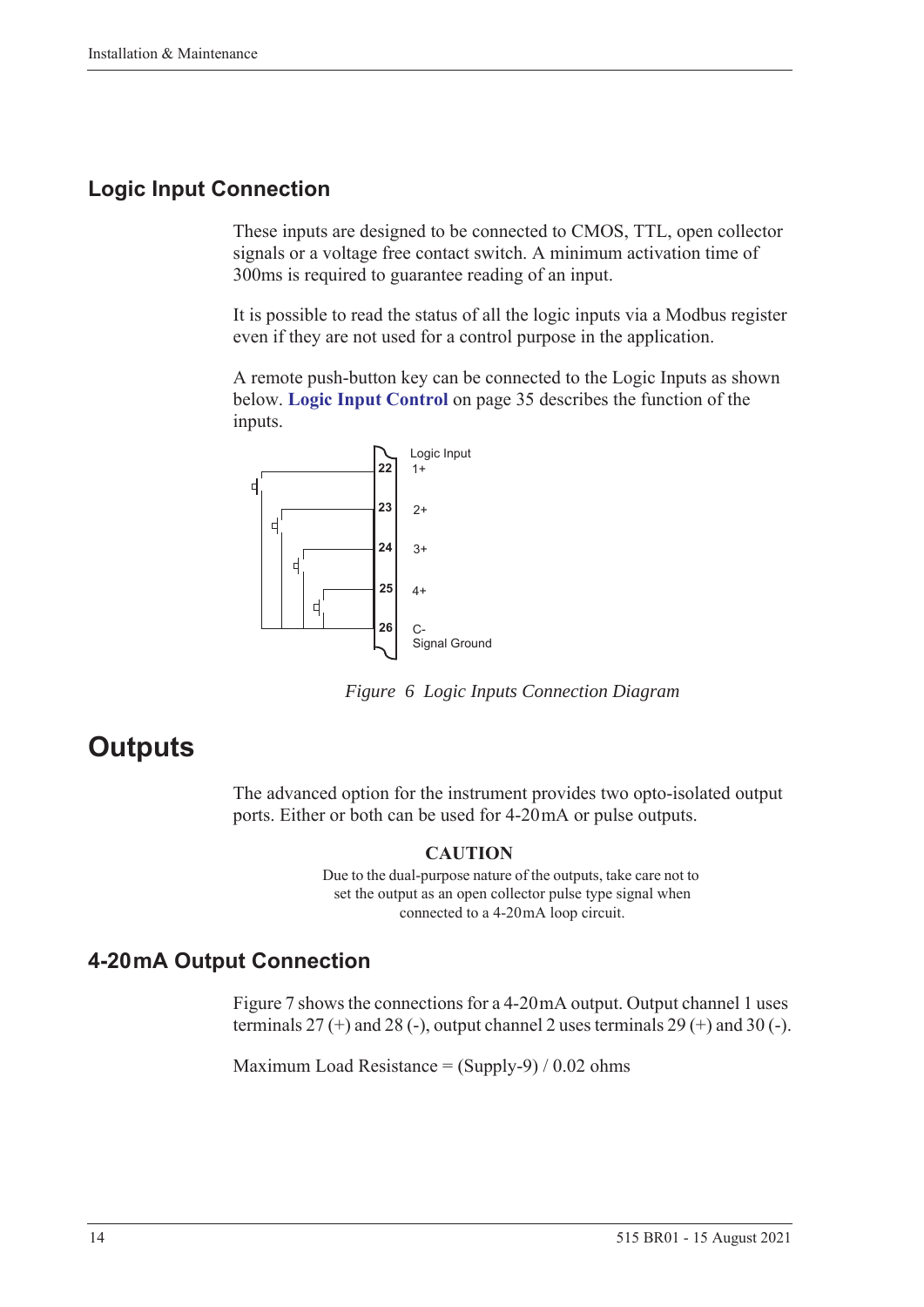## <span id="page-23-0"></span>**Logic Input Connection**

These inputs are designed to be connected to CMOS, TTL, open collector signals or a voltage free contact switch. A minimum activation time of 300ms is required to guarantee reading of an input.

It is possible to read the status of all the logic inputs via a Modbus register even if they are not used for a control purpose in the application.

A remote push-button key can be connected to the Logic Inputs as shown below. **[Logic Input Control](#page-44-3)** on page 35 describes the function of the inputs.



*Figure 6 Logic Inputs Connection Diagram*

## <span id="page-23-1"></span>**Outputs**

<span id="page-23-3"></span>The advanced option for the instrument provides two opto-isolated output ports. Either or both can be used for 4-20 mA or pulse outputs.

#### **CAUTION**

Due to the dual-purpose nature of the outputs, take care not to set the output as an open collector pulse type signal when connected to a 4-20mA loop circuit.

## <span id="page-23-2"></span>**4-20 mA Output Connection**

[Figure 7](#page-24-1) shows the connections for a 4-20 mA output. Output channel 1 uses terminals  $27$  (+) and  $28$  (-), output channel 2 uses terminals  $29$  (+) and  $30$  (-).

Maximum Load Resistance =  $(Supply-9) / 0.02$  ohms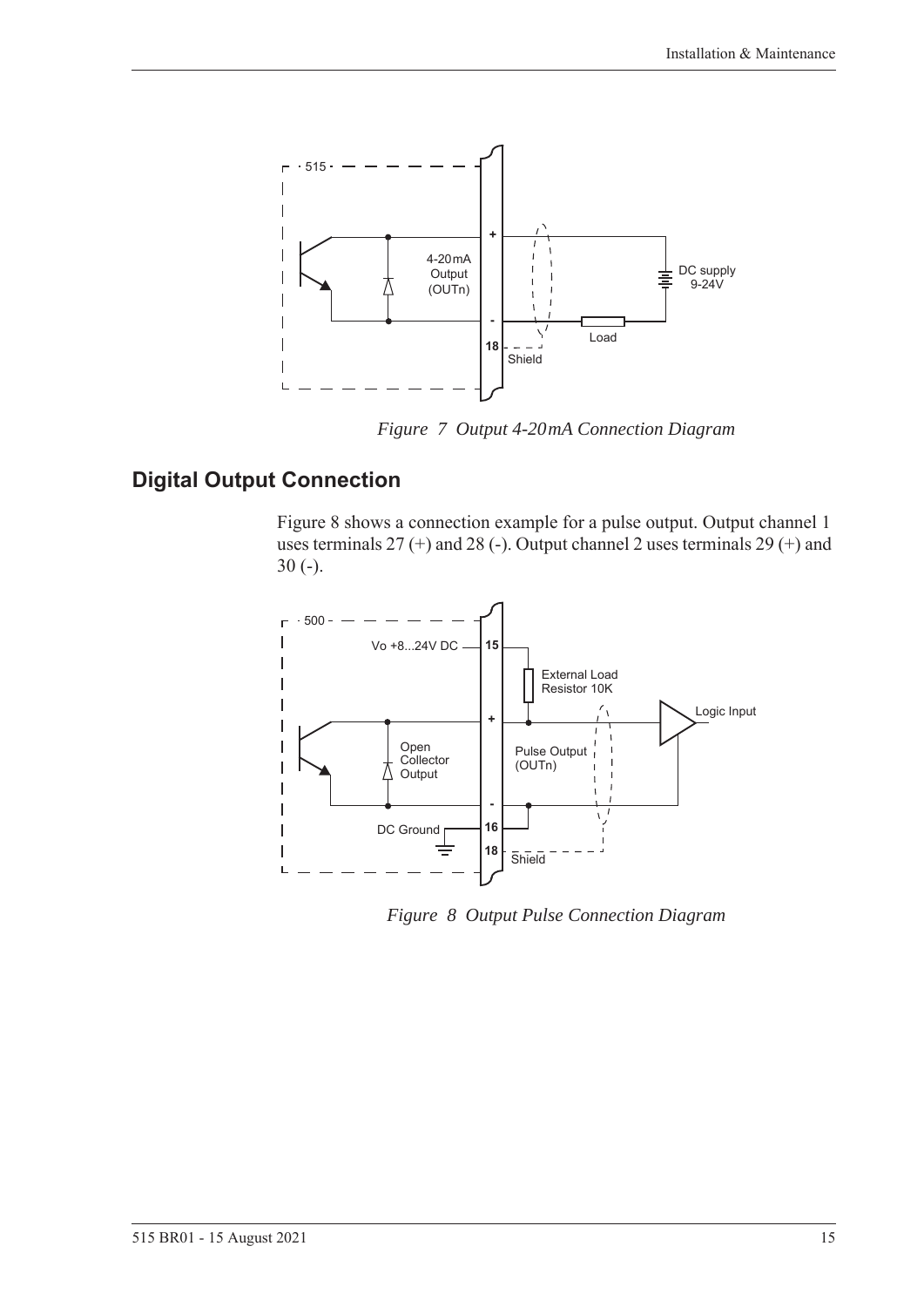

*Figure 7 Output 4-20 mA Connection Diagram*

## <span id="page-24-0"></span>**Digital Output Connection**

<span id="page-24-1"></span>[Figure 8](#page-24-2) shows a connection example for a pulse output. Output channel 1 uses terminals 27 (+) and 28 (-). Output channel 2 uses terminals 29 (+) and 30 (-).



<span id="page-24-2"></span>*Figure 8 Output Pulse Connection Diagram*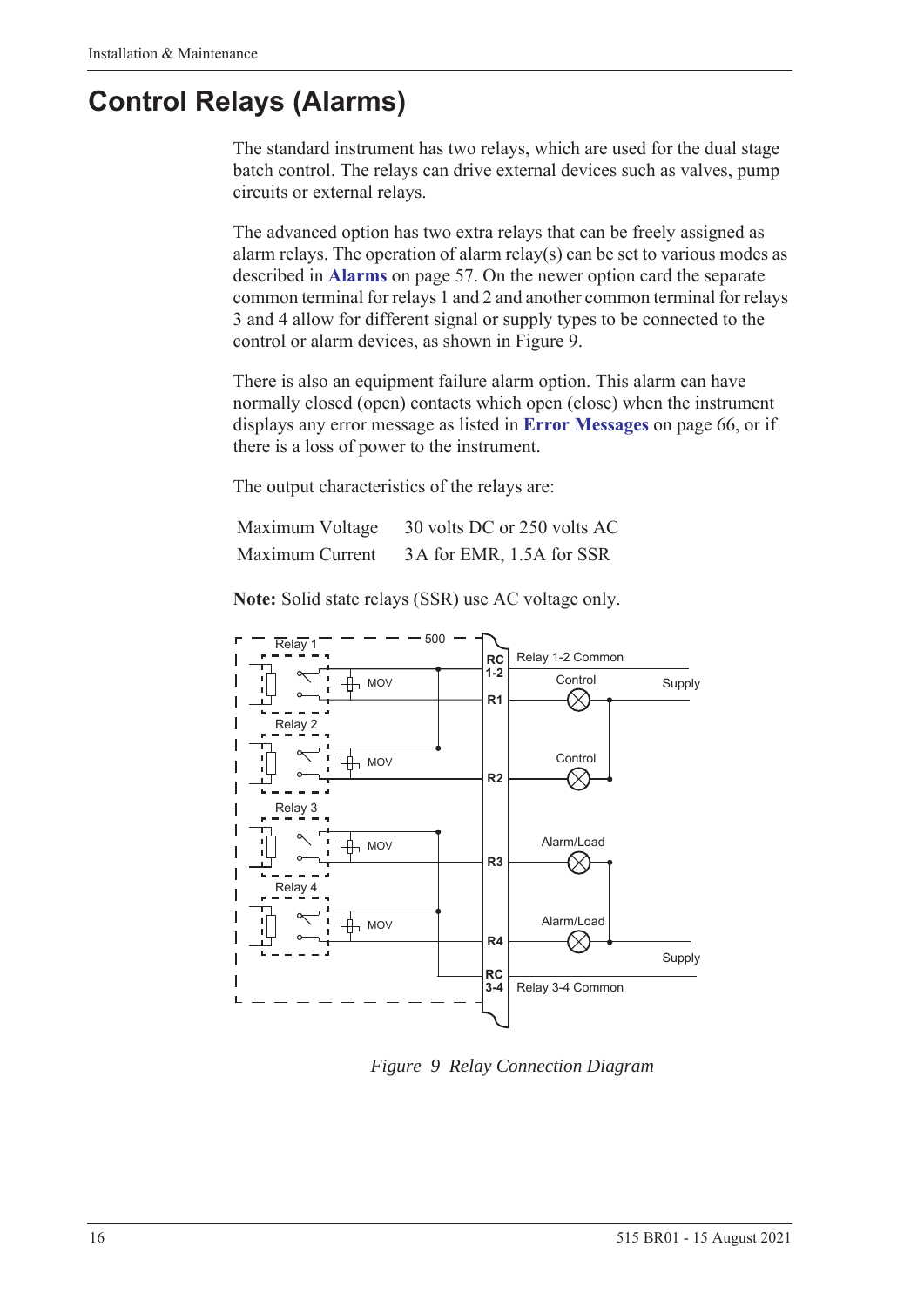# <span id="page-25-0"></span>**Control Relays (Alarms)**

The standard instrument has two relays, which are used for the dual stage batch control. The relays can drive external devices such as valves, pump circuits or external relays.

The advanced option has two extra relays that can be freely assigned as alarm relays. The operation of alarm relay(s) can be set to various modes as described in **Alarms** [on page 57](#page-66-1). On the newer option card the separate common terminal for relays 1 and 2 and another common terminal for relays 3 and 4 allow for different signal or supply types to be connected to the control or alarm devices, as shown in [Figure 9.](#page-25-1)

There is also an equipment failure alarm option. This alarm can have normally closed (open) contacts which open (close) when the instrument displays any error message as listed in **[Error Messages](#page-75-2)** on page 66, or if there is a loss of power to the instrument.

The output characteristics of the relays are:

| Maximum Voltage | 30 volts DC or 250 volts AC |
|-----------------|-----------------------------|
| Maximum Current | 3A for EMR, 1.5A for SSR    |

**Note:** Solid state relays (SSR) use AC voltage only.



<span id="page-25-1"></span>*Figure 9 Relay Connection Diagram*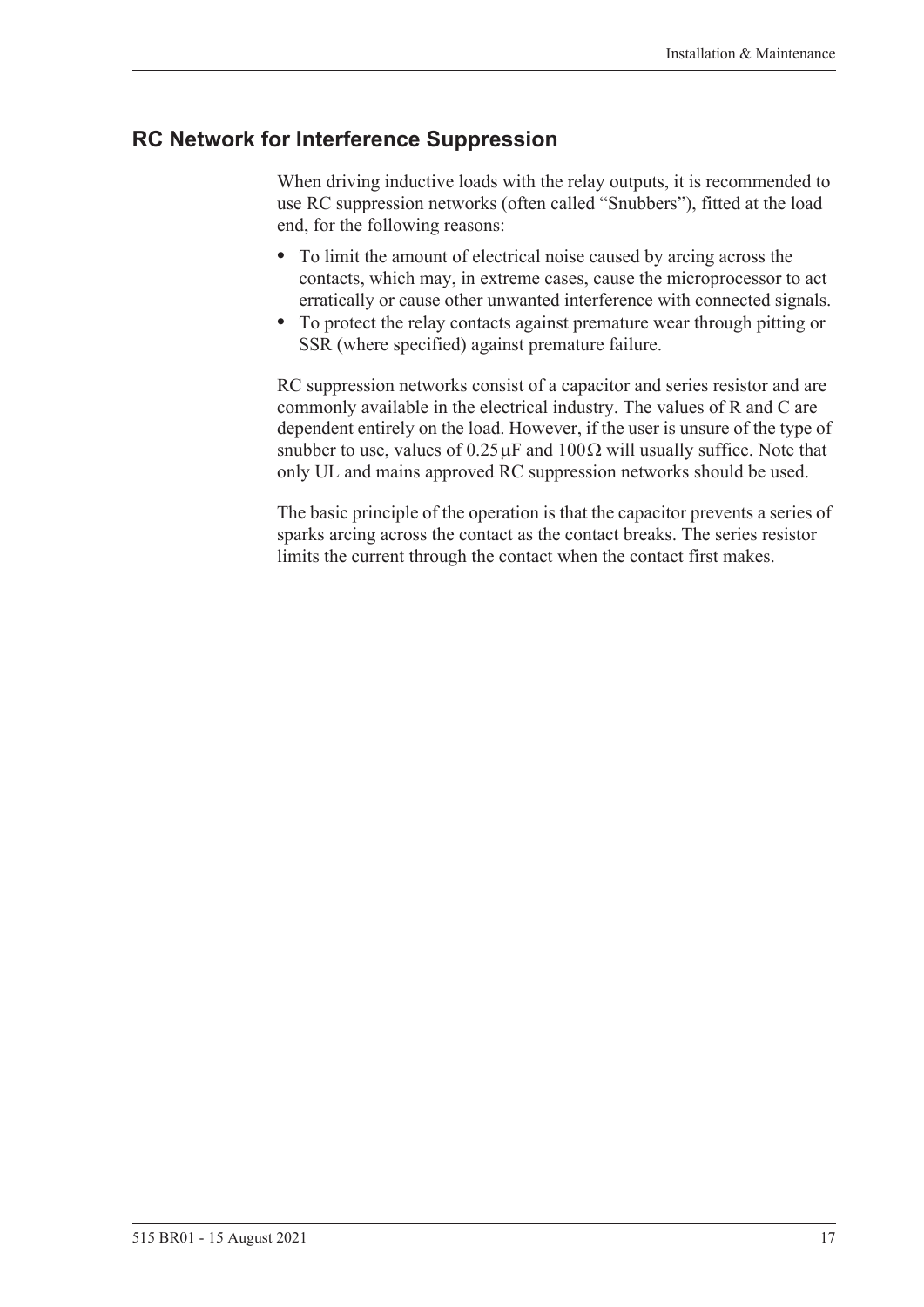### <span id="page-26-0"></span>**RC Network for Interference Suppression**

When driving inductive loads with the relay outputs, it is recommended to use RC suppression networks (often called "Snubbers"), fitted at the load end, for the following reasons:

- **•** To limit the amount of electrical noise caused by arcing across the contacts, which may, in extreme cases, cause the microprocessor to act erratically or cause other unwanted interference with connected signals.
- **•** To protect the relay contacts against premature wear through pitting or SSR (where specified) against premature failure.

RC suppression networks consist of a capacitor and series resistor and are commonly available in the electrical industry. The values of R and C are dependent entirely on the load. However, if the user is unsure of the type of snubber to use, values of  $0.25 \mu$ F and  $100 \Omega$  will usually suffice. Note that only UL and mains approved RC suppression networks should be used.

The basic principle of the operation is that the capacitor prevents a series of sparks arcing across the contact as the contact breaks. The series resistor limits the current through the contact when the contact first makes.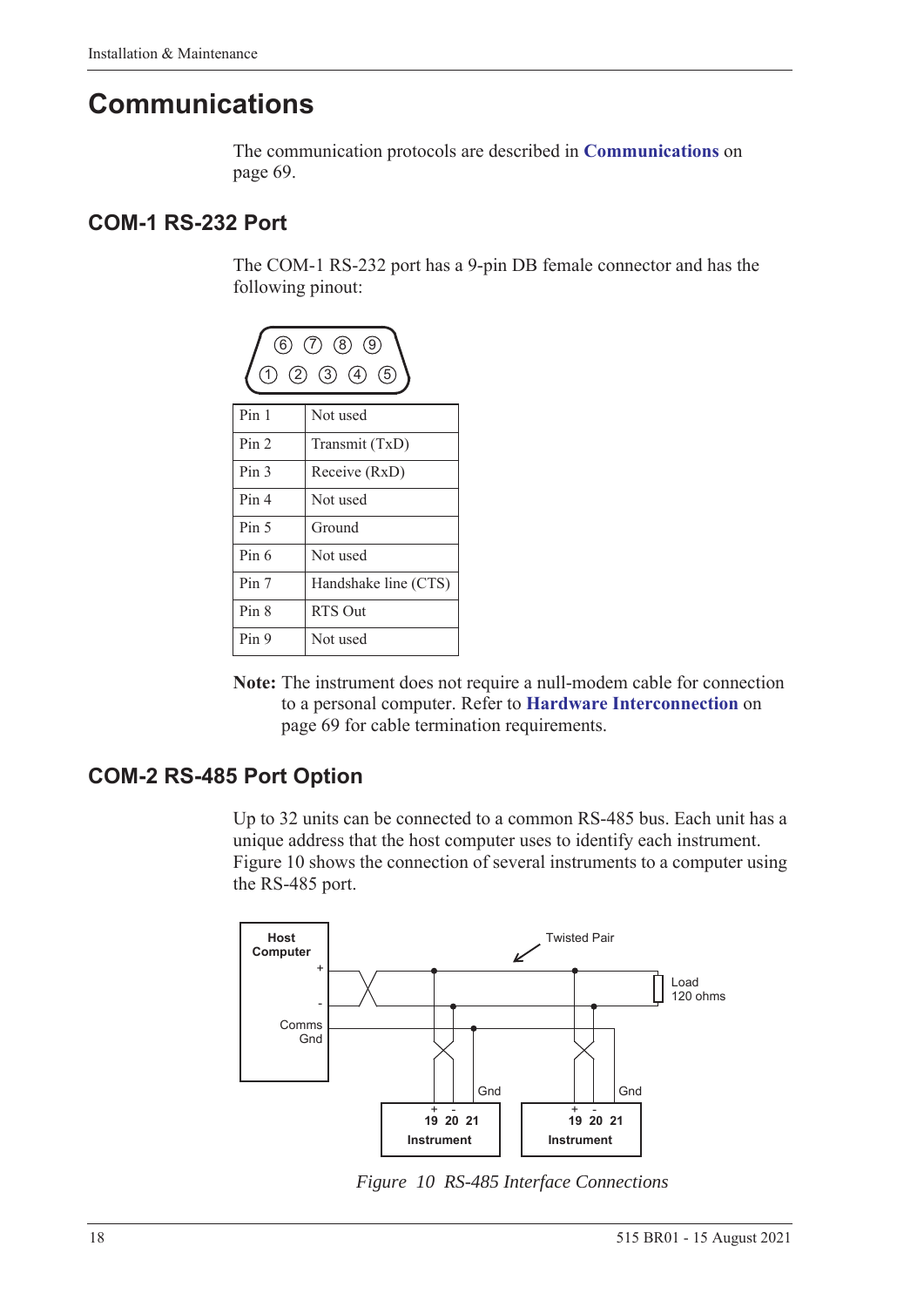## <span id="page-27-0"></span>**Communications**

The communication protocols are described in **[Communications](#page-78-4)** on [page 69.](#page-78-4)

### <span id="page-27-1"></span>**COM-1 RS-232 Port**

The COM-1 RS-232 port has a 9-pin DB female connector and has the following pinout:



**Note:** The instrument does not require a null-modem cable for connection to a personal computer. Refer to **[Hardware Interconnection](#page-78-5)** on [page 69](#page-78-5) for cable termination requirements.

## <span id="page-27-2"></span>**COM-2 RS-485 Port Option**

Up to 32 units can be connected to a common RS-485 bus. Each unit has a unique address that the host computer uses to identify each instrument. [Figure 10](#page-27-3) shows the connection of several instruments to a computer using the RS-485 port.



<span id="page-27-3"></span>*Figure 10 RS-485 Interface Connections*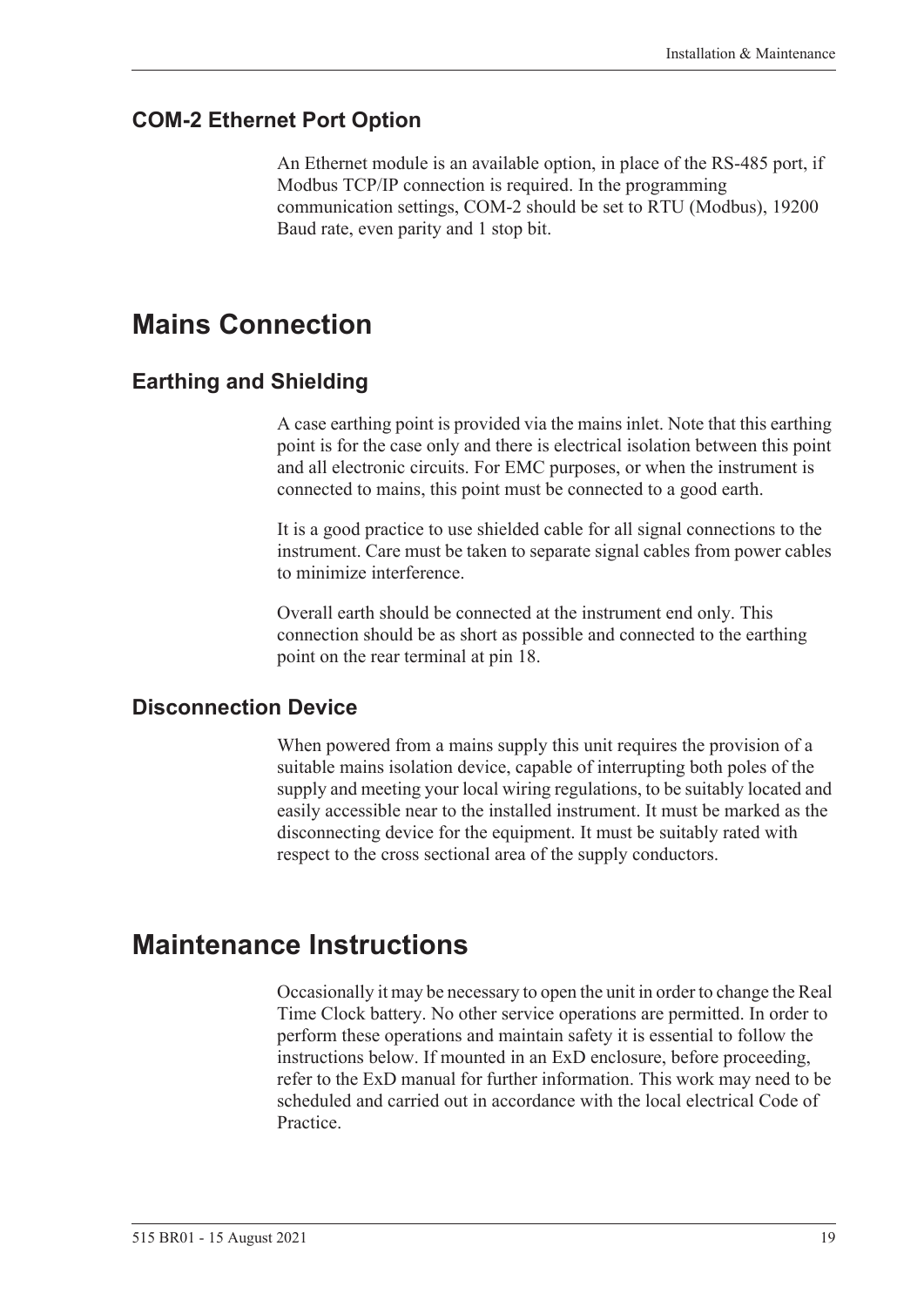## <span id="page-28-0"></span>**COM-2 Ethernet Port Option**

An Ethernet module is an available option, in place of the RS-485 port, if Modbus TCP/IP connection is required. In the programming communication settings, COM-2 should be set to RTU (Modbus), 19200 Baud rate, even parity and 1 stop bit.

# <span id="page-28-1"></span>**Mains Connection**

## <span id="page-28-2"></span>**Earthing and Shielding**

A case earthing point is provided via the mains inlet. Note that this earthing point is for the case only and there is electrical isolation between this point and all electronic circuits. For EMC purposes, or when the instrument is connected to mains, this point must be connected to a good earth.

It is a good practice to use shielded cable for all signal connections to the instrument. Care must be taken to separate signal cables from power cables to minimize interference.

Overall earth should be connected at the instrument end only. This connection should be as short as possible and connected to the earthing point on the rear terminal at pin 18.

## <span id="page-28-3"></span>**Disconnection Device**

When powered from a mains supply this unit requires the provision of a suitable mains isolation device, capable of interrupting both poles of the supply and meeting your local wiring regulations, to be suitably located and easily accessible near to the installed instrument. It must be marked as the disconnecting device for the equipment. It must be suitably rated with respect to the cross sectional area of the supply conductors.

## <span id="page-28-4"></span>**Maintenance Instructions**

Occasionally it may be necessary to open the unit in order to change the Real Time Clock battery. No other service operations are permitted. In order to perform these operations and maintain safety it is essential to follow the instructions below. If mounted in an ExD enclosure, before proceeding, refer to the ExD manual for further information. This work may need to be scheduled and carried out in accordance with the local electrical Code of Practice.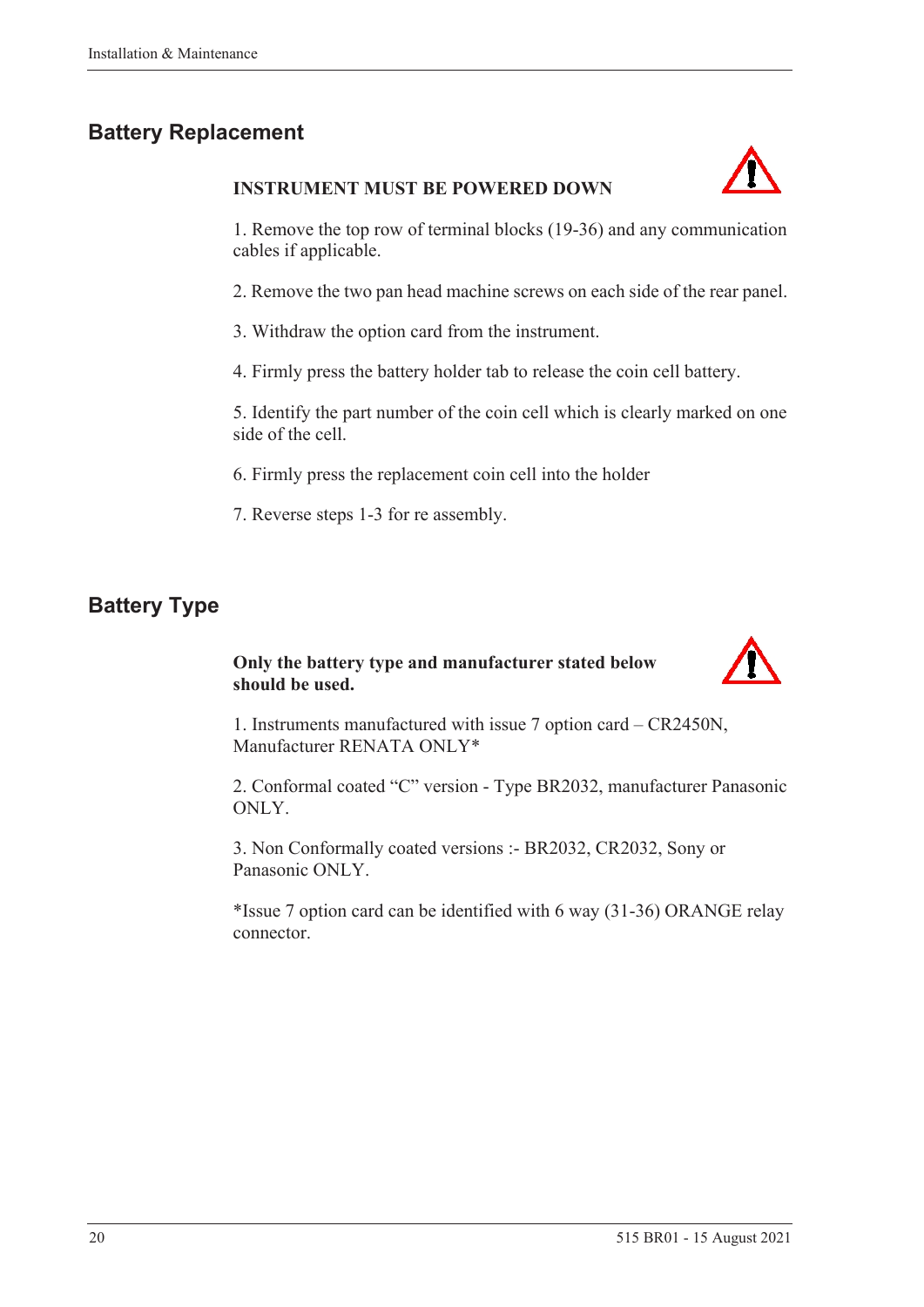## <span id="page-29-0"></span>**Battery Replacement**

#### **INSTRUMENT MUST BE POWERED DOWN**

1. Remove the top row of terminal blocks (19-36) and any communication cables if applicable.

2. Remove the two pan head machine screws on each side of the rear panel.

3. Withdraw the option card from the instrument.

4. Firmly press the battery holder tab to release the coin cell battery.

5. Identify the part number of the coin cell which is clearly marked on one side of the cell.

- 6. Firmly press the replacement coin cell into the holder
- 7. Reverse steps 1-3 for re assembly.

## <span id="page-29-1"></span>**Battery Type**

**Only the battery type and manufacturer stated below should be used.** 



1. Instruments manufactured with issue 7 option card – CR2450N, Manufacturer RENATA ONLY\*

2. Conformal coated "C" version - Type BR2032, manufacturer Panasonic ONLY.

3. Non Conformally coated versions :- BR2032, CR2032, Sony or Panasonic ONLY.

\*Issue 7 option card can be identified with 6 way (31-36) ORANGE relay connector.

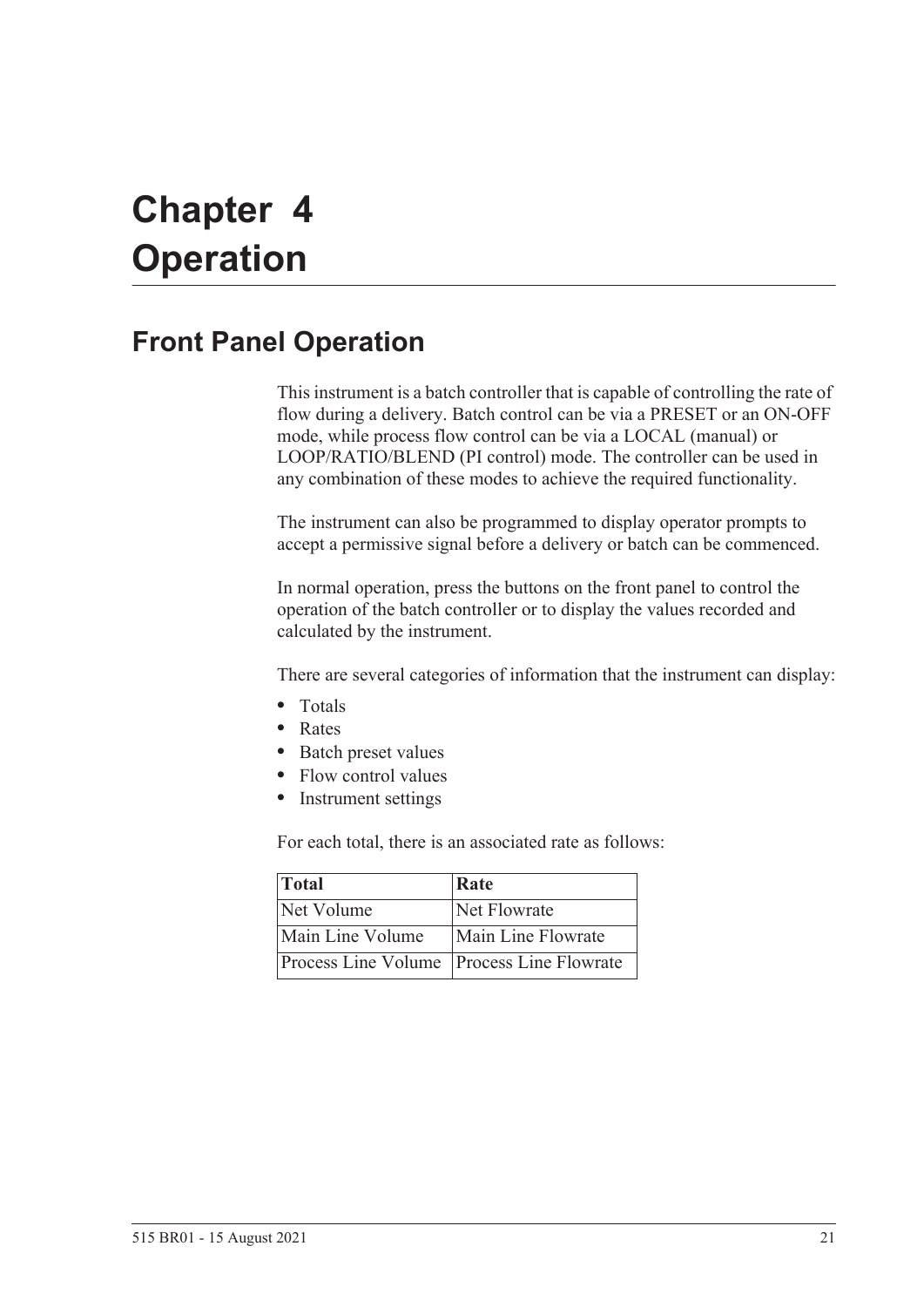# <span id="page-30-0"></span>**Chapter 4 Operation**

# <span id="page-30-1"></span>**Front Panel Operation**

This instrument is a batch controller that is capable of controlling the rate of flow during a delivery. Batch control can be via a PRESET or an ON-OFF mode, while process flow control can be via a LOCAL (manual) or LOOP/RATIO/BLEND (PI control) mode. The controller can be used in any combination of these modes to achieve the required functionality.

The instrument can also be programmed to display operator prompts to accept a permissive signal before a delivery or batch can be commenced.

In normal operation, press the buttons on the front panel to control the operation of the batch controller or to display the values recorded and calculated by the instrument.

There are several categories of information that the instrument can display:

- **•** Totals
- **•** Rates
- **•** Batch preset values
- **•** Flow control values
- **•** Instrument settings

For each total, there is an associated rate as follows:

| Total                                            | Rate               |
|--------------------------------------------------|--------------------|
| Net Volume                                       | Net Flowrate       |
| Main Line Volume                                 | Main Line Flowrate |
| <b>Process Line Volume Process Line Flowrate</b> |                    |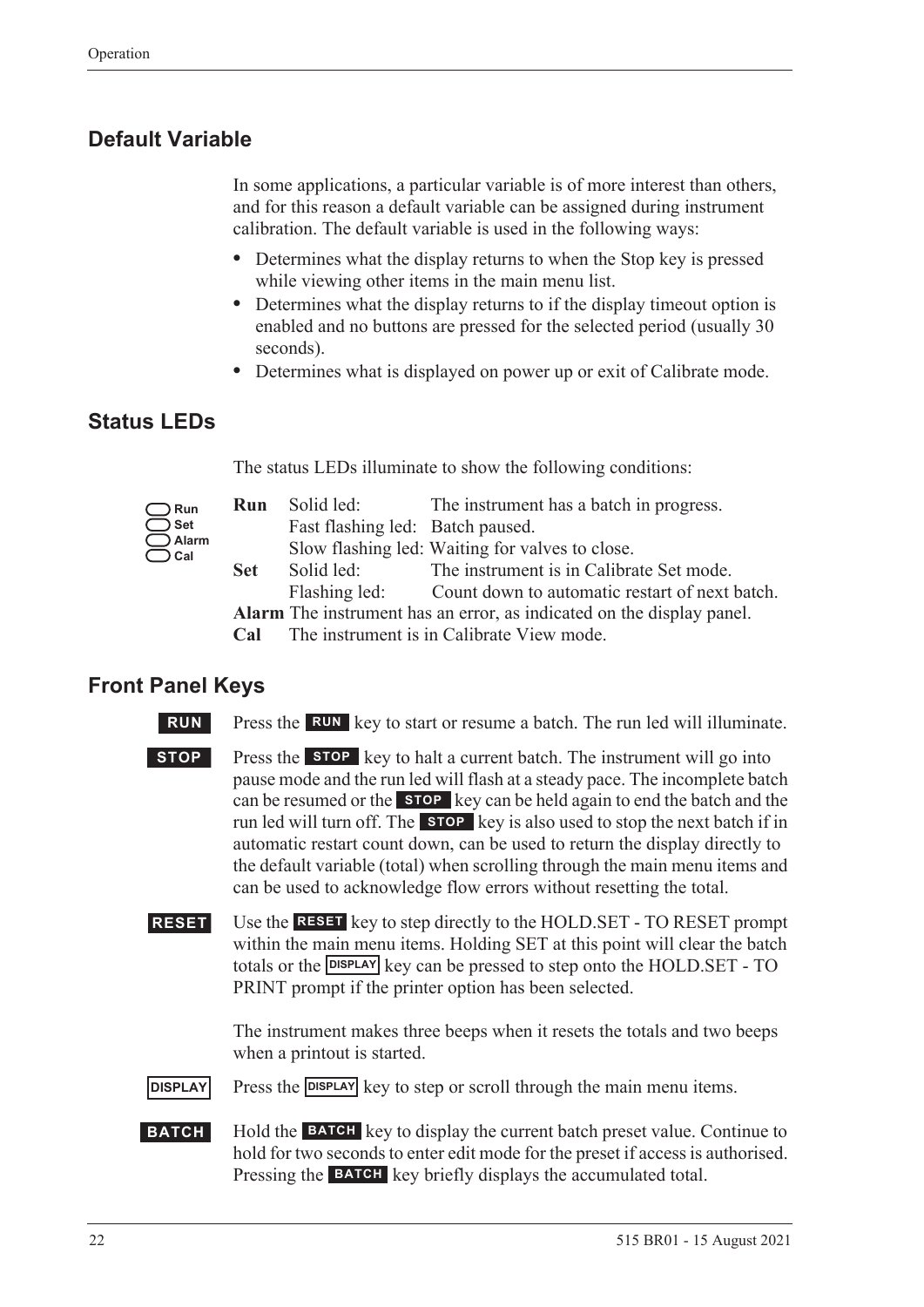## <span id="page-31-0"></span>**Default Variable**

In some applications, a particular variable is of more interest than others, and for this reason a default variable can be assigned during instrument calibration. The default variable is used in the following ways:

- **•** Determines what the display returns to when the Stop key is pressed while viewing other items in the main menu list.
- **•** Determines what the display returns to if the display timeout option is enabled and no buttons are pressed for the selected period (usually 30 seconds).
- **•** Determines what is displayed on power up or exit of Calibrate mode.

## <span id="page-31-1"></span>**Status LEDs**

The status LEDs illuminate to show the following conditions:

| Run          |
|--------------|
| Set          |
| <b>Alarm</b> |
| Cal          |

|            | <b>Run</b> Solid led:            | The instrument has a batch in progress.                               |
|------------|----------------------------------|-----------------------------------------------------------------------|
|            | Fast flashing led: Batch paused. |                                                                       |
|            |                                  | Slow flashing led: Waiting for valves to close.                       |
| <b>Set</b> | Solid led:                       | The instrument is in Calibrate Set mode.                              |
|            |                                  | Flashing led: Count down to automatic restart of next batch.          |
|            |                                  | Alarm The instrument has an error, as indicated on the display panel. |
|            |                                  | <b>Cal</b> The instrument is in Calibrate View mode.                  |
|            |                                  |                                                                       |

## <span id="page-31-2"></span>**Front Panel Keys**

**RUN** Press the **RUN** key to start or resume a batch. The run led will illuminate.

- **STOP** Press the **STOP** key to halt a current batch. The instrument will go into pause mode and the run led will flash at a steady pace. The incomplete batch can be resumed or the **STOP** key can be held again to end the batch and the run led will turn off. The **STOP** key is also used to stop the next batch if in automatic restart count down, can be used to return the display directly to the default variable (total) when scrolling through the main menu items and can be used to acknowledge flow errors without resetting the total.
- **RESET** Use the **RESET** key to step directly to the HOLD.SET TO RESET prompt within the main menu items. Holding SET at this point will clear the batch totals or the **DISPLAY** key can be pressed to step onto the HOLD.SET - TO PRINT prompt if the printer option has been selected.

The instrument makes three beeps when it resets the totals and two beeps when a printout is started.

- **DISPLAY** Press the **DISPLAY** key to step or scroll through the main menu items.
- **BATCH** Hold the **BATCH** key to display the current batch preset value. Continue to hold for two seconds to enter edit mode for the preset if access is authorised. Pressing the **BATCH** key briefly displays the accumulated total.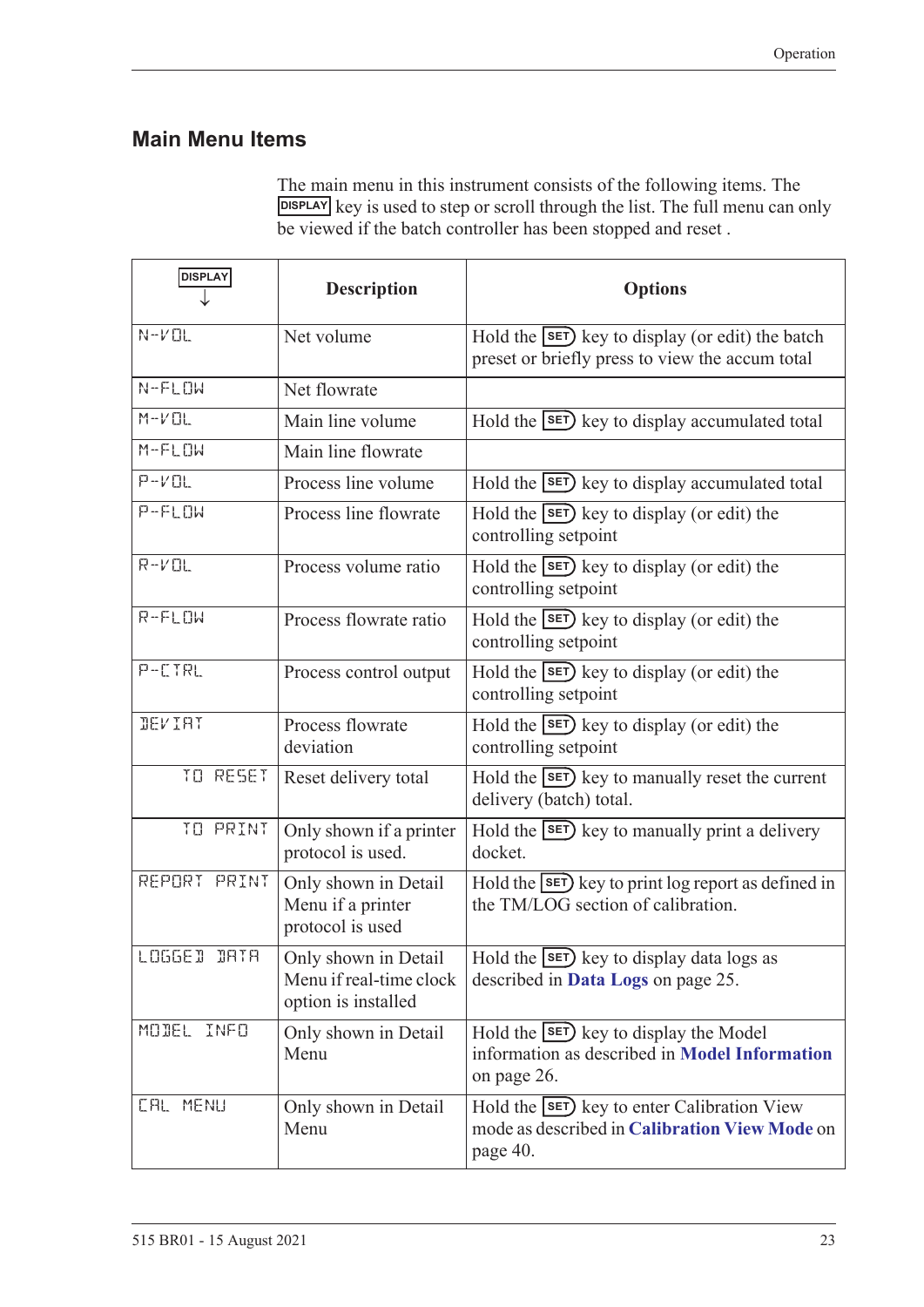## <span id="page-32-0"></span>**Main Menu Items**

The main menu in this instrument consists of the following items. The key is used to step or scroll through the list. The full menu can only be viewed if the batch controller has been stopped and reset . **DISPLAY**

| <b>DISPLAY</b>  | <b>Description</b>                                                     | <b>Options</b>                                                                                                   |
|-----------------|------------------------------------------------------------------------|------------------------------------------------------------------------------------------------------------------|
| $N-V$ $OL$      | Net volume                                                             | Hold the SET) key to display (or edit) the batch<br>preset or briefly press to view the accum total              |
| N-FLOW          | Net flowrate                                                           |                                                                                                                  |
| $M-V$ $DL$      | Main line volume                                                       | Hold the <b>SET</b> key to display accumulated total                                                             |
| $M-FLUM$        | Main line flowrate                                                     |                                                                                                                  |
| $P-VDL$         | Process line volume                                                    | Hold the SET key to display accumulated total                                                                    |
| P-FLOW          | Process line flowrate                                                  | Hold the SET) key to display (or edit) the<br>controlling setpoint                                               |
| $R-VDL$         | Process volume ratio                                                   | Hold the SET) key to display (or edit) the<br>controlling setpoint                                               |
| $R-FLDW$        | Process flowrate ratio                                                 | Hold the SET) key to display (or edit) the<br>controlling setpoint                                               |
| P-ETRL          | Process control output                                                 | Hold the $\overline{\text{set}}$ key to display (or edit) the<br>controlling setpoint                            |
| <b>JEVIAT</b>   | Process flowrate<br>deviation                                          | Hold the SET key to display (or edit) the<br>controlling setpoint                                                |
| TO RESET        | Reset delivery total                                                   | Hold the SET) key to manually reset the current<br>delivery (batch) total.                                       |
| TO PRINT        | Only shown if a printer<br>protocol is used.                           | Hold the $\left[$ set $\right)$ key to manually print a delivery<br>docket.                                      |
| REPORT PRINT    | Only shown in Detail<br>Menu if a printer<br>protocol is used          | Hold the <b>SET</b> key to print log report as defined in<br>the TM/LOG section of calibration.                  |
| LOGGED DATA     | Only shown in Detail<br>Menu if real-time clock<br>option is installed | Hold the SET key to display data logs as<br>described in Data Logs on page 25.                                   |
| MODEL INFO      | Only shown in Detail<br>Menu                                           | Hold the <b>SET</b> ) key to display the Model<br>information as described in Model Information<br>on page 26.   |
| <b>CAL MENU</b> | Only shown in Detail<br>Menu                                           | Hold the <b>SET</b> ) key to enter Calibration View<br>mode as described in Calibration View Mode on<br>page 40. |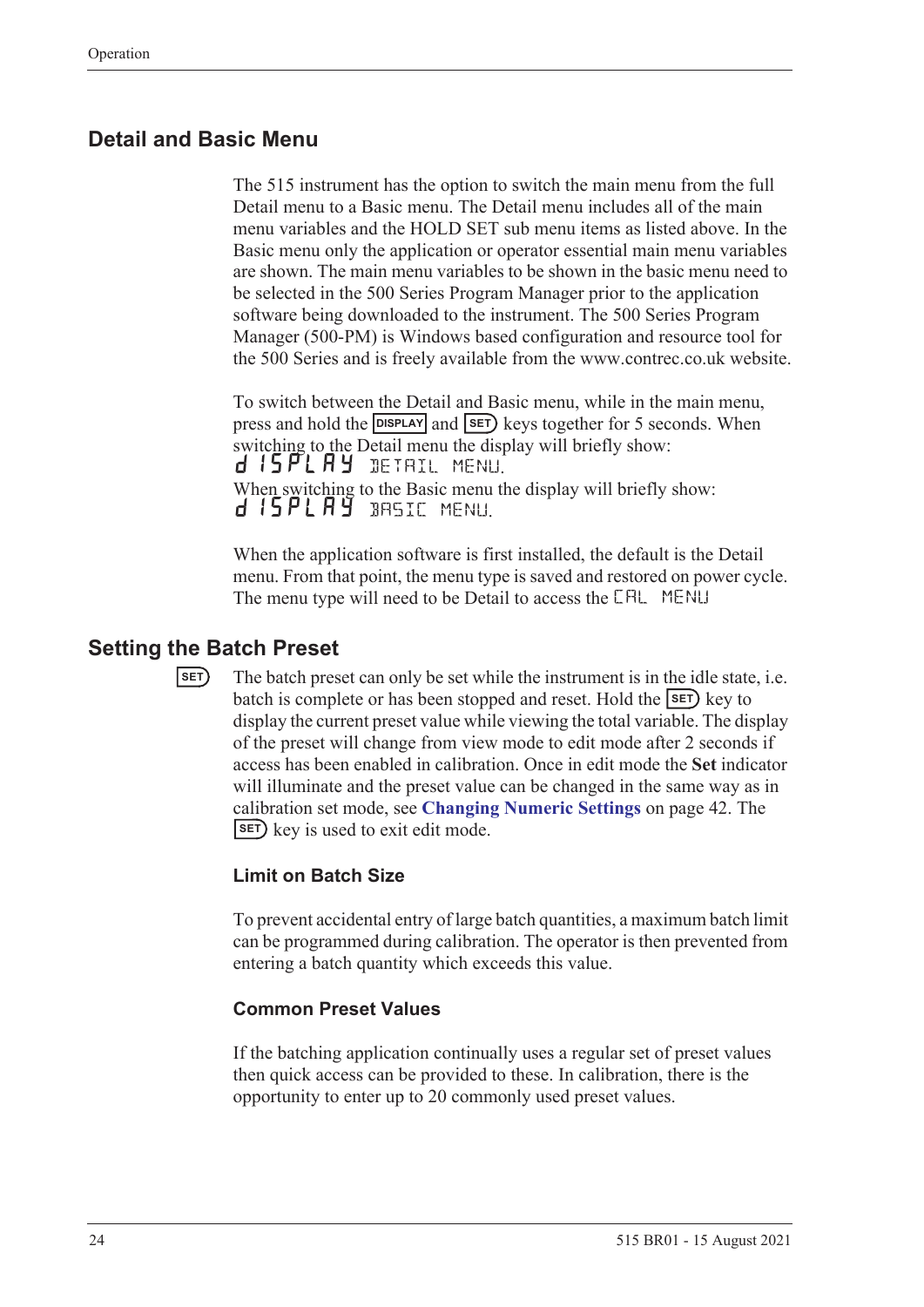## <span id="page-33-0"></span>**Detail and Basic Menu**

The 515 instrument has the option to switch the main menu from the full Detail menu to a Basic menu. The Detail menu includes all of the main menu variables and the HOLD SET sub menu items as listed above. In the Basic menu only the application or operator essential main menu variables are shown. The main menu variables to be shown in the basic menu need to be selected in the 500 Series Program Manager prior to the application software being downloaded to the instrument. The 500 Series Program Manager (500-PM) is Windows based configuration and resource tool for the 500 Series and is freely available from the www.contrec.co.uk website.

To switch between the Detail and Basic menu, while in the main menu, press and hold the **DISPLAY** and **SET**) keys together for 5 seconds. When switching to the Detail menu the display will briefly show: d 15 PL A Y DETAIL MENU. When switching to the Basic menu the display will briefly show: d ISPLAY BASIC MENU

When the application software is first installed, the default is the Detail menu. From that point, the menu type is saved and restored on power cycle. The menu type will need to be Detail to access the CAL MENU

## <span id="page-33-1"></span>**Setting the Batch Preset**

**SET**

The batch preset can only be set while the instrument is in the idle state, i.e. batch is complete or has been stopped and reset. Hold the **SET** key to display the current preset value while viewing the total variable. The display of the preset will change from view mode to edit mode after 2 seconds if access has been enabled in calibration. Once in edit mode the **Set** indicator will illuminate and the preset value can be changed in the same way as in calibration set mode, see **[Changing Numeric Settings](#page-51-1)** on page 42. The key is used to exit edit mode. **SET**

#### **Limit on Batch Size**

To prevent accidental entry of large batch quantities, a maximum batch limit can be programmed during calibration. The operator is then prevented from entering a batch quantity which exceeds this value.

#### **Common Preset Values**

If the batching application continually uses a regular set of preset values then quick access can be provided to these. In calibration, there is the opportunity to enter up to 20 commonly used preset values.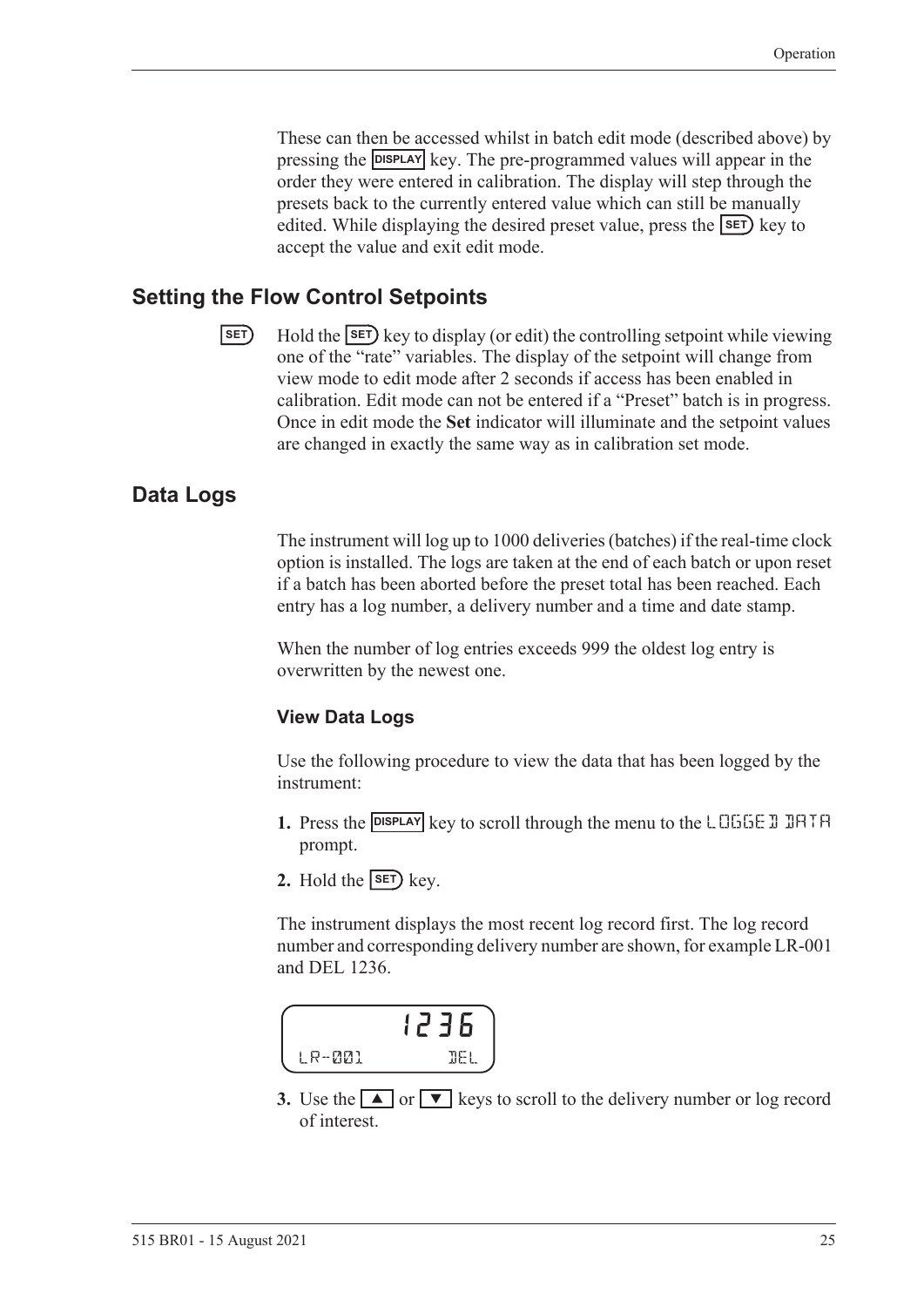These can then be accessed whilst in batch edit mode (described above) by pressing the **DISPLAY** key. The pre-programmed values will appear in the order they were entered in calibration. The display will step through the presets back to the currently entered value which can still be manually edited. While displaying the desired preset value, press the **SET** key to accept the value and exit edit mode.

#### <span id="page-34-0"></span>**Setting the Flow Control Setpoints**

**EXECUTE:** Hold the **SET** key to display (or edit) the controlling setpoint while viewing one of the "rate" variables. The display of the setpoint will change from view mode to edit mode after 2 seconds if access has been enabled in calibration. Edit mode can not be entered if a "Preset" batch is in progress. Once in edit mode the **Set** indicator will illuminate and the setpoint values are changed in exactly the same way as in calibration set mode.

#### <span id="page-34-1"></span>**Data Logs**

The instrument will log up to 1000 deliveries (batches) if the real-time clock option is installed. The logs are taken at the end of each batch or upon reset if a batch has been aborted before the preset total has been reached. Each entry has a log number, a delivery number and a time and date stamp.

When the number of log entries exceeds 999 the oldest log entry is overwritten by the newest one.

#### **View Data Logs**

Use the following procedure to view the data that has been logged by the instrument:

- **1.** Press the **DISPLAY** key to scroll through the menu to the LOGGE D DATA prompt.
- **2.** Hold the  $\overline{\text{SET}}$  key.

The instrument displays the most recent log record first. The log record number and corresponding delivery number are shown, for example LR-001 and DEL 1236.



**3.** Use the  $\Box$  or  $\Box$  keys to scroll to the delivery number or log record of interest.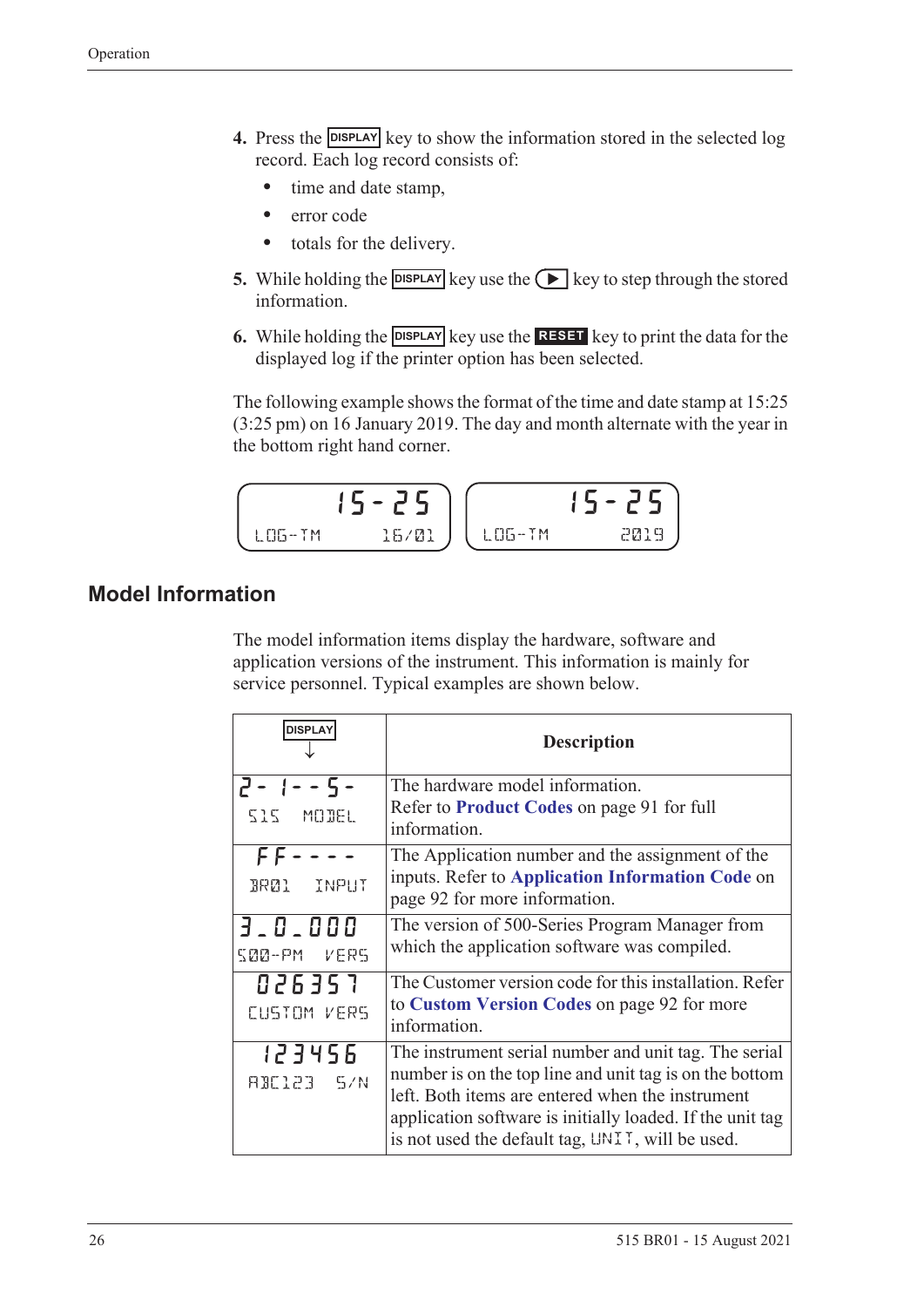- 4. Press the **DISPLAY** key to show the information stored in the selected log record. Each log record consists of:
	- time and date stamp,
	- **•** error code
	- **•** totals for the delivery.
- **5.** While holding the  $\boxed{\text{DISPLAN}}$  key use the  $\boxed{\blacktriangleright}$  key to step through the stored information.
- **6.** While holding the **DISPLAY** key use the **RESET** key to print the data for the displayed log if the printer option has been selected.

The following example shows the format of the time and date stamp at 15:25 (3:25 pm) on 16 January 2019. The day and month alternate with the year in the bottom right hand corner.

$$
\begin{array}{|c|c|c|c|}\n\hline\n & 15-25 \\
 & 15-25 \\
\hline\n & 16-21 \\
\hline\n\end{array}\n\quad\n\begin{array}{|c|c|}\n\hline\n & 15-25 \\
 & 15-25 \\
\hline\n & 2019\n\end{array}
$$

### <span id="page-35-0"></span>**Model Information**

The model information items display the hardware, software and application versions of the instrument. This information is mainly for service personnel. Typical examples are shown below.

| <b>DISPLAY</b>              | <b>Description</b>                                                                                                                                                                                                                                                                    |
|-----------------------------|---------------------------------------------------------------------------------------------------------------------------------------------------------------------------------------------------------------------------------------------------------------------------------------|
| $7 - 1 - 5 -$<br>SIS MODEL  | The hardware model information.<br>Refer to <b>Product Codes</b> on page 91 for full<br>information.                                                                                                                                                                                  |
| $F F - - - -$<br>BRØ1 INPUT | The Application number and the assignment of the<br>inputs. Refer to Application Information Code on<br>page 92 for more information.                                                                                                                                                 |
| 3.0.000<br>SØØ-PM VERS      | The version of 500-Series Program Manager from<br>which the application software was compiled.                                                                                                                                                                                        |
| 026357<br>CUSTOM VERS       | The Customer version code for this installation. Refer<br>to Custom Version Codes on page 92 for more<br>information.                                                                                                                                                                 |
| 123456<br>RBE123 5/N        | The instrument serial number and unit tag. The serial<br>number is on the top line and unit tag is on the bottom<br>left. Both items are entered when the instrument<br>application software is initially loaded. If the unit tag<br>is not used the default tag, UNIT, will be used. |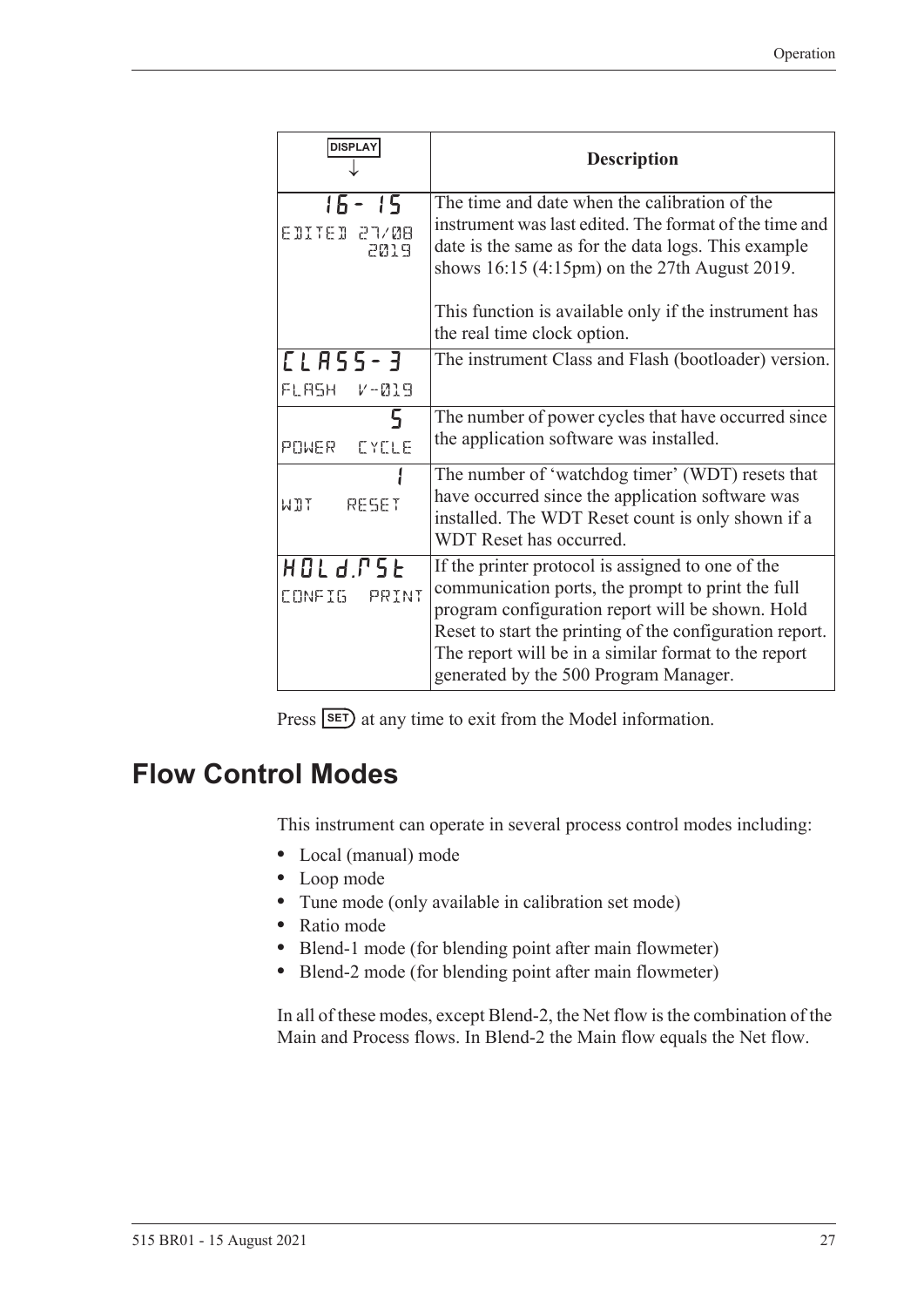| <b>DISPLAY</b>                    | <b>Description</b>                                                                                                                                                                                                                                                                                                      |
|-----------------------------------|-------------------------------------------------------------------------------------------------------------------------------------------------------------------------------------------------------------------------------------------------------------------------------------------------------------------------|
| $15 - 15$<br>EDITED 27/08<br>2019 | The time and date when the calibration of the<br>instrument was last edited. The format of the time and<br>date is the same as for the data logs. This example<br>shows $16:15$ (4:15pm) on the 27th August 2019.<br>This function is available only if the instrument has<br>the real time clock option.               |
| [LA55-3<br>FLASH<br>$V - 219$     | The instrument Class and Flash (bootloader) version.                                                                                                                                                                                                                                                                    |
| ς<br>POWER EYELE                  | The number of power cycles that have occurred since<br>the application software was installed.                                                                                                                                                                                                                          |
| WIT<br>RESET                      | The number of 'watchdog timer' (WDT) resets that<br>have occurred since the application software was<br>installed. The WDT Reset count is only shown if a<br>WDT Reset has occurred.                                                                                                                                    |
| H 0 L d .P 5 E<br>CONFIG<br>PRINT | If the printer protocol is assigned to one of the<br>communication ports, the prompt to print the full<br>program configuration report will be shown. Hold<br>Reset to start the printing of the configuration report.<br>The report will be in a similar format to the report<br>generated by the 500 Program Manager. |

Press **SET**) at any time to exit from the Model information.

## **Flow Control Modes**

This instrument can operate in several process control modes including:

- **•** Local (manual) mode
- **•** Loop mode
- **•** Tune mode (only available in calibration set mode)
- **•** Ratio mode
- **•** Blend-1 mode (for blending point after main flowmeter)
- **•** Blend-2 mode (for blending point after main flowmeter)

In all of these modes, except Blend-2, the Net flow is the combination of the Main and Process flows. In Blend-2 the Main flow equals the Net flow.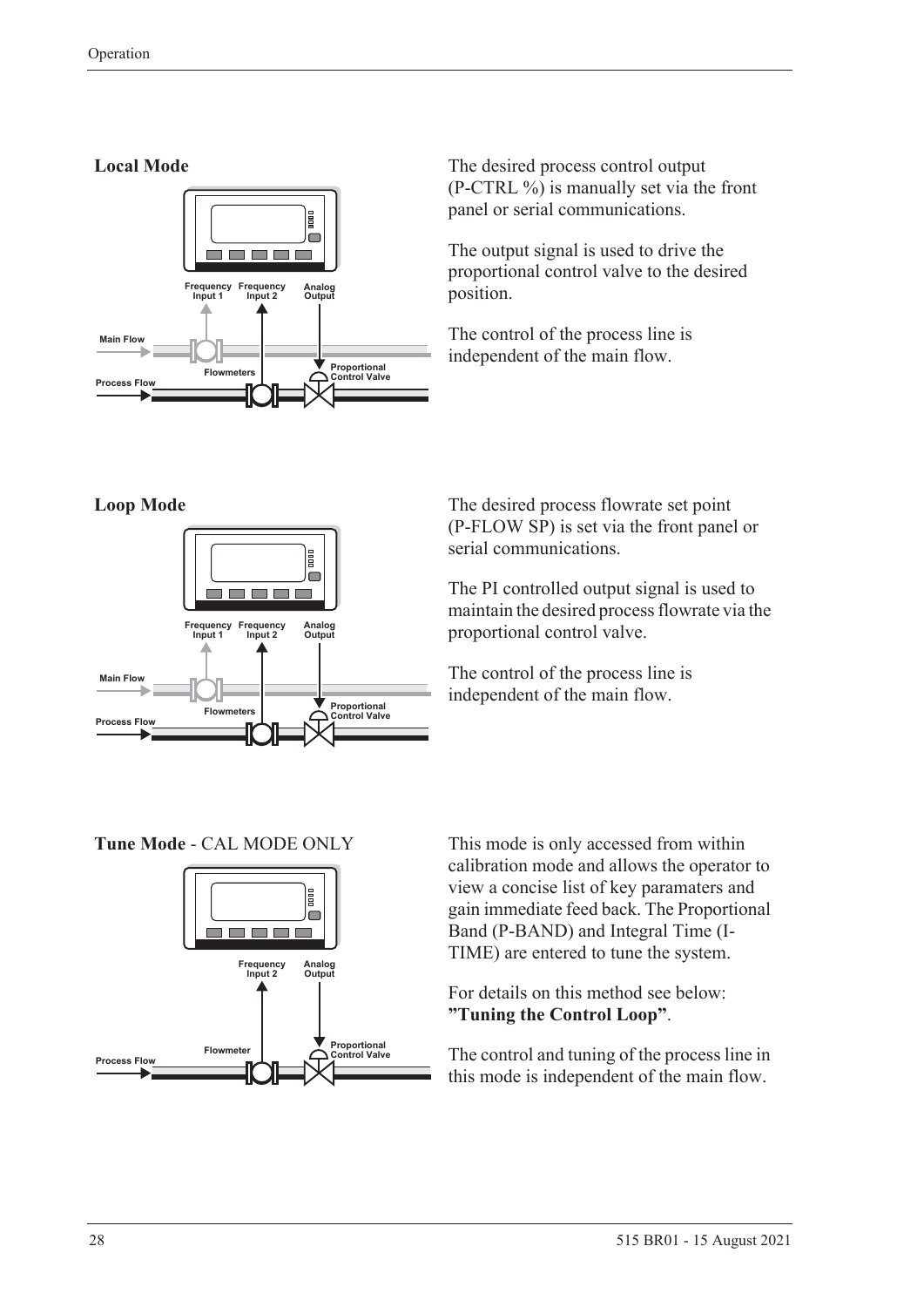

**Local Mode** The desired process control output (P-CTRL %) is manually set via the front panel or serial communications.

> The output signal is used to drive the proportional control valve to the desired position.

The control of the process line is independent of the main flow.



**Loop Mode** The desired process flowrate set point (P-FLOW SP) is set via the front panel or serial communications.

> The PI controlled output signal is used to maintain the desired process flowrate via the proportional control valve.

The control of the process line is independent of the main flow.



**Tune Mode** - CAL MODE ONLY This mode is only accessed from within calibration mode and allows the operator to view a concise list of key paramaters and gain immediate feed back. The Proportional Band (P-BAND) and Integral Time (I-TIME) are entered to tune the system.

> For details on this method see below: **"Tuning the Control Loop"**.

The control and tuning of the process line in this mode is independent of the main flow.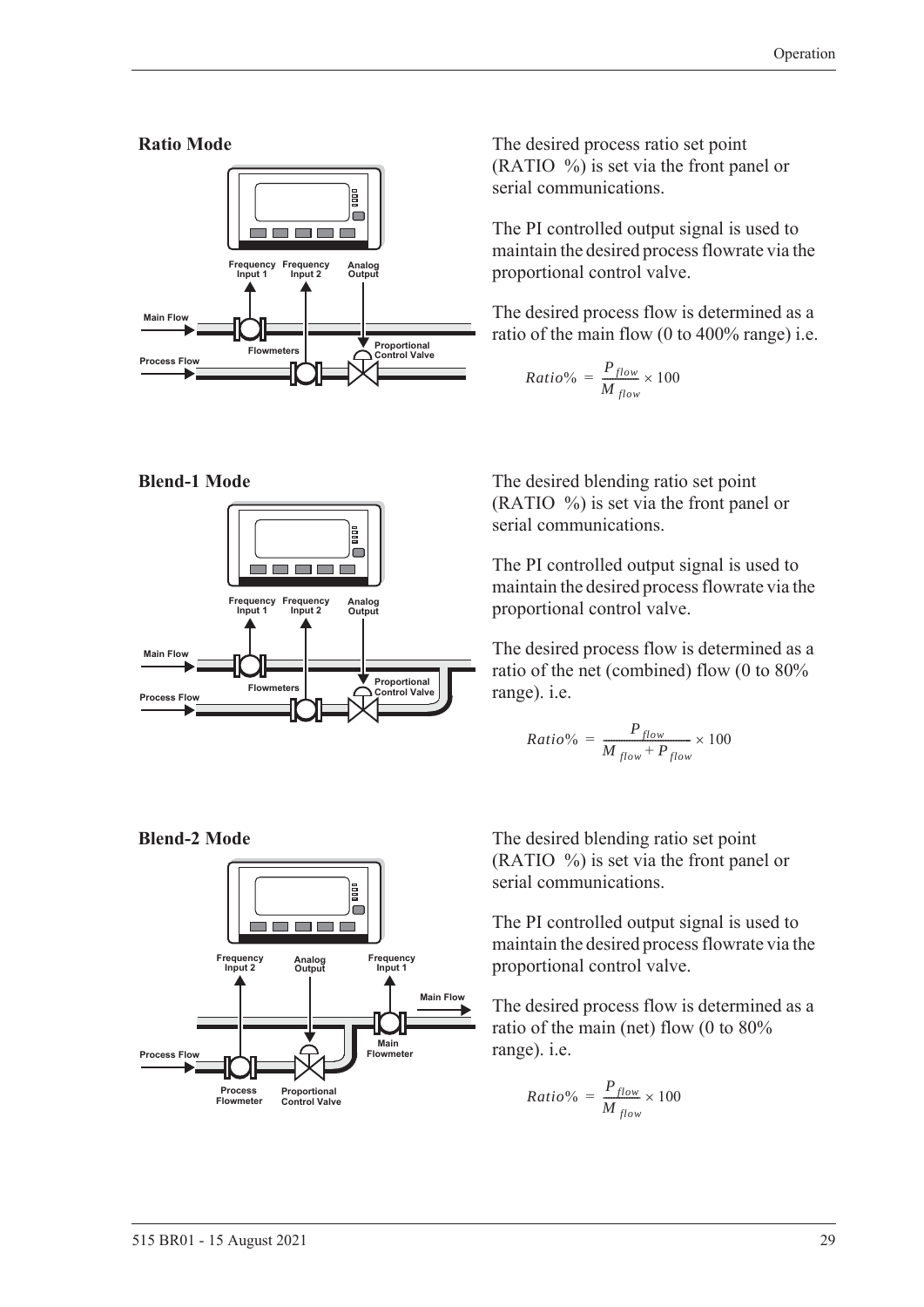





The PI controlled output signal is used to maintain the desired process flowrate via the proportional control valve.

The desired process flow is determined as a ratio of the main flow (0 to 400% range) i.e.

$$
Ratio\% = \frac{P_{flow}}{M_{flow}} \times 100
$$

**Blend-1 Mode** The desired blending ratio set point (RATIO %) is set via the front panel or serial communications.

> The PI controlled output signal is used to maintain the desired process flowrate via the proportional control valve.

> The desired process flow is determined as a ratio of the net (combined) flow (0 to 80% range). i.e.

$$
Ratio\% = \frac{P_{flow}}{M_{flow} + P_{flow}} \times 100
$$

**Blend-2 Mode** The desired blending ratio set point (RATIO %) is set via the front panel or serial communications.

> The PI controlled output signal is used to maintain the desired process flowrate via the proportional control valve.

> The desired process flow is determined as a ratio of the main (net) flow (0 to 80% range). i.e.

$$
Ratio\% = \frac{P_{flow}}{M_{flow}} \times 100
$$

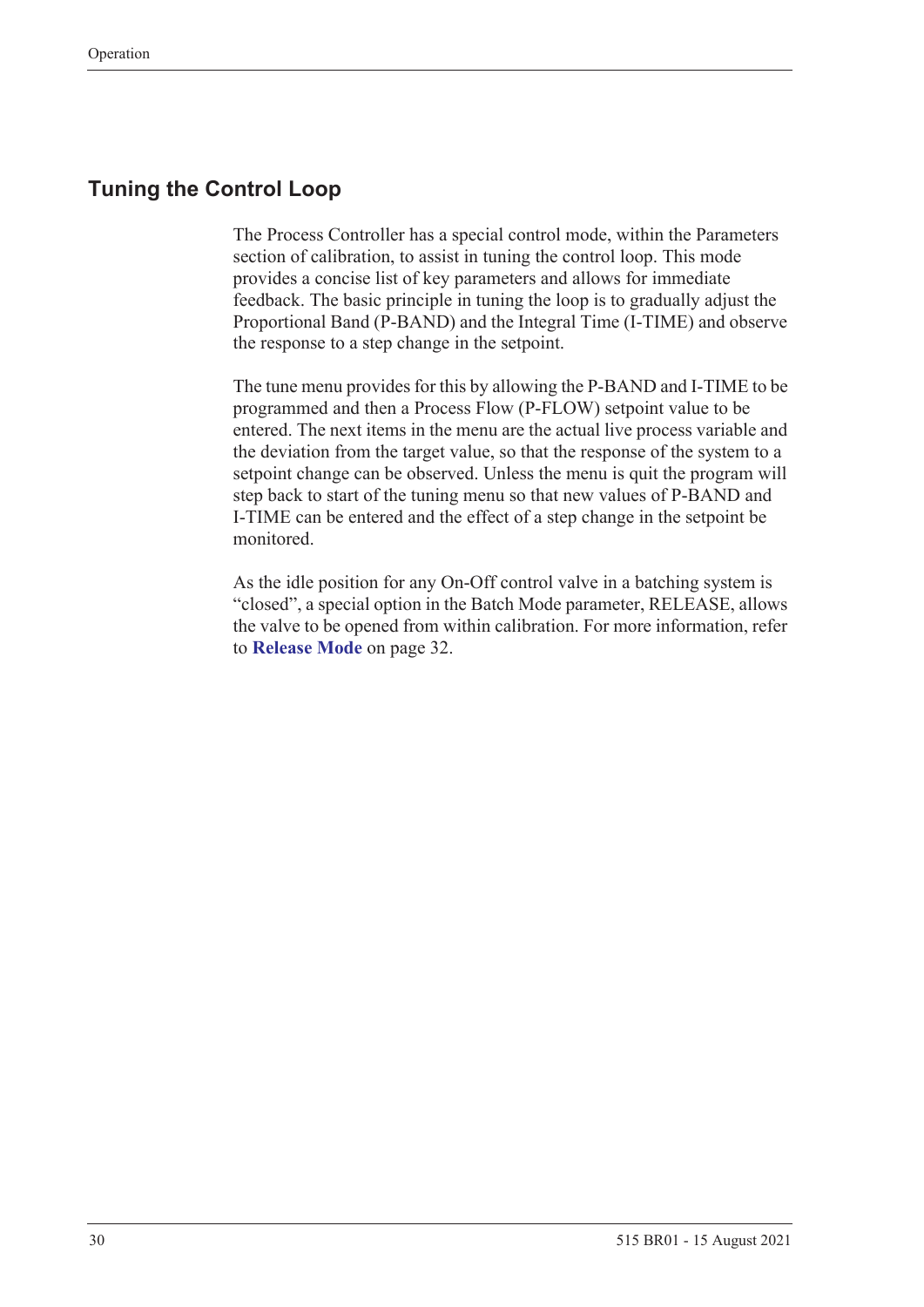## <span id="page-39-0"></span>**Tuning the Control Loop**

The Process Controller has a special control mode, within the Parameters section of calibration, to assist in tuning the control loop. This mode provides a concise list of key parameters and allows for immediate feedback. The basic principle in tuning the loop is to gradually adjust the Proportional Band (P-BAND) and the Integral Time (I-TIME) and observe the response to a step change in the setpoint.

The tune menu provides for this by allowing the P-BAND and I-TIME to be programmed and then a Process Flow (P-FLOW) setpoint value to be entered. The next items in the menu are the actual live process variable and the deviation from the target value, so that the response of the system to a setpoint change can be observed. Unless the menu is quit the program will step back to start of the tuning menu so that new values of P-BAND and I-TIME can be entered and the effect of a step change in the setpoint be monitored.

As the idle position for any On-Off control valve in a batching system is "closed", a special option in the Batch Mode parameter, RELEASE, allows the valve to be opened from within calibration. For more information, refer to **[Release Mode](#page-41-0)** on page 32.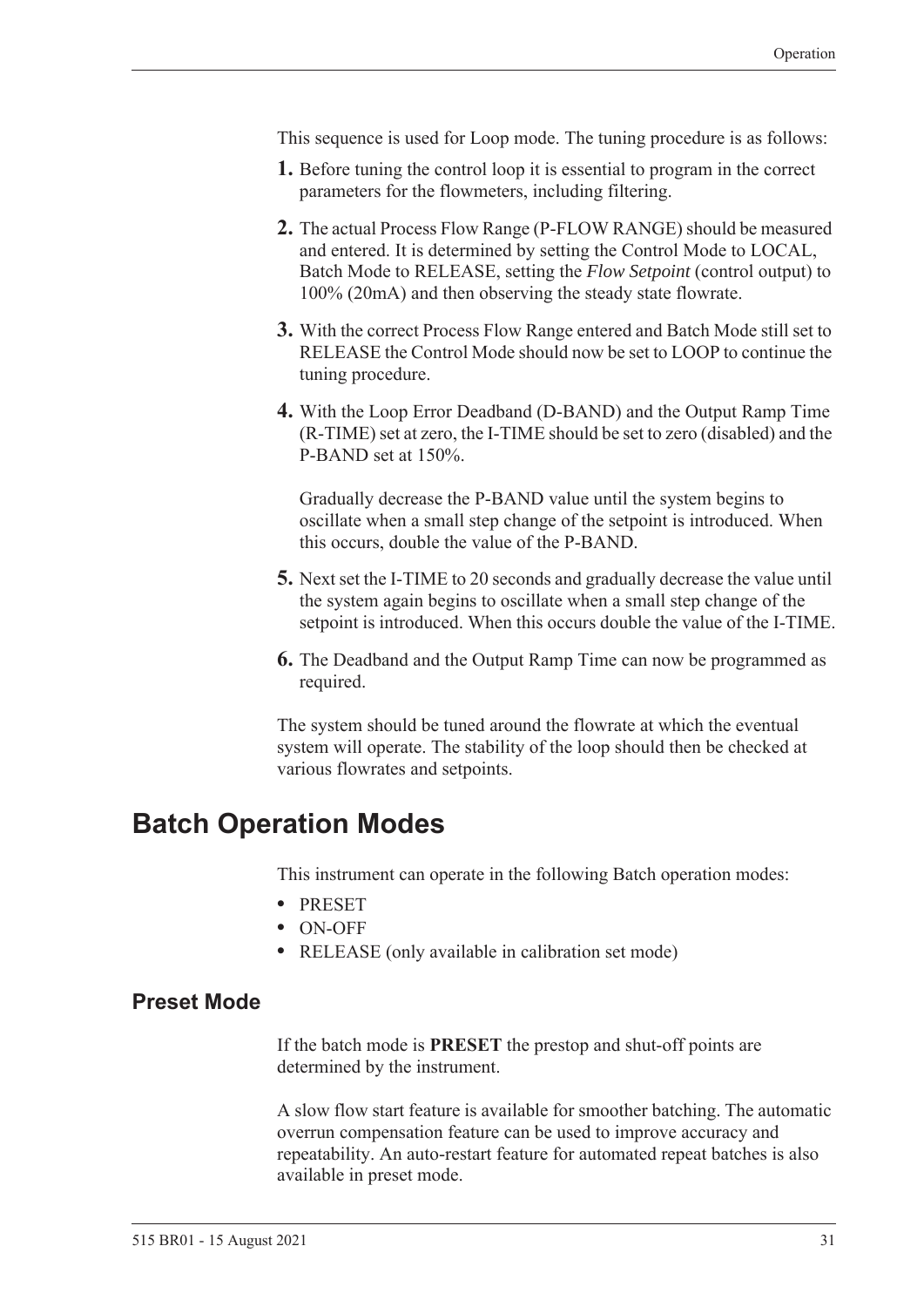This sequence is used for Loop mode. The tuning procedure is as follows:

- **1.** Before tuning the control loop it is essential to program in the correct parameters for the flowmeters, including filtering.
- **2.** The actual Process Flow Range (P-FLOW RANGE) should be measured and entered. It is determined by setting the Control Mode to LOCAL, Batch Mode to RELEASE, setting the *Flow Setpoint* (control output) to 100% (20mA) and then observing the steady state flowrate.
- **3.** With the correct Process Flow Range entered and Batch Mode still set to RELEASE the Control Mode should now be set to LOOP to continue the tuning procedure.
- **4.** With the Loop Error Deadband (D-BAND) and the Output Ramp Time (R-TIME) set at zero, the I-TIME should be set to zero (disabled) and the P-BAND set at 150%.

Gradually decrease the P-BAND value until the system begins to oscillate when a small step change of the setpoint is introduced. When this occurs, double the value of the P-BAND.

- **5.** Next set the I-TIME to 20 seconds and gradually decrease the value until the system again begins to oscillate when a small step change of the setpoint is introduced. When this occurs double the value of the I-TIME.
- **6.** The Deadband and the Output Ramp Time can now be programmed as required.

The system should be tuned around the flowrate at which the eventual system will operate. The stability of the loop should then be checked at various flowrates and setpoints.

## **Batch Operation Modes**

This instrument can operate in the following Batch operation modes:

- **•** PRESET
- **•** ON-OFF
- **•** RELEASE (only available in calibration set mode)

### **Preset Mode**

If the batch mode is **PRESET** the prestop and shut-off points are determined by the instrument.

A slow flow start feature is available for smoother batching. The automatic overrun compensation feature can be used to improve accuracy and repeatability. An auto-restart feature for automated repeat batches is also available in preset mode.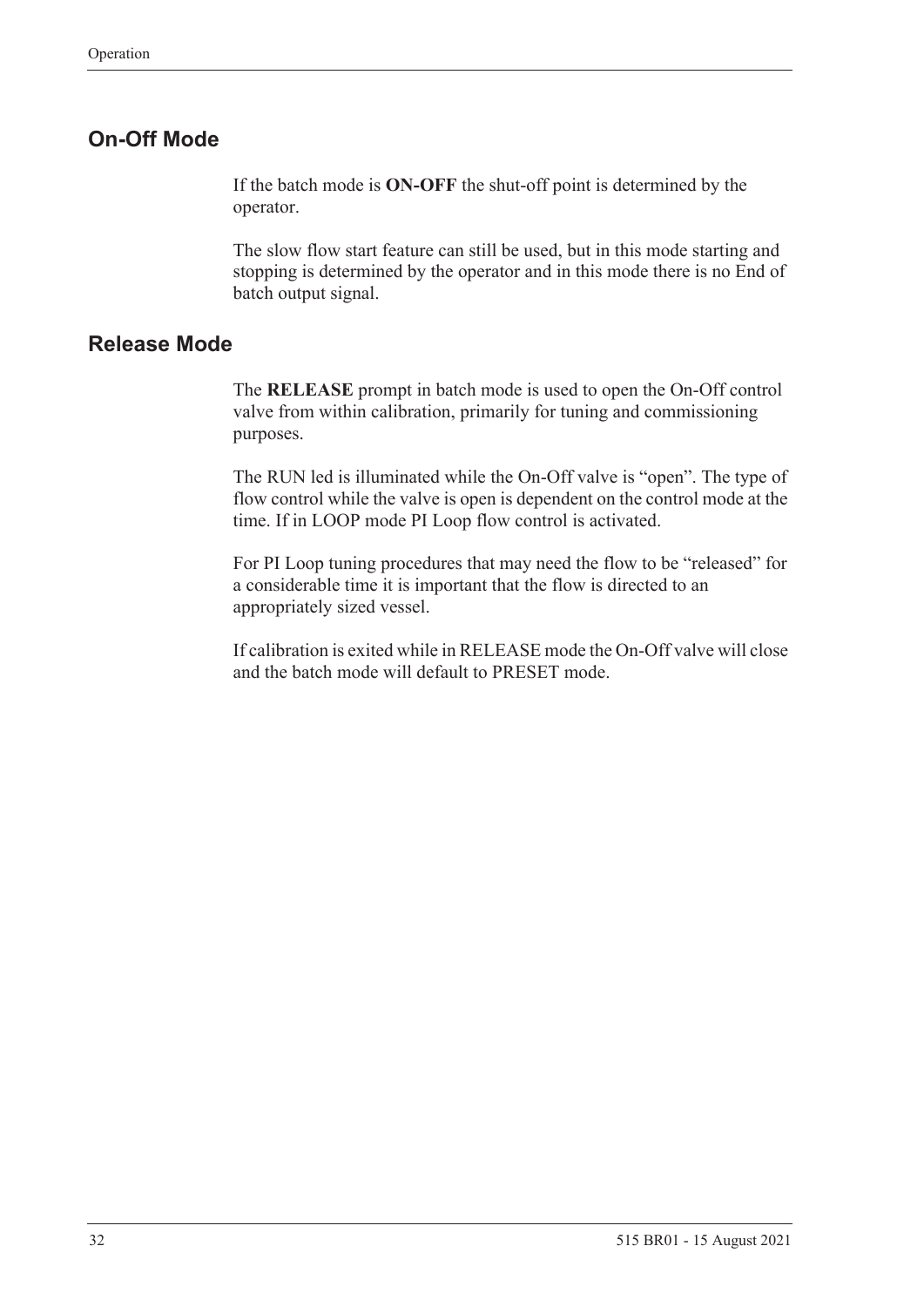## **On-Off Mode**

If the batch mode is **ON-OFF** the shut-off point is determined by the operator.

The slow flow start feature can still be used, but in this mode starting and stopping is determined by the operator and in this mode there is no End of batch output signal.

## <span id="page-41-0"></span>**Release Mode**

The **RELEASE** prompt in batch mode is used to open the On-Off control valve from within calibration, primarily for tuning and commissioning purposes.

The RUN led is illuminated while the On-Off valve is "open". The type of flow control while the valve is open is dependent on the control mode at the time. If in LOOP mode PI Loop flow control is activated.

For PI Loop tuning procedures that may need the flow to be "released" for a considerable time it is important that the flow is directed to an appropriately sized vessel.

If calibration is exited while in RELEASE mode the On-Off valve will close and the batch mode will default to PRESET mode.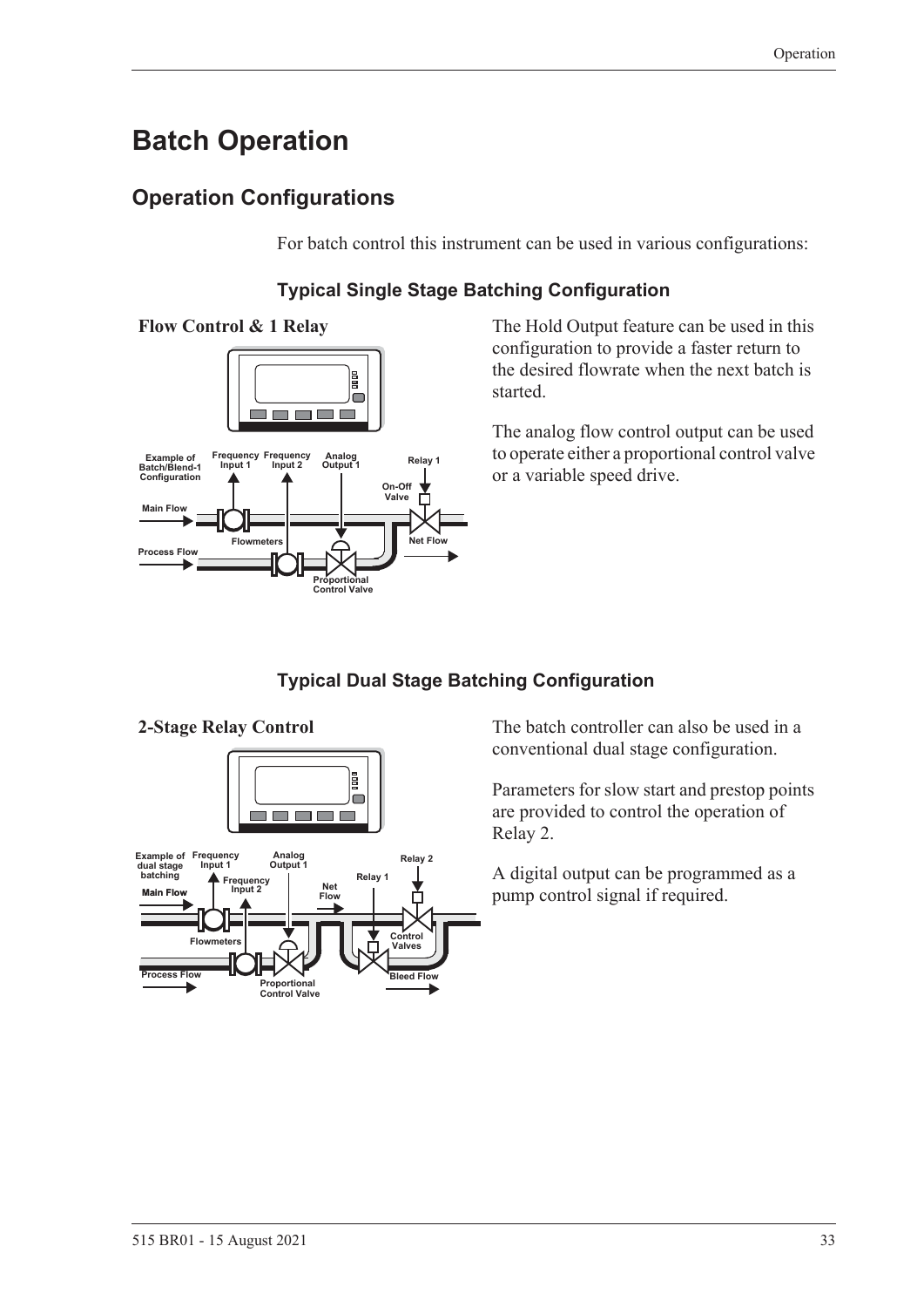## **Batch Operation**

## **Operation Configurations**

For batch control this instrument can be used in various configurations:

## **Typical Single Stage Batching Configuration**

**Flow Control & 1 Relay** The Hold Output feature can be used in this configuration to provide a faster return to the desired flowrate when the next batch is started.

> The analog flow control output can be used to operate either a proportional control valve or a variable speed drive.

## **Typical Dual Stage Batching Configuration**

**Example of** Frequency Frequency<br>atch/Blend-1 **Input 1** Input 2

**Flowmeters** 

**Main Flow**

**Batch/Blend-1 Configuration**

**Process Flow**

►



**Proportional Control Valve**

**Analog Output 1**

 $\Box$   $\Box$   $\Box$   $\Box$ 

**DOOD**  $\blacksquare$ 

**Relay 1**

**Net Flow**

**On-Off Valve**

**2-Stage Relay Control** The batch controller can also be used in a conventional dual stage configuration.

> Parameters for slow start and prestop points are provided to control the operation of Relay 2.

A digital output can be programmed as a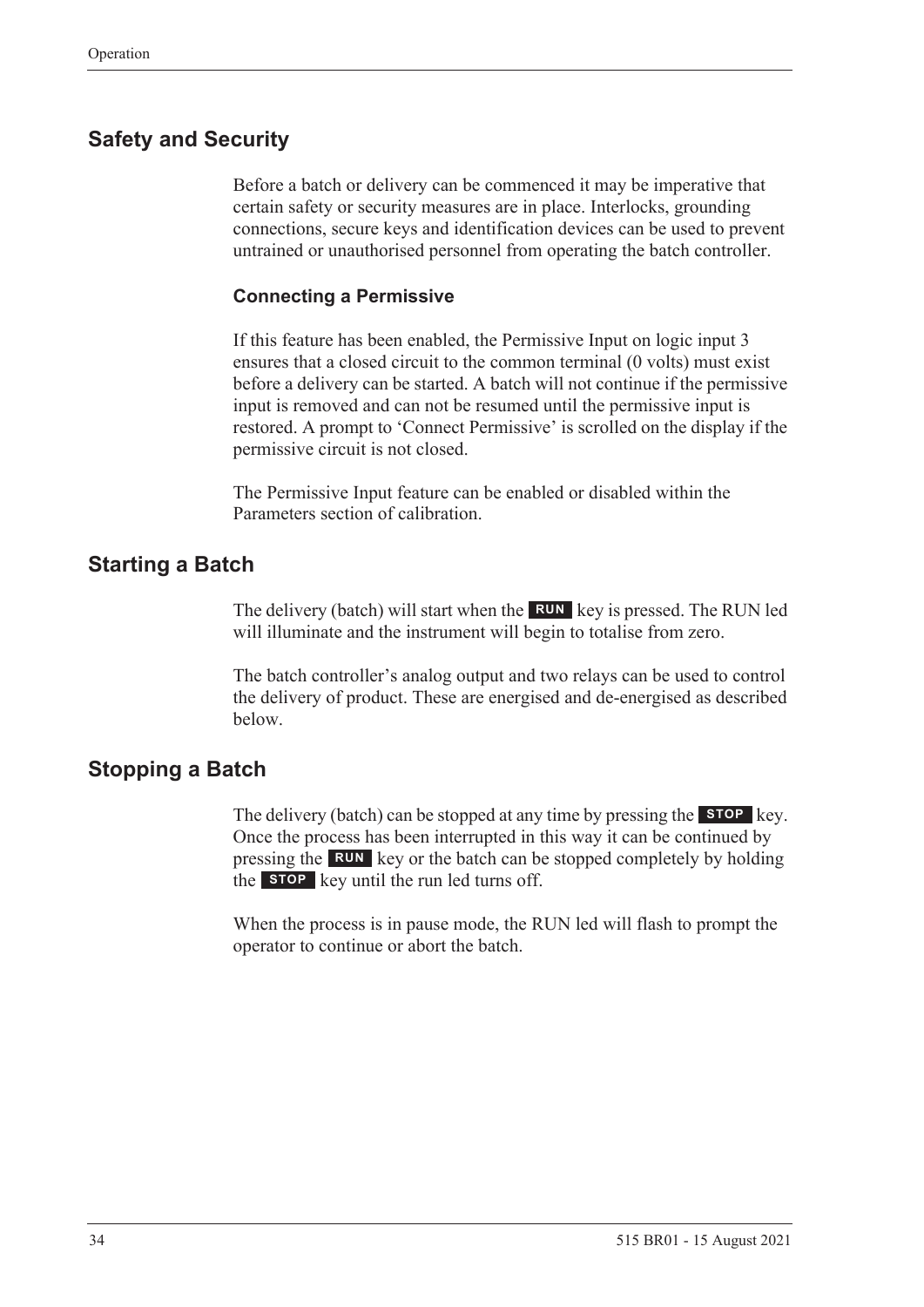## **Safety and Security**

Before a batch or delivery can be commenced it may be imperative that certain safety or security measures are in place. Interlocks, grounding connections, secure keys and identification devices can be used to prevent untrained or unauthorised personnel from operating the batch controller.

### **Connecting a Permissive**

If this feature has been enabled, the Permissive Input on logic input 3 ensures that a closed circuit to the common terminal (0 volts) must exist before a delivery can be started. A batch will not continue if the permissive input is removed and can not be resumed until the permissive input is restored. A prompt to 'Connect Permissive' is scrolled on the display if the permissive circuit is not closed.

The Permissive Input feature can be enabled or disabled within the Parameters section of calibration.

## **Starting a Batch**

The delivery (batch) will start when the **RUN** key is pressed. The RUN led will illuminate and the instrument will begin to totalise from zero.

The batch controller's analog output and two relays can be used to control the delivery of product. These are energised and de-energised as described below.

## **Stopping a Batch**

The delivery (batch) can be stopped at any time by pressing the **STOP** key. Once the process has been interrupted in this way it can be continued by pressing the **RUN** key or the batch can be stopped completely by holding the **STOP** key until the run led turns off.

When the process is in pause mode, the RUN led will flash to prompt the operator to continue or abort the batch.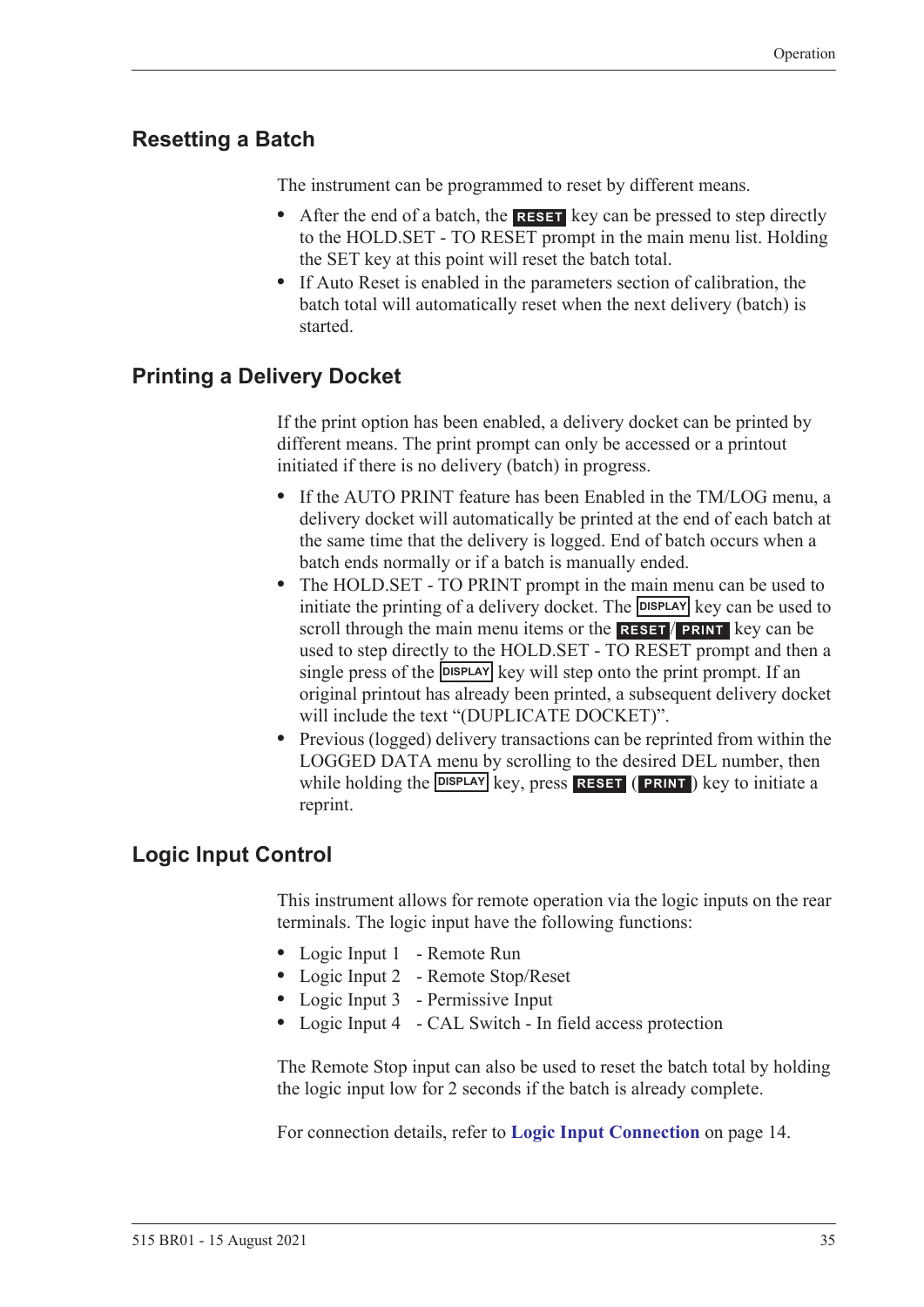## **Resetting a Batch**

The instrument can be programmed to reset by different means.

- After the end of a batch, the **RESET** key can be pressed to step directly to the HOLD.SET - TO RESET prompt in the main menu list. Holding the SET key at this point will reset the batch total.
- **•** If Auto Reset is enabled in the parameters section of calibration, the batch total will automatically reset when the next delivery (batch) is started.

## **Printing a Delivery Docket**

If the print option has been enabled, a delivery docket can be printed by different means. The print prompt can only be accessed or a printout initiated if there is no delivery (batch) in progress.

- **•** If the AUTO PRINT feature has been Enabled in the TM/LOG menu, a delivery docket will automatically be printed at the end of each batch at the same time that the delivery is logged. End of batch occurs when a batch ends normally or if a batch is manually ended.
- **•** The HOLD.SET TO PRINT prompt in the main menu can be used to initiate the printing of a delivery docket. The **DISPLAY** key can be used to scroll through the main menu items or the **RESET PRINT** key can be used to step directly to the HOLD.SET - TO RESET prompt and then a single press of the **DISPLAY** key will step onto the print prompt. If an original printout has already been printed, a subsequent delivery docket will include the text "(DUPLICATE DOCKET)".
- **•** Previous (logged) delivery transactions can be reprinted from within the LOGGED DATA menu by scrolling to the desired DEL number, then while holding the **DISPLAY** key, press **RESET** ( **PRINT** ) key to initiate a reprint.

## <span id="page-44-0"></span>**Logic Input Control**

This instrument allows for remote operation via the logic inputs on the rear terminals. The logic input have the following functions:

- **•** Logic Input 1 Remote Run
- **•** Logic Input 2 Remote Stop/Reset
- Logic Input 3 Permissive Input
- **•** Logic Input 4 CAL Switch In field access protection

The Remote Stop input can also be used to reset the batch total by holding the logic input low for 2 seconds if the batch is already complete.

For connection details, refer to **[Logic Input Connection](#page-23-0)** on page 14.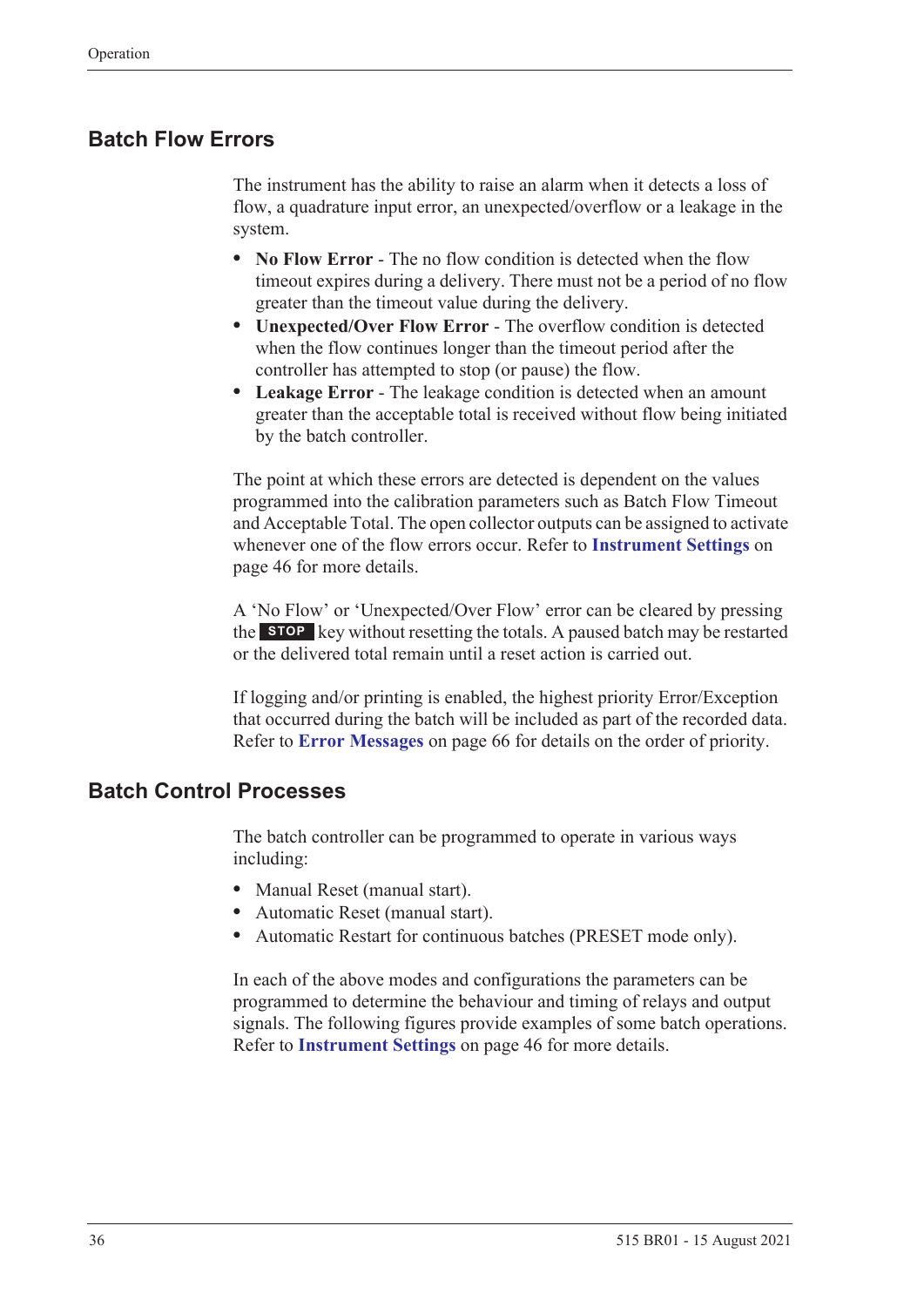## **Batch Flow Errors**

The instrument has the ability to raise an alarm when it detects a loss of flow, a quadrature input error, an unexpected/overflow or a leakage in the system.

- **No Flow Error** The no flow condition is detected when the flow timeout expires during a delivery. There must not be a period of no flow greater than the timeout value during the delivery.
- **• Unexpected/Over Flow Error** The overflow condition is detected when the flow continues longer than the timeout period after the controller has attempted to stop (or pause) the flow.
- **• Leakage Error** The leakage condition is detected when an amount greater than the acceptable total is received without flow being initiated by the batch controller.

The point at which these errors are detected is dependent on the values programmed into the calibration parameters such as Batch Flow Timeout and Acceptable Total. The open collector outputs can be assigned to activate whenever one of the flow errors occur. Refer to **[Instrument Settings](#page-55-0)** on [page 46](#page-55-0) for more details.

A 'No Flow' or 'Unexpected/Over Flow' error can be cleared by pressing the **STOP** key without resetting the totals. A paused batch may be restarted or the delivered total remain until a reset action is carried out.

If logging and/or printing is enabled, the highest priority Error/Exception that occurred during the batch will be included as part of the recorded data. Refer to **[Error Messages](#page-75-0)** on page 66 for details on the order of priority.

## **Batch Control Processes**

The batch controller can be programmed to operate in various ways including:

- **•** Manual Reset (manual start).
- **•** Automatic Reset (manual start).
- **•** Automatic Restart for continuous batches (PRESET mode only).

In each of the above modes and configurations the parameters can be programmed to determine the behaviour and timing of relays and output signals. The following figures provide examples of some batch operations. Refer to **[Instrument Settings](#page-55-0)** on page 46 for more details.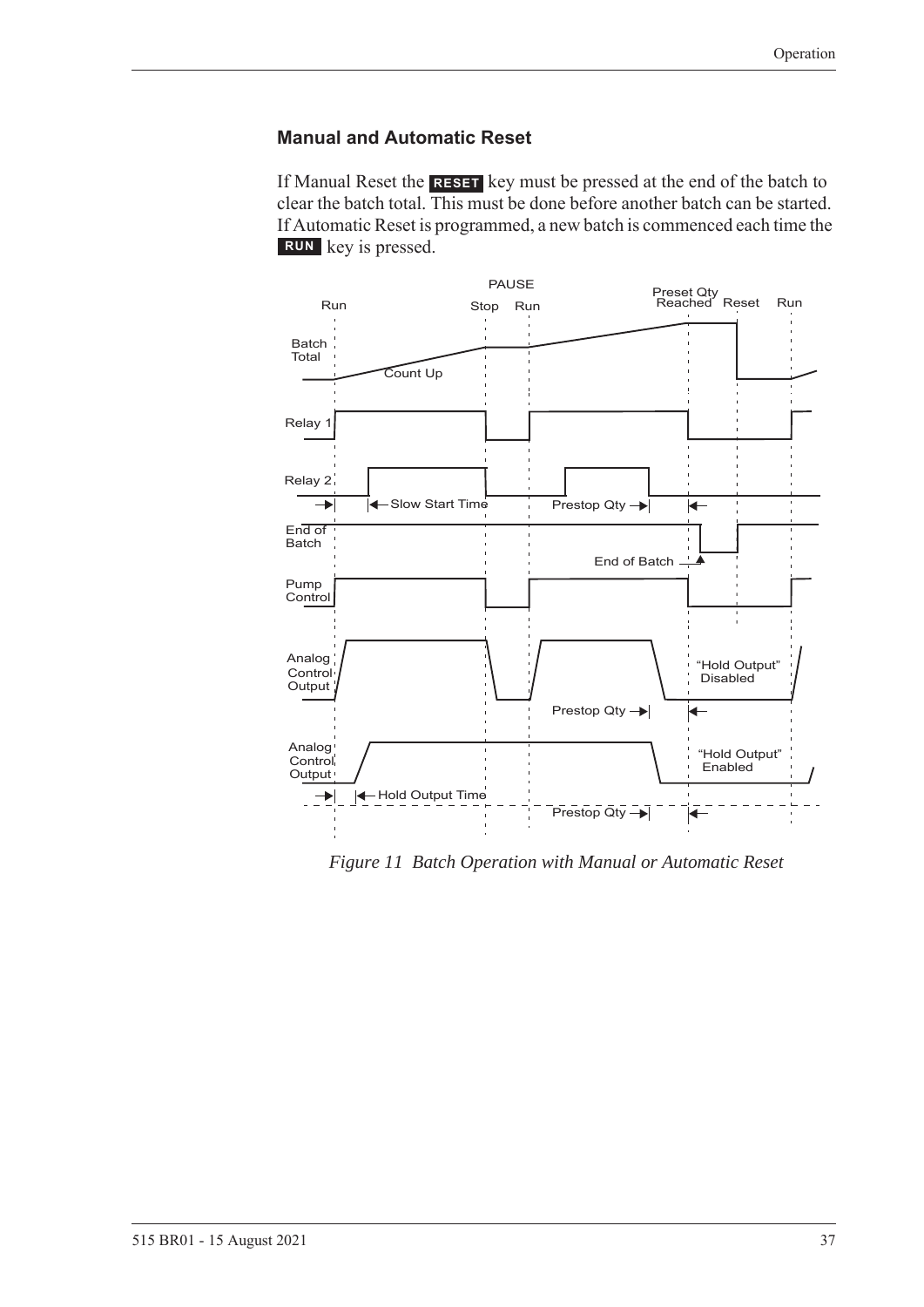#### **Manual and Automatic Reset**

If Manual Reset the **RESET** key must be pressed at the end of the batch to clear the batch total. This must be done before another batch can be started. If Automatic Reset is programmed, a new batch is commenced each time the **RUN** key is pressed.



*Figure 11 Batch Operation with Manual or Automatic Reset*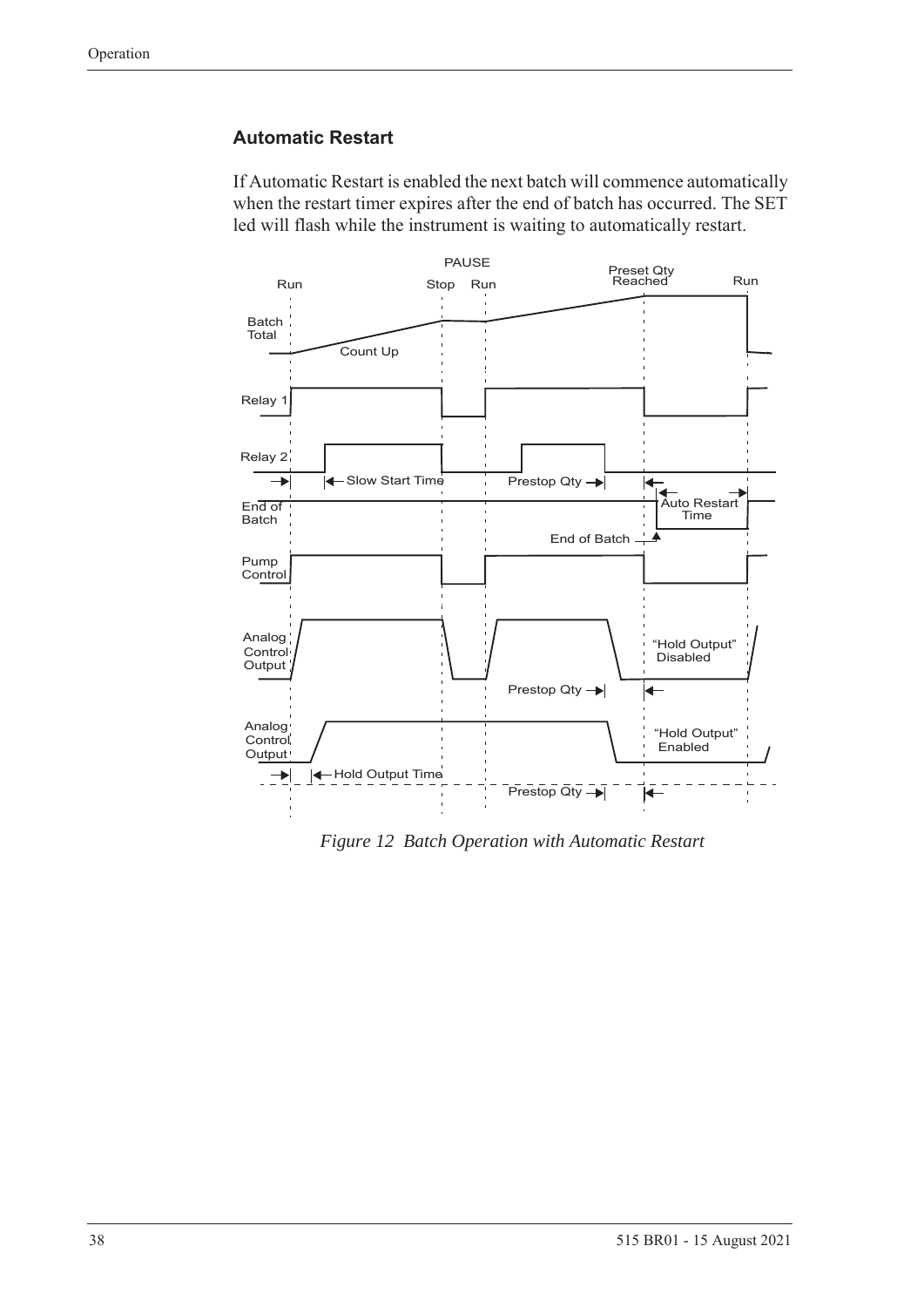#### **Automatic Restart**

If Automatic Restart is enabled the next batch will commence automatically when the restart timer expires after the end of batch has occurred. The SET led will flash while the instrument is waiting to automatically restart.



*Figure 12 Batch Operation with Automatic Restart*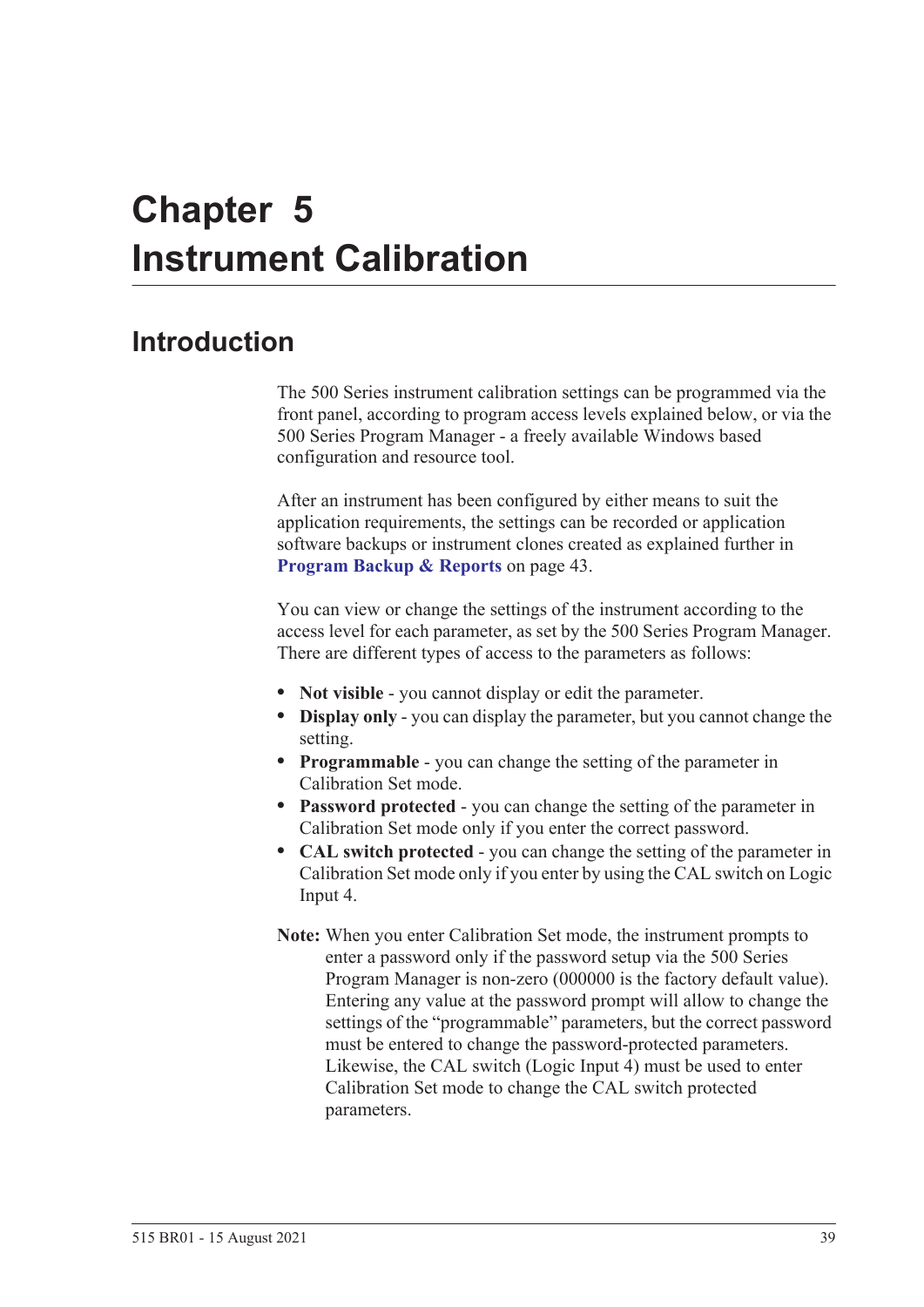# **Chapter 5 Instrument Calibration**

## **Introduction**

The 500 Series instrument calibration settings can be programmed via the front panel, according to program access levels explained below, or via the 500 Series Program Manager - a freely available Windows based configuration and resource tool.

After an instrument has been configured by either means to suit the application requirements, the settings can be recorded or application software backups or instrument clones created as explained further in **[Program Backup & Reports](#page-52-0)** on page 43.

You can view or change the settings of the instrument according to the access level for each parameter, as set by the 500 Series Program Manager. There are different types of access to the parameters as follows:

- **• Not visible** you cannot display or edit the parameter.
- **• Display only** you can display the parameter, but you cannot change the setting.
- **• Programmable** you can change the setting of the parameter in Calibration Set mode.
- **• Password protected** you can change the setting of the parameter in Calibration Set mode only if you enter the correct password.
- **• CAL switch protected**  you can change the setting of the parameter in Calibration Set mode only if you enter by using the CAL switch on Logic Input 4.
- **Note:** When you enter Calibration Set mode, the instrument prompts to enter a password only if the password setup via the 500 Series Program Manager is non-zero (000000 is the factory default value). Entering any value at the password prompt will allow to change the settings of the "programmable" parameters, but the correct password must be entered to change the password-protected parameters. Likewise, the CAL switch (Logic Input 4) must be used to enter Calibration Set mode to change the CAL switch protected parameters.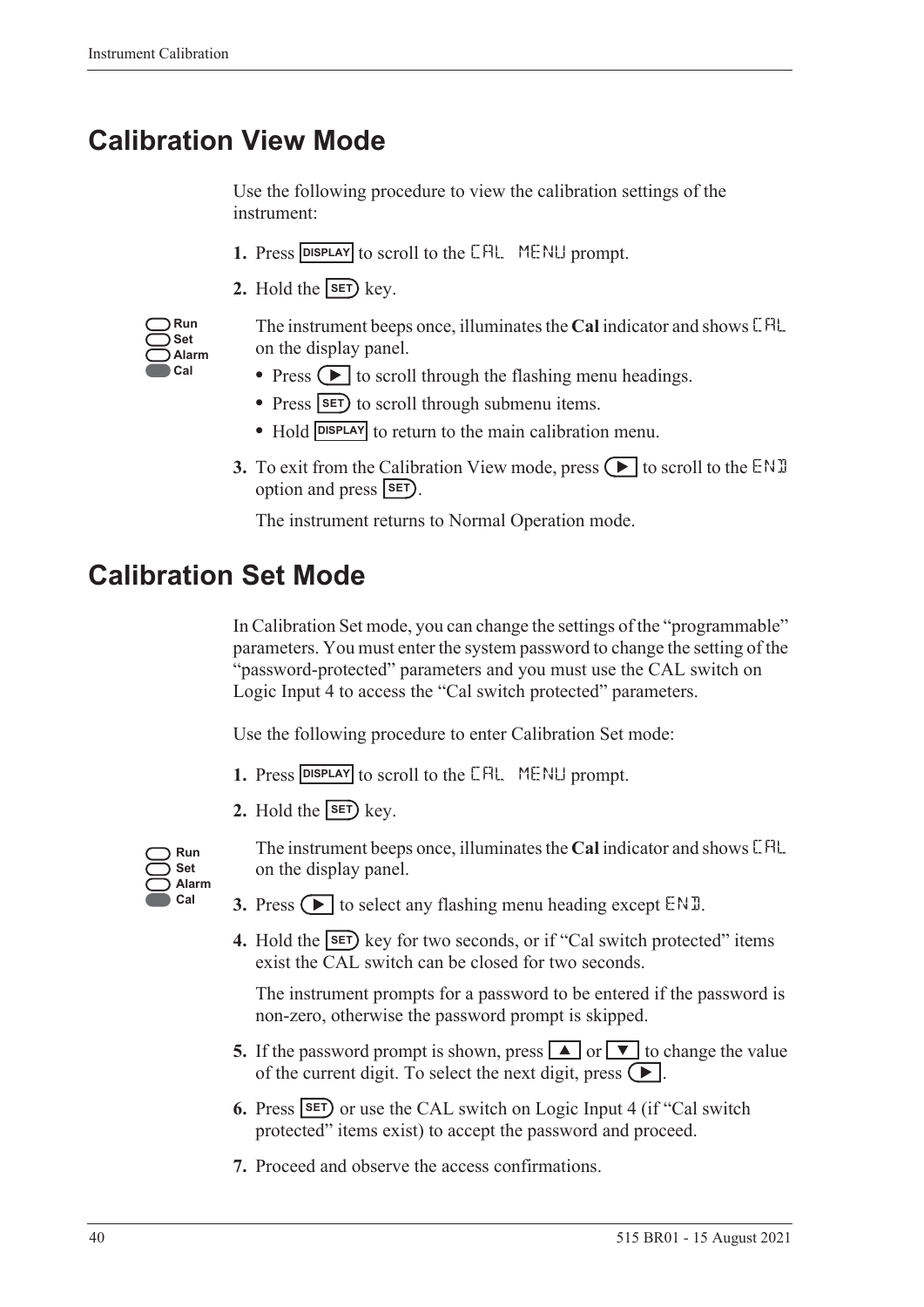## **Calibration View Mode**

Use the following procedure to view the calibration settings of the instrument:

- 1. Press **DISPLAY** to scroll to the **CAL** MENLI prompt.
- **2.** Hold the  $\overline{\text{SET}}$  key.



The instrument beeps once, illuminates the **Cal** indicator and shows CAL on the display panel.

- Press  $\left( \blacktriangleright \right)$  to scroll through the flashing menu headings.
- Press **SET**) to scroll through submenu items.
- Hold **DISPLAY** to return to the main calibration menu.
- **3.** To exit from the Calibration View mode, press  $\Box$  to scroll to the END option and press **SET**).

The instrument returns to Normal Operation mode.

## **Calibration Set Mode**

In Calibration Set mode, you can change the settings of the "programmable" parameters. You must enter the system password to change the setting of the "password-protected" parameters and you must use the CAL switch on Logic Input 4 to access the "Cal switch protected" parameters.

Use the following procedure to enter Calibration Set mode:

- **1.** Press **DISPLAY** to scroll to the **CAL** MENLI prompt.
- **2.** Hold the  $\overline{\text{SET}}$  key.



The instrument beeps once, illuminates the **Cal** indicator and shows CAL on the display panel.

- **3.** Press  $\left( \blacktriangleright \right)$  to select any flashing menu heading except END.
- **4.** Hold the **SET** key for two seconds, or if "Cal switch protected" items exist the CAL switch can be closed for two seconds.

The instrument prompts for a password to be entered if the password is non-zero, otherwise the password prompt is skipped.

- **5.** If the password prompt is shown, press  $\boxed{\blacktriangle}$  or  $\boxed{\blacktriangledown}$  to change the value of the current digit. To select the next digit, press  $\Box$ .
- **6.** Press **SET** or use the CAL switch on Logic Input 4 (if "Cal switch protected" items exist) to accept the password and proceed.
- **7.** Proceed and observe the access confirmations.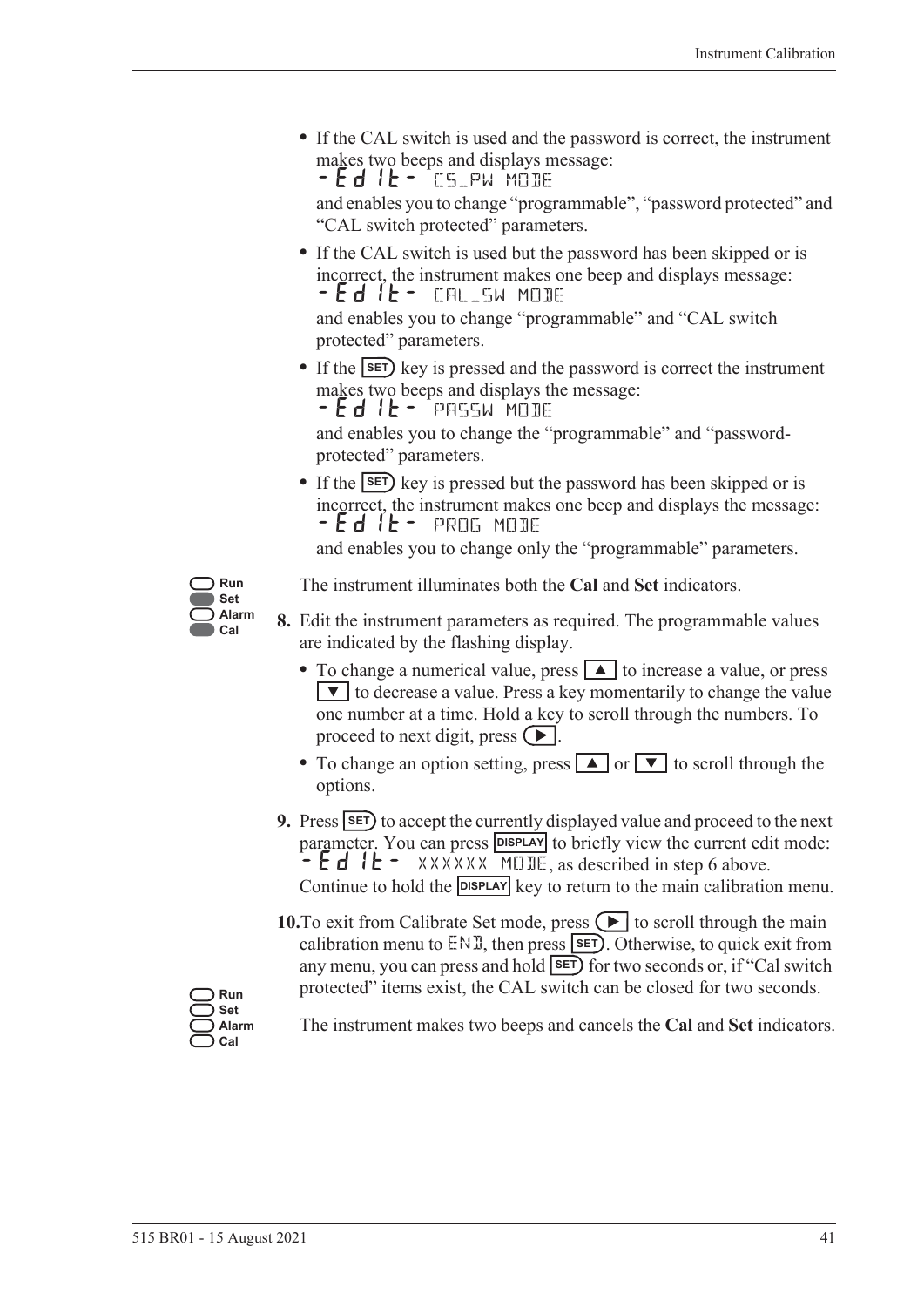**•** If the CAL switch is used and the password is correct, the instrument makes two beeps and displays message:  $-Ed$  it -  $TS$  pw mode

and enables you to change "programmable", "password protected" and "CAL switch protected" parameters.

• If the CAL switch is used but the password has been skipped or is incorrect, the instrument makes one beep and displays message: -EDIT- CAL\_SW MODE

and enables you to change "programmable" and "CAL switch protected" parameters.

- If the **SET**) key is pressed and the password is correct the instrument makes two beeps and displays the message:
	- -EDIT- PASSW MODE and enables you to change the "programmable" and "passwordprotected" parameters.
- If the **SET**) key is pressed but the password has been skipped or is incorrect, the instrument makes one beep and displays the message: -EDIT- PROG MODE

and enables you to change only the "programmable" parameters.



The instrument illuminates both the **Cal** and **Set** indicators.

- **8.** Edit the instrument parameters as required. The programmable values are indicated by the flashing display.
	- To change a numerical value, press **A** to increase a value, or press  $\triangledown$  to decrease a value. Press a key momentarily to change the value one number at a time. Hold a key to scroll through the numbers. To proceed to next digit, press  $(\blacktriangleright)$ .
	- To change an option setting, press  $\blacksquare$  or  $\blacksquare$  to scroll through the options.
- **9.** Press **SET** to accept the currently displayed value and proceed to the next parameter. You can press **DISPLAY** to briefly view the current edit mode:  $-Ed$   $E - \frac{2}{x}$  XXXXXX MODE, as described in step 6 above. Continue to hold the **DISPLAY** key to return to the main calibration menu.
- **10.**To exit from Calibrate Set mode, press  $\Box$  to scroll through the main calibration menu to  $ENI$ , then press  $SET$ . Otherwise, to quick exit from any menu, you can press and hold **SET** for two seconds or, if "Cal switch protected" items exist, the CAL switch can be closed for two seconds.

**Run Set Alarm Cal**

The instrument makes two beeps and cancels the **Cal** and **Set** indicators.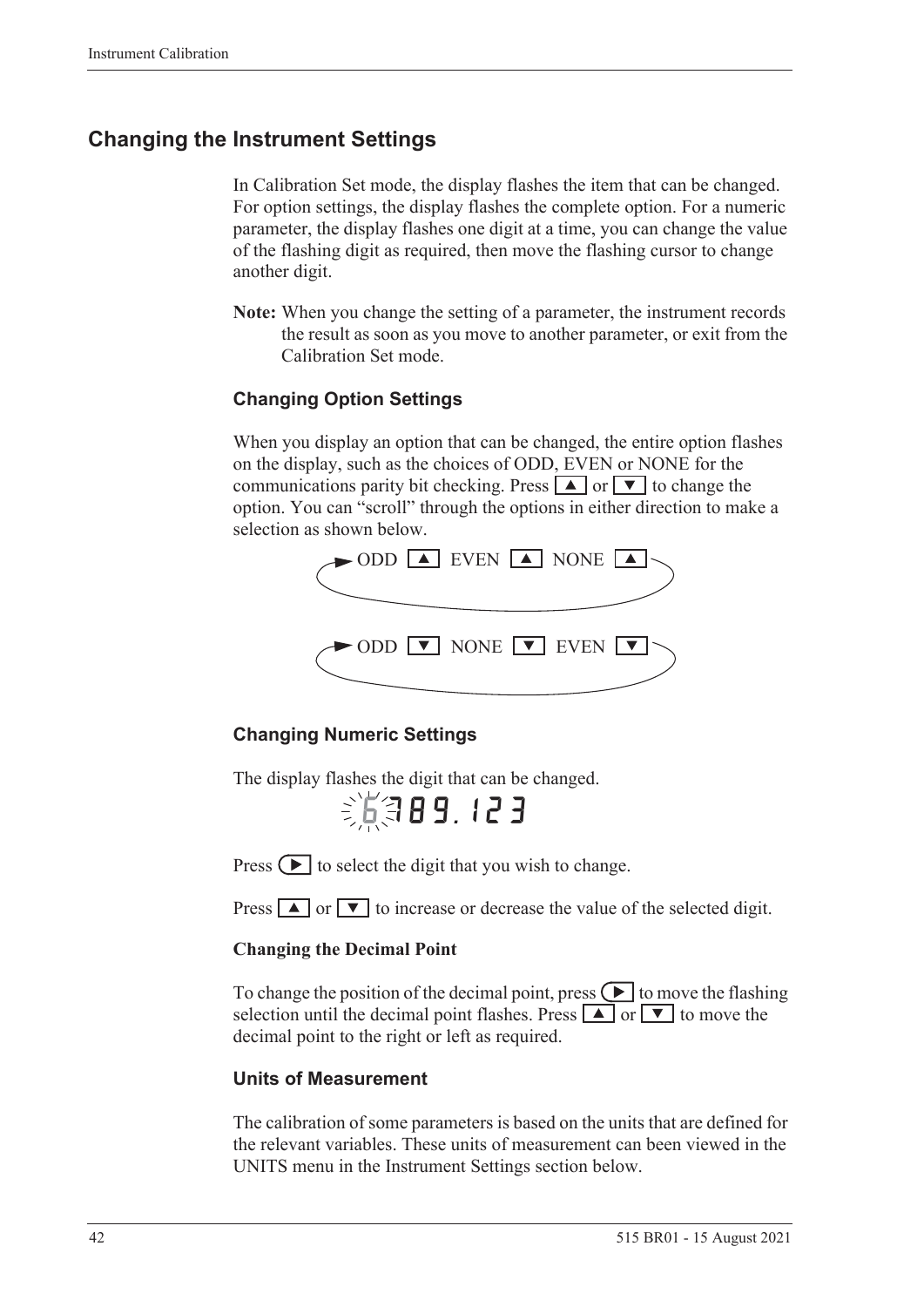## **Changing the Instrument Settings**

In Calibration Set mode, the display flashes the item that can be changed. For option settings, the display flashes the complete option. For a numeric parameter, the display flashes one digit at a time, you can change the value of the flashing digit as required, then move the flashing cursor to change another digit.

**Note:** When you change the setting of a parameter, the instrument records the result as soon as you move to another parameter, or exit from the Calibration Set mode.

### **Changing Option Settings**

When you display an option that can be changed, the entire option flashes on the display, such as the choices of ODD, EVEN or NONE for the communications parity bit checking. Press  $\boxed{\blacktriangle}$  or  $\boxed{\blacktriangledown}$  to change the option. You can "scroll" through the options in either direction to make a selection as shown below.



### **Changing Numeric Settings**

The display flashes the digit that can be changed.

第第89.123

Press  $\left( \blacktriangleright \right)$  to select the digit that you wish to change.

Press  $\boxed{\blacktriangle}$  or  $\boxed{\blacktriangledown}$  to increase or decrease the value of the selected digit.

### **Changing the Decimal Point**

To change the position of the decimal point, press  $\Box$  to move the flashing selection until the decimal point flashes. Press  $\boxed{\blacktriangle}$  or  $\boxed{\blacktriangledown}$  to move the decimal point to the right or left as required.

### **Units of Measurement**

The calibration of some parameters is based on the units that are defined for the relevant variables. These units of measurement can been viewed in the UNITS menu in the Instrument Settings section below.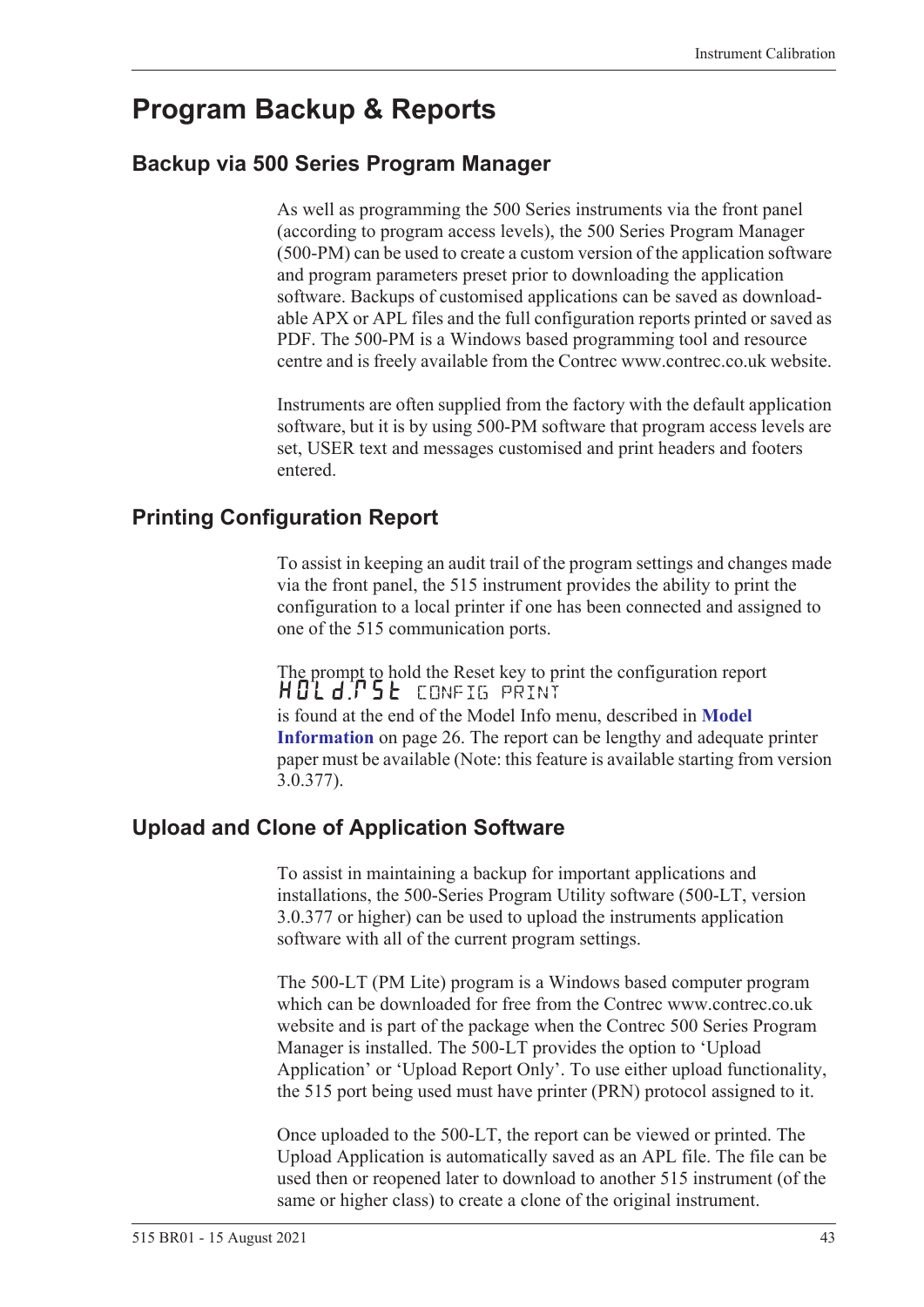## <span id="page-52-0"></span>**Program Backup & Reports**

## **Backup via 500 Series Program Manager**

As well as programming the 500 Series instruments via the front panel (according to program access levels), the 500 Series Program Manager (500-PM) can be used to create a custom version of the application software and program parameters preset prior to downloading the application software. Backups of customised applications can be saved as downloadable APX or APL files and the full configuration reports printed or saved as PDF. The 500-PM is a Windows based programming tool and resource centre and is freely available from the Contrec www.contrec.co.uk website.

Instruments are often supplied from the factory with the default application software, but it is by using 500-PM software that program access levels are set, USER text and messages customised and print headers and footers entered.

## **Printing Configuration Report**

To assist in keeping an audit trail of the program settings and changes made via the front panel, the 515 instrument provides the ability to print the configuration to a local printer if one has been connected and assigned to one of the 515 communication ports.

The prompt to hold the Reset key to print the configuration report HOLd.PSE CONFIG PRINT is found at the end of the Model Info menu, described in **[Model](#page-35-0)  [Information](#page-35-0)** on page 26. The report can be lengthy and adequate printer paper must be available (Note: this feature is available starting from version 3.0.377).

## **Upload and Clone of Application Software**

To assist in maintaining a backup for important applications and installations, the 500-Series Program Utility software (500-LT, version 3.0.377 or higher) can be used to upload the instruments application software with all of the current program settings.

The 500-LT (PM Lite) program is a Windows based computer program which can be downloaded for free from the Contrec www.contrec.co.uk website and is part of the package when the Contrec 500 Series Program Manager is installed. The 500-LT provides the option to 'Upload Application' or 'Upload Report Only'. To use either upload functionality, the 515 port being used must have printer (PRN) protocol assigned to it.

Once uploaded to the 500-LT, the report can be viewed or printed. The Upload Application is automatically saved as an APL file. The file can be used then or reopened later to download to another 515 instrument (of the same or higher class) to create a clone of the original instrument.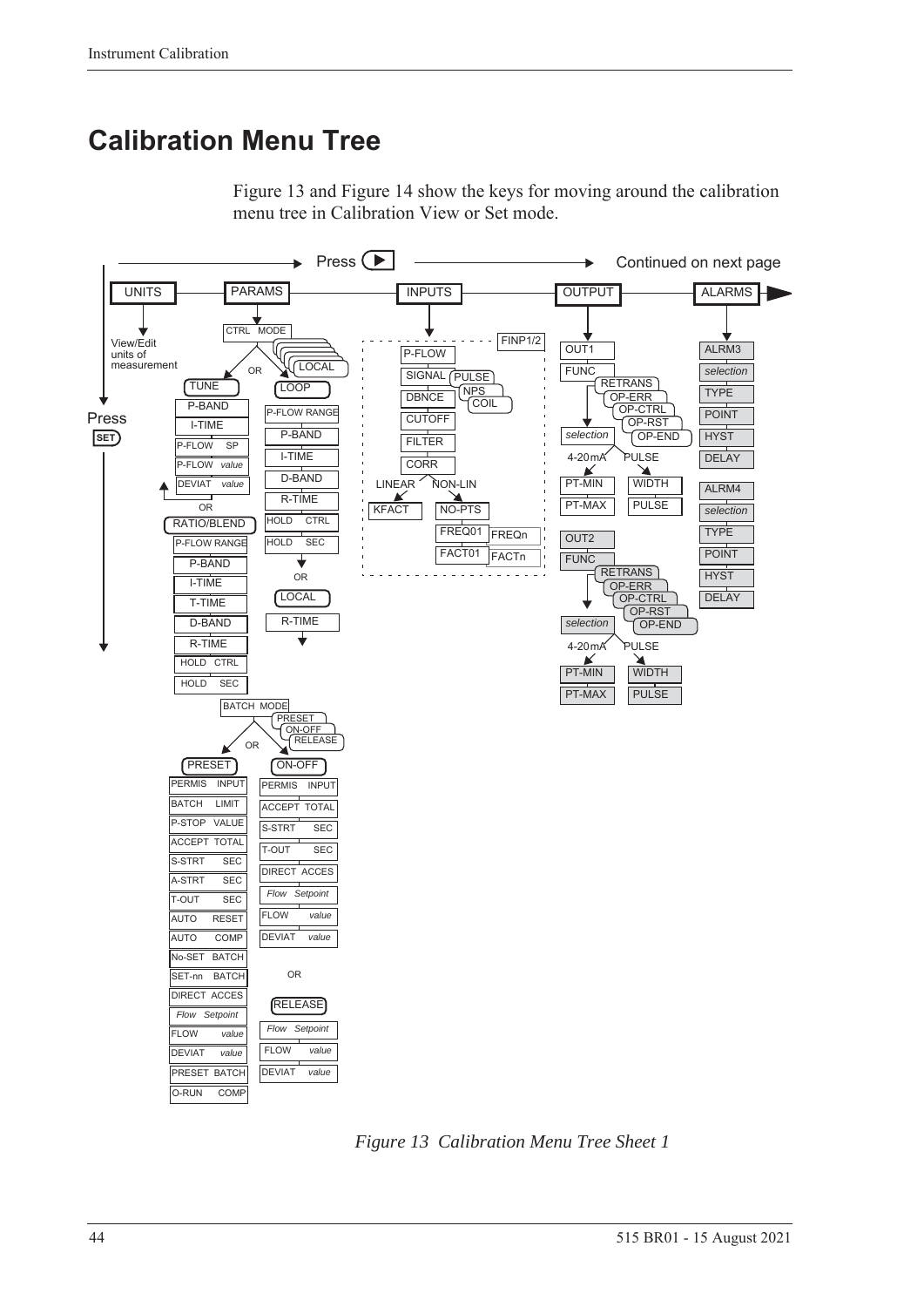## **Calibration Menu Tree**





<span id="page-53-0"></span>*Figure 13 Calibration Menu Tree Sheet 1*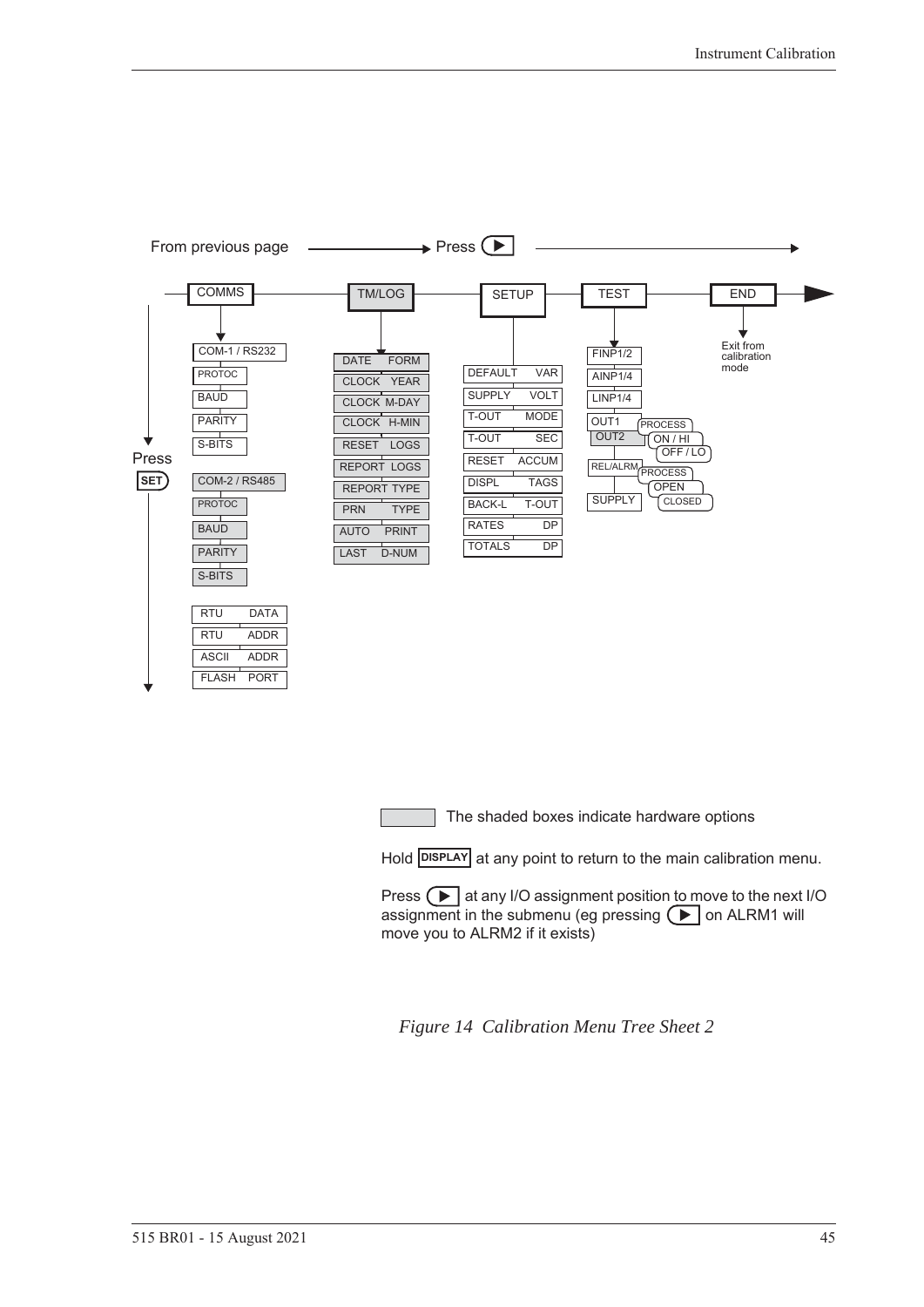

The shaded boxes indicate hardware options

Hold **DISPLAY** at any point to return to the main calibration menu.

Press  $\Box$  at any I/O assignment position to move to the next I/O assignment in the submenu (eg pressing  $\left( \blacktriangleright \right)$  on ALRM1 will move you to ALRM2 if it exists)

<span id="page-54-0"></span>*Figure 14 Calibration Menu Tree Sheet 2*

FLASH PORT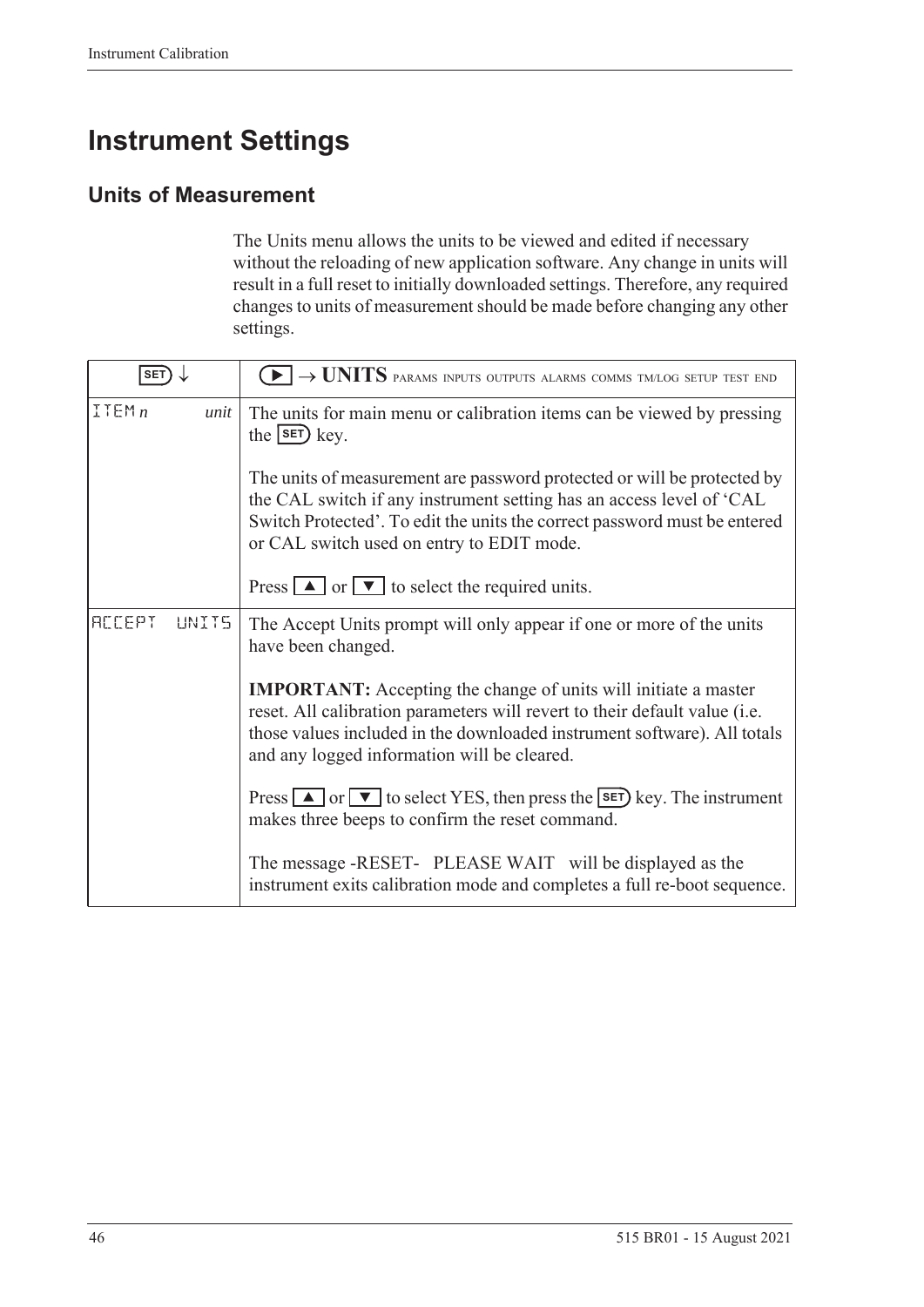## <span id="page-55-0"></span>**Instrument Settings**

## **Units of Measurement**

The Units menu allows the units to be viewed and edited if necessary without the reloading of new application software. Any change in units will result in a full reset to initially downloaded settings. Therefore, any required changes to units of measurement should be made before changing any other settings.

| <b>SET</b>              | $\blacktriangleright$ $\rightarrow$ UNITS params inputs outputs alarms comms tm/log setup test end                                                                                                                                                                              |  |
|-------------------------|---------------------------------------------------------------------------------------------------------------------------------------------------------------------------------------------------------------------------------------------------------------------------------|--|
| ITEMn<br>unit           | The units for main menu or calibration items can be viewed by pressing<br>the $\left  \text{set} \right $ key.                                                                                                                                                                  |  |
|                         | The units of measurement are password protected or will be protected by<br>the CAL switch if any instrument setting has an access level of 'CAL<br>Switch Protected'. To edit the units the correct password must be entered<br>or CAL switch used on entry to EDIT mode.       |  |
|                         | Press $\boxed{\blacktriangle}$ or $\boxed{\blacktriangledown}$ to select the required units.                                                                                                                                                                                    |  |
| <b>ACCEPT</b><br>LINIT5 | The Accept Units prompt will only appear if one or more of the units<br>have been changed.                                                                                                                                                                                      |  |
|                         | <b>IMPORTANT:</b> Accepting the change of units will initiate a master<br>reset. All calibration parameters will revert to their default value (i.e.<br>those values included in the downloaded instrument software). All totals<br>and any logged information will be cleared. |  |
|                         | Press $\Box$ or $\nabla$ to select YES, then press the SET key. The instrument<br>makes three beeps to confirm the reset command.                                                                                                                                               |  |
|                         | The message -RESET- PLEASE WAIT will be displayed as the<br>instrument exits calibration mode and completes a full re-boot sequence.                                                                                                                                            |  |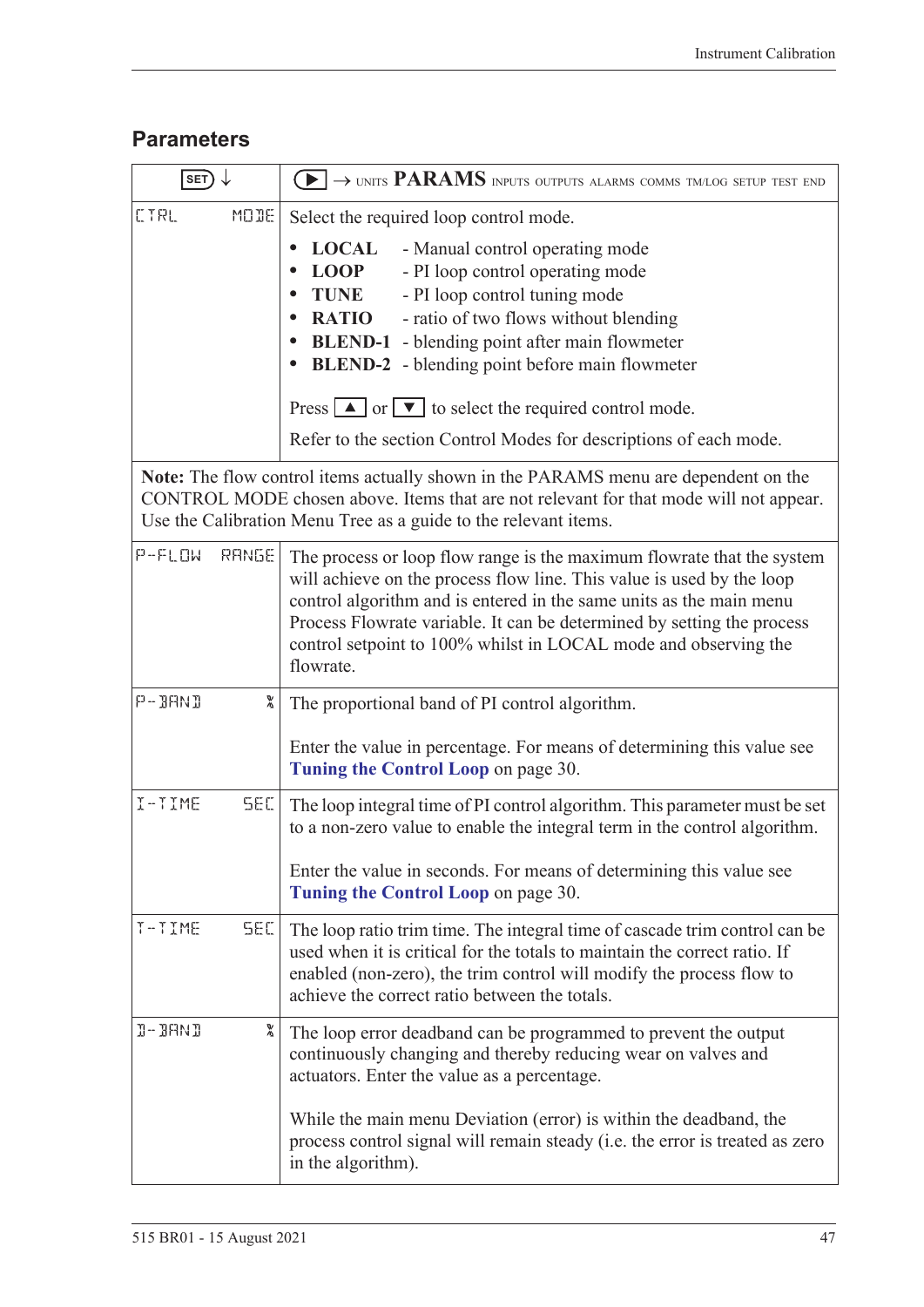## **Parameters**

| SET)                         | $\blacktriangleright$ $\rightarrow$ units PARAMS inputs outputs alarms comms tm/log setup test end                                                                                                                                                                                                                                                                                                                                                                                                                 |
|------------------------------|--------------------------------------------------------------------------------------------------------------------------------------------------------------------------------------------------------------------------------------------------------------------------------------------------------------------------------------------------------------------------------------------------------------------------------------------------------------------------------------------------------------------|
| <b>ETRL</b><br><b>MODE</b>   | Select the required loop control mode.<br><b>LOCAL</b><br>- Manual control operating mode<br><b>LOOP</b><br>- PI loop control operating mode<br>- PI loop control tuning mode<br><b>TUNE</b><br>- ratio of two flows without blending<br><b>RATIO</b><br><b>BLEND-1</b> - blending point after main flowmeter<br>BLEND-2 - blending point before main flowmeter<br>$\bullet$<br>Press $\Box$ or $\nabla$ to select the required control mode.<br>Refer to the section Control Modes for descriptions of each mode. |
|                              | Note: The flow control items actually shown in the PARAMS menu are dependent on the<br>CONTROL MODE chosen above. Items that are not relevant for that mode will not appear.<br>Use the Calibration Menu Tree as a guide to the relevant items.                                                                                                                                                                                                                                                                    |
| P-FLOW<br><b>RANGE</b>       | The process or loop flow range is the maximum flowrate that the system<br>will achieve on the process flow line. This value is used by the loop<br>control algorithm and is entered in the same units as the main menu<br>Process Flowrate variable. It can be determined by setting the process<br>control setpoint to 100% whilst in LOCAL mode and observing the<br>flowrate.                                                                                                                                   |
| P-BAND<br>$\chi$             | The proportional band of PI control algorithm.<br>Enter the value in percentage. For means of determining this value see<br>Tuning the Control Loop on page 30.                                                                                                                                                                                                                                                                                                                                                    |
| $I-TIME$<br>SEC <sub>1</sub> | The loop integral time of PI control algorithm. This parameter must be set<br>to a non-zero value to enable the integral term in the control algorithm.<br>Enter the value in seconds. For means of determining this value see<br>Tuning the Control Loop on page 30.                                                                                                                                                                                                                                              |
| $T-TIME$<br>SEC <sub>1</sub> | The loop ratio trim time. The integral time of cascade trim control can be<br>used when it is critical for the totals to maintain the correct ratio. If<br>enabled (non-zero), the trim control will modify the process flow to<br>achieve the correct ratio between the totals.                                                                                                                                                                                                                                   |
| $1 - 3$ AN $1$<br>$\chi$     | The loop error deadband can be programmed to prevent the output<br>continuously changing and thereby reducing wear on valves and<br>actuators. Enter the value as a percentage.<br>While the main menu Deviation (error) is within the deadband, the<br>process control signal will remain steady (i.e. the error is treated as zero<br>in the algorithm).                                                                                                                                                         |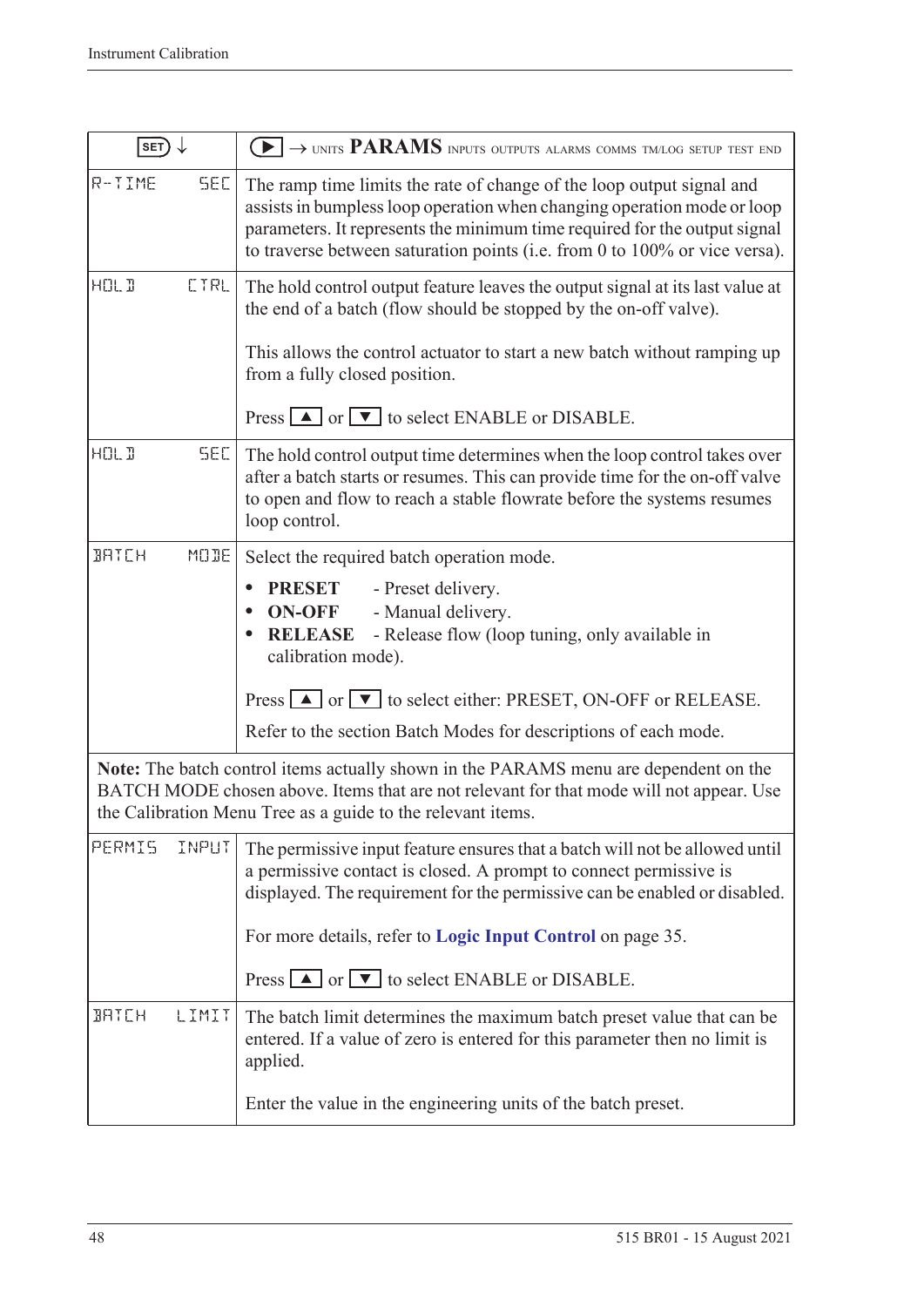| SET)                                                                                                                                                                                                                                           | $\blacktriangleright$ $\rightarrow$ units PARAMS inputs outputs alarms comms tm/log setup test end                                                                                                                                                                                                          |  |
|------------------------------------------------------------------------------------------------------------------------------------------------------------------------------------------------------------------------------------------------|-------------------------------------------------------------------------------------------------------------------------------------------------------------------------------------------------------------------------------------------------------------------------------------------------------------|--|
| R-TIME<br>SEC                                                                                                                                                                                                                                  | The ramp time limits the rate of change of the loop output signal and<br>assists in bumpless loop operation when changing operation mode or loop<br>parameters. It represents the minimum time required for the output signal<br>to traverse between saturation points (i.e. from 0 to 100% or vice versa). |  |
| <b>HOLD</b><br><b>ETRL</b>                                                                                                                                                                                                                     | The hold control output feature leaves the output signal at its last value at<br>the end of a batch (flow should be stopped by the on-off valve).                                                                                                                                                           |  |
|                                                                                                                                                                                                                                                | This allows the control actuator to start a new batch without ramping up<br>from a fully closed position.                                                                                                                                                                                                   |  |
|                                                                                                                                                                                                                                                | Press $\Box$ or $\nabla$ to select ENABLE or DISABLE.                                                                                                                                                                                                                                                       |  |
| <b>HOLD</b><br><b>SEC</b>                                                                                                                                                                                                                      | The hold control output time determines when the loop control takes over<br>after a batch starts or resumes. This can provide time for the on-off valve<br>to open and flow to reach a stable flowrate before the systems resumes<br>loop control.                                                          |  |
| MODE<br><b>BATCH</b>                                                                                                                                                                                                                           | Select the required batch operation mode.<br><b>PRESET</b><br>- Preset delivery.<br><b>ON-OFF</b><br>- Manual delivery.<br><b>RELEASE</b><br>- Release flow (loop tuning, only available in<br>calibration mode).<br>Press $\Box$ or $\nabla$ to select either: PRESET, ON-OFF or RELEASE.                  |  |
|                                                                                                                                                                                                                                                | Refer to the section Batch Modes for descriptions of each mode.                                                                                                                                                                                                                                             |  |
| Note: The batch control items actually shown in the PARAMS menu are dependent on the<br>BATCH MODE chosen above. Items that are not relevant for that mode will not appear. Use<br>the Calibration Menu Tree as a guide to the relevant items. |                                                                                                                                                                                                                                                                                                             |  |
| PERMIS<br>INPUT                                                                                                                                                                                                                                | The permissive input feature ensures that a batch will not be allowed until<br>a permissive contact is closed. A prompt to connect permissive is<br>displayed. The requirement for the permissive can be enabled or disabled.                                                                               |  |
|                                                                                                                                                                                                                                                | For more details, refer to Logic Input Control on page 35.                                                                                                                                                                                                                                                  |  |
|                                                                                                                                                                                                                                                | Press $\Box$ or $\nabla$ to select ENABLE or DISABLE.                                                                                                                                                                                                                                                       |  |
| <b>BATCH</b><br>LIMIT                                                                                                                                                                                                                          | The batch limit determines the maximum batch preset value that can be<br>entered. If a value of zero is entered for this parameter then no limit is<br>applied.                                                                                                                                             |  |
|                                                                                                                                                                                                                                                | Enter the value in the engineering units of the batch preset.                                                                                                                                                                                                                                               |  |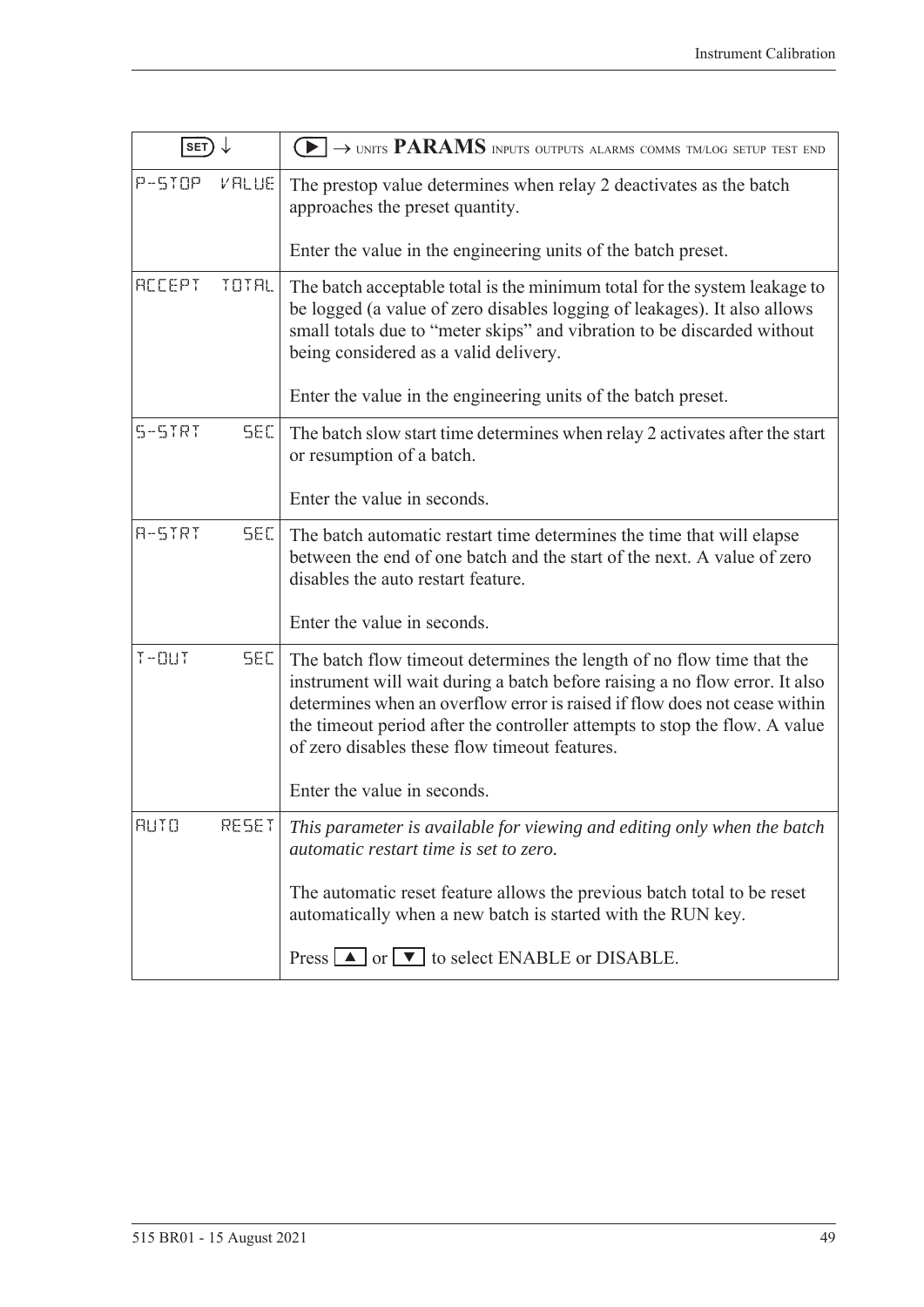| SET           |       | $\blacktriangleright$ $\rightarrow$ units PARAMS inputs outputs alarms comms tm/log setup test end                                                                                                                                                                                                                                                               |
|---------------|-------|------------------------------------------------------------------------------------------------------------------------------------------------------------------------------------------------------------------------------------------------------------------------------------------------------------------------------------------------------------------|
| <b>P-510P</b> | VALUE | The prestop value determines when relay 2 deactivates as the batch<br>approaches the preset quantity.                                                                                                                                                                                                                                                            |
|               |       | Enter the value in the engineering units of the batch preset.                                                                                                                                                                                                                                                                                                    |
| <b>ACCEPT</b> | TOTAL | The batch acceptable total is the minimum total for the system leakage to<br>be logged (a value of zero disables logging of leakages). It also allows<br>small totals due to "meter skips" and vibration to be discarded without<br>being considered as a valid delivery.                                                                                        |
|               |       | Enter the value in the engineering units of the batch preset.                                                                                                                                                                                                                                                                                                    |
| 5-5TRT        | SEC.  | The batch slow start time determines when relay 2 activates after the start<br>or resumption of a batch.                                                                                                                                                                                                                                                         |
|               |       | Enter the value in seconds.                                                                                                                                                                                                                                                                                                                                      |
| A-STRT        | SEC.  | The batch automatic restart time determines the time that will elapse<br>between the end of one batch and the start of the next. A value of zero<br>disables the auto restart feature.                                                                                                                                                                           |
|               |       | Enter the value in seconds.                                                                                                                                                                                                                                                                                                                                      |
| $T - 11T$     | SEC   | The batch flow timeout determines the length of no flow time that the<br>instrument will wait during a batch before raising a no flow error. It also<br>determines when an overflow error is raised if flow does not cease within<br>the timeout period after the controller attempts to stop the flow. A value<br>of zero disables these flow timeout features. |
|               |       | Enter the value in seconds.                                                                                                                                                                                                                                                                                                                                      |
| <b>RUTO</b>   | RESET | This parameter is available for viewing and editing only when the batch<br><i>automatic restart time is set to zero.</i>                                                                                                                                                                                                                                         |
|               |       | The automatic reset feature allows the previous batch total to be reset<br>automatically when a new batch is started with the RUN key.                                                                                                                                                                                                                           |
|               |       | Press $\Box$ or $\nabla$ to select ENABLE or DISABLE.                                                                                                                                                                                                                                                                                                            |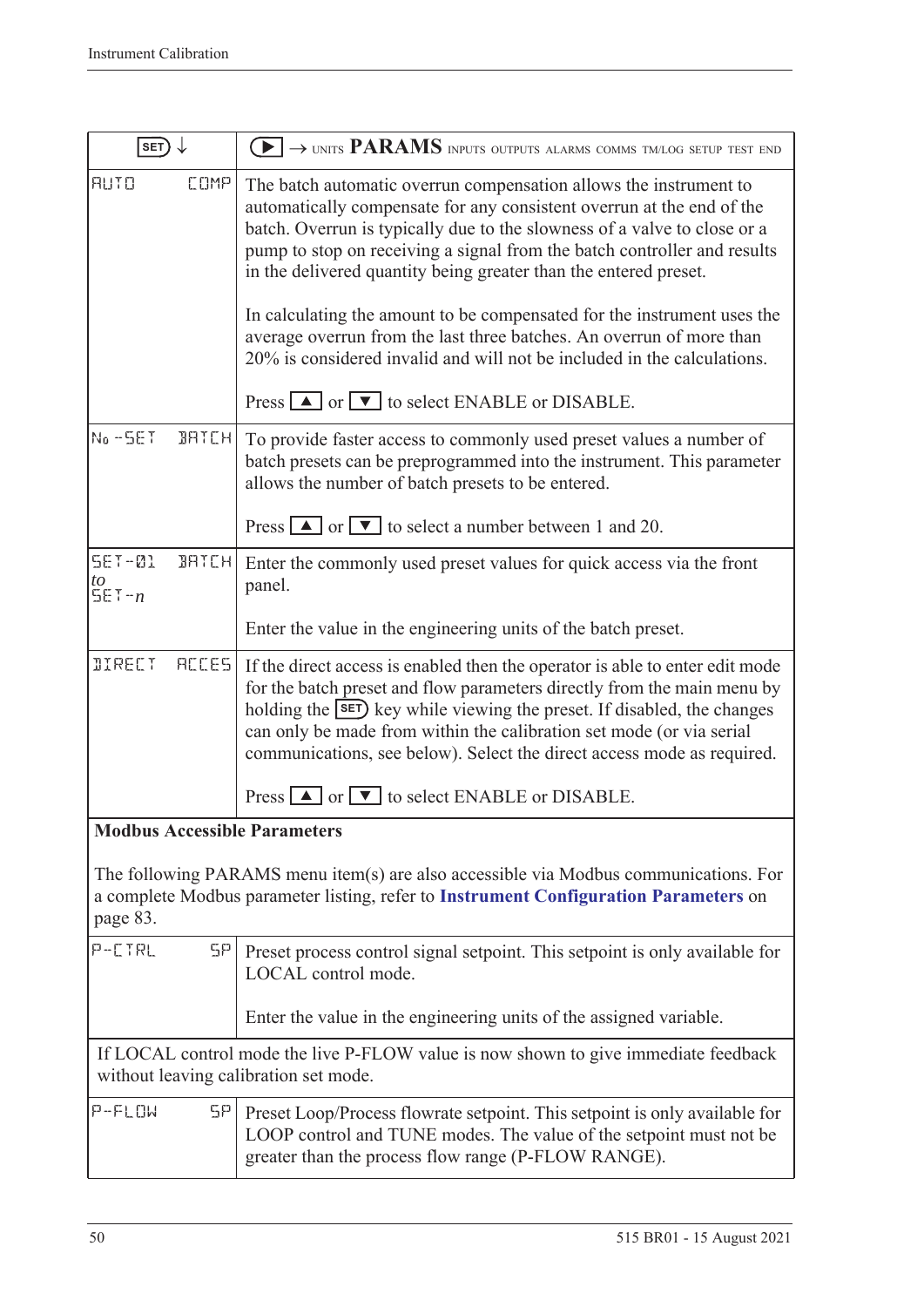| SET)                                             | $\blacktriangleright$ $\rightarrow$ units PARAMS inputs outputs alarms comms tm/log setup test end                                                                                                                                                                                                                                                                                         |  |
|--------------------------------------------------|--------------------------------------------------------------------------------------------------------------------------------------------------------------------------------------------------------------------------------------------------------------------------------------------------------------------------------------------------------------------------------------------|--|
| <b>RUTO</b><br><b>COMP</b>                       | The batch automatic overrun compensation allows the instrument to<br>automatically compensate for any consistent overrun at the end of the<br>batch. Overrun is typically due to the slowness of a valve to close or a<br>pump to stop on receiving a signal from the batch controller and results<br>in the delivered quantity being greater than the entered preset.                     |  |
|                                                  | In calculating the amount to be compensated for the instrument uses the<br>average overrun from the last three batches. An overrun of more than<br>20% is considered invalid and will not be included in the calculations.                                                                                                                                                                 |  |
|                                                  | Press $\Box$ or $\nabla$ to select ENABLE or DISABLE.                                                                                                                                                                                                                                                                                                                                      |  |
| $No - SET$<br><b>BRTCH</b>                       | To provide faster access to commonly used preset values a number of<br>batch presets can be preprogrammed into the instrument. This parameter<br>allows the number of batch presets to be entered.                                                                                                                                                                                         |  |
|                                                  | Press $\Box$ or $\Box$ to select a number between 1 and 20.                                                                                                                                                                                                                                                                                                                                |  |
| <b>SET-01</b><br><b>BRTCH</b><br>to<br>$5ET - n$ | Enter the commonly used preset values for quick access via the front<br>panel.                                                                                                                                                                                                                                                                                                             |  |
|                                                  | Enter the value in the engineering units of the batch preset.                                                                                                                                                                                                                                                                                                                              |  |
| <b>IIRECT</b><br><b>ACCES</b>                    | If the direct access is enabled then the operator is able to enter edit mode<br>for the batch preset and flow parameters directly from the main menu by<br>holding the <b>SET</b> key while viewing the preset. If disabled, the changes<br>can only be made from within the calibration set mode (or via serial<br>communications, see below). Select the direct access mode as required. |  |
|                                                  | Press $\boxed{\blacktriangle}$ or $\boxed{\blacktriangledown}$ to select ENABLE or DISABLE.                                                                                                                                                                                                                                                                                                |  |
| <b>Modbus Accessible Parameters</b>              |                                                                                                                                                                                                                                                                                                                                                                                            |  |
| page 83.                                         | The following PARAMS menu item(s) are also accessible via Modbus communications. For<br>a complete Modbus parameter listing, refer to Instrument Configuration Parameters on                                                                                                                                                                                                               |  |
| P-ETRL<br>5P I                                   | Preset process control signal setpoint. This setpoint is only available for<br>LOCAL control mode.                                                                                                                                                                                                                                                                                         |  |
|                                                  | Enter the value in the engineering units of the assigned variable.                                                                                                                                                                                                                                                                                                                         |  |
| without leaving calibration set mode.            | If LOCAL control mode the live P-FLOW value is now shown to give immediate feedback                                                                                                                                                                                                                                                                                                        |  |
| P-FLOW<br>5P                                     | Preset Loop/Process flowrate setpoint. This setpoint is only available for<br>LOOP control and TUNE modes. The value of the setpoint must not be<br>greater than the process flow range (P-FLOW RANGE).                                                                                                                                                                                    |  |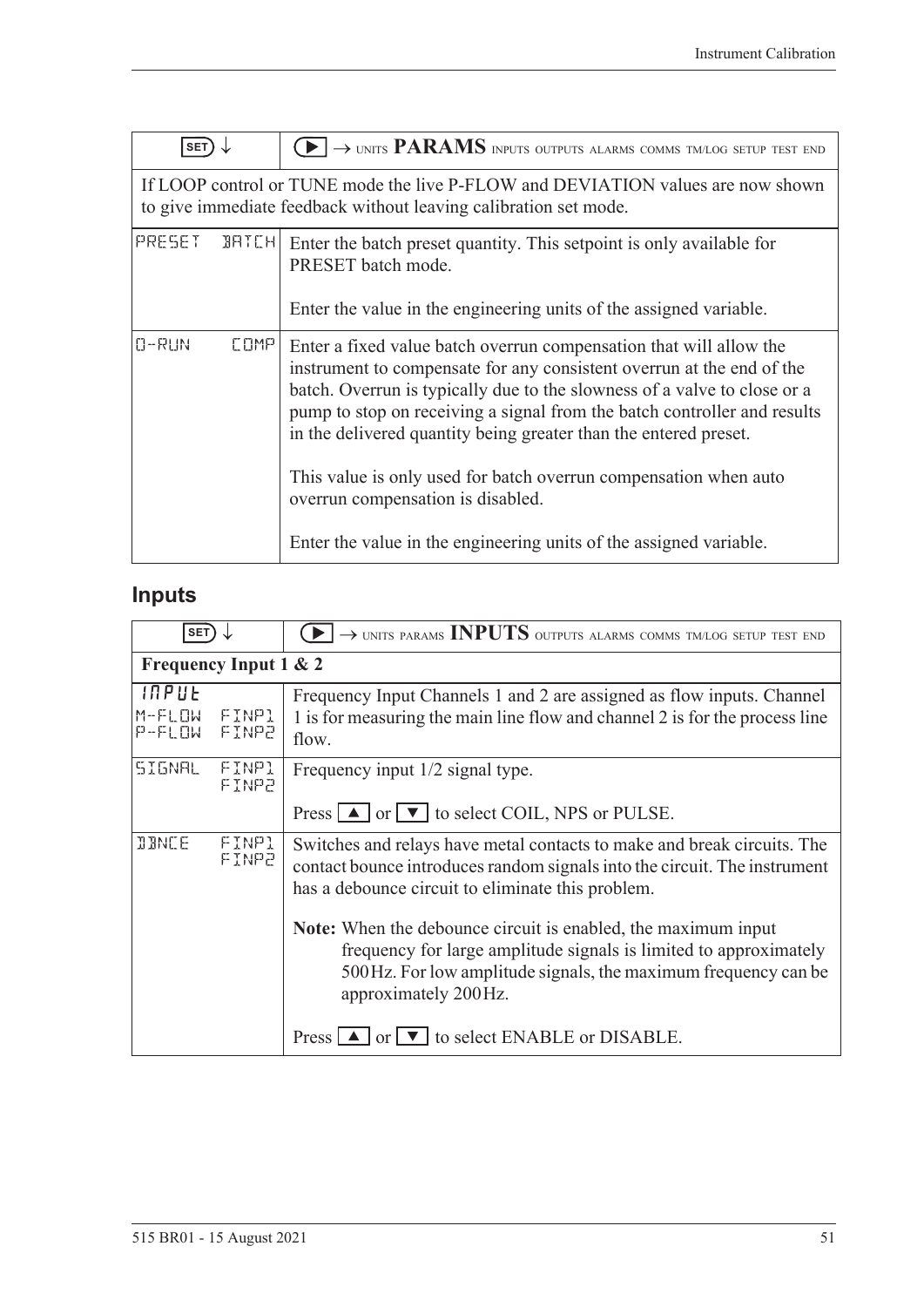| <b>SET</b>                                                                                                                                          | $\rightarrow$ units <b>PARAMS</b> inputs outputs alarms comms tm/log setup test end                                                                                                                                                                                                                                                                                                                                                                                                                                                                    |
|-----------------------------------------------------------------------------------------------------------------------------------------------------|--------------------------------------------------------------------------------------------------------------------------------------------------------------------------------------------------------------------------------------------------------------------------------------------------------------------------------------------------------------------------------------------------------------------------------------------------------------------------------------------------------------------------------------------------------|
| If LOOP control or TUNE mode the live P-FLOW and DEVIATION values are now shown<br>to give immediate feedback without leaving calibration set mode. |                                                                                                                                                                                                                                                                                                                                                                                                                                                                                                                                                        |
| PRESET<br><b>BRICH</b>                                                                                                                              | Enter the batch preset quantity. This setpoint is only available for<br>PRESET batch mode.<br>Enter the value in the engineering units of the assigned variable.                                                                                                                                                                                                                                                                                                                                                                                       |
| $D - R UN$<br>COMP                                                                                                                                  | Enter a fixed value batch overrun compensation that will allow the<br>instrument to compensate for any consistent overrun at the end of the<br>batch. Overrun is typically due to the slowness of a valve to close or a<br>pump to stop on receiving a signal from the batch controller and results<br>in the delivered quantity being greater than the entered preset.<br>This value is only used for batch overrun compensation when auto<br>overrun compensation is disabled.<br>Enter the value in the engineering units of the assigned variable. |

## **Inputs**

| <b>SET</b>                             |                       | $\rightarrow$ units params INPUTS outputs alarms comms tm/log setup test end                                                                                                                                                                                                      |  |
|----------------------------------------|-----------------------|-----------------------------------------------------------------------------------------------------------------------------------------------------------------------------------------------------------------------------------------------------------------------------------|--|
|                                        | Frequency Input 1 & 2 |                                                                                                                                                                                                                                                                                   |  |
| <b>TAPUE</b><br>M-FLOW<br>P-FLOW FINP2 | FINPl                 | Frequency Input Channels 1 and 2 are assigned as flow inputs. Channel<br>1 is for measuring the main line flow and channel 2 is for the process line<br>flow.                                                                                                                     |  |
| <b>SIGNAL</b>                          | FINP1<br>FINP2        | Frequency input $1/2$ signal type.<br>Press $\Box$ or $\nabla$ to select COIL, NPS or PULSE.                                                                                                                                                                                      |  |
| <b>JANCE</b>                           | FINP1<br>FINP2        | Switches and relays have metal contacts to make and break circuits. The<br>contact bounce introduces random signals into the circuit. The instrument<br>has a debounce circuit to eliminate this problem.<br><b>Note:</b> When the debounce circuit is enabled, the maximum input |  |
|                                        |                       | frequency for large amplitude signals is limited to approximately<br>500 Hz. For low amplitude signals, the maximum frequency can be<br>approximately 200Hz.<br>Press $\Box$ or $\nabla$ to select ENABLE or DISABLE.                                                             |  |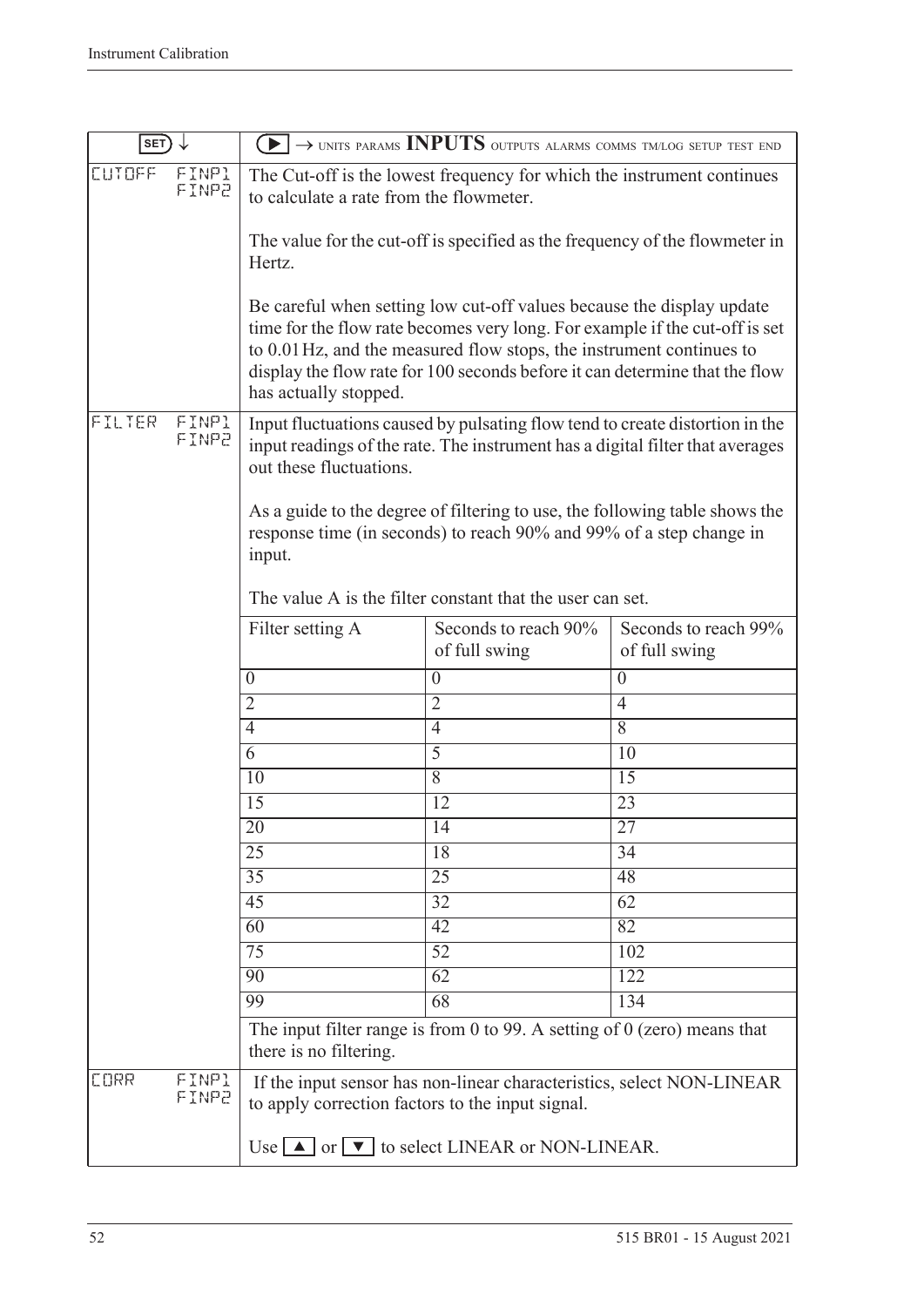| SET)          |                |                                                  | $\blacktriangleright$ $\rightarrow$ units params INPUTS outputs alarms comms tm/log setup test end                                                                                                                                                                                                          |                                       |
|---------------|----------------|--------------------------------------------------|-------------------------------------------------------------------------------------------------------------------------------------------------------------------------------------------------------------------------------------------------------------------------------------------------------------|---------------------------------------|
| <b>CUTOFF</b> | FINP1<br>FINP2 | to calculate a rate from the flowmeter.          | The Cut-off is the lowest frequency for which the instrument continues                                                                                                                                                                                                                                      |                                       |
|               |                | Hertz.                                           | The value for the cut-off is specified as the frequency of the flowmeter in                                                                                                                                                                                                                                 |                                       |
|               |                | has actually stopped.                            | Be careful when setting low cut-off values because the display update<br>time for the flow rate becomes very long. For example if the cut-off is set<br>to 0.01 Hz, and the measured flow stops, the instrument continues to<br>display the flow rate for 100 seconds before it can determine that the flow |                                       |
| FILTER        | FINP1<br>FINP2 | out these fluctuations.                          | Input fluctuations caused by pulsating flow tend to create distortion in the<br>input readings of the rate. The instrument has a digital filter that averages                                                                                                                                               |                                       |
|               |                | input.                                           | As a guide to the degree of filtering to use, the following table shows the<br>response time (in seconds) to reach 90% and 99% of a step change in                                                                                                                                                          |                                       |
|               |                |                                                  | The value A is the filter constant that the user can set.                                                                                                                                                                                                                                                   |                                       |
|               |                | Filter setting A                                 | Seconds to reach 90%<br>of full swing                                                                                                                                                                                                                                                                       | Seconds to reach 99%<br>of full swing |
|               |                | $\boldsymbol{0}$                                 | $\boldsymbol{0}$                                                                                                                                                                                                                                                                                            | $\boldsymbol{0}$                      |
|               |                | $\overline{2}$                                   | $\overline{2}$                                                                                                                                                                                                                                                                                              | $\overline{4}$                        |
|               |                | 4                                                | $\overline{4}$                                                                                                                                                                                                                                                                                              | 8                                     |
|               |                | 6                                                | $\overline{5}$                                                                                                                                                                                                                                                                                              | 10                                    |
|               |                | 10                                               | $\overline{8}$                                                                                                                                                                                                                                                                                              | 15                                    |
|               |                | 15                                               | 12                                                                                                                                                                                                                                                                                                          | 23                                    |
|               |                | 20                                               | 14                                                                                                                                                                                                                                                                                                          | 27                                    |
|               |                | $\overline{25}$                                  | 18                                                                                                                                                                                                                                                                                                          | 34                                    |
|               |                | 35                                               | $\overline{25}$                                                                                                                                                                                                                                                                                             | 48                                    |
|               |                | $\overline{45}$                                  | 32                                                                                                                                                                                                                                                                                                          | 62                                    |
|               |                | $\overline{60}$                                  | $\overline{42}$                                                                                                                                                                                                                                                                                             | 82                                    |
|               |                | $\overline{75}$                                  | $\overline{52}$                                                                                                                                                                                                                                                                                             | 102                                   |
|               |                | 90                                               | 62                                                                                                                                                                                                                                                                                                          | 122                                   |
|               |                | 99                                               | $\overline{68}$                                                                                                                                                                                                                                                                                             | 134                                   |
|               |                | there is no filtering.                           | The input filter range is from 0 to 99. A setting of $0$ (zero) means that                                                                                                                                                                                                                                  |                                       |
| <b>CORR</b>   | FINP1<br>FINP2 | to apply correction factors to the input signal. | If the input sensor has non-linear characteristics, select NON-LINEAR                                                                                                                                                                                                                                       |                                       |
|               |                |                                                  | Use $\Box$ or $\Box$ to select LINEAR or NON-LINEAR.                                                                                                                                                                                                                                                        |                                       |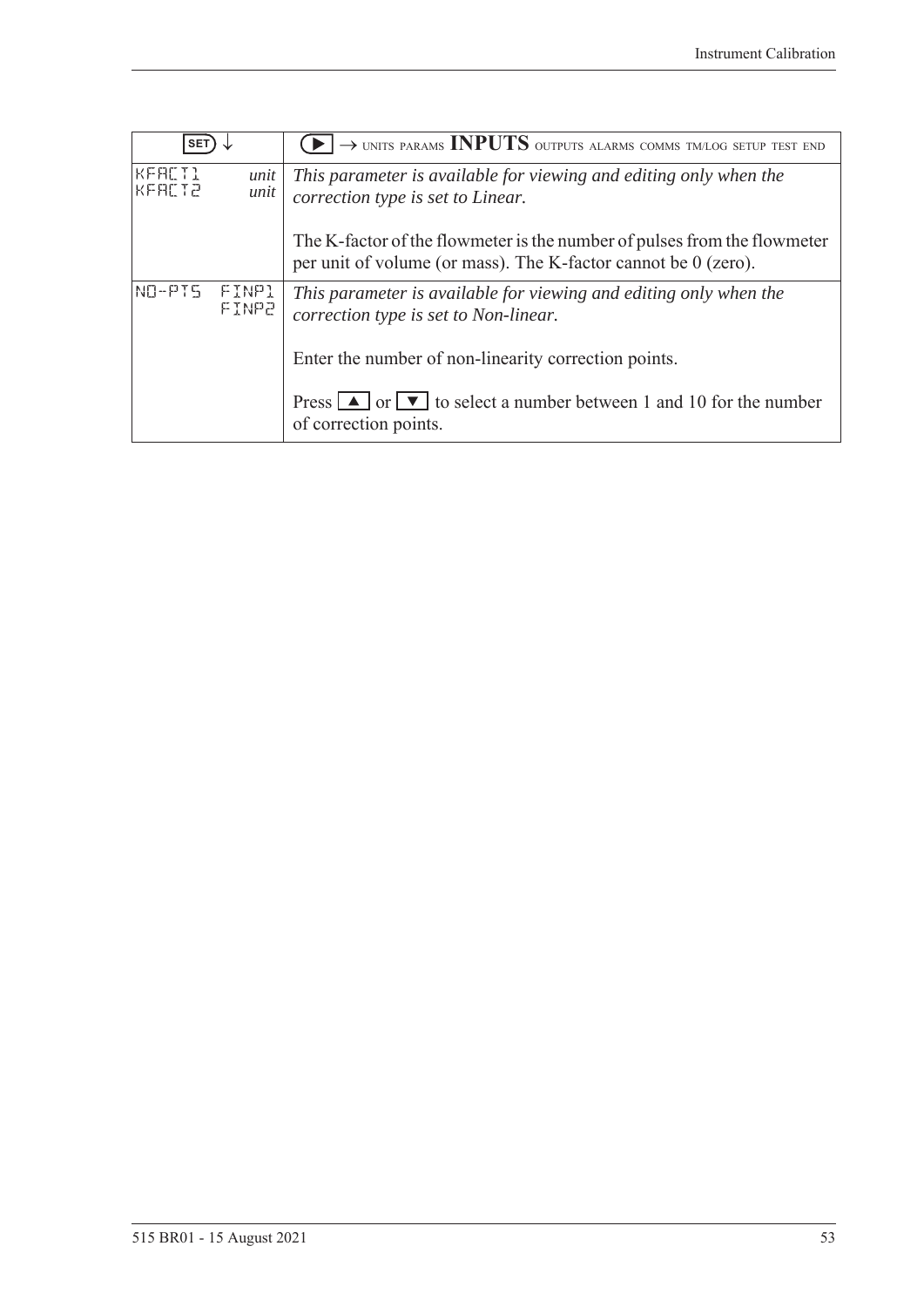| <b>SET</b>       |                | $\rightarrow$ UNITS PARAMS INPUTS OUTPUTS ALARMS COMMS TM/LOG SETUP TEST END                                                               |  |
|------------------|----------------|--------------------------------------------------------------------------------------------------------------------------------------------|--|
| KFADI1<br>KFADIZ | unit<br>unit   | This parameter is available for viewing and editing only when the<br>correction type is set to Linear.                                     |  |
|                  |                | The K-factor of the flowmeter is the number of pulses from the flowmeter<br>per unit of volume (or mass). The K-factor cannot be 0 (zero). |  |
| NO-PIS           | FINP1<br>FINP2 | This parameter is available for viewing and editing only when the<br>correction type is set to Non-linear.                                 |  |
|                  |                | Enter the number of non-linearity correction points.                                                                                       |  |
|                  |                | Press $\boxed{\blacktriangle}$ or $\boxed{\blacktriangledown}$ to select a number between 1 and 10 for the number<br>of correction points. |  |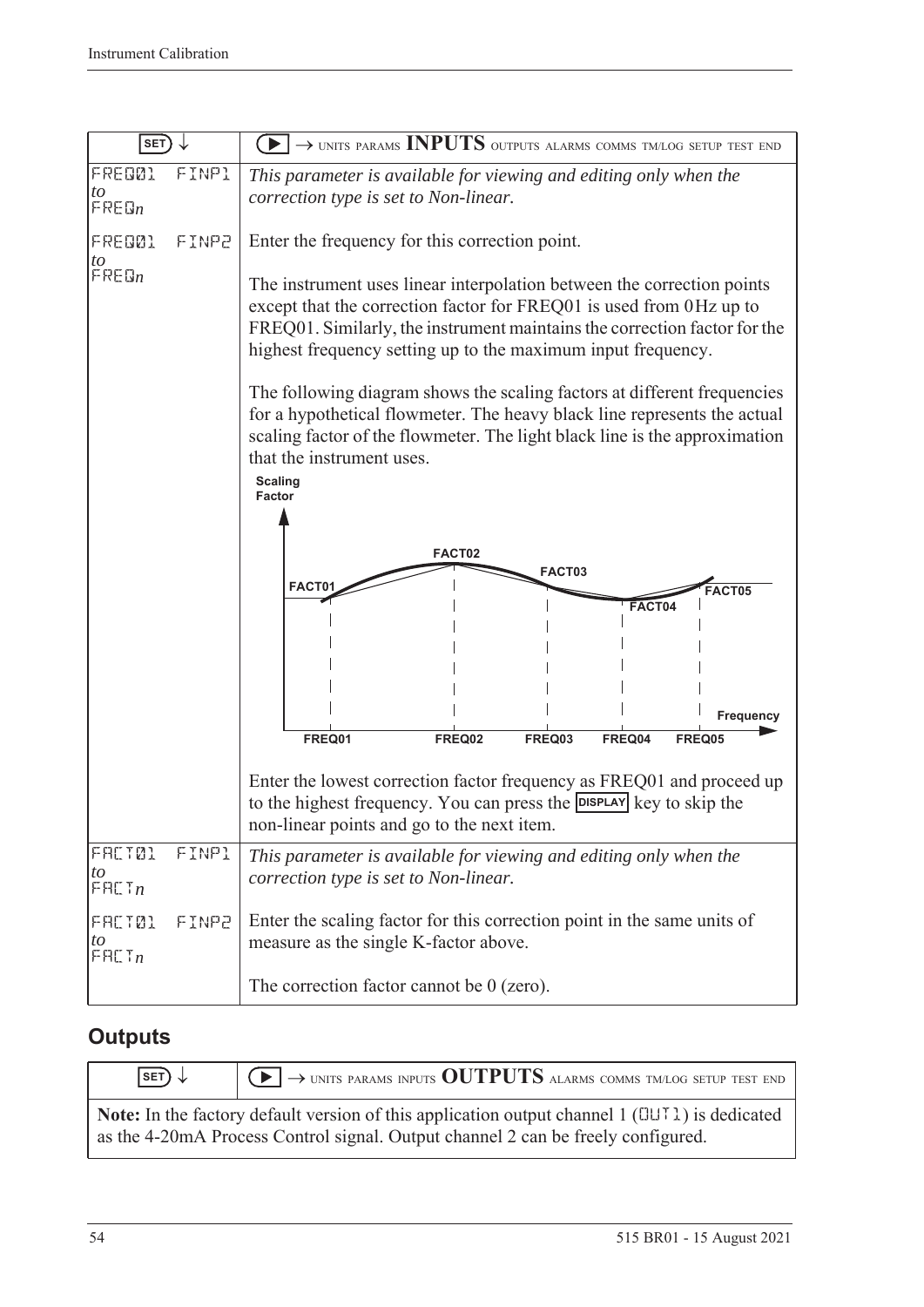| <b>SET</b>                            |       | $\rightarrow$ UNITS PARAMS INPUTS OUTPUTS ALARMS COMMS TM/LOG SETUP TEST END                                                                                                                                                                                                               |  |
|---------------------------------------|-------|--------------------------------------------------------------------------------------------------------------------------------------------------------------------------------------------------------------------------------------------------------------------------------------------|--|
| FREQ01<br>to<br>$F$ RE $\mathbb{G}_n$ | FINP1 | This parameter is available for viewing and editing only when the<br>correction type is set to Non-linear.                                                                                                                                                                                 |  |
| FREQ01<br>to                          | FINP2 | Enter the frequency for this correction point.                                                                                                                                                                                                                                             |  |
| $F$ RE $\mathbb{G}_n$                 |       | The instrument uses linear interpolation between the correction points<br>except that the correction factor for FREQ01 is used from 0Hz up to<br>FREQ01. Similarly, the instrument maintains the correction factor for the<br>highest frequency setting up to the maximum input frequency. |  |
|                                       |       | The following diagram shows the scaling factors at different frequencies<br>for a hypothetical flowmeter. The heavy black line represents the actual<br>scaling factor of the flowmeter. The light black line is the approximation<br>that the instrument uses.                            |  |
|                                       |       | <b>Scaling</b><br><b>Factor</b>                                                                                                                                                                                                                                                            |  |
|                                       |       | FACT02<br>FACT03                                                                                                                                                                                                                                                                           |  |
|                                       |       | FACT01<br>FACT05<br>FACT04                                                                                                                                                                                                                                                                 |  |
|                                       |       | <b>Frequency</b>                                                                                                                                                                                                                                                                           |  |
|                                       |       | FREQ01<br>FREQ02<br>FREQ03<br>FREQ04<br>FREQ05<br>Enter the lowest correction factor frequency as FREQ01 and proceed up<br>to the highest frequency. You can press the <b>DISPLAY</b> key to skip the<br>non-linear points and go to the next item.                                        |  |
| FACT01<br>to<br>F H E T n             | FINP1 | This parameter is available for viewing and editing only when the<br>correction type is set to Non-linear.                                                                                                                                                                                 |  |
| <b>FACT01</b><br>to<br>F H L T n      | FINP2 | Enter the scaling factor for this correction point in the same units of<br>measure as the single K-factor above.                                                                                                                                                                           |  |
|                                       |       | The correction factor cannot be $0$ (zero).                                                                                                                                                                                                                                                |  |

## **Outputs**

| $\boxed{\text{SET}}$ | $ \Theta\rangle \rightarrow$ units params inputs $\text{OUTPUTS}$ alarms comms tm/log setup test end                                                                              |
|----------------------|-----------------------------------------------------------------------------------------------------------------------------------------------------------------------------------|
|                      | Note: In the factory default version of this application output channel 1 (CUT1) is dedicated<br>as the 4-20mA Process Control signal. Output channel 2 can be freely configured. |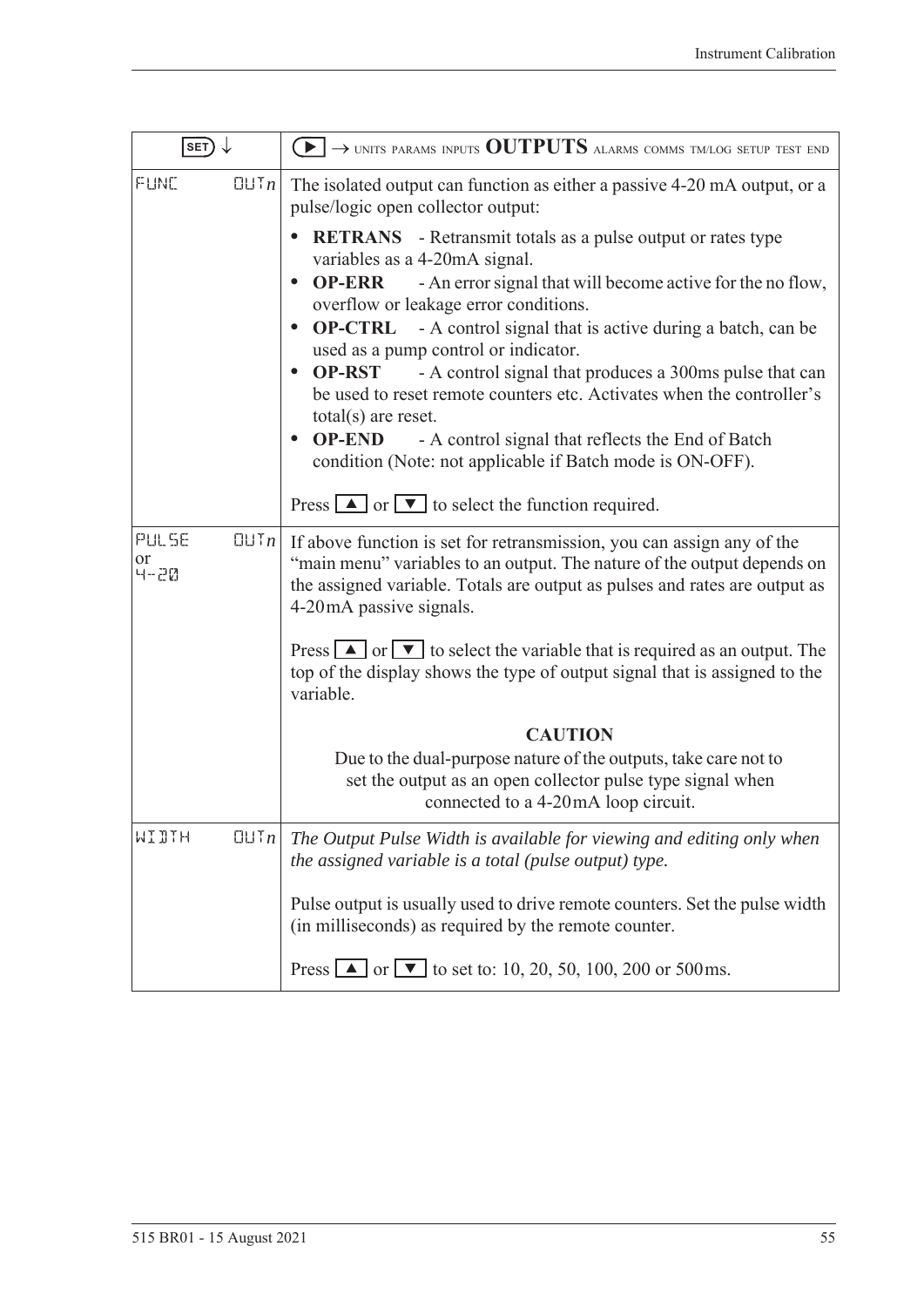| SET)                                            | $\blacktriangleright$ $\rightarrow$ units params inputs $\text{OUTPUTS}$ alarms comms tm/log setup test end                                                                                                                                                                                                                                                                                                                                                                                                                                                                                                                                                                                                                                          |
|-------------------------------------------------|------------------------------------------------------------------------------------------------------------------------------------------------------------------------------------------------------------------------------------------------------------------------------------------------------------------------------------------------------------------------------------------------------------------------------------------------------------------------------------------------------------------------------------------------------------------------------------------------------------------------------------------------------------------------------------------------------------------------------------------------------|
| $\Box$ $\Box$ $\Box$ $n$<br>FUNE                | The isolated output can function as either a passive 4-20 mA output, or a<br>pulse/logic open collector output:                                                                                                                                                                                                                                                                                                                                                                                                                                                                                                                                                                                                                                      |
|                                                 | <b>RETRANS</b> - Retransmit totals as a pulse output or rates type<br>variables as a 4-20mA signal.<br><b>OP-ERR</b><br>- An error signal that will become active for the no flow,<br>$\bullet$<br>overflow or leakage error conditions.<br><b>OP-CTRL</b> - A control signal that is active during a batch, can be<br>used as a pump control or indicator.<br><b>OP-RST</b><br>- A control signal that produces a 300ms pulse that can<br>$\bullet$<br>be used to reset remote counters etc. Activates when the controller's<br>$total(s)$ are reset.<br><b>OP-END</b><br>- A control signal that reflects the End of Batch<br>condition (Note: not applicable if Batch mode is ON-OFF).<br>Press $\Box$ or $\Box$ to select the function required. |
| PULSE<br>$\Box$ $\Box$ $\Box$ $n$<br>or<br>4-20 | If above function is set for retransmission, you can assign any of the<br>"main menu" variables to an output. The nature of the output depends on<br>the assigned variable. Totals are output as pulses and rates are output as<br>4-20 mA passive signals.                                                                                                                                                                                                                                                                                                                                                                                                                                                                                          |
|                                                 | Press $\Box$ or $\nabla$ to select the variable that is required as an output. The<br>top of the display shows the type of output signal that is assigned to the<br>variable.                                                                                                                                                                                                                                                                                                                                                                                                                                                                                                                                                                        |
|                                                 | <b>CAUTION</b><br>Due to the dual-purpose nature of the outputs, take care not to<br>set the output as an open collector pulse type signal when                                                                                                                                                                                                                                                                                                                                                                                                                                                                                                                                                                                                      |
|                                                 | connected to a 4-20mA loop circuit.                                                                                                                                                                                                                                                                                                                                                                                                                                                                                                                                                                                                                                                                                                                  |
| WIJIH<br>QUTn                                   | The Output Pulse Width is available for viewing and editing only when<br>the assigned variable is a total (pulse output) type.                                                                                                                                                                                                                                                                                                                                                                                                                                                                                                                                                                                                                       |
|                                                 | Pulse output is usually used to drive remote counters. Set the pulse width<br>(in milliseconds) as required by the remote counter.                                                                                                                                                                                                                                                                                                                                                                                                                                                                                                                                                                                                                   |
|                                                 | Press $\boxed{\triangle}$ or $\boxed{\triangledown}$ to set to: 10, 20, 50, 100, 200 or 500 ms.                                                                                                                                                                                                                                                                                                                                                                                                                                                                                                                                                                                                                                                      |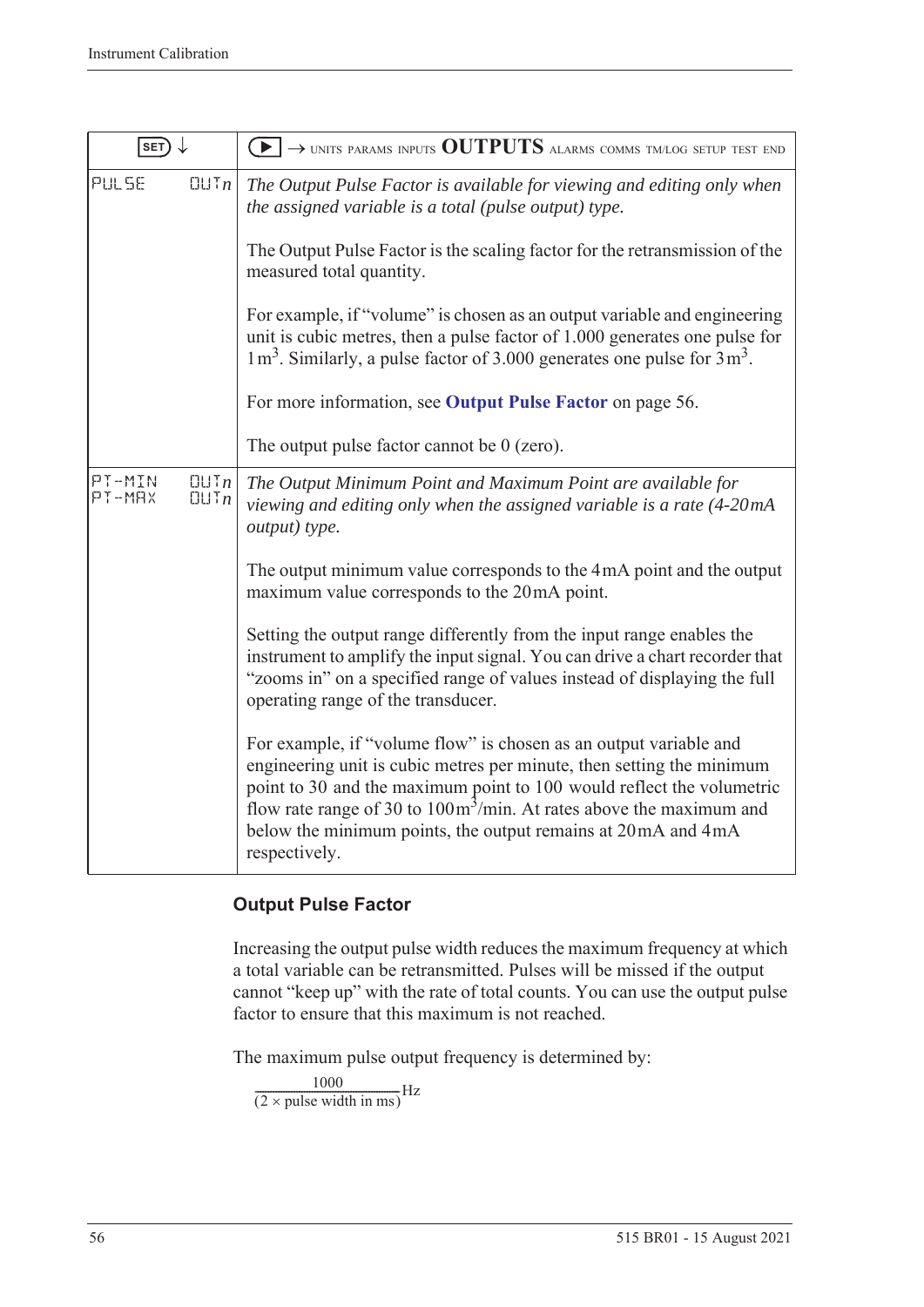| SET)             |                    | $\leftarrow$ $\rightarrow$ units params inputs OUTPUTS alarms comms tmlog setup test end                                                                                                                                                                                                                                                                                                        |
|------------------|--------------------|-------------------------------------------------------------------------------------------------------------------------------------------------------------------------------------------------------------------------------------------------------------------------------------------------------------------------------------------------------------------------------------------------|
| PULSE            | QUTn               | The Output Pulse Factor is available for viewing and editing only when<br>the assigned variable is a total (pulse output) type.                                                                                                                                                                                                                                                                 |
|                  |                    | The Output Pulse Factor is the scaling factor for the retransmission of the<br>measured total quantity.                                                                                                                                                                                                                                                                                         |
|                  |                    | For example, if "volume" is chosen as an output variable and engineering<br>unit is cubic metres, then a pulse factor of 1.000 generates one pulse for<br>$1 m3$ . Similarly, a pulse factor of 3.000 generates one pulse for $3 m3$ .                                                                                                                                                          |
|                  |                    | For more information, see Output Pulse Factor on page 56.                                                                                                                                                                                                                                                                                                                                       |
|                  |                    | The output pulse factor cannot be $0$ (zero).                                                                                                                                                                                                                                                                                                                                                   |
| PT-MIN<br>PT-MAX | $QU$ T $n$<br>QUTn | The Output Minimum Point and Maximum Point are available for<br>viewing and editing only when the assigned variable is a rate (4-20mA<br>output) type.                                                                                                                                                                                                                                          |
|                  |                    | The output minimum value corresponds to the 4mA point and the output<br>maximum value corresponds to the 20mA point.                                                                                                                                                                                                                                                                            |
|                  |                    | Setting the output range differently from the input range enables the<br>instrument to amplify the input signal. You can drive a chart recorder that<br>"zooms in" on a specified range of values instead of displaying the full<br>operating range of the transducer.                                                                                                                          |
|                  |                    | For example, if "volume flow" is chosen as an output variable and<br>engineering unit is cubic metres per minute, then setting the minimum<br>point to 30 and the maximum point to 100 would reflect the volumetric<br>flow rate range of 30 to $100 \text{m}^3/\text{min}$ . At rates above the maximum and<br>below the minimum points, the output remains at 20 mA and 4 mA<br>respectively. |

### <span id="page-65-0"></span>**Output Pulse Factor**

Increasing the output pulse width reduces the maximum frequency at which a total variable can be retransmitted. Pulses will be missed if the output cannot "keep up" with the rate of total counts. You can use the output pulse factor to ensure that this maximum is not reached.

The maximum pulse output frequency is determined by:

```
1000
\frac{1000}{(2 \times \text{pulse width in ms})}Hz
```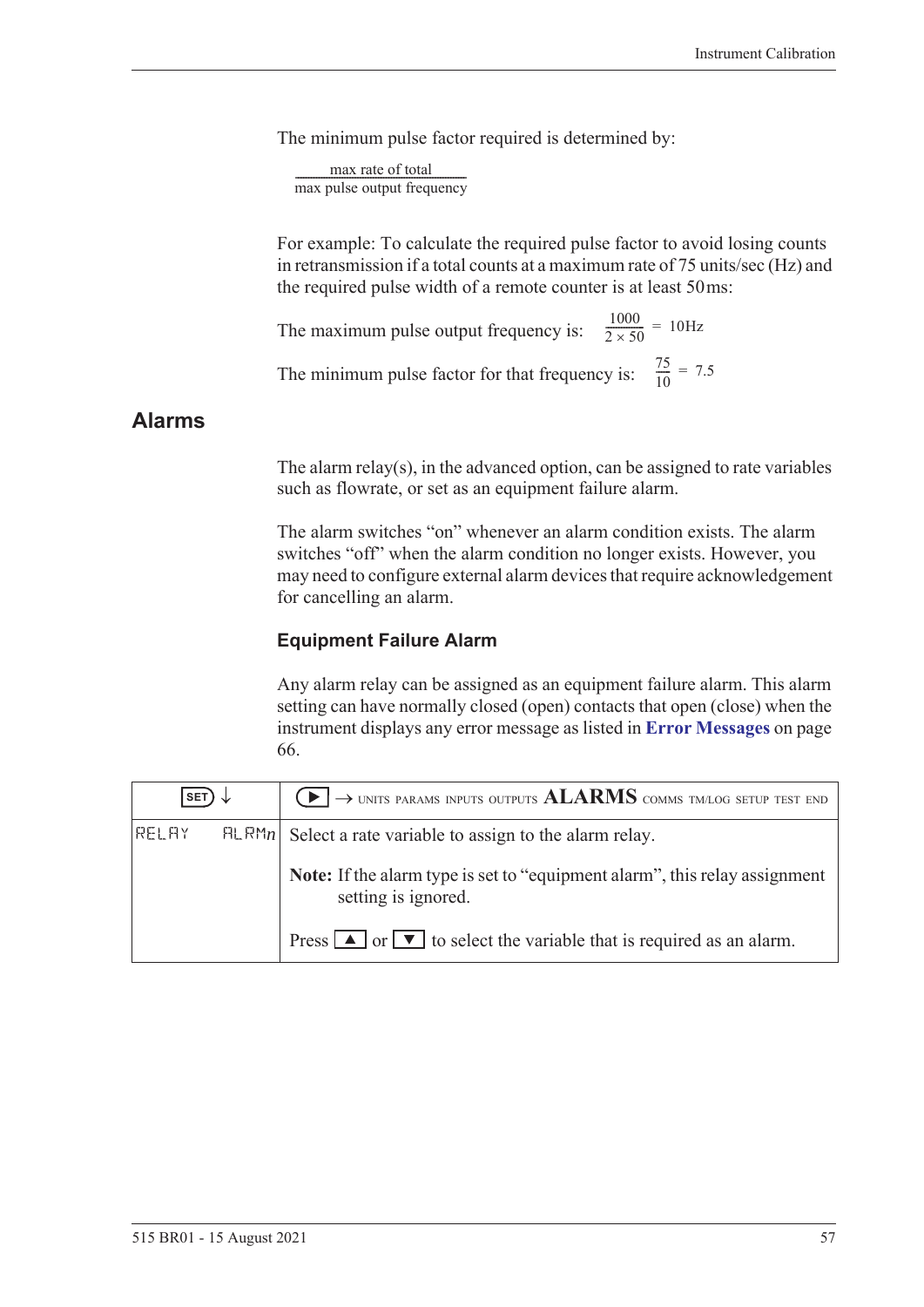The minimum pulse factor required is determined by:

max rate of total max pulse output frequency ------------------------------------------------------------------

For example: To calculate the required pulse factor to avoid losing counts in retransmission if a total counts at a maximum rate of 75 units/sec (Hz) and the required pulse width of a remote counter is at least 50 ms:

The maximum pulse output frequency is:  $\frac{1000}{2 \times 50}$  = 10Hz

The minimum pulse factor for that frequency is:  $\frac{75}{10}$  $\frac{73}{10}$  = 7.5

#### **Alarms**

The alarm relay(s), in the advanced option, can be assigned to rate variables such as flowrate, or set as an equipment failure alarm.

The alarm switches "on" whenever an alarm condition exists. The alarm switches "off" when the alarm condition no longer exists. However, you may need to configure external alarm devices that require acknowledgement for cancelling an alarm.

#### **Equipment Failure Alarm**

Any alarm relay can be assigned as an equipment failure alarm. This alarm setting can have normally closed (open) contacts that open (close) when the instrument displays any error message as listed in **[Error Messages](#page-75-1)** on page [66.](#page-75-1)

| SET) ↓ |  | $\left(\blacktriangleright\right)\rightarrow$ units params inputs outputs $ALARMS$ comms tm/log setup test end      |
|--------|--|---------------------------------------------------------------------------------------------------------------------|
| RELAY  |  | $\text{RLRM}_n$ Select a rate variable to assign to the alarm relay.                                                |
|        |  | Note: If the alarm type is set to "equipment alarm", this relay assignment<br>setting is ignored.                   |
|        |  | Press $\boxed{\blacktriangle}$ or $\boxed{\blacktriangledown}$ to select the variable that is required as an alarm. |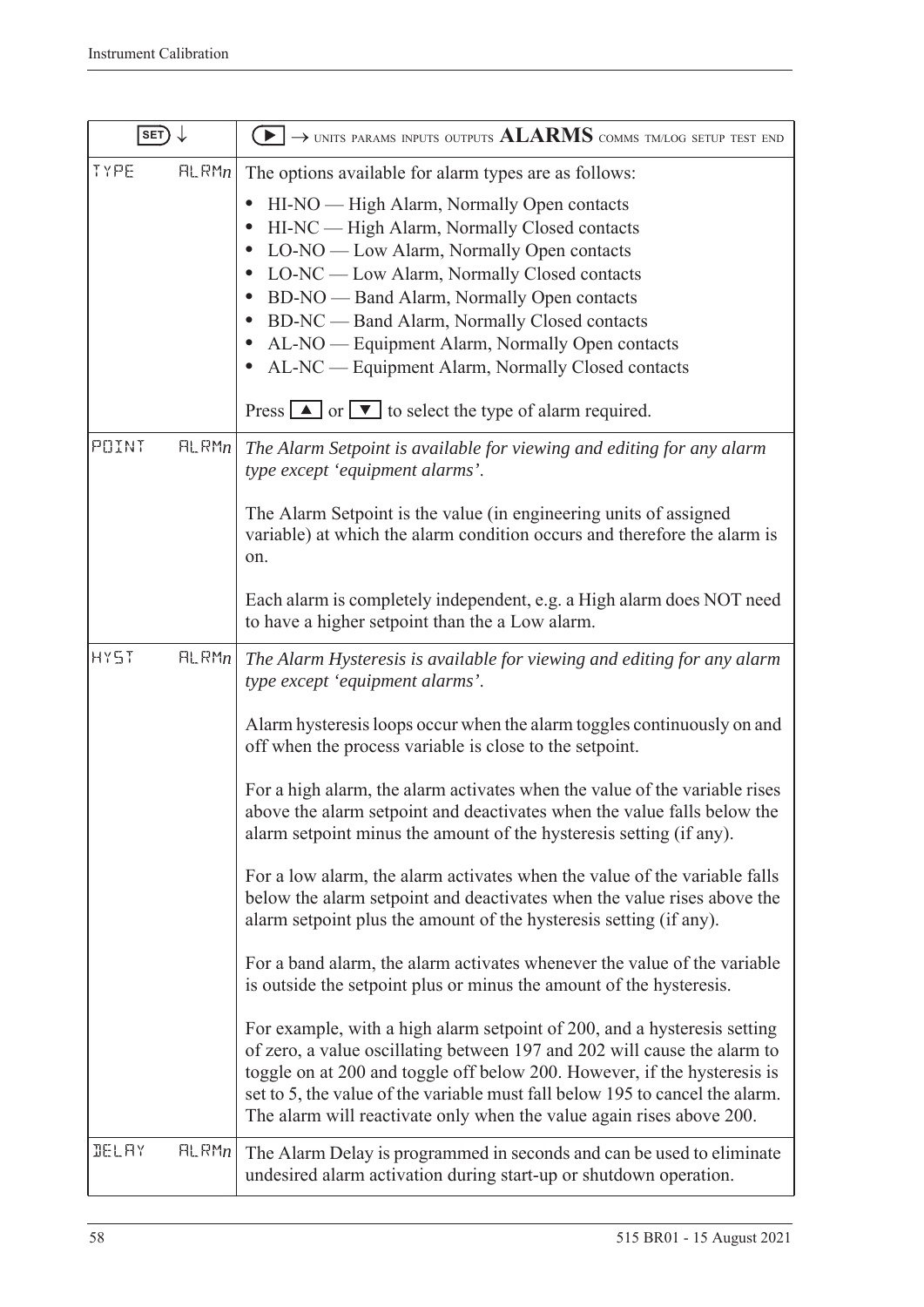| SET)                  | $\rightarrow$ units params inputs outputs $ALARMS$ comms tm/log setup test end<br>$\blacktriangleright$ 1                                                                                                                                                                                                                                                                                                                                     |
|-----------------------|-----------------------------------------------------------------------------------------------------------------------------------------------------------------------------------------------------------------------------------------------------------------------------------------------------------------------------------------------------------------------------------------------------------------------------------------------|
| TYPE<br>HLRMn         | The options available for alarm types are as follows:                                                                                                                                                                                                                                                                                                                                                                                         |
|                       | HI-NO — High Alarm, Normally Open contacts<br>$\bullet$<br>HI-NC — High Alarm, Normally Closed contacts<br>LO-NO — Low Alarm, Normally Open contacts<br>٠<br>LO-NC — Low Alarm, Normally Closed contacts<br>BD-NO — Band Alarm, Normally Open contacts<br>٠<br>BD-NC — Band Alarm, Normally Closed contacts<br>$\bullet$<br>AL-NO — Equipment Alarm, Normally Open contacts<br>$\bullet$<br>AL-NC — Equipment Alarm, Normally Closed contacts |
|                       | Press $\boxed{\blacktriangle}$ or $\boxed{\blacktriangledown}$ to select the type of alarm required.                                                                                                                                                                                                                                                                                                                                          |
| POINT<br>HLRMn        | The Alarm Setpoint is available for viewing and editing for any alarm<br>type except 'equipment alarms'.                                                                                                                                                                                                                                                                                                                                      |
|                       | The Alarm Setpoint is the value (in engineering units of assigned<br>variable) at which the alarm condition occurs and therefore the alarm is<br>on.                                                                                                                                                                                                                                                                                          |
|                       | Each alarm is completely independent, e.g. a High alarm does NOT need<br>to have a higher setpoint than the a Low alarm.                                                                                                                                                                                                                                                                                                                      |
| <b>HY5T</b><br>FLRMn  | The Alarm Hysteresis is available for viewing and editing for any alarm<br>type except 'equipment alarms'.                                                                                                                                                                                                                                                                                                                                    |
|                       | Alarm hysteresis loops occur when the alarm toggles continuously on and<br>off when the process variable is close to the setpoint.                                                                                                                                                                                                                                                                                                            |
|                       | For a high alarm, the alarm activates when the value of the variable rises<br>above the alarm setpoint and deactivates when the value falls below the<br>alarm setpoint minus the amount of the hysteresis setting (if any).                                                                                                                                                                                                                  |
|                       | For a low alarm, the alarm activates when the value of the variable falls<br>below the alarm setpoint and deactivates when the value rises above the<br>alarm setpoint plus the amount of the hysteresis setting (if any).                                                                                                                                                                                                                    |
|                       | For a band alarm, the alarm activates whenever the value of the variable<br>is outside the setpoint plus or minus the amount of the hysteresis.                                                                                                                                                                                                                                                                                               |
|                       | For example, with a high alarm setpoint of 200, and a hysteresis setting<br>of zero, a value oscillating between 197 and 202 will cause the alarm to<br>toggle on at 200 and toggle off below 200. However, if the hysteresis is<br>set to 5, the value of the variable must fall below 195 to cancel the alarm.<br>The alarm will reactivate only when the value again rises above 200.                                                      |
| <b>JELAY</b><br>HLRMn | The Alarm Delay is programmed in seconds and can be used to eliminate<br>undesired alarm activation during start-up or shutdown operation.                                                                                                                                                                                                                                                                                                    |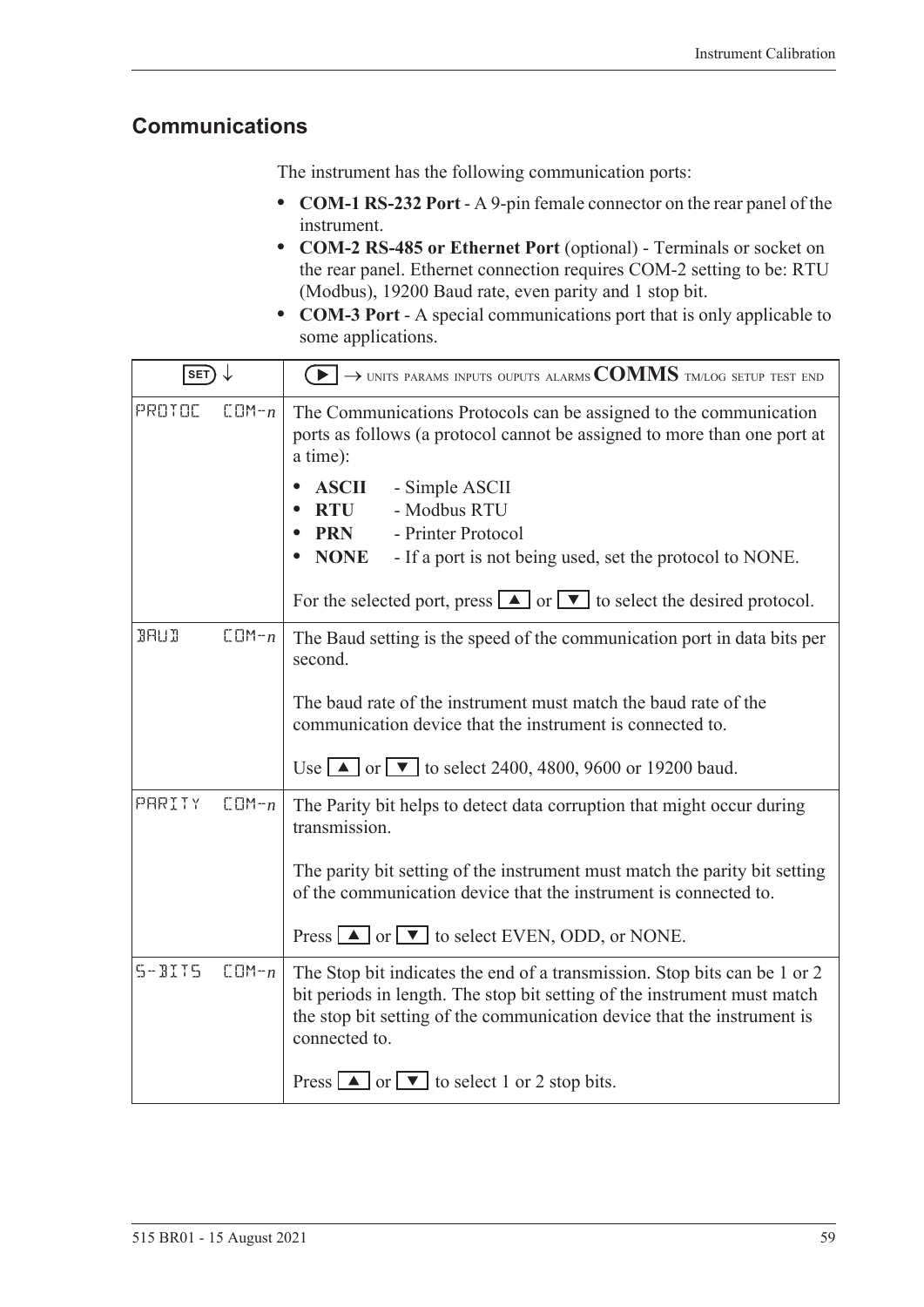## **Communications**

The instrument has the following communication ports:

- **• COM-1 RS-232 Port** A 9-pin female connector on the rear panel of the instrument.
- **• COM-2 RS-485 or Ethernet Port** (optional) Terminals or socket on the rear panel. Ethernet connection requires COM-2 setting to be: RTU (Modbus), 19200 Baud rate, even parity and 1 stop bit.
- **• COM-3 Port** A special communications port that is only applicable to some applications.

| SET)                     | $\blacktriangleright$ $\rightarrow$ units params inputs ouputs alarms COMMS tmlog setup test end                                                                                                                                                  |
|--------------------------|---------------------------------------------------------------------------------------------------------------------------------------------------------------------------------------------------------------------------------------------------|
| PROTOC<br>$CDM - n$      | The Communications Protocols can be assigned to the communication<br>ports as follows (a protocol cannot be assigned to more than one port at<br>a time):                                                                                         |
|                          | <b>ASCII</b><br>- Simple ASCII<br>- Modbus RTU<br><b>RTU</b>                                                                                                                                                                                      |
|                          | - Printer Protocol<br><b>PRN</b><br><b>NONE</b><br>- If a port is not being used, set the protocol to NONE.                                                                                                                                       |
|                          | For the selected port, press $\boxed{\blacktriangle}$ or $\boxed{\blacktriangledown}$ to select the desired protocol.                                                                                                                             |
| <b>BAUD</b><br>$CDM - n$ | The Baud setting is the speed of the communication port in data bits per<br>second.                                                                                                                                                               |
|                          | The baud rate of the instrument must match the baud rate of the<br>communication device that the instrument is connected to.                                                                                                                      |
|                          | Use <u>•</u> or • to select 2400, 4800, 9600 or 19200 baud.                                                                                                                                                                                       |
| PARITY<br>$CDM - n$      | The Parity bit helps to detect data corruption that might occur during<br>transmission.                                                                                                                                                           |
|                          | The parity bit setting of the instrument must match the parity bit setting<br>of the communication device that the instrument is connected to.                                                                                                    |
|                          | Press $\Box$ or $\nabla$ to select EVEN, ODD, or NONE.                                                                                                                                                                                            |
| $5 - B1T5$<br>$CDM - n$  | The Stop bit indicates the end of a transmission. Stop bits can be 1 or 2<br>bit periods in length. The stop bit setting of the instrument must match<br>the stop bit setting of the communication device that the instrument is<br>connected to. |
|                          | Press $\boxed{\blacktriangle}$ or $\boxed{\blacktriangledown}$ to select 1 or 2 stop bits.                                                                                                                                                        |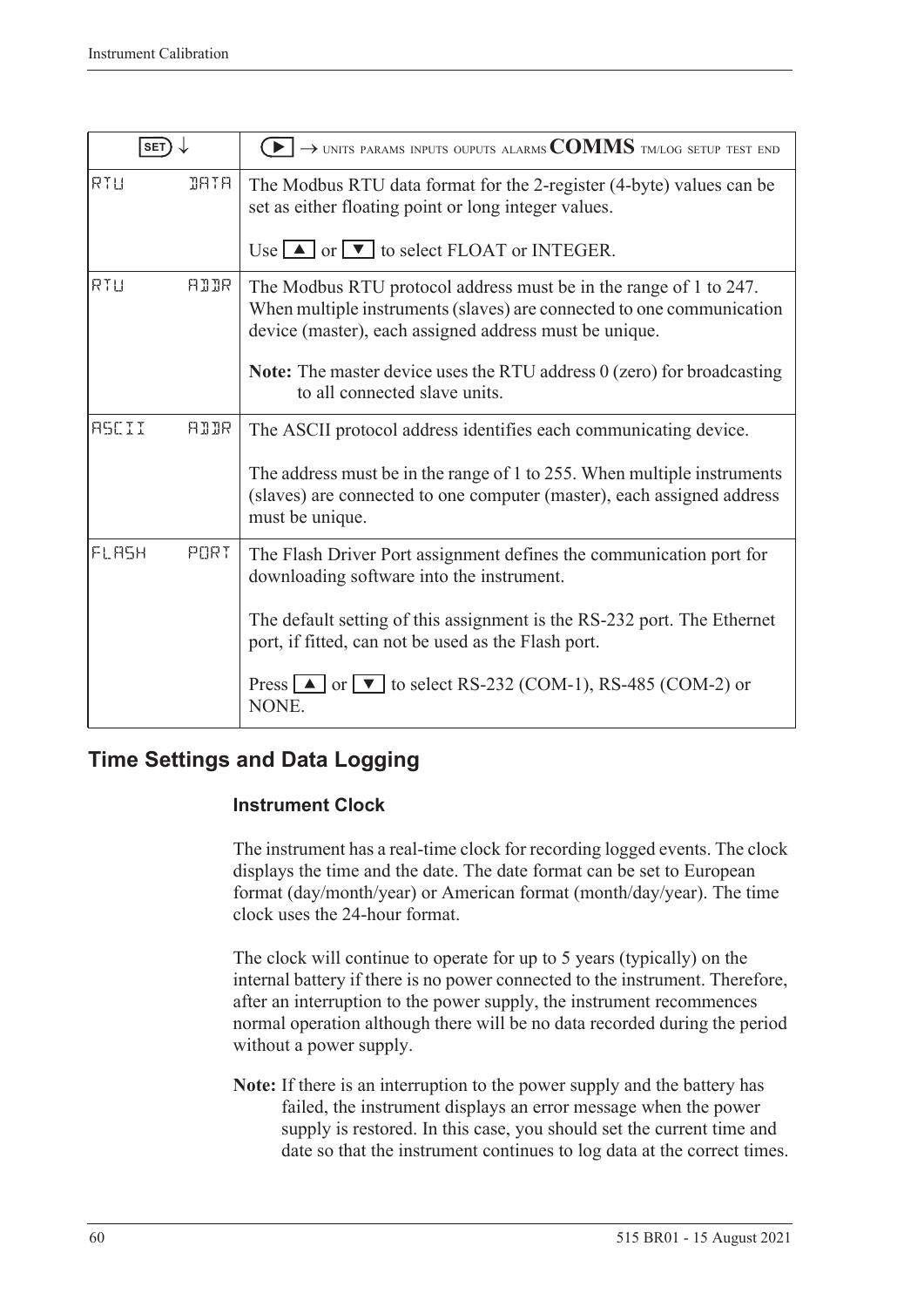| SET          |             | $\rightarrow$ units params inputs ouputs alarms $COMMS$ tm/log setup test end                                                                                                                        |
|--------------|-------------|------------------------------------------------------------------------------------------------------------------------------------------------------------------------------------------------------|
| RTU          | <b>IRTR</b> | The Modbus RTU data format for the 2-register (4-byte) values can be<br>set as either floating point or long integer values.                                                                         |
|              |             | Use $\Box$ or $\Box$ to select FLOAT or INTEGER.                                                                                                                                                     |
| RTU          | AIIR        | The Modbus RTU protocol address must be in the range of 1 to 247.<br>When multiple instruments (slaves) are connected to one communication<br>device (master), each assigned address must be unique. |
|              |             | <b>Note:</b> The master device uses the RTU address $0$ (zero) for broadcasting<br>to all connected slave units.                                                                                     |
| <b>RSCII</b> | <b>ATTR</b> | The ASCII protocol address identifies each communicating device.                                                                                                                                     |
|              |             | The address must be in the range of 1 to 255. When multiple instruments<br>(slaves) are connected to one computer (master), each assigned address<br>must be unique.                                 |
| FLASH        | PORT        | The Flash Driver Port assignment defines the communication port for<br>downloading software into the instrument.                                                                                     |
|              |             | The default setting of this assignment is the RS-232 port. The Ethernet<br>port, if fitted, can not be used as the Flash port.                                                                       |
|              |             | Press $\Box$ or $\nabla$ to select RS-232 (COM-1), RS-485 (COM-2) or<br>NONE.                                                                                                                        |

## **Time Settings and Data Logging**

### **Instrument Clock**

The instrument has a real-time clock for recording logged events. The clock displays the time and the date. The date format can be set to European format (day/month/year) or American format (month/day/year). The time clock uses the 24-hour format.

The clock will continue to operate for up to 5 years (typically) on the internal battery if there is no power connected to the instrument. Therefore, after an interruption to the power supply, the instrument recommences normal operation although there will be no data recorded during the period without a power supply.

**Note:** If there is an interruption to the power supply and the battery has failed, the instrument displays an error message when the power supply is restored. In this case, you should set the current time and date so that the instrument continues to log data at the correct times.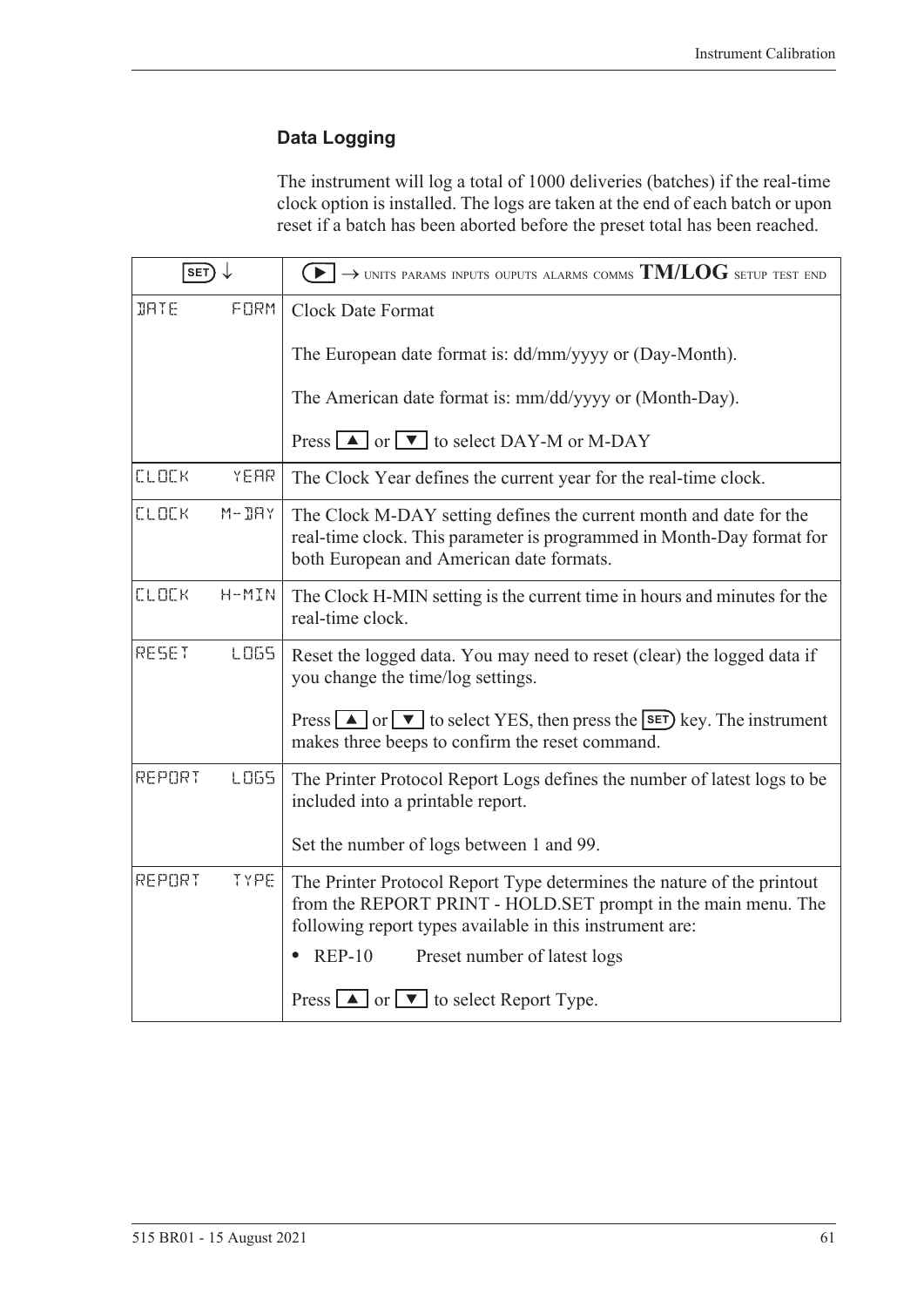### **Data Logging**

The instrument will log a total of 1000 deliveries (batches) if the real-time clock option is installed. The logs are taken at the end of each batch or upon reset if a batch has been aborted before the preset total has been reached.

| $s_{ET}$     |             | $\left\{ \blacktriangleright\right\}$ $\rightarrow$ units params inputs ouputs alarms comms $\text{T} \text{M/LOG}$ setup test end                                                                  |
|--------------|-------------|-----------------------------------------------------------------------------------------------------------------------------------------------------------------------------------------------------|
| <b>IRTE</b>  | FORM        | <b>Clock Date Format</b>                                                                                                                                                                            |
|              |             | The European date format is: dd/mm/yyyy or (Day-Month).                                                                                                                                             |
|              |             | The American date format is: mm/dd/yyyy or (Month-Day).                                                                                                                                             |
|              |             | Press $\boxed{\blacktriangle}$ or $\boxed{\blacktriangledown}$ to select DAY-M or M-DAY                                                                                                             |
| <b>CLOCK</b> | YEAR        | The Clock Year defines the current year for the real-time clock.                                                                                                                                    |
| <b>CLOCK</b> | $M - JHY$   | The Clock M-DAY setting defines the current month and date for the<br>real-time clock. This parameter is programmed in Month-Day format for<br>both European and American date formats.             |
| <b>CLOCK</b> | H-MIN       | The Clock H-MIN setting is the current time in hours and minutes for the<br>real-time clock.                                                                                                        |
| RESET        | <b>LOGS</b> | Reset the logged data. You may need to reset (clear) the logged data if<br>you change the time/log settings.                                                                                        |
|              |             | Press $\Box$ or $\nabla$ to select YES, then press the <b>SET</b> ) key. The instrument<br>makes three beeps to confirm the reset command.                                                          |
| REPORT       | LO65        | The Printer Protocol Report Logs defines the number of latest logs to be<br>included into a printable report.                                                                                       |
|              |             | Set the number of logs between 1 and 99.                                                                                                                                                            |
| REPORT       | TYPE        | The Printer Protocol Report Type determines the nature of the printout<br>from the REPORT PRINT - HOLD.SET prompt in the main menu. The<br>following report types available in this instrument are: |
|              |             | $REP-10$<br>Preset number of latest logs<br>$\bullet$                                                                                                                                               |
|              |             | Press $\boxed{\blacktriangle}$ or $\boxed{\blacktriangledown}$ to select Report Type.                                                                                                               |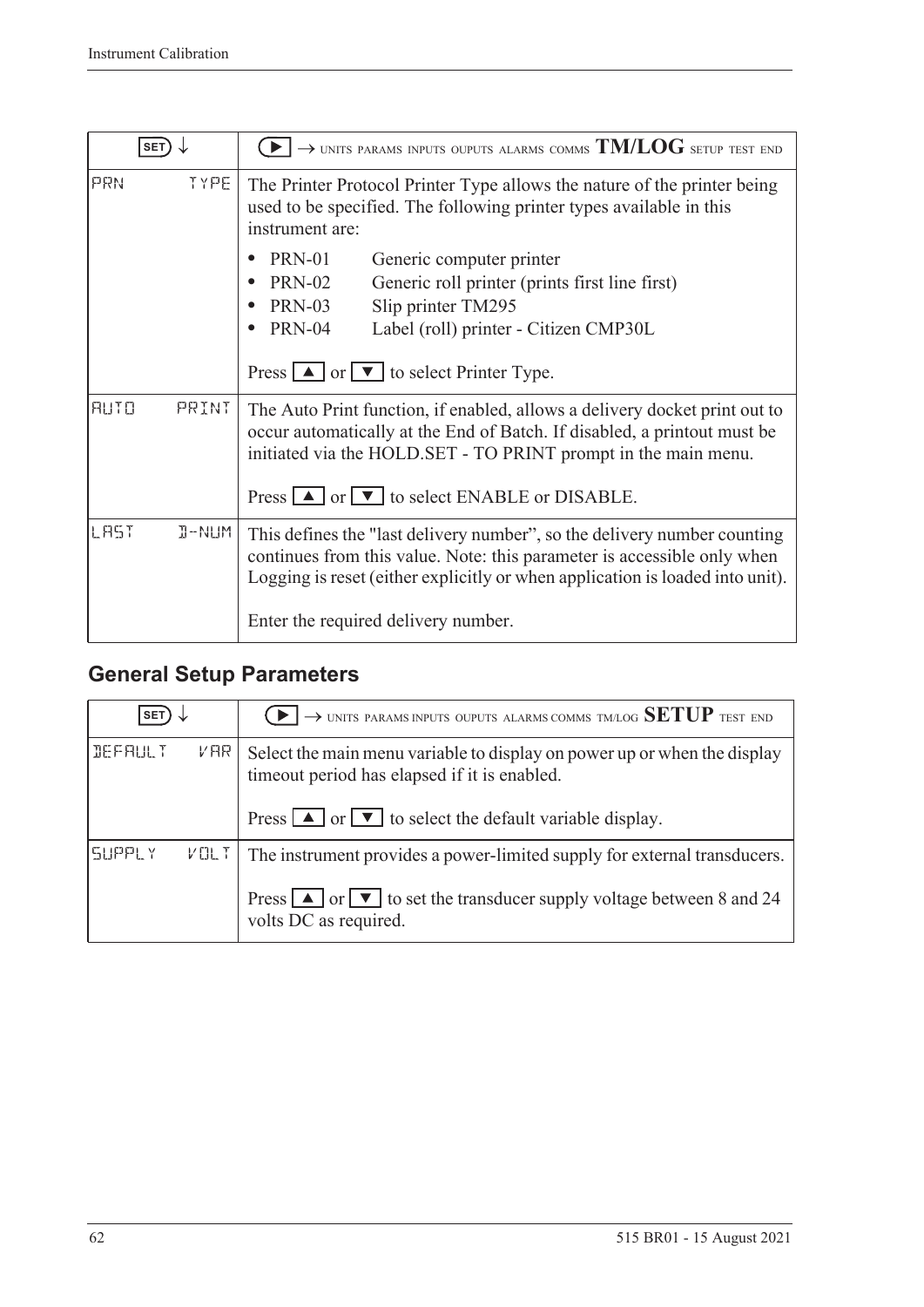| <b>SET</b>  |             | $\rightarrow$ units params inputs ouputs alarms comms $\mathrm{TM}/\mathrm{LOG}$ setup test end                                                                                                                                                                                                         |
|-------------|-------------|---------------------------------------------------------------------------------------------------------------------------------------------------------------------------------------------------------------------------------------------------------------------------------------------------------|
| PRN         | TYPE        | The Printer Protocol Printer Type allows the nature of the printer being<br>used to be specified. The following printer types available in this<br>instrument are:                                                                                                                                      |
|             |             | <b>PRN-01</b><br>Generic computer printer<br><b>PRN-02</b><br>Generic roll printer (prints first line first)<br><b>PRN-03</b><br>Slip printer TM295<br><b>PRN-04</b><br>Label (roll) printer - Citizen CMP30L<br>Press $\boxed{\blacktriangle}$ or $\boxed{\blacktriangledown}$ to select Printer Type. |
|             |             |                                                                                                                                                                                                                                                                                                         |
| <b>RUTO</b> | PRINT       | The Auto Print function, if enabled, allows a delivery docket print out to<br>occur automatically at the End of Batch. If disabled, a printout must be<br>initiated via the HOLD.SET - TO PRINT prompt in the main menu.<br>Press $\Box$ or $\nabla$ to select ENABLE or DISABLE.                       |
|             |             |                                                                                                                                                                                                                                                                                                         |
| LAST        | $I - N L M$ | This defines the "last delivery number", so the delivery number counting<br>continues from this value. Note: this parameter is accessible only when<br>Logging is reset (either explicitly or when application is loaded into unit).                                                                    |
|             |             | Enter the required delivery number.                                                                                                                                                                                                                                                                     |

## **General Setup Parameters**

| $ $ SET $) \downarrow$ |            | $\rightarrow$ units params inputs ouputs alarms comms tm/log SETUP test end                                              |
|------------------------|------------|--------------------------------------------------------------------------------------------------------------------------|
| <b>JEFAULT</b>         | $V$ RR $ $ | Select the main menu variable to display on power up or when the display<br>timeout period has elapsed if it is enabled. |
|                        |            | Press $\boxed{\blacktriangle}$ or $\boxed{\blacktriangledown}$ to select the default variable display.                   |
| <b>SUPPLY</b>          | VCLT       | The instrument provides a power-limited supply for external transducers.                                                 |
|                        |            | Press $\Box$ or $\nabla$ to set the transducer supply voltage between 8 and 24<br>volts DC as required.                  |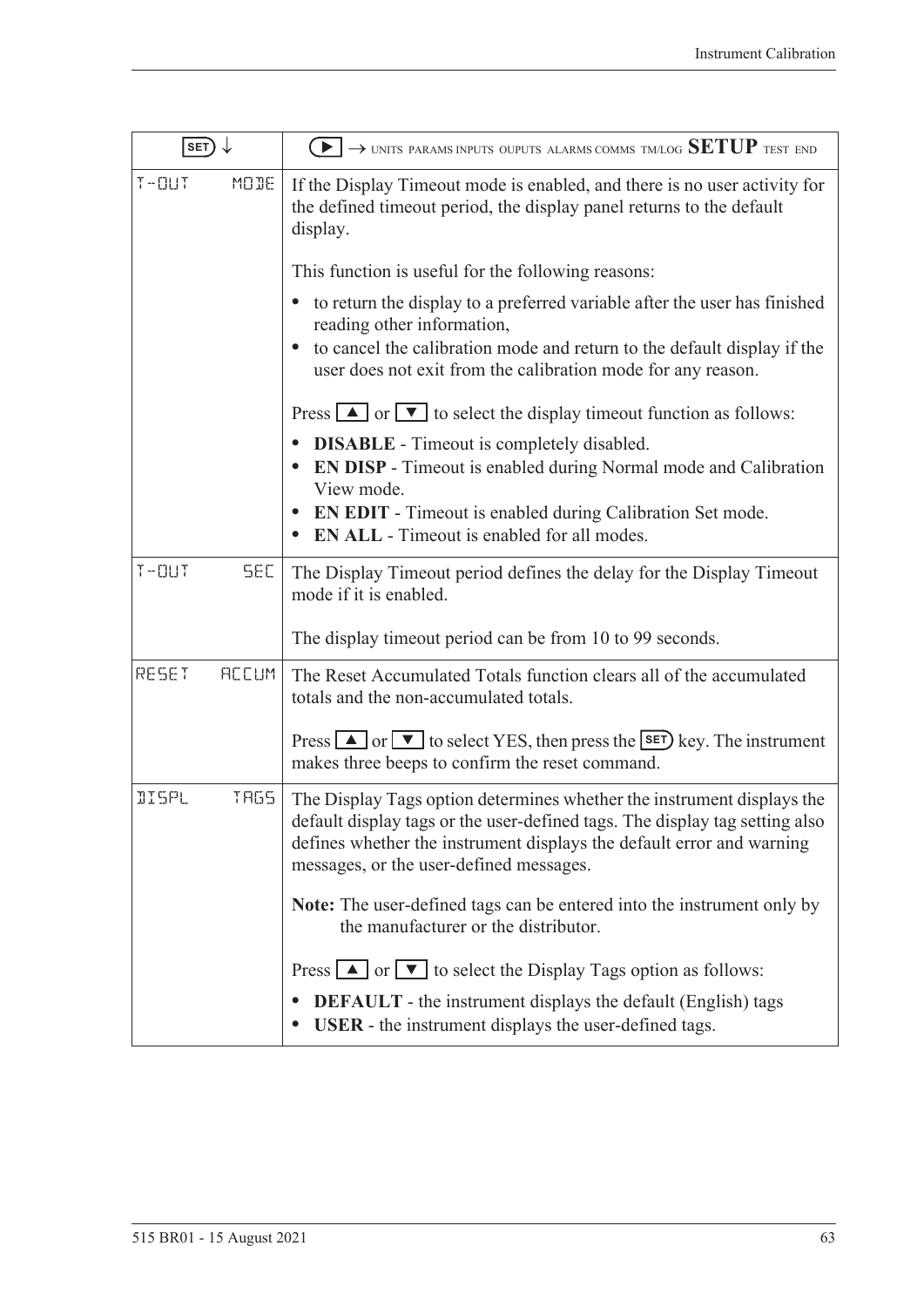<span id="page-72-1"></span><span id="page-72-0"></span>

| SET)         |              | $\rightarrow$ units params inputs ouputs alarms comms tm/log $\operatorname{SETUP}$ test end<br>(▶                                                                                                                                                                                          |
|--------------|--------------|---------------------------------------------------------------------------------------------------------------------------------------------------------------------------------------------------------------------------------------------------------------------------------------------|
| $T - 111T$   | MODE         | If the Display Timeout mode is enabled, and there is no user activity for<br>the defined timeout period, the display panel returns to the default<br>display.                                                                                                                               |
|              |              | This function is useful for the following reasons:                                                                                                                                                                                                                                          |
|              |              | to return the display to a preferred variable after the user has finished<br>$\bullet$<br>reading other information,<br>to cancel the calibration mode and return to the default display if the<br>user does not exit from the calibration mode for any reason.                             |
|              |              | Press $\boxed{\blacktriangle}$ or $\boxed{\blacktriangledown}$ to select the display timeout function as follows:                                                                                                                                                                           |
|              |              | <b>DISABLE</b> - Timeout is completely disabled.<br>$\bullet$<br><b>EN DISP</b> - Timeout is enabled during Normal mode and Calibration<br>View mode.<br><b>EN EDIT</b> - Timeout is enabled during Calibration Set mode.<br>$\bullet$<br><b>EN ALL</b> - Timeout is enabled for all modes. |
| $T - 111T$   | SEC.         | The Display Timeout period defines the delay for the Display Timeout<br>mode if it is enabled.                                                                                                                                                                                              |
|              |              | The display timeout period can be from 10 to 99 seconds.                                                                                                                                                                                                                                    |
| RESET        | <b>REEUM</b> | The Reset Accumulated Totals function clears all of the accumulated<br>totals and the non-accumulated totals.                                                                                                                                                                               |
|              |              | Press $\Box$ or $\nabla$ to select YES, then press the <b>SET</b> ) key. The instrument<br>makes three beeps to confirm the reset command.                                                                                                                                                  |
| <b>IISPL</b> | TRG5         | The Display Tags option determines whether the instrument displays the<br>default display tags or the user-defined tags. The display tag setting also<br>defines whether the instrument displays the default error and warning<br>messages, or the user-defined messages.                   |
|              |              | Note: The user-defined tags can be entered into the instrument only by<br>the manufacturer or the distributor.                                                                                                                                                                              |
|              |              | Press $\Box$ or $\nabla$ to select the Display Tags option as follows:                                                                                                                                                                                                                      |
|              |              | <b>DEFAULT</b> - the instrument displays the default (English) tags<br>$\bullet$<br><b>USER</b> - the instrument displays the user-defined tags.<br>$\bullet$                                                                                                                               |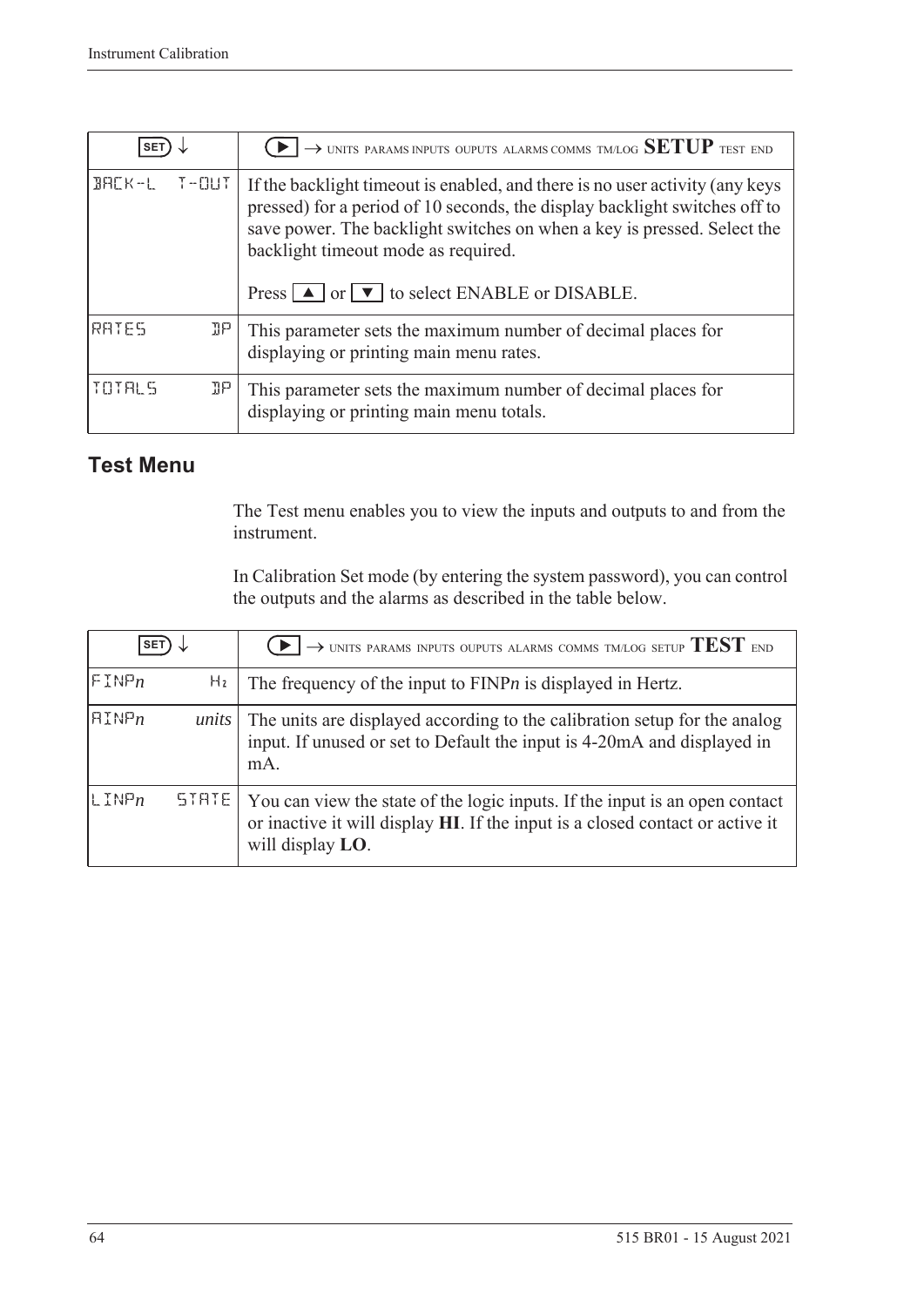| <b>SET</b>    |            | $\rightarrow$ units params inputs ouputs alarms comms tm/log $\operatorname{SETUP}$ test end                                                                                                                                                                                                                                                                                 |  |  |  |  |  |  |  |  |  |
|---------------|------------|------------------------------------------------------------------------------------------------------------------------------------------------------------------------------------------------------------------------------------------------------------------------------------------------------------------------------------------------------------------------------|--|--|--|--|--|--|--|--|--|
| $B H L K - L$ | $T - 011T$ | If the backlight time out is enabled, and there is no user activity (any keys<br>pressed) for a period of 10 seconds, the display backlight switches off to<br>save power. The backlight switches on when a key is pressed. Select the<br>backlight timeout mode as required.<br>Press $\boxed{\blacktriangle}$ or $\boxed{\blacktriangledown}$ to select ENABLE or DISABLE. |  |  |  |  |  |  |  |  |  |
| <b>RATES</b>  | <b>JP</b>  | This parameter sets the maximum number of decimal places for<br>displaying or printing main menu rates.                                                                                                                                                                                                                                                                      |  |  |  |  |  |  |  |  |  |
| TOTALS        | IP         | This parameter sets the maximum number of decimal places for<br>displaying or printing main menu totals.                                                                                                                                                                                                                                                                     |  |  |  |  |  |  |  |  |  |

### **Test Menu**

The Test menu enables you to view the inputs and outputs to and from the instrument.

In Calibration Set mode (by entering the system password), you can control the outputs and the alarms as described in the table below.

| <b>SET</b> |                | $\rightarrow$ units params inputs ouputs alarms comms tm/log setup $\mathrm{TEST}$ end                                                                                           |  |  |  |  |  |  |  |  |
|------------|----------------|----------------------------------------------------------------------------------------------------------------------------------------------------------------------------------|--|--|--|--|--|--|--|--|
| FINPn      | H <sub>2</sub> | The frequency of the input to $FINPn$ is displayed in Hertz.                                                                                                                     |  |  |  |  |  |  |  |  |
| HINPn      | units          | The units are displayed according to the calibration setup for the analog<br>input. If unused or set to Default the input is 4-20mA and displayed in<br>mA.                      |  |  |  |  |  |  |  |  |
| LINPn      | STRTE          | You can view the state of the logic inputs. If the input is an open contact<br>or inactive it will display HI. If the input is a closed contact or active it<br>will display LO. |  |  |  |  |  |  |  |  |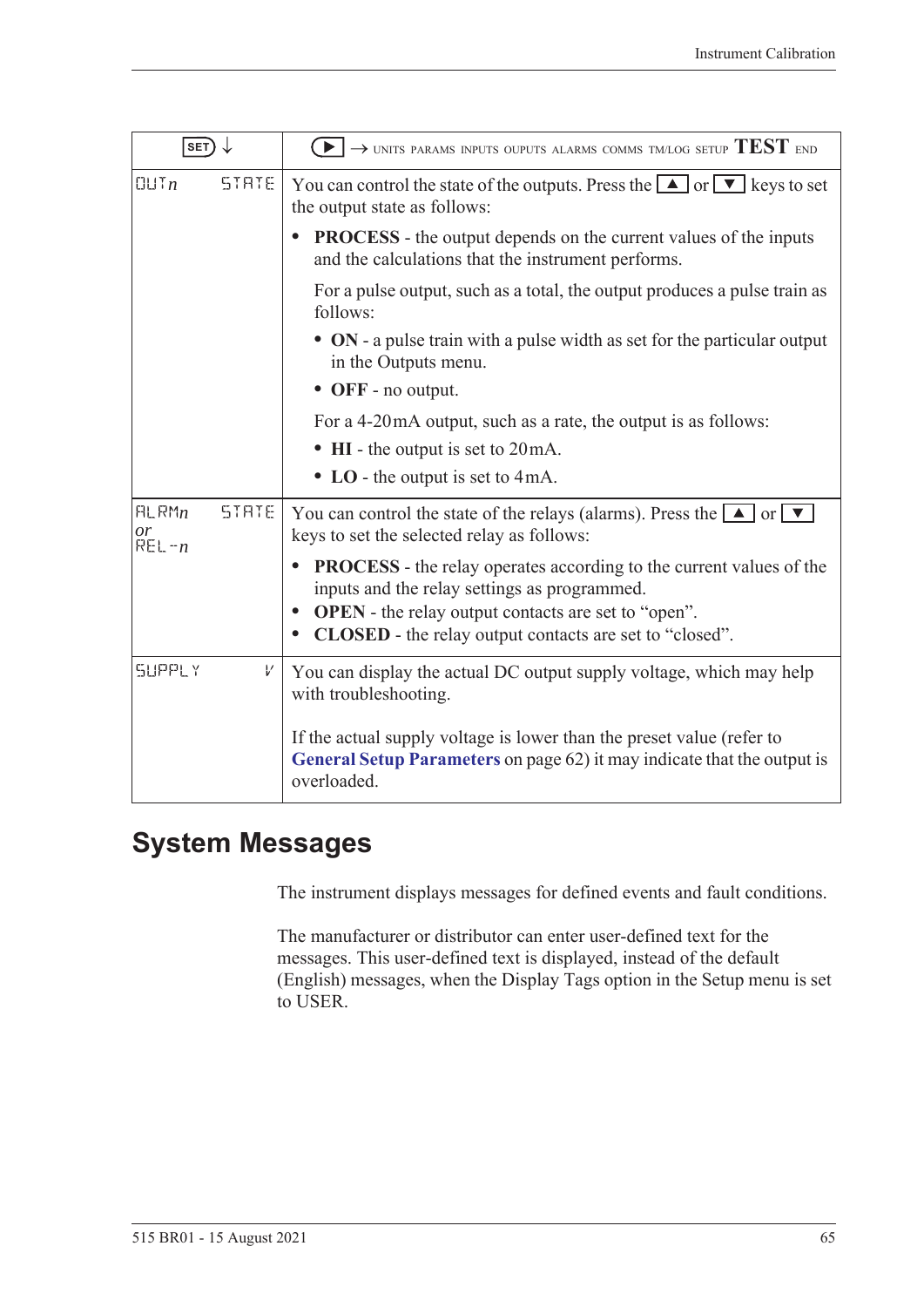| SET)                     |       | $\rightarrow$ units params inputs ouputs alarms comms tm/log setup $\text{TEST}$ end                                                                                                                  |
|--------------------------|-------|-------------------------------------------------------------------------------------------------------------------------------------------------------------------------------------------------------|
| QUTn                     | STRTE | You can control the state of the outputs. Press the $\Box$ or $\nabla$ keys to set<br>the output state as follows:                                                                                    |
|                          |       | <b>PROCESS</b> - the output depends on the current values of the inputs<br>and the calculations that the instrument performs.                                                                         |
|                          |       | For a pulse output, such as a total, the output produces a pulse train as<br>follows:                                                                                                                 |
|                          |       | • ON - a pulse train with a pulse width as set for the particular output<br>in the Outputs menu.                                                                                                      |
|                          |       | • OFF - no output.                                                                                                                                                                                    |
|                          |       | For a 4-20 mA output, such as a rate, the output is as follows:                                                                                                                                       |
|                          |       | $\bullet$ HI - the output is set to 20 mA.                                                                                                                                                            |
|                          |       | • LO - the output is set to 4mA.                                                                                                                                                                      |
| HLRMn<br>or<br>$REL - n$ | STRTE | You can control the state of the relays (alarms). Press the $\Box$ or $\nabla$<br>keys to set the selected relay as follows:                                                                          |
|                          |       | <b>PROCESS</b> - the relay operates according to the current values of the<br>inputs and the relay settings as programmed.<br><b>OPEN</b> - the relay output contacts are set to "open".<br>$\bullet$ |
|                          |       | CLOSED - the relay output contacts are set to "closed".                                                                                                                                               |
| <b>SUPPLY</b>            | V     | You can display the actual DC output supply voltage, which may help<br>with troubleshooting.                                                                                                          |
|                          |       | If the actual supply voltage is lower than the preset value (refer to<br>General Setup Parameters on page 62) it may indicate that the output is<br>overloaded.                                       |

## **System Messages**

The instrument displays messages for defined events and fault conditions.

The manufacturer or distributor can enter user-defined text for the messages. This user-defined text is displayed, instead of the default (English) messages, when the Display Tags option in the Setup menu is set to USER.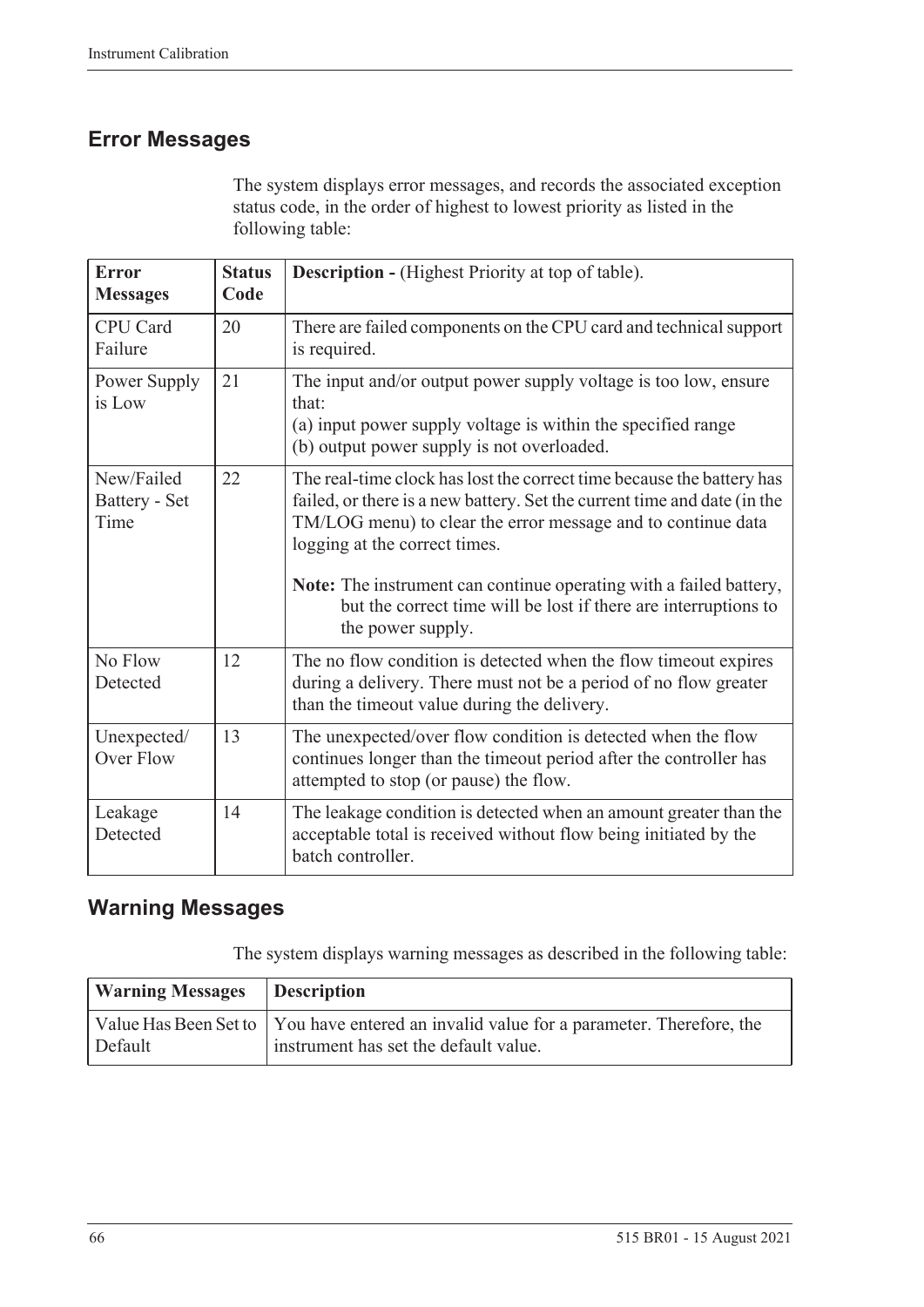### <span id="page-75-1"></span>**Error Messages**

The system displays error messages, and records the associated exception status code, in the order of highest to lowest priority as listed in the following table:

<span id="page-75-0"></span>

| <b>Error</b><br><b>Messages</b>     | <b>Status</b><br>Code | Description - (Highest Priority at top of table).                                                                                                                                                                                                                                                                                                                                                                |
|-------------------------------------|-----------------------|------------------------------------------------------------------------------------------------------------------------------------------------------------------------------------------------------------------------------------------------------------------------------------------------------------------------------------------------------------------------------------------------------------------|
| CPU Card<br>Failure                 | 20                    | There are failed components on the CPU card and technical support<br>is required.                                                                                                                                                                                                                                                                                                                                |
| Power Supply<br>is Low              | 21                    | The input and/or output power supply voltage is too low, ensure<br>that:<br>(a) input power supply voltage is within the specified range<br>(b) output power supply is not overloaded.                                                                                                                                                                                                                           |
| New/Failed<br>Battery - Set<br>Time | 22                    | The real-time clock has lost the correct time because the battery has<br>failed, or there is a new battery. Set the current time and date (in the<br>TM/LOG menu) to clear the error message and to continue data<br>logging at the correct times.<br>Note: The instrument can continue operating with a failed battery,<br>but the correct time will be lost if there are interruptions to<br>the power supply. |
| No Flow<br>Detected                 | 12                    | The no flow condition is detected when the flow timeout expires<br>during a delivery. There must not be a period of no flow greater<br>than the timeout value during the delivery.                                                                                                                                                                                                                               |
| Unexpected/<br><b>Over Flow</b>     | 13                    | The unexpected/over flow condition is detected when the flow<br>continues longer than the timeout period after the controller has<br>attempted to stop (or pause) the flow.                                                                                                                                                                                                                                      |
| Leakage<br>Detected                 | 14                    | The leakage condition is detected when an amount greater than the<br>acceptable total is received without flow being initiated by the<br>batch controller.                                                                                                                                                                                                                                                       |

### **Warning Messages**

The system displays warning messages as described in the following table:

| <b>Warning Messages</b> | <i>Description</i>                                                                      |
|-------------------------|-----------------------------------------------------------------------------------------|
|                         | Value Has Been Set to You have entered an invalid value for a parameter. Therefore, the |
| Default                 | instrument has set the default value.                                                   |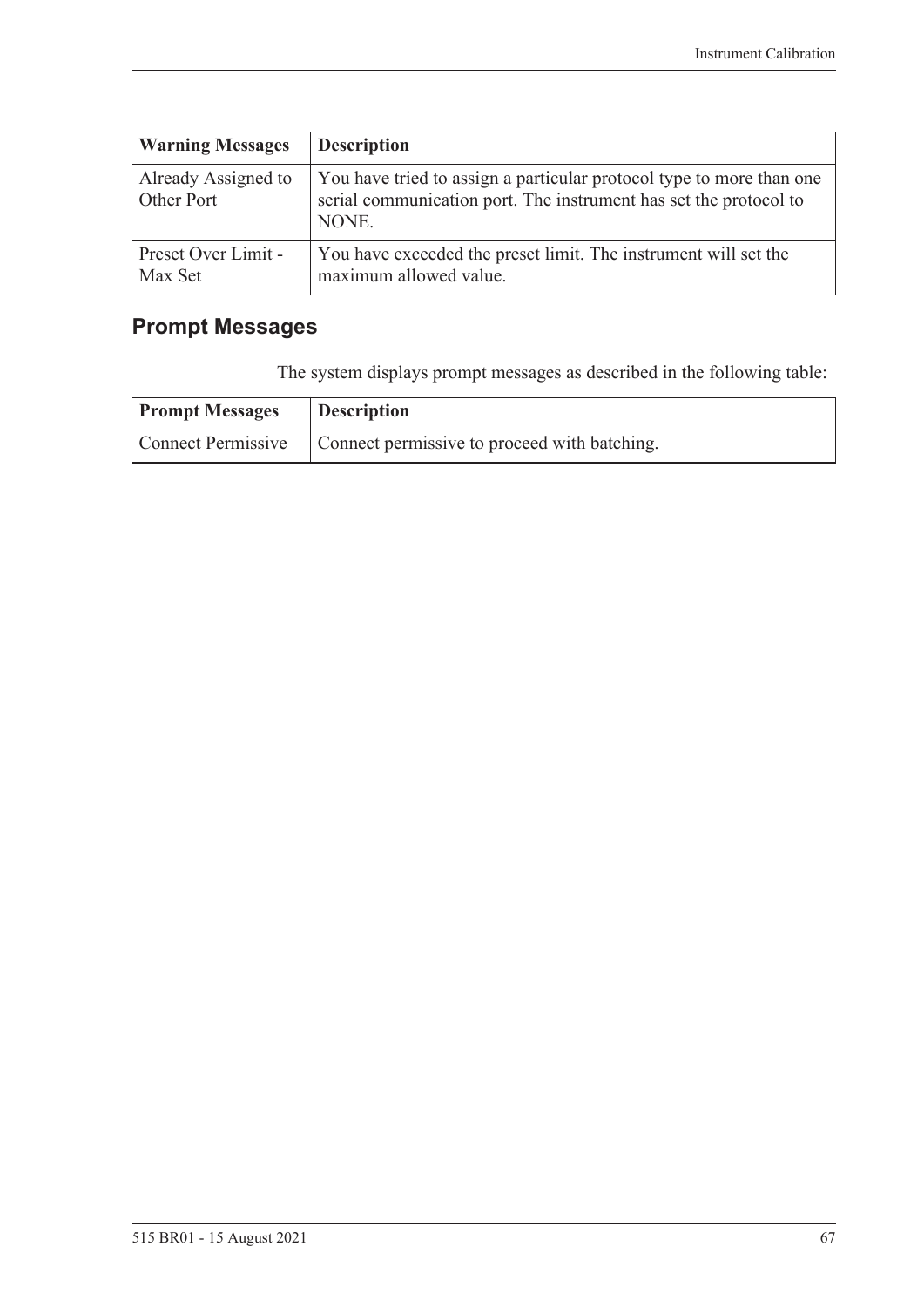| <b>Warning Messages</b>           | <b>Description</b>                                                                                                                                 |
|-----------------------------------|----------------------------------------------------------------------------------------------------------------------------------------------------|
| Already Assigned to<br>Other Port | You have tried to assign a particular protocol type to more than one<br>serial communication port. The instrument has set the protocol to<br>NONE. |
| Preset Over Limit -<br>Max Set    | You have exceeded the preset limit. The instrument will set the<br>maximum allowed value.                                                          |

### **Prompt Messages**

The system displays prompt messages as described in the following table:

| <b>Prompt Messages</b> | <b>Description</b>                           |
|------------------------|----------------------------------------------|
| Connect Permissive     | Connect permissive to proceed with batching. |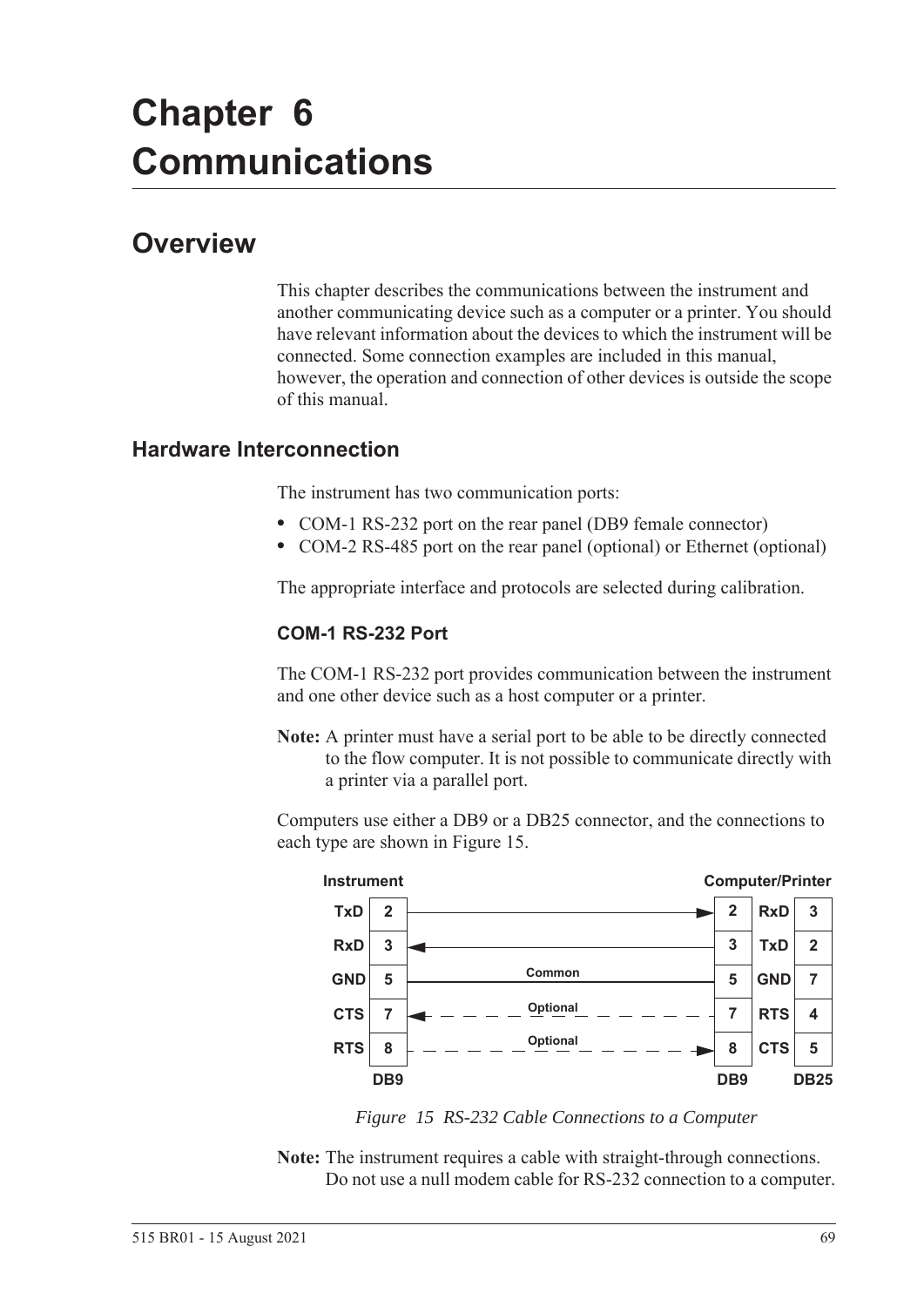# **Chapter 6 Communications**

## **Overview**

<span id="page-78-2"></span>This chapter describes the communications between the instrument and another communicating device such as a computer or a printer. You should have relevant information about the devices to which the instrument will be connected. Some connection examples are included in this manual, however, the operation and connection of other devices is outside the scope of this manual.

#### **Hardware Interconnection**

<span id="page-78-3"></span>The instrument has two communication ports:

- **•** COM-1 RS-232 port on the rear panel (DB9 female connector)
- **•** COM-2 RS-485 port on the rear panel (optional) or Ethernet (optional)

The appropriate interface and protocols are selected during calibration.

#### <span id="page-78-1"></span>**COM-1 RS-232 Port**

The COM-1 RS-232 port provides communication between the instrument and one other device such as a host computer or a printer.

**Note:** A printer must have a serial port to be able to be directly connected to the flow computer. It is not possible to communicate directly with a printer via a parallel port.

Computers use either a DB9 or a DB25 connector, and the connections to each type are shown in [Figure 15.](#page-78-0)



*Figure 15 RS-232 Cable Connections to a Computer*

<span id="page-78-0"></span>**Note:** The instrument requires a cable with straight-through connections. Do not use a null modem cable for RS-232 connection to a computer.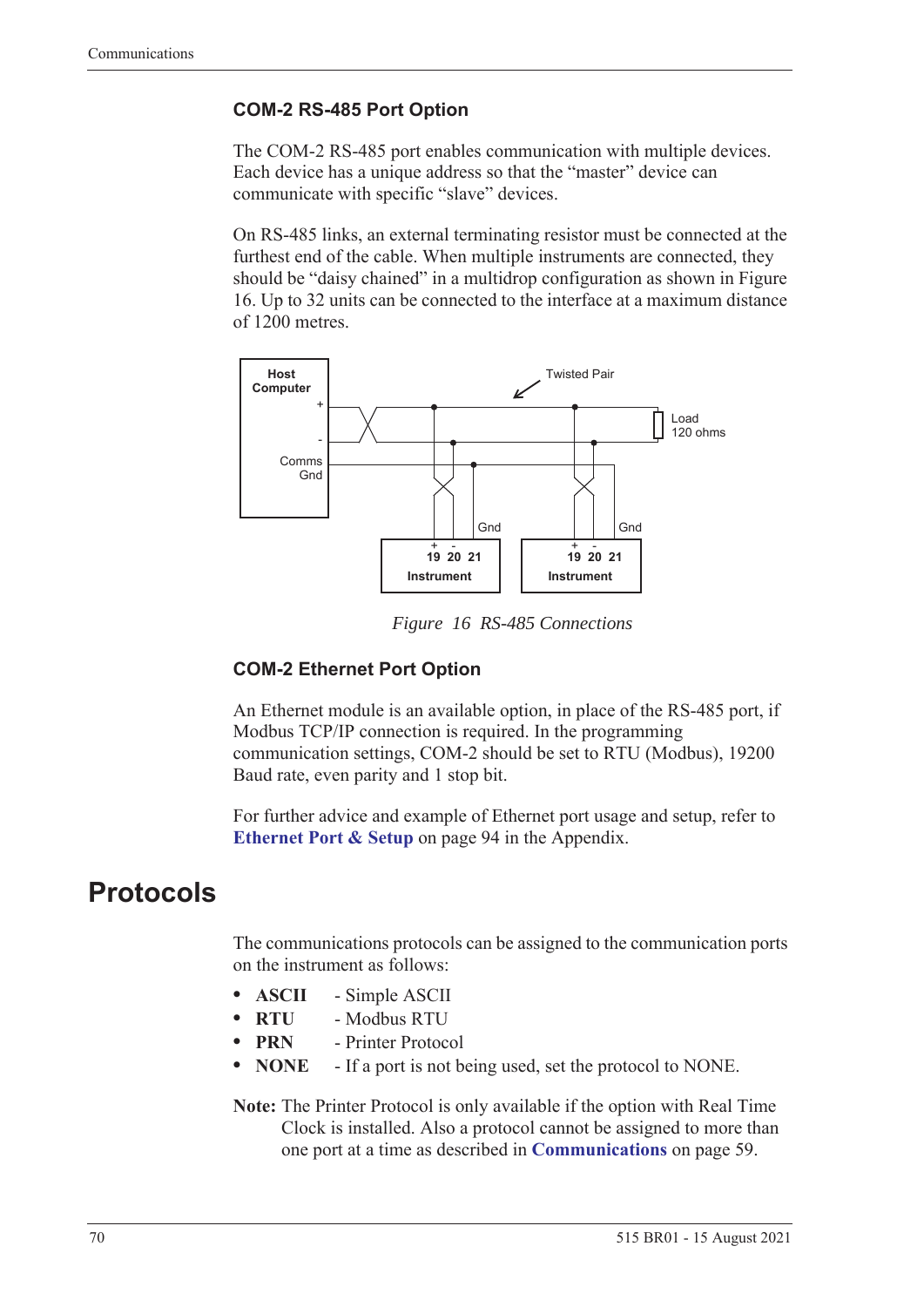#### <span id="page-79-1"></span>**COM-2 RS-485 Port Option**

The COM-2 RS-485 port enables communication with multiple devices. Each device has a unique address so that the "master" device can communicate with specific "slave" devices.

On RS-485 links, an external terminating resistor must be connected at the furthest end of the cable. When multiple instruments are connected, they should be "daisy chained" in a multidrop configuration as shown in Figure [16](#page-79-0). Up to 32 units can be connected to the interface at a maximum distance of 1200 metres.



<span id="page-79-3"></span>*Figure 16 RS-485 Connections*

#### <span id="page-79-0"></span>**COM-2 Ethernet Port Option**

An Ethernet module is an available option, in place of the RS-485 port, if Modbus TCP/IP connection is required. In the programming communication settings, COM-2 should be set to RTU (Modbus), 19200 Baud rate, even parity and 1 stop bit.

<span id="page-79-2"></span>For further advice and example of Ethernet port usage and setup, refer to **[Ethernet Port & Setup](#page-103-0)** on page 94 in the Appendix.

### **Protocols**

The communications protocols can be assigned to the communication ports on the instrument as follows:

- **• ASCII** Simple ASCII
- **• RTU** Modbus RTU
- **• PRN** Printer Protocol
- **NONE** If a port is not being used, set the protocol to NONE.

**Note:** The Printer Protocol is only available if the option with Real Time Clock is installed. Also a protocol cannot be assigned to more than one port at a time as described in **[Communications](#page-68-0)** on page 59.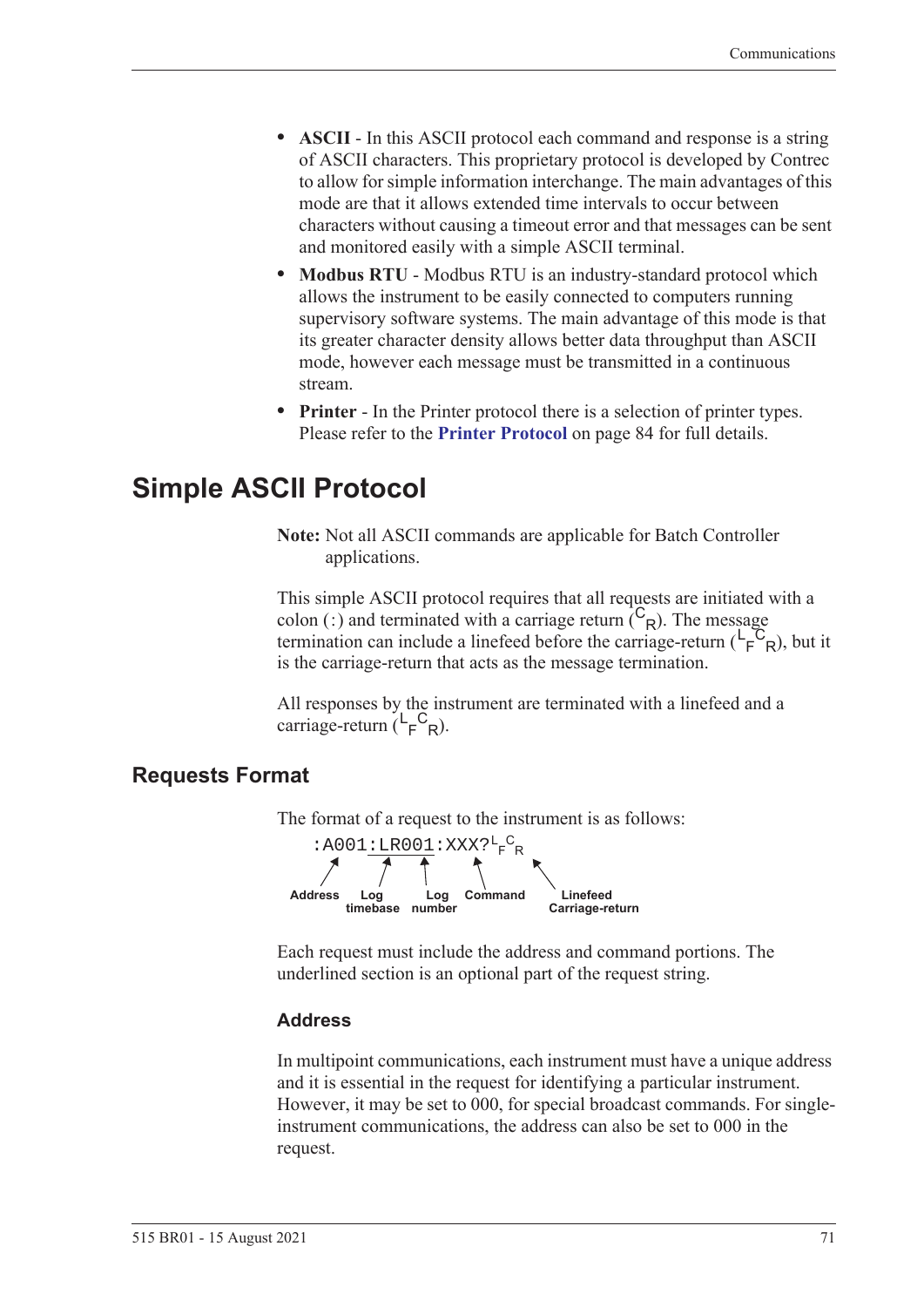- **• ASCII** In this ASCII protocol each command and response is a string of ASCII characters. This proprietary protocol is developed by Contrec to allow for simple information interchange. The main advantages of this mode are that it allows extended time intervals to occur between characters without causing a timeout error and that messages can be sent and monitored easily with a simple ASCII terminal.
- **• Modbus RTU** Modbus RTU is an industry-standard protocol which allows the instrument to be easily connected to computers running supervisory software systems. The main advantage of this mode is that its greater character density allows better data throughput than ASCII mode, however each message must be transmitted in a continuous stream.
- <span id="page-80-1"></span>**• Printer** - In the Printer protocol there is a selection of printer types. Please refer to the **[Printer Protocol](#page-93-0)** on page 84 for full details.

### **Simple ASCII Protocol**

**Note:** Not all ASCII commands are applicable for Batch Controller applications.

This simple ASCII protocol requires that all requests are initiated with a colon (:) and terminated with a carriage return  $\binom{C_R}{R}$ . The message termination can include a linefeed before the carriage-return  $(\mathsf{L}_\mathsf{F}^\mathsf{C}_{\mathsf{R}})$ , but it is the carriage-return that acts as the message termination.

<span id="page-80-2"></span>All responses by the instrument are terminated with a linefeed and a carriage-return  $\begin{pmatrix} L & C \\ F & R \end{pmatrix}$ .

#### **Requests Format**

The format of a request to the instrument is as follows:



Each request must include the address and command portions. The underlined section is an optional part of the request string.

#### <span id="page-80-0"></span>**Address**

In multipoint communications, each instrument must have a unique address and it is essential in the request for identifying a particular instrument. However, it may be set to 000, for special broadcast commands. For singleinstrument communications, the address can also be set to 000 in the request.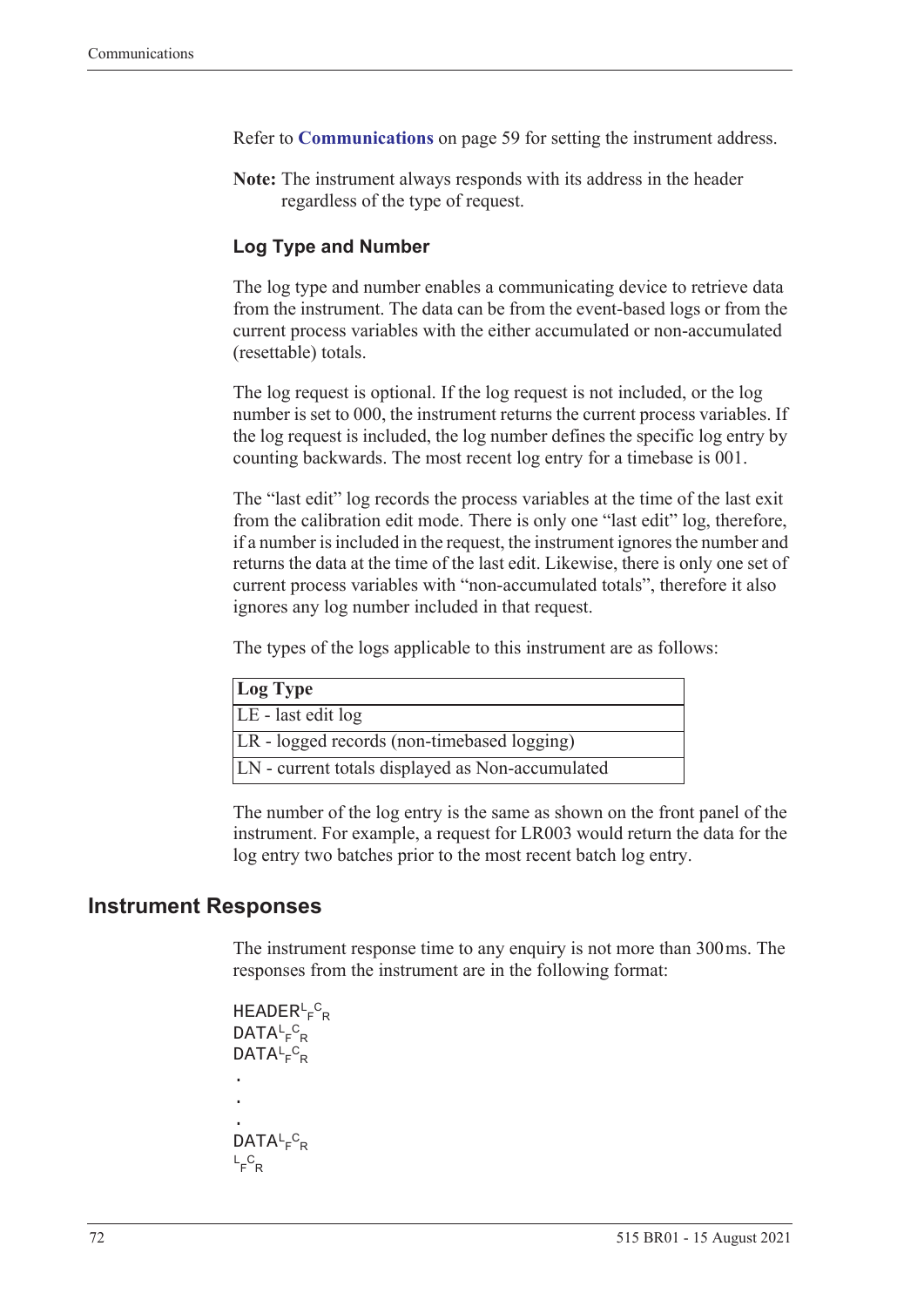Refer to **[Communications](#page-68-0)** on page 59 for setting the instrument address.

**Note:** The instrument always responds with its address in the header regardless of the type of request.

#### **Log Type and Number**

The log type and number enables a communicating device to retrieve data from the instrument. The data can be from the event-based logs or from the current process variables with the either accumulated or non-accumulated (resettable) totals.

The log request is optional. If the log request is not included, or the log number is set to 000, the instrument returns the current process variables. If the log request is included, the log number defines the specific log entry by counting backwards. The most recent log entry for a timebase is 001.

The "last edit" log records the process variables at the time of the last exit from the calibration edit mode. There is only one "last edit" log, therefore, if a number is included in the request, the instrument ignores the number and returns the data at the time of the last edit. Likewise, there is only one set of current process variables with "non-accumulated totals", therefore it also ignores any log number included in that request.

The types of the logs applicable to this instrument are as follows:

| Log Type                                         |
|--------------------------------------------------|
| LE - last edit log                               |
| LR - logged records (non-timebased logging)      |
| LN - current totals displayed as Non-accumulated |

The number of the log entry is the same as shown on the front panel of the instrument. For example, a request for LR003 would return the data for the log entry two batches prior to the most recent batch log entry.

#### **Instrument Responses**

<span id="page-81-0"></span>The instrument response time to any enquiry is not more than 300 ms. The responses from the instrument are in the following format:

```
HEADER<sup>L</sup>F<sup>C</sup>R
DATA<sup>L</sup>F<sup>C</sup>R
DATA<sup>L</sup>F<sup>C</sup>R
.
.
.
DATA<sup>L</sup>F<sup>C</sup>R
L
F
C
R
```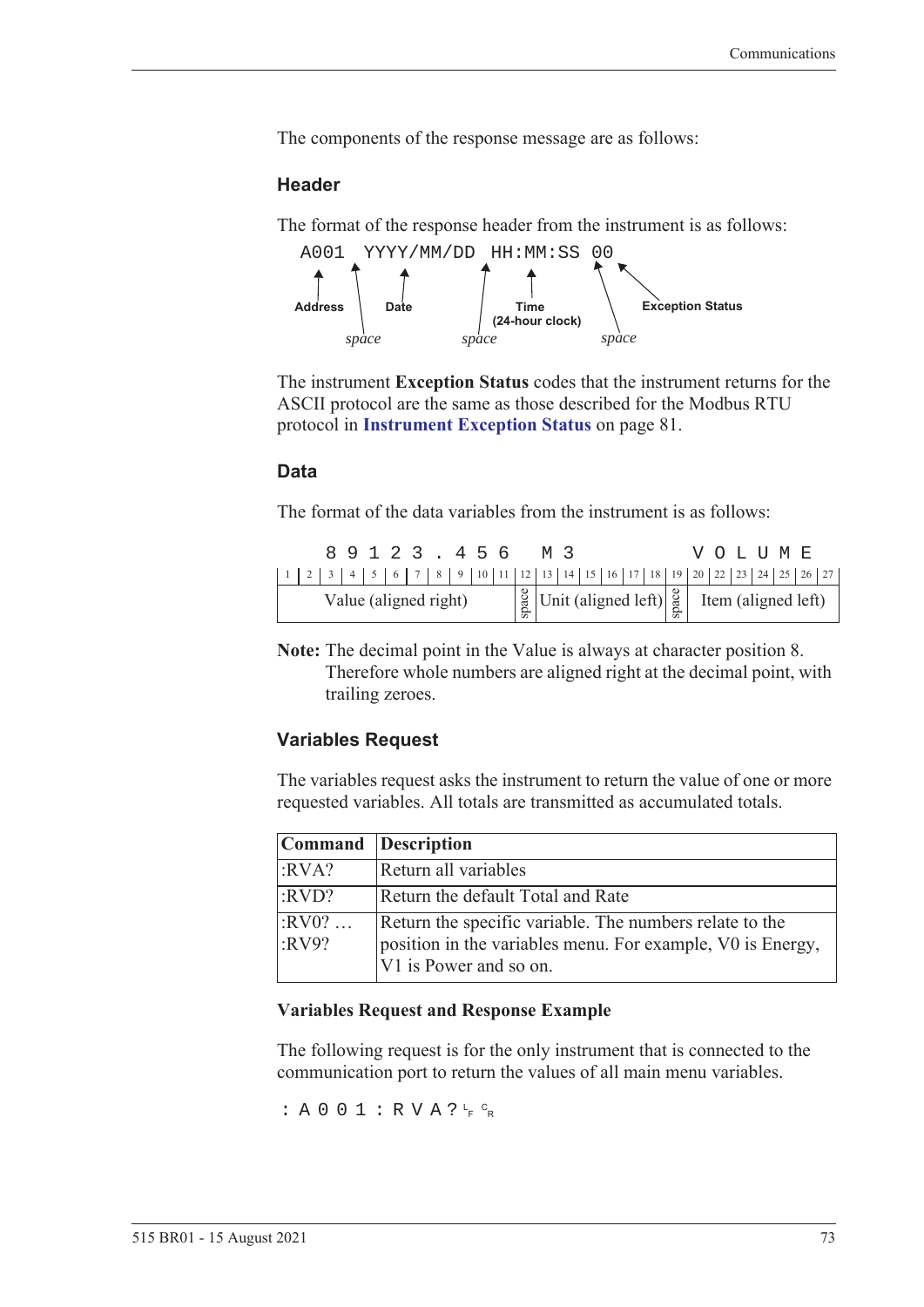The components of the response message are as follows:

#### **Header**

The format of the response header from the instrument is as follows:



<span id="page-82-0"></span>The instrument **Exception Status** codes that the instrument returns for the ASCII protocol are the same as those described for the Modbus RTU protocol in **[Instrument Exception Status](#page-90-0)** on page 81.

#### **Data**

The format of the data variables from the instrument is as follows:

|                       |                                                                                                                    |  |  |  |  |  |  | 89123.456 |  | M २                                                                                                                                       |  |  |  |  |  | V O L II M E |  |  |
|-----------------------|--------------------------------------------------------------------------------------------------------------------|--|--|--|--|--|--|-----------|--|-------------------------------------------------------------------------------------------------------------------------------------------|--|--|--|--|--|--------------|--|--|
|                       | 2   3   4   5   6   7   8   9   10   11   12   13   14   15   16   17   18   19   20   22   23   24   25   26   27 |  |  |  |  |  |  |           |  |                                                                                                                                           |  |  |  |  |  |              |  |  |
| Value (aligned right) |                                                                                                                    |  |  |  |  |  |  |           |  | $\begin{bmatrix} 8 \\ 8 \\ 6 \\ 6 \end{bmatrix}$ Unit (aligned left) $\begin{bmatrix} 8 \\ 8 \\ 6 \\ 6 \end{bmatrix}$ Item (aligned left) |  |  |  |  |  |              |  |  |

**Note:** The decimal point in the Value is always at character position 8. Therefore whole numbers are aligned right at the decimal point, with trailing zeroes.

#### **Variables Request**

The variables request asks the instrument to return the value of one or more requested variables. All totals are transmitted as accumulated totals.

|                             | Command Description                                                                                                                             |
|-----------------------------|-------------------------------------------------------------------------------------------------------------------------------------------------|
| :RVA?                       | Return all variables                                                                                                                            |
| :RVD?                       | Return the default Total and Rate                                                                                                               |
| $\vert:RV0? \dots$<br>:RV9? | Return the specific variable. The numbers relate to the<br>position in the variables menu. For example, V0 is Energy,<br>V1 is Power and so on. |

#### **Variables Request and Response Example**

The following request is for the only instrument that is connected to the communication port to return the values of all main menu variables.

: A 0 0 1 : R V A ?  $L_F C_R$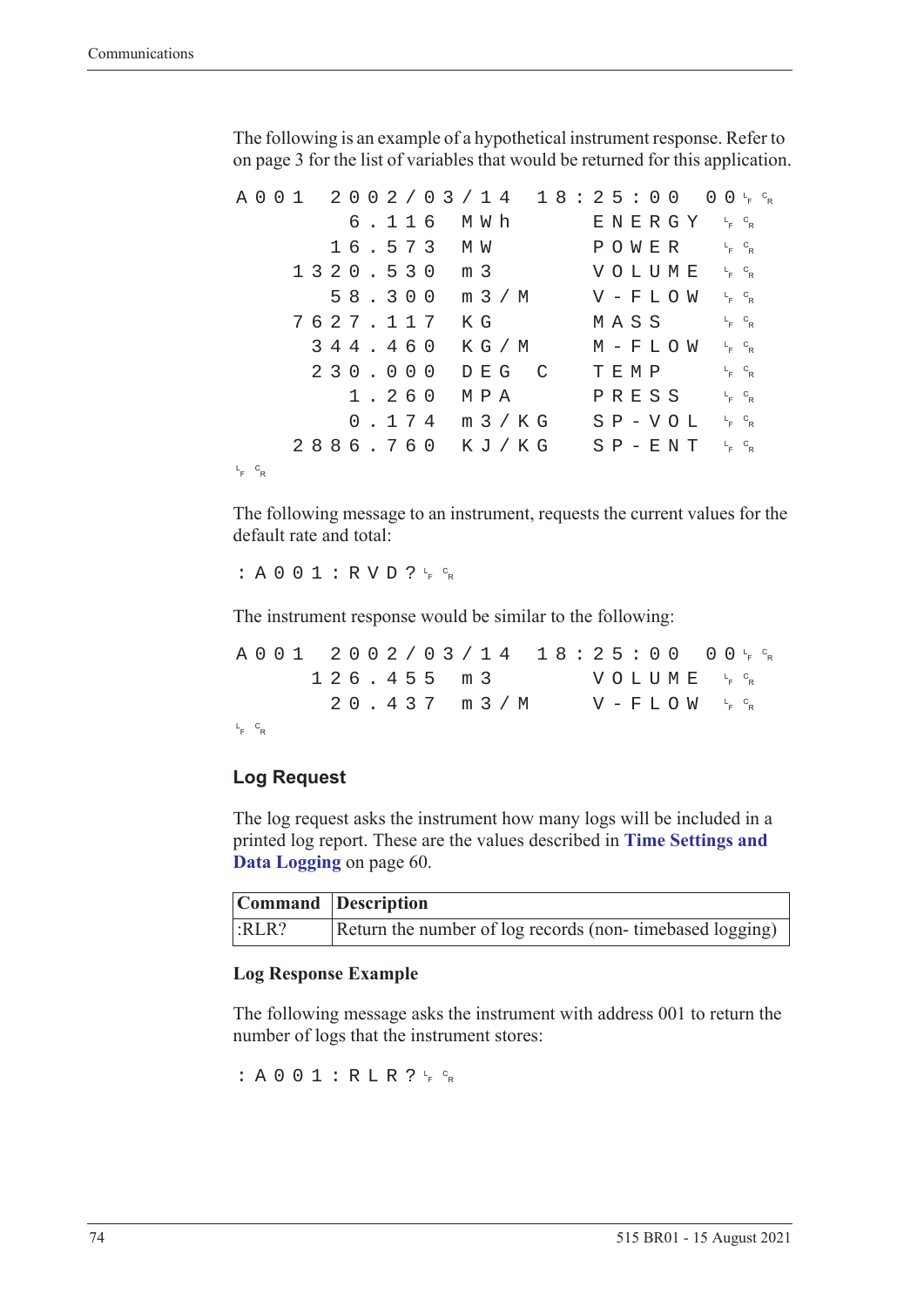The following is an example of a hypothetical instrument response. Refer to [on page 3](#page-12-0) for the list of variables that would be returned for this application.

|                 |  |  |  |  |          |  |              |  |       |  |                            |       |  | A 0 0 1 2 0 0 2 / 0 3 / 1 4 1 8 : 2 5 : 0 0 0 0 0 $\frac{1}{2}$ $\frac{6}{10}$ |                 |                 |  |
|-----------------|--|--|--|--|----------|--|--------------|--|-------|--|----------------------------|-------|--|--------------------------------------------------------------------------------|-----------------|-----------------|--|
|                 |  |  |  |  |          |  | 6.116 MWh    |  |       |  |                            |       |  | E N E R G Y                                                                    |                 |                 |  |
|                 |  |  |  |  |          |  | 16.573 MW    |  |       |  |                            | POWER |  |                                                                                | $L_{F}$ $C_{R}$ |                 |  |
|                 |  |  |  |  |          |  | 1320.530 m 3 |  |       |  |                            |       |  | VOLUME <sup>L</sup> <sub>R</sub> <sup>C</sup> R                                |                 |                 |  |
|                 |  |  |  |  |          |  |              |  |       |  | 58.300 m 3 / M V - F L O W |       |  |                                                                                | $L_{F}$ $C_{R}$ |                 |  |
|                 |  |  |  |  | 7627.117 |  | K G          |  |       |  |                            | MASS  |  |                                                                                |                 | $L_{F}$ $C_{R}$ |  |
|                 |  |  |  |  |          |  |              |  |       |  | 344.460 KG/M M-FLOW        |       |  |                                                                                | $L_F$ $C_R$     |                 |  |
|                 |  |  |  |  | 230.000  |  |              |  | DEG C |  | T E M P                    |       |  |                                                                                | $L_F$ $C_R$     |                 |  |
|                 |  |  |  |  | 1.260    |  | МРА          |  |       |  |                            | PRESS |  |                                                                                |                 | $L_{F}$ $C_{R}$ |  |
|                 |  |  |  |  |          |  |              |  |       |  | $0.174$ m $3/KG$ SP-VOL    |       |  |                                                                                | $L_F$ $C_R$     |                 |  |
|                 |  |  |  |  |          |  |              |  |       |  |                            |       |  | 2886.760 KJ/KG SP-ENT F <sup>c</sup> r                                         |                 |                 |  |
| $L_{F}$ $C_{R}$ |  |  |  |  |          |  |              |  |       |  |                            |       |  |                                                                                |                 |                 |  |

The following message to an instrument, requests the current values for the default rate and total:

: A 0 0 1 : R V D ?  $L_F$   $C_R$ 

The instrument response would be similar to the following:

A001 2002/03/14 18:25:00  $F$   $\circ$ <sub>R</sub> 126.455 m3 VOLUME <sup>L</sup>  $F$   $\circ$ <sub>R</sub> 20.437 m3/M V-FLOW <sup>L</sup> <sup>F</sup> <sup>C</sup> R L <sup>F</sup> <sup>C</sup> R

#### **Log Request**

The log request asks the instrument how many logs will be included in a printed log report. These are the values described in **[Time Settings and](#page-69-0)  [Data Logging](#page-69-0)** on page 60.

|      | Command Description                                      |
|------|----------------------------------------------------------|
| RLR? | Return the number of log records (non-timebased logging) |

#### **Log Response Example**

The following message asks the instrument with address 001 to return the number of logs that the instrument stores:

: A 0 0 1 : R L R ?  $L_F$   $C_R$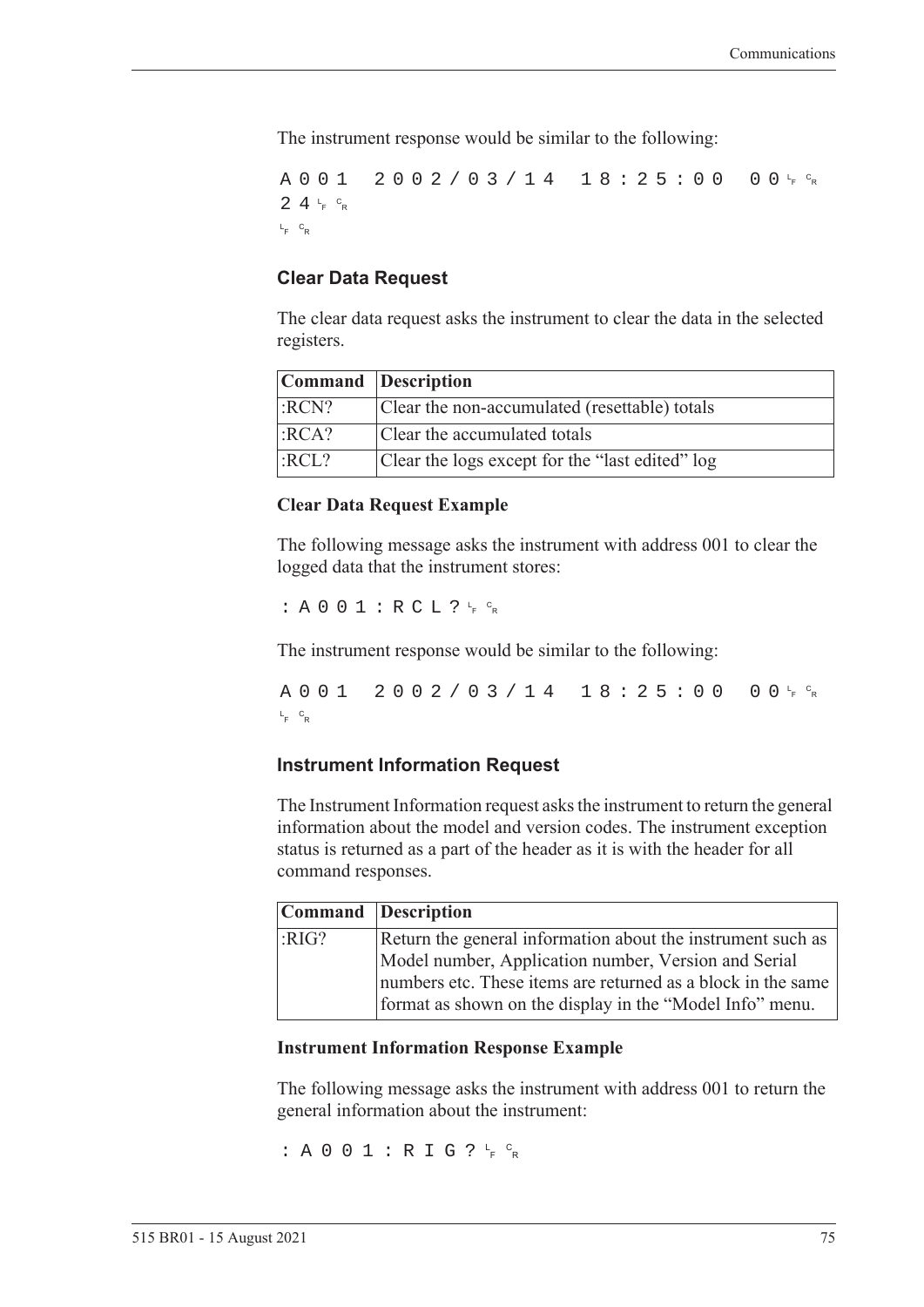The instrument response would be similar to the following:

A001 2002/03/14 18:25:00  $F$   $C_R$  $24r$ <sub>F</sub>  $c$ <sub>R</sub> L <sup>F</sup> <sup>C</sup> R

#### **Clear Data Request**

The clear data request asks the instrument to clear the data in the selected registers.

| Command Description |                                                 |
|---------------------|-------------------------------------------------|
| ERCN?               | Clear the non-accumulated (resettable) totals   |
| :RCA?               | Clear the accumulated totals                    |
| :RCL?               | Clear the logs except for the "last edited" log |

#### **Clear Data Request Example**

The following message asks the instrument with address 001 to clear the logged data that the instrument stores:

: A 0 0 1 : R C L ?  $L_F$   $c_R$ 

The instrument response would be similar to the following:

A001 2002/03/14 18:25:00  $F$   $C_R$ L <sup>F</sup> <sup>C</sup> R

#### <span id="page-84-0"></span>**Instrument Information Request**

The Instrument Information request asks the instrument to return the general information about the model and version codes. The instrument exception status is returned as a part of the header as it is with the header for all command responses.

| Command Description        |                                                              |
|----------------------------|--------------------------------------------------------------|
| $\mathsf{I}:\mathsf{RIG}?$ | Return the general information about the instrument such as  |
|                            | Model number, Application number, Version and Serial         |
|                            | numbers etc. These items are returned as a block in the same |
|                            | format as shown on the display in the "Model Info" menu.     |

#### **Instrument Information Response Example**

The following message asks the instrument with address 001 to return the general information about the instrument:

 $: A 0 0 1 : R I G ? L F c R$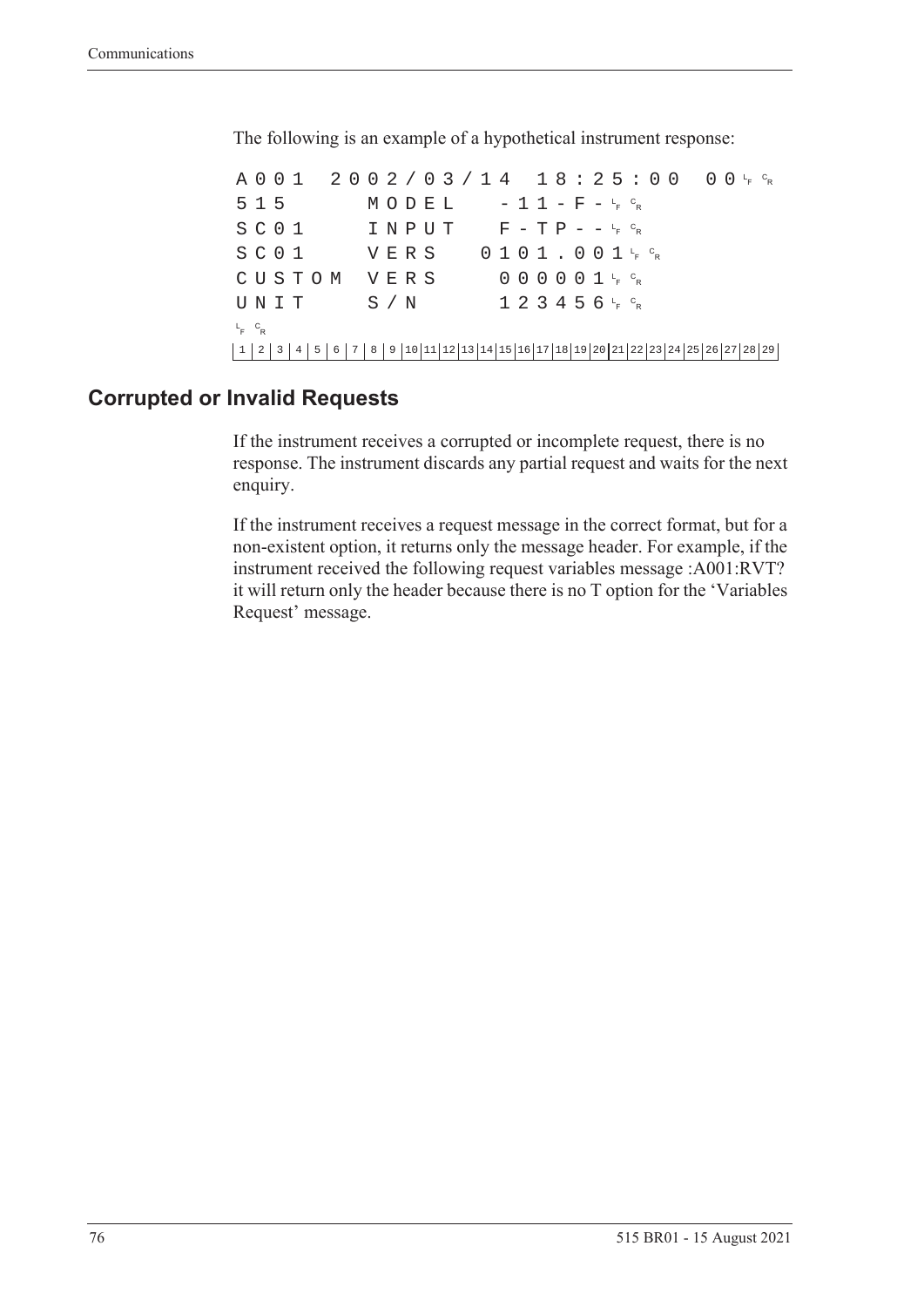The following is an example of a hypothetical instrument response:

A001 2002/03/14 18:25:00  $F$   $\circ$ <sub>R</sub>  $515$   $MODEL$   $-11-F F$   $R$  $S$  C O  $1$  I N P U T F - T P - - <sup>L</sup><sub>F</sub> <sup>C</sup>R  $S$  C O  $1$  V E R S O  $1$  O  $1$  J  $1$  , O  $0$   $1$   $1$   $1$   $6$   $8$ CUSTOM VERS 000001<sup>L</sup>F<sup>C</sup>R  $\texttt{UNIT}$  S/N 123456<sup>L</sup><sub>F</sub>  $\texttt{C}_{\texttt{R}}$ L <sup>F</sup> <sup>C</sup> R 1 2 3 4 5 6 7 8 9 10 11 12 13 14 15 16 17 18 19 20 21 22 23 24 25 26 27 28 29

### **Corrupted or Invalid Requests**

If the instrument receives a corrupted or incomplete request, there is no response. The instrument discards any partial request and waits for the next enquiry.

If the instrument receives a request message in the correct format, but for a non-existent option, it returns only the message header. For example, if the instrument received the following request variables message :A001:RVT? it will return only the header because there is no T option for the 'Variables Request' message.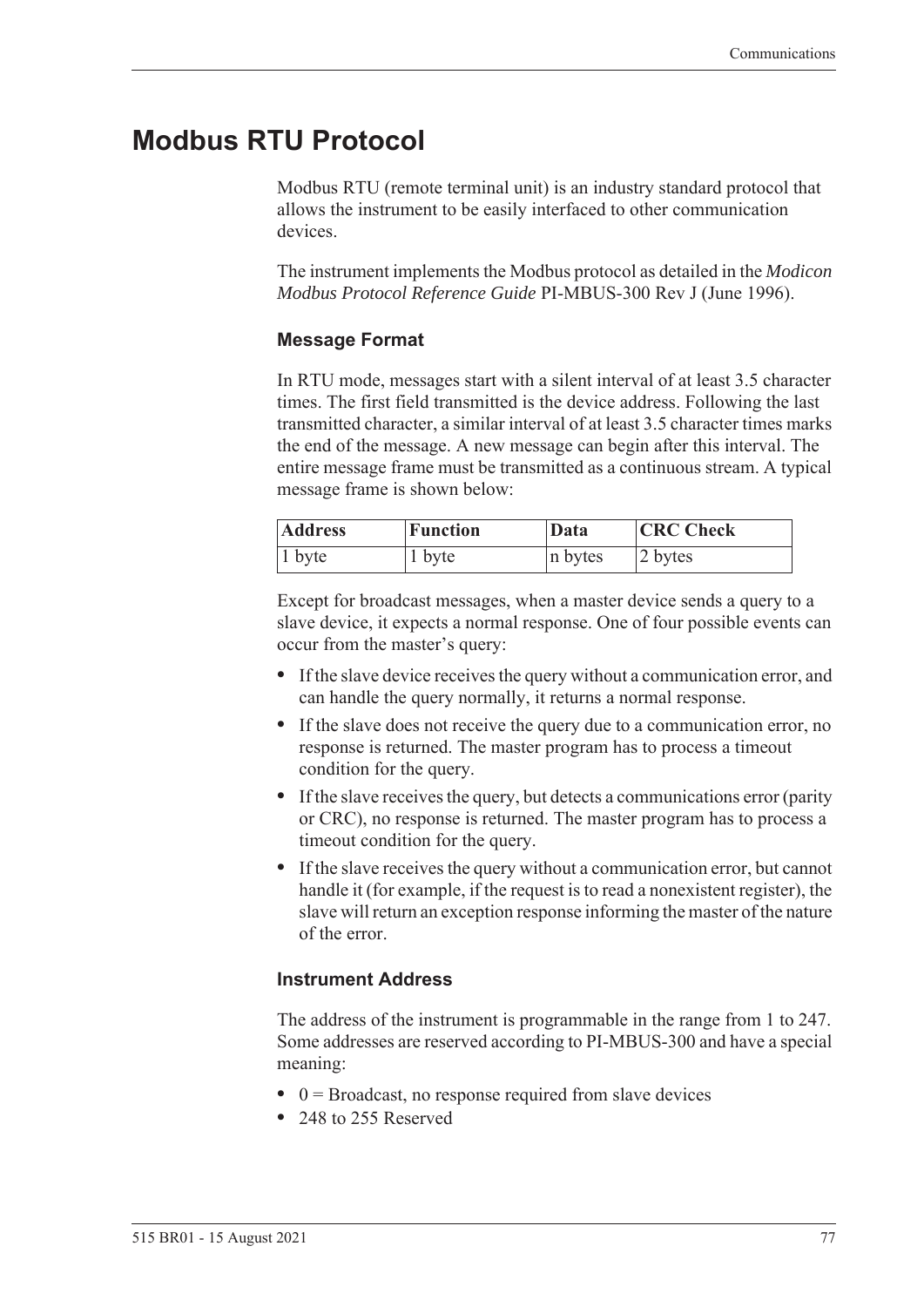### **Modbus RTU Protocol**

Modbus RTU (remote terminal unit) is an industry standard protocol that allows the instrument to be easily interfaced to other communication devices.

The instrument implements the Modbus protocol as detailed in the *Modicon Modbus Protocol Reference Guide* PI-MBUS-300 Rev J (June 1996).

#### **Message Format**

In RTU mode, messages start with a silent interval of at least 3.5 character times. The first field transmitted is the device address. Following the last transmitted character, a similar interval of at least 3.5 character times marks the end of the message. A new message can begin after this interval. The entire message frame must be transmitted as a continuous stream. A typical message frame is shown below:

| <b>Address</b> | <b>Function</b> | Data    | <b>CRC</b> Check |
|----------------|-----------------|---------|------------------|
| $ 1$ byte      | 1 byte          | n bytes | 2 bytes          |

Except for broadcast messages, when a master device sends a query to a slave device, it expects a normal response. One of four possible events can occur from the master's query:

- **•** If the slave device receives the query without a communication error, and can handle the query normally, it returns a normal response.
- **•** If the slave does not receive the query due to a communication error, no response is returned. The master program has to process a timeout condition for the query.
- **•** If the slave receives the query, but detects a communications error (parity or CRC), no response is returned. The master program has to process a timeout condition for the query.
- **•** If the slave receives the query without a communication error, but cannot handle it (for example, if the request is to read a nonexistent register), the slave will return an exception response informing the master of the nature of the error.

#### **Instrument Address**

The address of the instrument is programmable in the range from 1 to 247. Some addresses are reserved according to PI-MBUS-300 and have a special meaning:

- 0 = Broadcast, no response required from slave devices
- **•** 248 to 255 Reserved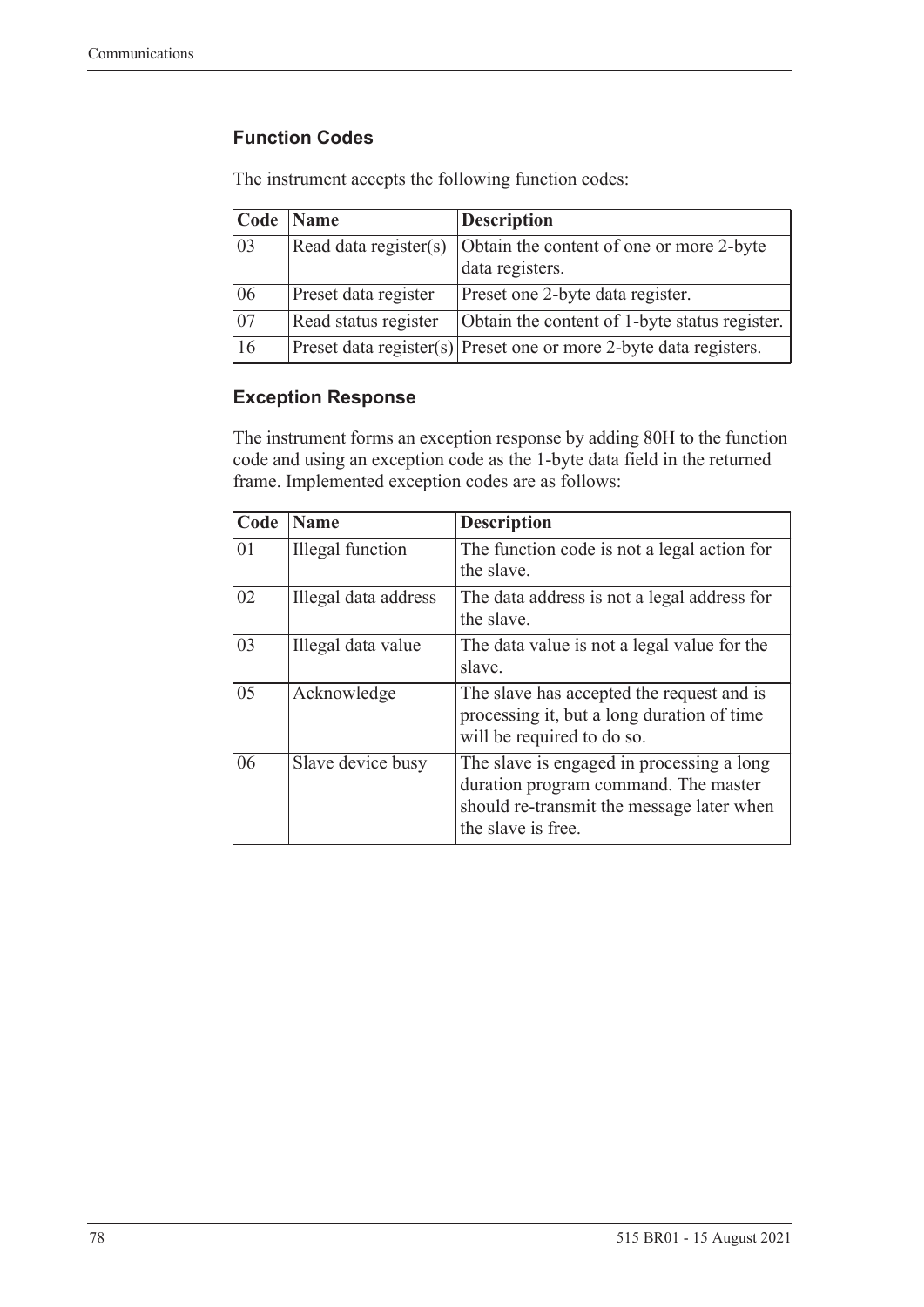#### **Function Codes**

| Code            | <b>Name</b>           | <b>Description</b>                                                    |
|-----------------|-----------------------|-----------------------------------------------------------------------|
| 03              | Read data register(s) | Obtain the content of one or more 2-byte<br>data registers.           |
| 06              | Preset data register  | Preset one 2-byte data register.                                      |
| $\overline{07}$ | Read status register  | Obtain the content of 1-byte status register.                         |
| 16              |                       | $ $ Preset data register(s) Preset one or more 2-byte data registers. |

The instrument accepts the following function codes:

#### **Exception Response**

The instrument forms an exception response by adding 80H to the function code and using an exception code as the 1-byte data field in the returned frame. Implemented exception codes are as follows:

| Code | <b>Name</b>             | <b>Description</b>                                                                                                                                   |
|------|-------------------------|------------------------------------------------------------------------------------------------------------------------------------------------------|
| 01   | <b>Illegal</b> function | The function code is not a legal action for<br>the slave.                                                                                            |
| 02   | Illegal data address    | The data address is not a legal address for<br>the slave.                                                                                            |
| 03   | Illegal data value      | The data value is not a legal value for the<br>slave.                                                                                                |
| 05   | Acknowledge             | The slave has accepted the request and is<br>processing it, but a long duration of time<br>will be required to do so.                                |
| 06   | Slave device busy       | The slave is engaged in processing a long<br>duration program command. The master<br>should re-transmit the message later when<br>the slave is free. |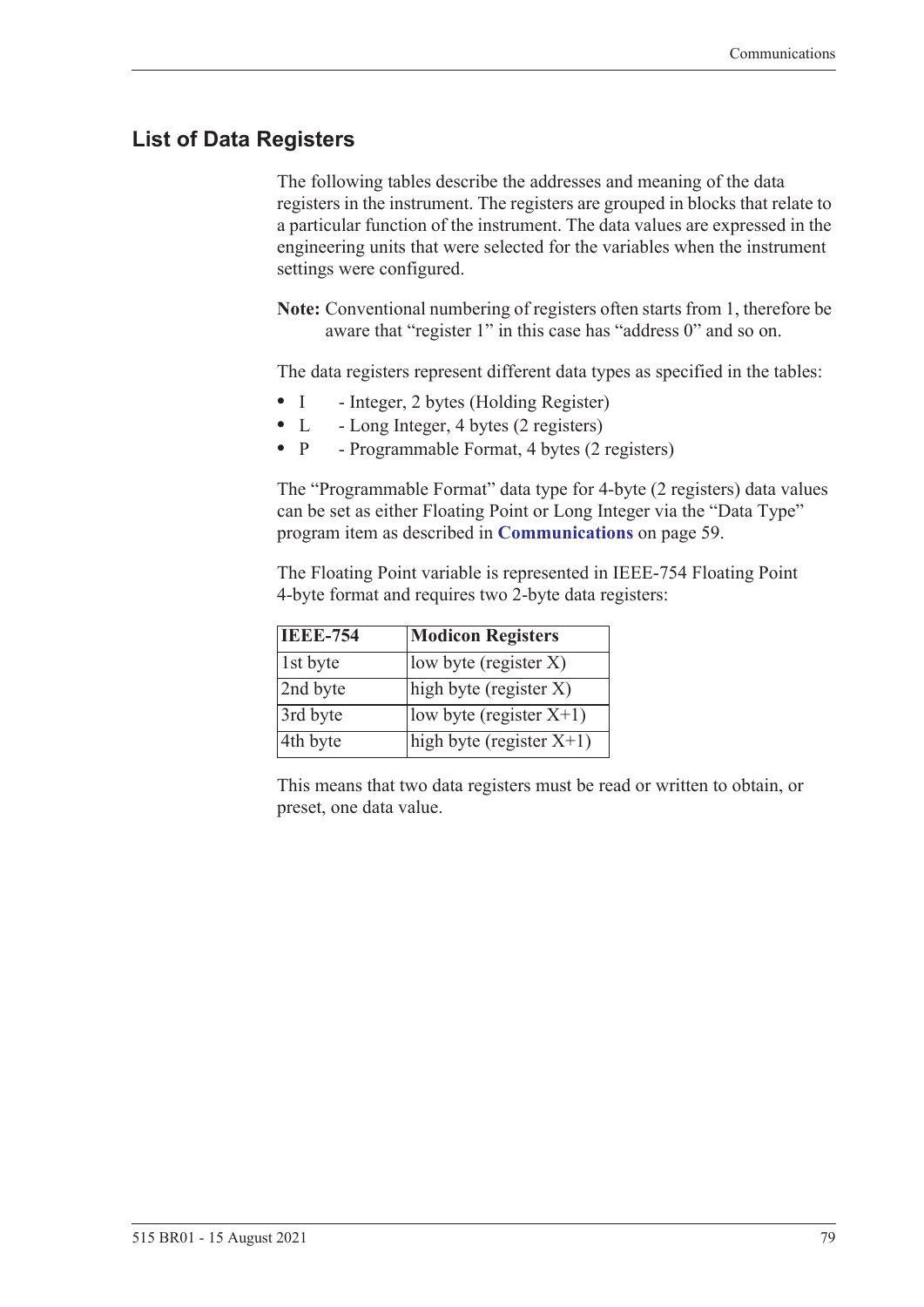#### **List of Data Registers**

The following tables describe the addresses and meaning of the data registers in the instrument. The registers are grouped in blocks that relate to a particular function of the instrument. The data values are expressed in the engineering units that were selected for the variables when the instrument settings were configured.

**Note:** Conventional numbering of registers often starts from 1, therefore be aware that "register 1" in this case has "address 0" and so on.

The data registers represent different data types as specified in the tables:

- I Integer, 2 bytes (Holding Register)
- L Long Integer, 4 bytes (2 registers)
- P Programmable Format, 4 bytes (2 registers)

The "Programmable Format" data type for 4-byte (2 registers) data values can be set as either Floating Point or Long Integer via the "Data Type" program item as described in **[Communications](#page-68-0)** on page 59.

The Floating Point variable is represented in IEEE-754 Floating Point 4-byte format and requires two 2-byte data registers:

| <b>IEEE-754</b> | <b>Modicon Registers</b>    |
|-----------------|-----------------------------|
| 1st byte        | low byte (register $X$ )    |
| 2nd byte        | high byte (register X)      |
| 3rd byte        | $ low byte (register X+1) $ |
| 4th byte        | high byte (register $X+1$ ) |

This means that two data registers must be read or written to obtain, or preset, one data value.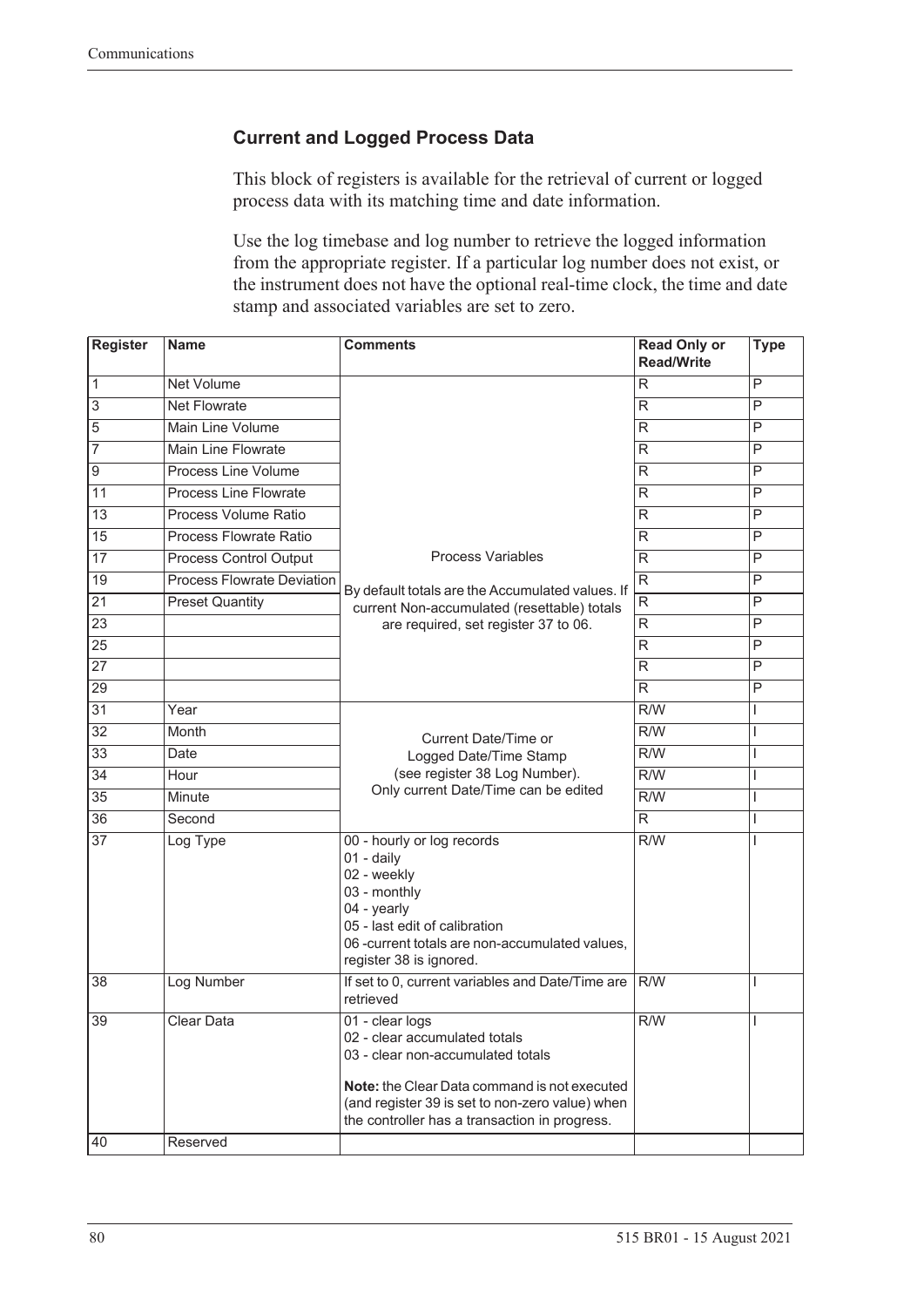#### **Current and Logged Process Data**

This block of registers is available for the retrieval of current or logged process data with its matching time and date information.

Use the log timebase and log number to retrieve the logged information from the appropriate register. If a particular log number does not exist, or the instrument does not have the optional real-time clock, the time and date stamp and associated variables are set to zero.

| <b>Register</b> | <b>Name</b>                       | <b>Comments</b>                                                                                                                                                                                                                                  | <b>Read Only or</b><br><b>Read/Write</b> | <b>Type</b>    |
|-----------------|-----------------------------------|--------------------------------------------------------------------------------------------------------------------------------------------------------------------------------------------------------------------------------------------------|------------------------------------------|----------------|
| $\mathbf{1}$    | Net Volume                        |                                                                                                                                                                                                                                                  | R                                        | P              |
| $\overline{3}$  | <b>Net Flowrate</b>               |                                                                                                                                                                                                                                                  | $\mathsf{R}$                             | $\overline{P}$ |
| $\overline{5}$  | Main Line Volume                  |                                                                                                                                                                                                                                                  | R                                        | $\mathsf{P}$   |
| 7               | Main Line Flowrate                |                                                                                                                                                                                                                                                  | $\mathsf{R}$                             | P              |
| $\overline{9}$  | Process Line Volume               |                                                                                                                                                                                                                                                  | $\overline{R}$                           | $\overline{P}$ |
| 11              | <b>Process Line Flowrate</b>      |                                                                                                                                                                                                                                                  | R                                        | P              |
| 13              | Process Volume Ratio              |                                                                                                                                                                                                                                                  | R                                        | P              |
| 15              | Process Flowrate Ratio            |                                                                                                                                                                                                                                                  | R                                        | $\overline{P}$ |
| 17              | Process Control Output            | <b>Process Variables</b>                                                                                                                                                                                                                         | R                                        | $\mathsf{P}$   |
| 19              | <b>Process Flowrate Deviation</b> | By default totals are the Accumulated values. If                                                                                                                                                                                                 | $\mathsf R$                              | P              |
| $\overline{21}$ | <b>Preset Quantity</b>            | current Non-accumulated (resettable) totals                                                                                                                                                                                                      | $\overline{\mathsf{R}}$                  | $\overline{P}$ |
| $\overline{23}$ |                                   | are required, set register 37 to 06.                                                                                                                                                                                                             | R                                        | $\mathsf{P}$   |
| 25              |                                   |                                                                                                                                                                                                                                                  | $\sf R$                                  | $\overline{P}$ |
| $\overline{27}$ |                                   |                                                                                                                                                                                                                                                  | $\overline{R}$                           | $\overline{P}$ |
| $\overline{29}$ |                                   |                                                                                                                                                                                                                                                  | R                                        | P              |
| 31              | Year                              |                                                                                                                                                                                                                                                  | R/W                                      | I              |
| $\overline{32}$ | <b>Month</b>                      | Current Date/Time or                                                                                                                                                                                                                             | R/W                                      | I              |
| 33              | Date                              | Logged Date/Time Stamp<br>(see register 38 Log Number).<br>Only current Date/Time can be edited                                                                                                                                                  | R/W                                      | ı              |
| 34              | Hour                              |                                                                                                                                                                                                                                                  | R/W                                      | I              |
| $\overline{35}$ | Minute                            |                                                                                                                                                                                                                                                  | R/W                                      | I              |
| $\overline{36}$ | Second                            |                                                                                                                                                                                                                                                  | R                                        | I              |
| $\overline{37}$ | Log Type                          | 00 - hourly or log records<br>$01 - \text{daily}$<br>02 - weekly<br>03 - monthly<br>04 - yearly<br>05 - last edit of calibration<br>06-current totals are non-accumulated values,<br>register 38 is ignored.                                     | R/W                                      | ı              |
| 38              | Log Number                        | If set to 0, current variables and Date/Time are<br>retrieved                                                                                                                                                                                    | R/W                                      | ı              |
| 39              | Clear Data                        | 01 - clear logs<br>02 - clear accumulated totals<br>03 - clear non-accumulated totals<br><b>Note:</b> the Clear Data command is not executed<br>(and register 39 is set to non-zero value) when<br>the controller has a transaction in progress. | R/W                                      | I.             |
| 40              | Reserved                          |                                                                                                                                                                                                                                                  |                                          |                |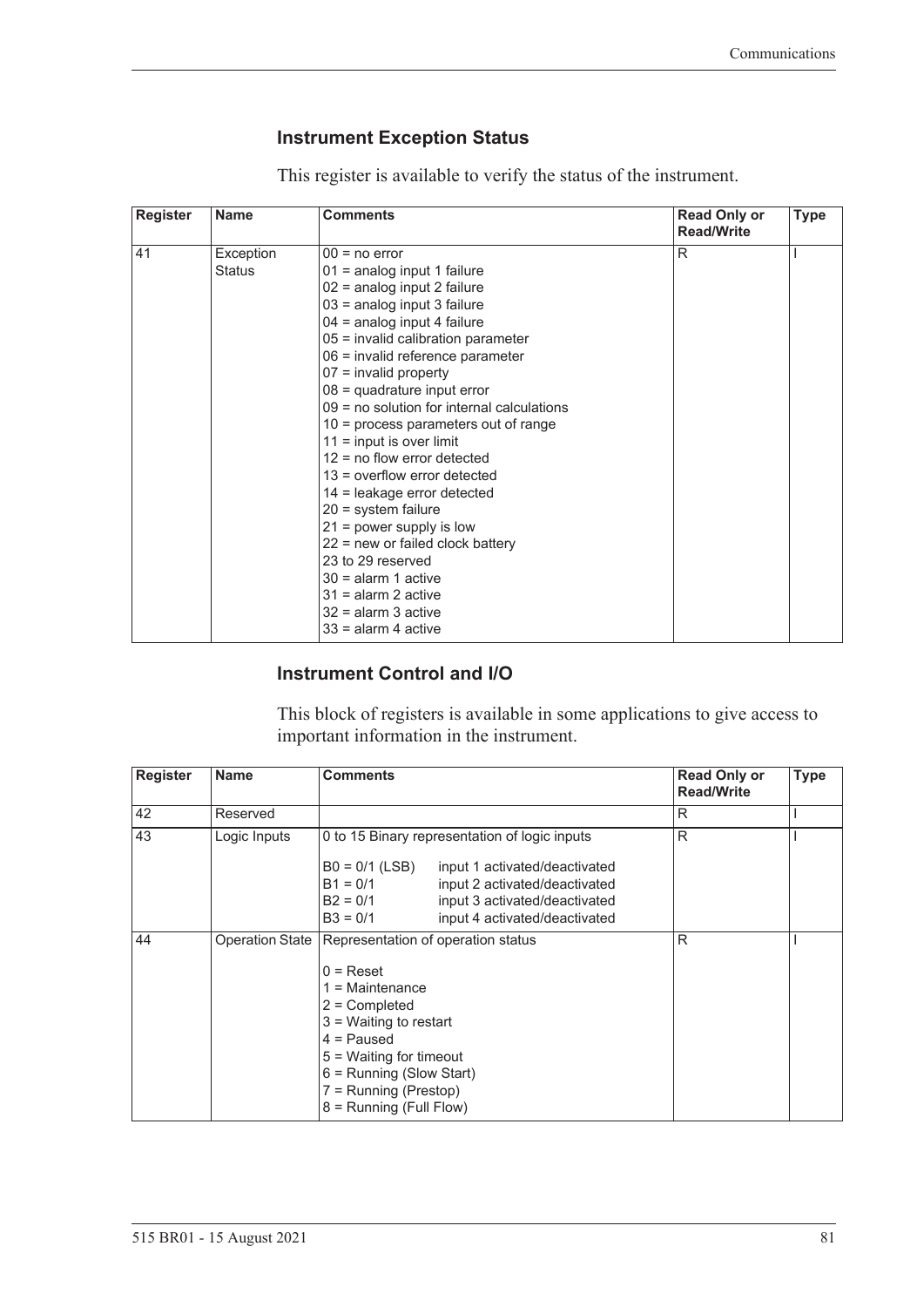#### <span id="page-90-1"></span><span id="page-90-0"></span>**Instrument Exception Status**

This register is available to verify the status of the instrument.

| <b>Register</b>                                                                                                                                                                                                                                                                           | <b>Name</b>   | <b>Comments</b>                | <b>Read Only or</b><br><b>Read/Write</b> | <b>Type</b> |
|-------------------------------------------------------------------------------------------------------------------------------------------------------------------------------------------------------------------------------------------------------------------------------------------|---------------|--------------------------------|------------------------------------------|-------------|
| 41                                                                                                                                                                                                                                                                                        | Exception     | $00 = no error$                | R                                        |             |
|                                                                                                                                                                                                                                                                                           | <b>Status</b> | $01$ = analog input 1 failure  |                                          |             |
|                                                                                                                                                                                                                                                                                           |               | 02 = analog input 2 failure    |                                          |             |
|                                                                                                                                                                                                                                                                                           |               | 03 = analog input 3 failure    |                                          |             |
| 04 = analog input 4 failure<br>05 = invalid calibration parameter<br>06 = invalid reference parameter<br>$07$ = invalid property<br>$08$ = quadrature input error<br>$09$ = no solution for internal calculations<br>$10$ = process parameters out of range<br>$11 =$ input is over limit |               |                                |                                          |             |
|                                                                                                                                                                                                                                                                                           |               |                                |                                          |             |
|                                                                                                                                                                                                                                                                                           |               |                                |                                          |             |
|                                                                                                                                                                                                                                                                                           |               |                                |                                          |             |
|                                                                                                                                                                                                                                                                                           |               |                                |                                          |             |
|                                                                                                                                                                                                                                                                                           |               |                                |                                          |             |
|                                                                                                                                                                                                                                                                                           |               |                                |                                          |             |
|                                                                                                                                                                                                                                                                                           |               |                                |                                          |             |
|                                                                                                                                                                                                                                                                                           |               | $12$ = no flow error detected  |                                          |             |
|                                                                                                                                                                                                                                                                                           |               | $13$ = overflow error detected |                                          |             |
| $14$ = leakage error detected<br>$20 =$ system failure<br>$21$ = power supply is low<br>$22$ = new or failed clock battery<br>23 to 29 reserved                                                                                                                                           |               |                                |                                          |             |
|                                                                                                                                                                                                                                                                                           |               |                                |                                          |             |
|                                                                                                                                                                                                                                                                                           |               |                                |                                          |             |
|                                                                                                                                                                                                                                                                                           |               |                                |                                          |             |
|                                                                                                                                                                                                                                                                                           |               |                                |                                          |             |
|                                                                                                                                                                                                                                                                                           |               | $30 =$ alarm 1 active          |                                          |             |
|                                                                                                                                                                                                                                                                                           |               | $31$ = alarm 2 active          |                                          |             |
|                                                                                                                                                                                                                                                                                           |               | $32$ = alarm 3 active          |                                          |             |
|                                                                                                                                                                                                                                                                                           |               | $33$ = alarm 4 active          |                                          |             |

#### **Instrument Control and I/O**

This block of registers is available in some applications to give access to important information in the instrument.

| <b>Register</b> | <b>Name</b>  | <b>Comments</b>                                      | <b>Read Only or</b><br><b>Read/Write</b> | Type |
|-----------------|--------------|------------------------------------------------------|------------------------------------------|------|
| 42              | Reserved     |                                                      | R                                        |      |
| 43              | Logic Inputs | 0 to 15 Binary representation of logic inputs        | R                                        |      |
|                 |              | $B0 = 0/1$ (LSB)<br>input 1 activated/deactivated    |                                          |      |
|                 |              | $B1 = 0/1$<br>input 2 activated/deactivated          |                                          |      |
|                 |              | $B2 = 0/1$<br>input 3 activated/deactivated          |                                          |      |
|                 |              | $B3 = 0/1$<br>input 4 activated/deactivated          |                                          |      |
| 44              |              | Operation State   Representation of operation status | R                                        |      |
|                 |              | $0 =$ Reset                                          |                                          |      |
|                 |              | 1 = Maintenance                                      |                                          |      |
|                 |              | $2 =$ Completed                                      |                                          |      |
|                 |              | $3$ = Waiting to restart                             |                                          |      |
|                 |              | $4 =$ Paused                                         |                                          |      |
|                 |              | $5 =$ Waiting for timeout                            |                                          |      |
|                 |              | $6$ = Running (Slow Start)                           |                                          |      |
|                 |              | 7 = Running (Prestop)                                |                                          |      |
|                 |              | $8$ = Running (Full Flow)                            |                                          |      |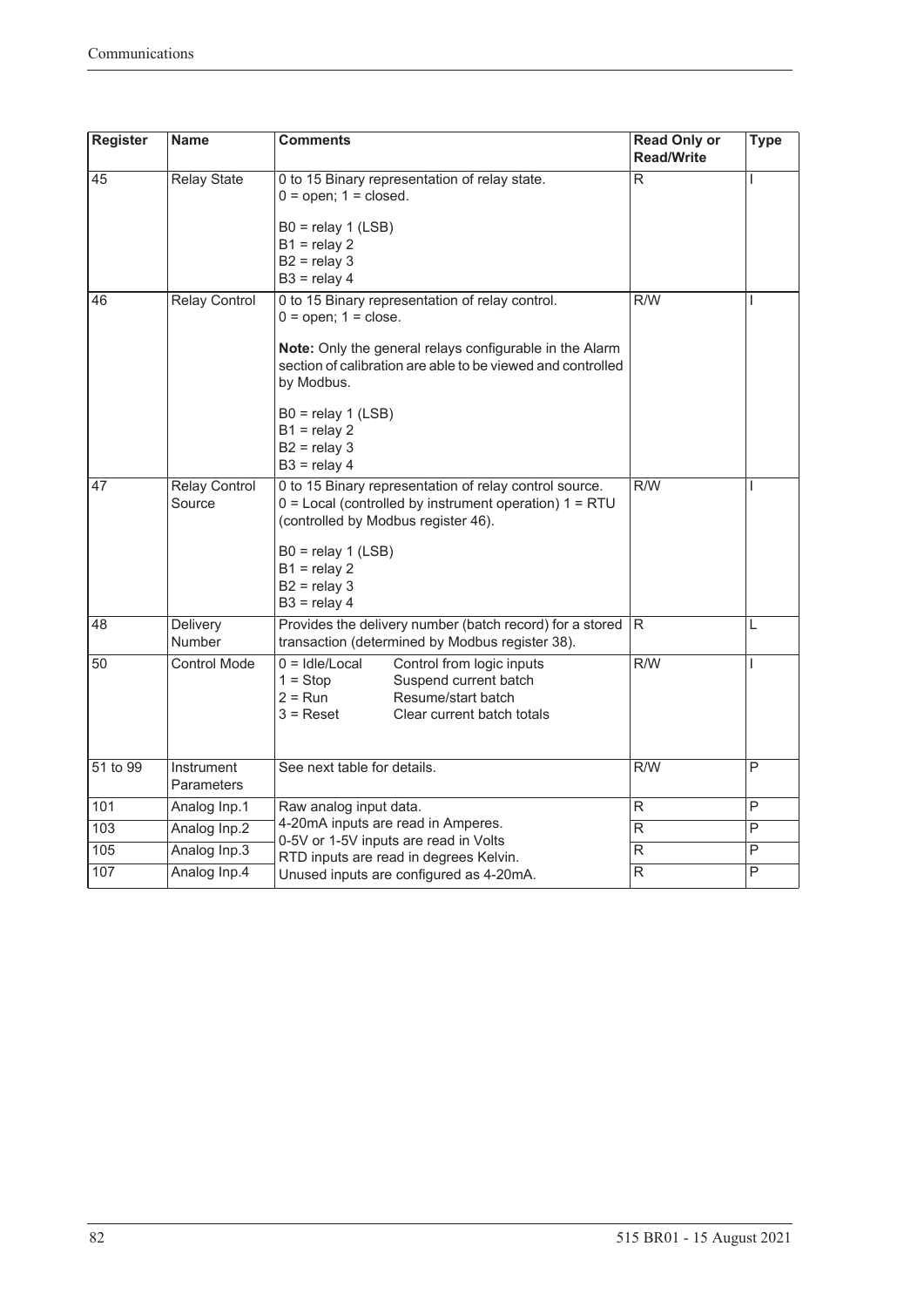| <b>Register</b> | <b>Name</b>                     | <b>Comments</b>                                                                                                                                                                                                                                                                                   | <b>Read Only or</b><br><b>Read/Write</b> | <b>Type</b> |
|-----------------|---------------------------------|---------------------------------------------------------------------------------------------------------------------------------------------------------------------------------------------------------------------------------------------------------------------------------------------------|------------------------------------------|-------------|
| 45              | <b>Relay State</b>              | 0 to 15 Binary representation of relay state.<br>$0 =$ open; $1 =$ closed.<br>$B0 =$ relay 1 (LSB)<br>$B1 =$ relay 2<br>$B2 =$ relay 3<br>$B3 =$ relay 4                                                                                                                                          | R                                        | ı           |
| 46              | <b>Relay Control</b>            | 0 to 15 Binary representation of relay control.<br>$0 =$ open; $1 =$ close.<br>Note: Only the general relays configurable in the Alarm<br>section of calibration are able to be viewed and controlled<br>by Modbus.<br>$B0 =$ relay 1 (LSB)<br>$B1 =$ relay 2<br>$B2 =$ relay 3<br>$B3 =$ relay 4 | R/W                                      |             |
| 47              | <b>Relay Control</b><br>Source  | 0 to 15 Binary representation of relay control source.<br>$0 =$ Local (controlled by instrument operation) $1 = RTU$<br>(controlled by Modbus register 46).<br>$B0 =$ relay 1 (LSB)<br>$B1$ = relay 2<br>$B2 =$ relay 3<br>$B3 =$ relay 4                                                         | R/W                                      | I           |
| 48              | Delivery<br>Number              | Provides the delivery number (batch record) for a stored<br>transaction (determined by Modbus register 38).                                                                                                                                                                                       | R                                        | L           |
| 50              | <b>Control Mode</b>             | $0 =$ Idle/Local<br>Control from logic inputs<br>$1 = Stop$<br>Suspend current batch<br>$2 = Run$<br>Resume/start batch<br>$3 =$ Reset<br>Clear current batch totals                                                                                                                              | R/W                                      |             |
| 51 to 99        | Instrument<br><b>Parameters</b> | See next table for details.                                                                                                                                                                                                                                                                       | R/W                                      | P           |
| 101             | Analog Inp.1                    | Raw analog input data.                                                                                                                                                                                                                                                                            | $\overline{R}$                           | P           |
| 103             | Analog Inp.2                    | 4-20mA inputs are read in Amperes.                                                                                                                                                                                                                                                                | R                                        | P           |
| 105             | Analog Inp.3                    | 0-5V or 1-5V inputs are read in Volts<br>RTD inputs are read in degrees Kelvin.                                                                                                                                                                                                                   | R                                        | P           |
| 107             | Analog Inp.4                    | Unused inputs are configured as 4-20mA.                                                                                                                                                                                                                                                           | $\overline{R}$                           | P           |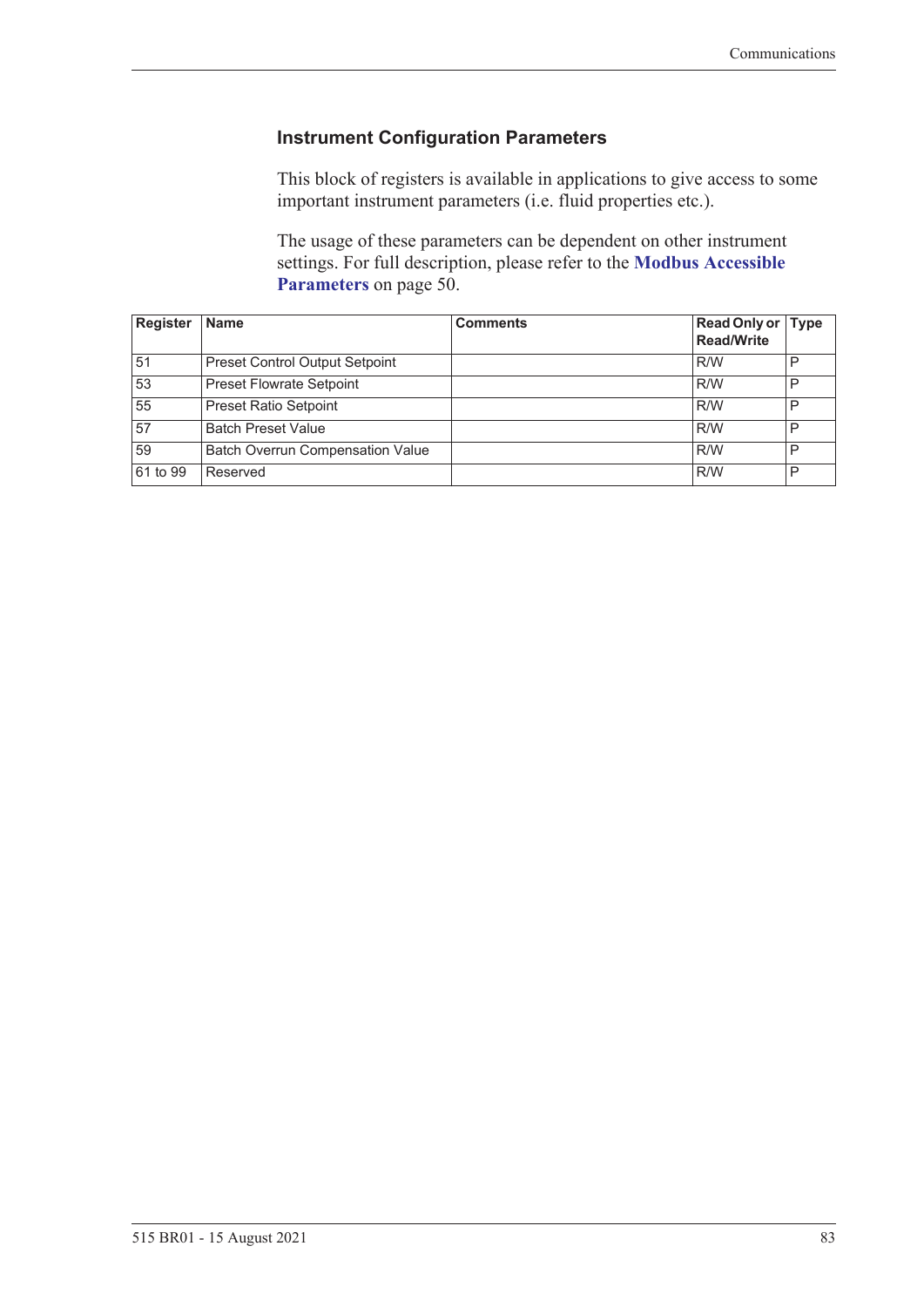#### **Instrument Configuration Parameters**

This block of registers is available in applications to give access to some important instrument parameters (i.e. fluid properties etc.).

The usage of these parameters can be dependent on other instrument settings. For full description, please refer to the **[Modbus Accessible](#page-59-0)  [Parameters](#page-59-0)** on page 50.

| <b>Register</b> | <b>Name</b>                             | <b>Comments</b> | Read Only or Type<br><b>Read/Write</b> |   |
|-----------------|-----------------------------------------|-----------------|----------------------------------------|---|
| 51              | <b>Preset Control Output Setpoint</b>   |                 | R/W                                    | P |
| 53              | <b>Preset Flowrate Setpoint</b>         |                 | R/W                                    | D |
| 55              | <b>Preset Ratio Setpoint</b>            |                 | R/W                                    | P |
| 57              | <b>Batch Preset Value</b>               |                 | R/W                                    | P |
| 59              | <b>Batch Overrun Compensation Value</b> |                 | R/W                                    | P |
| 61 to 99        | Reserved                                |                 | R/W                                    | P |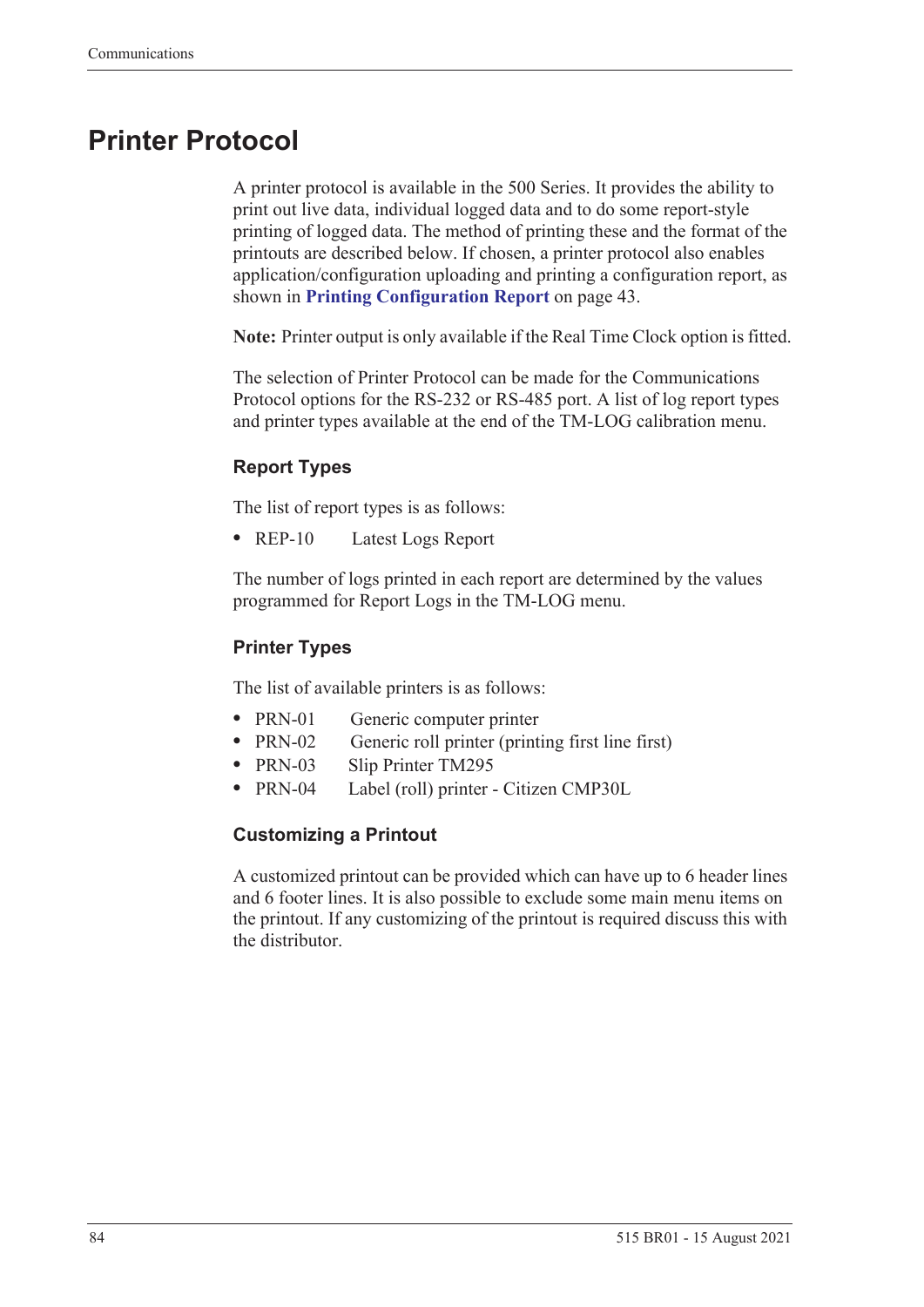## <span id="page-93-0"></span>**Printer Protocol**

A printer protocol is available in the 500 Series. It provides the ability to print out live data, individual logged data and to do some report-style printing of logged data. The method of printing these and the format of the printouts are described below. If chosen, a printer protocol also enables application/configuration uploading and printing a configuration report, as shown in **[Printing Configuration Report](#page-52-0)** on page 43.

**Note:** Printer output is only available if the Real Time Clock option is fitted.

The selection of Printer Protocol can be made for the Communications Protocol options for the RS-232 or RS-485 port. A list of log report types and printer types available at the end of the TM-LOG calibration menu.

#### **Report Types**

The list of report types is as follows:

**•** REP-10 Latest Logs Report

The number of logs printed in each report are determined by the values programmed for Report Logs in the TM-LOG menu.

#### **Printer Types**

The list of available printers is as follows:

- PRN-01 Generic computer printer
- PRN-02 Generic roll printer (printing first line first)
- PRN-03 Slip Printer TM295
- **•** PRN-04 Label (roll) printer Citizen CMP30L

#### <span id="page-93-1"></span>**Customizing a Printout**

A customized printout can be provided which can have up to 6 header lines and 6 footer lines. It is also possible to exclude some main menu items on the printout. If any customizing of the printout is required discuss this with the distributor.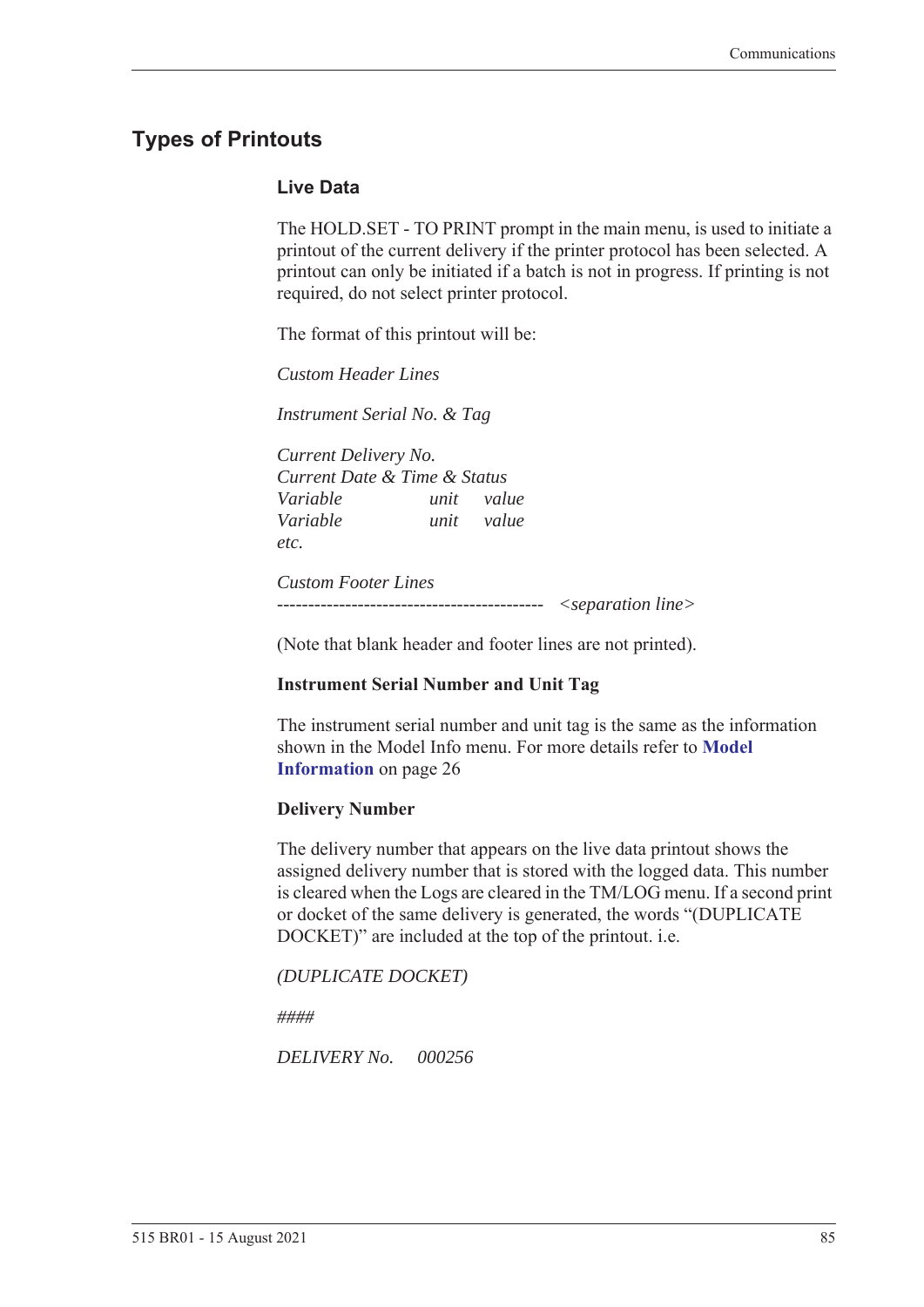### **Types of Printouts**

#### **Live Data**

The HOLD.SET - TO PRINT prompt in the main menu, is used to initiate a printout of the current delivery if the printer protocol has been selected. A printout can only be initiated if a batch is not in progress. If printing is not required, do not select printer protocol.

The format of this printout will be:

*Custom Header Lines*

*Instrument Serial No. & Tag*

*Current Delivery No. Current Date & Time & Status Variable unit value Variable unit value etc.*

*Custom Footer Lines ------------------------------------------- <separation line>*

(Note that blank header and footer lines are not printed).

#### **Instrument Serial Number and Unit Tag**

The instrument serial number and unit tag is the same as the information shown in the Model Info menu. For more details refer to **[Model](#page-35-0)  [Information](#page-35-0)** on page 26

#### **Delivery Number**

The delivery number that appears on the live data printout shows the assigned delivery number that is stored with the logged data. This number is cleared when the Logs are cleared in the TM/LOG menu. If a second print or docket of the same delivery is generated, the words "(DUPLICATE DOCKET)" are included at the top of the printout. i.e.

*(DUPLICATE DOCKET)*

*####*

*DELIVERY No. 000256*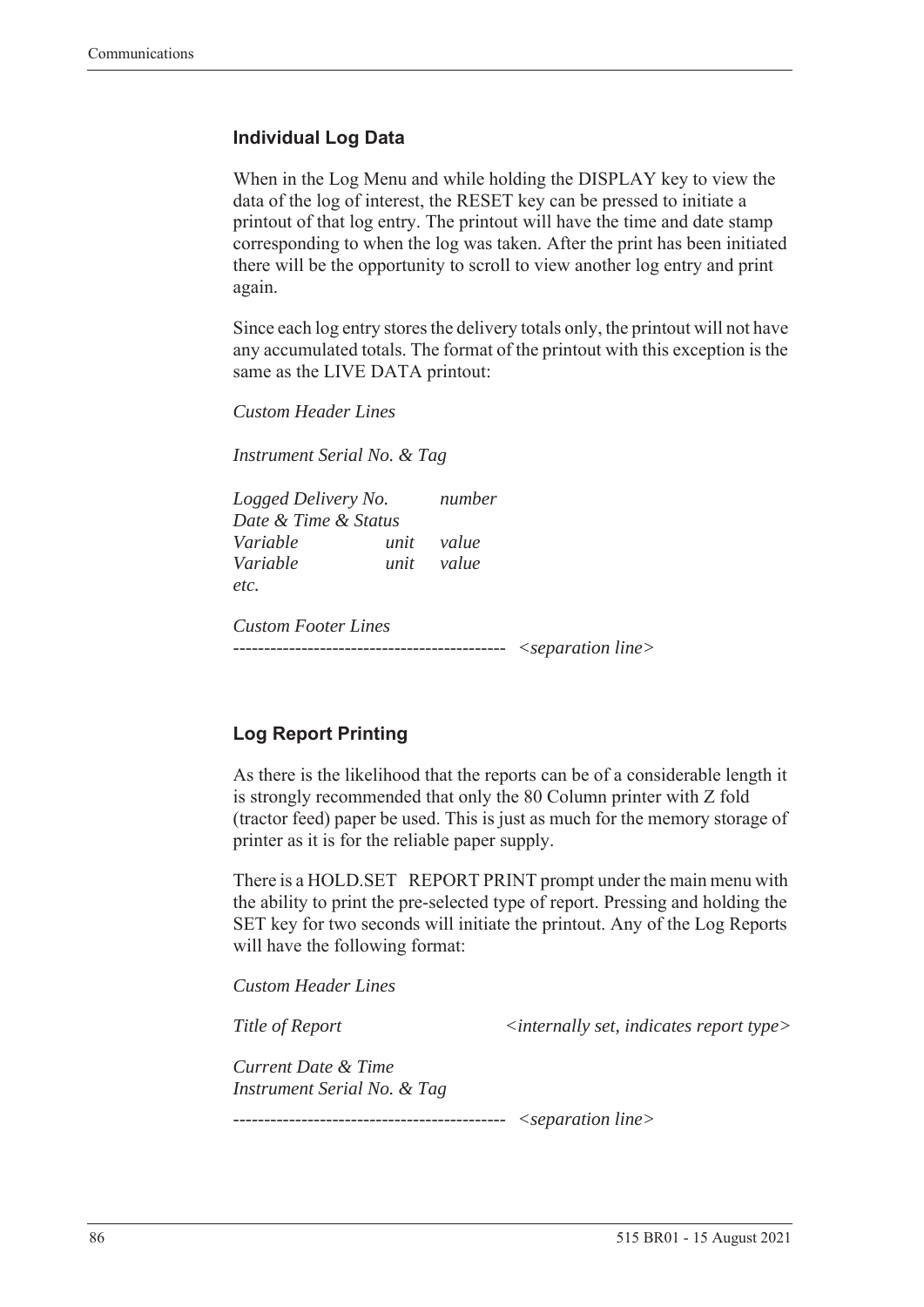#### **Individual Log Data**

When in the Log Menu and while holding the DISPLAY key to view the data of the log of interest, the RESET key can be pressed to initiate a printout of that log entry. The printout will have the time and date stamp corresponding to when the log was taken. After the print has been initiated there will be the opportunity to scroll to view another log entry and print again.

Since each log entry stores the delivery totals only, the printout will not have any accumulated totals. The format of the printout with this exception is the same as the LIVE DATA printout:

*Custom Header Lines*

*Instrument Serial No. & Tag*

| Logged Delivery No.  |            | number |
|----------------------|------------|--------|
| Date & Time & Status |            |        |
| Variable             | unit value |        |
| Variable             | unit value |        |
| etc.                 |            |        |

*Custom Footer Lines* 

*-------------------------------------------- <separation line>*

#### **Log Report Printing**

As there is the likelihood that the reports can be of a considerable length it is strongly recommended that only the 80 Column printer with Z fold (tractor feed) paper be used. This is just as much for the memory storage of printer as it is for the reliable paper supply.

There is a HOLD.SET REPORT PRINT prompt under the main menu with the ability to print the pre-selected type of report. Pressing and holding the SET key for two seconds will initiate the printout. Any of the Log Reports will have the following format:

*Custom Header Lines*

*Title of Report*  $\langle$  *internally set, indicates report type>* 

*Current Date & Time Instrument Serial No. & Tag*

*-------------------------------------------- <separation line>*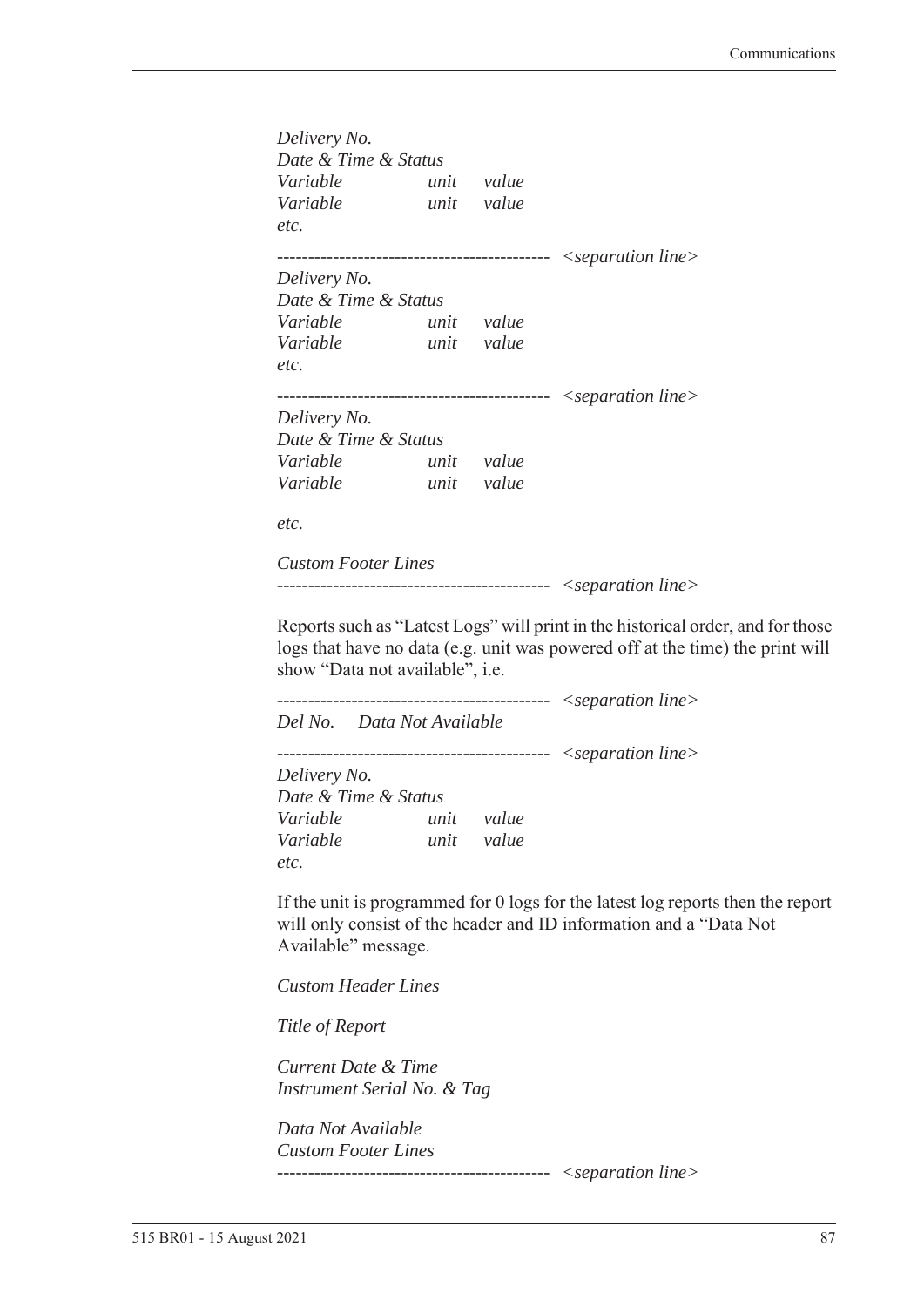| Delivery No.                         |            |       |                                                                                                                                                                  |
|--------------------------------------|------------|-------|------------------------------------------------------------------------------------------------------------------------------------------------------------------|
| Date & Time & Status                 |            |       |                                                                                                                                                                  |
| Variable unit value                  |            |       |                                                                                                                                                                  |
| Variable                             | unit value |       |                                                                                                                                                                  |
| etc.                                 |            |       |                                                                                                                                                                  |
|                                      |            |       |                                                                                                                                                                  |
| Delivery No.                         |            |       |                                                                                                                                                                  |
| Date & Time & Status                 |            |       |                                                                                                                                                                  |
| Variable unit value<br>Variable      | unit value |       |                                                                                                                                                                  |
|                                      |            |       |                                                                                                                                                                  |
| etc.                                 |            |       |                                                                                                                                                                  |
|                                      |            |       |                                                                                                                                                                  |
| Delivery No.                         |            |       |                                                                                                                                                                  |
| Date & Time & Status                 |            |       |                                                                                                                                                                  |
| Variable unit value                  |            |       |                                                                                                                                                                  |
| Variable unit value                  |            |       |                                                                                                                                                                  |
| etc.                                 |            |       |                                                                                                                                                                  |
| <b>Custom Footer Lines</b>           |            |       |                                                                                                                                                                  |
|                                      |            |       |                                                                                                                                                                  |
| show "Data not available", i.e.      |            |       | Reports such as "Latest Logs" will print in the historical order, and for those<br>logs that have no data (e.g. unit was powered off at the time) the print will |
| Del No. Data Not Available           |            |       |                                                                                                                                                                  |
|                                      |            |       |                                                                                                                                                                  |
| Delivery No.<br>Date & Time & Status |            |       |                                                                                                                                                                  |
| Variable unit value                  |            |       |                                                                                                                                                                  |
| Variable<br>etc.                     | unit       | value |                                                                                                                                                                  |
| Available" message.                  |            |       | If the unit is programmed for 0 logs for the latest log reports then the report<br>will only consist of the header and ID information and a "Data Not            |

*Custom Header Lines*

*Title of Report*

*Current Date & Time Instrument Serial No. & Tag*

*Data Not Available Custom Footer Lines -------------------------------------------- <separation line>*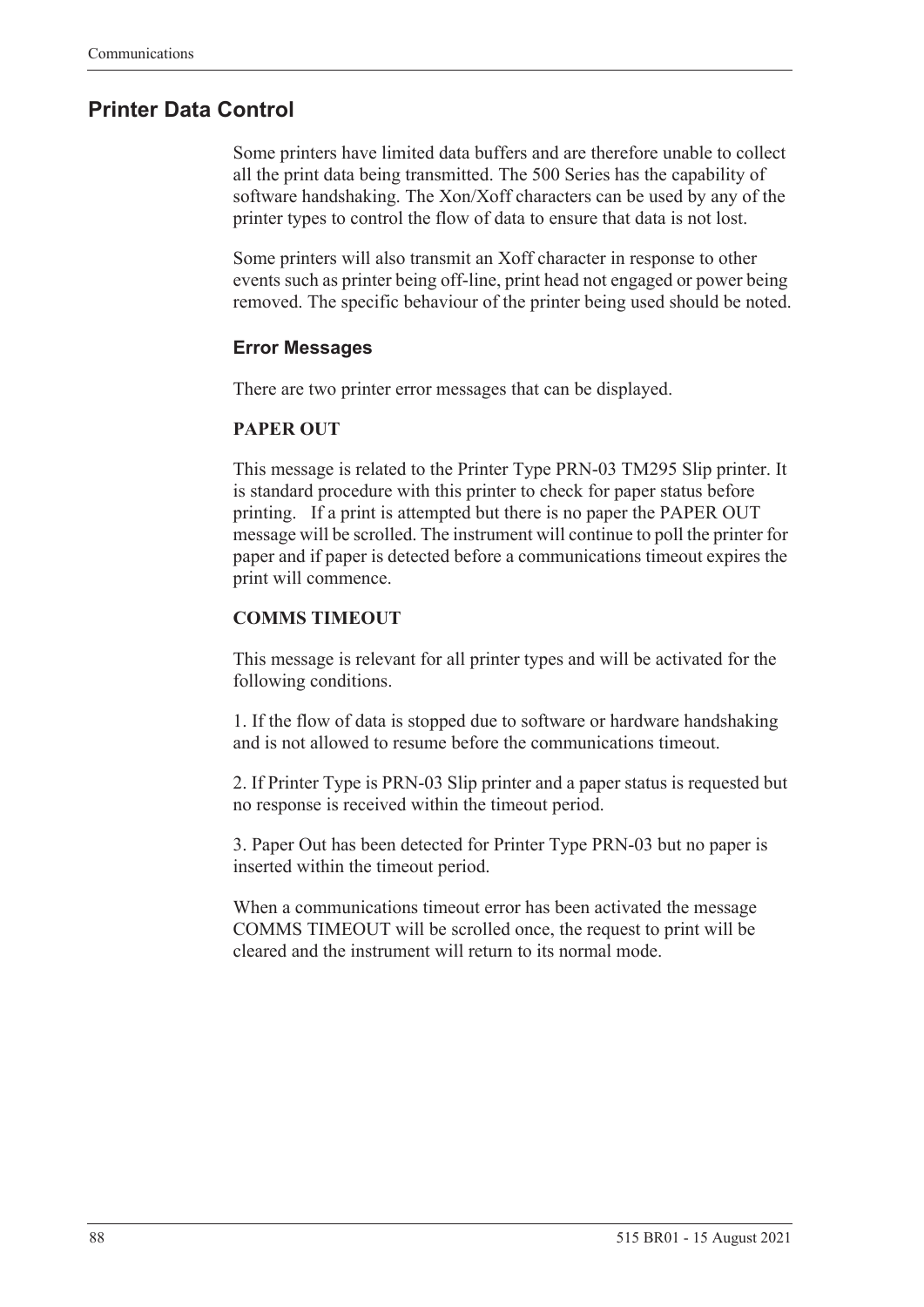### **Printer Data Control**

Some printers have limited data buffers and are therefore unable to collect all the print data being transmitted. The 500 Series has the capability of software handshaking. The Xon/Xoff characters can be used by any of the printer types to control the flow of data to ensure that data is not lost.

Some printers will also transmit an Xoff character in response to other events such as printer being off-line, print head not engaged or power being removed. The specific behaviour of the printer being used should be noted.

#### **Error Messages**

There are two printer error messages that can be displayed.

#### **PAPER OUT**

This message is related to the Printer Type PRN-03 TM295 Slip printer. It is standard procedure with this printer to check for paper status before printing. If a print is attempted but there is no paper the PAPER OUT message will be scrolled. The instrument will continue to poll the printer for paper and if paper is detected before a communications timeout expires the print will commence.

#### **COMMS TIMEOUT**

This message is relevant for all printer types and will be activated for the following conditions.

1. If the flow of data is stopped due to software or hardware handshaking and is not allowed to resume before the communications timeout.

2. If Printer Type is PRN-03 Slip printer and a paper status is requested but no response is received within the timeout period.

3. Paper Out has been detected for Printer Type PRN-03 but no paper is inserted within the timeout period.

When a communications timeout error has been activated the message COMMS TIMEOUT will be scrolled once, the request to print will be cleared and the instrument will return to its normal mode.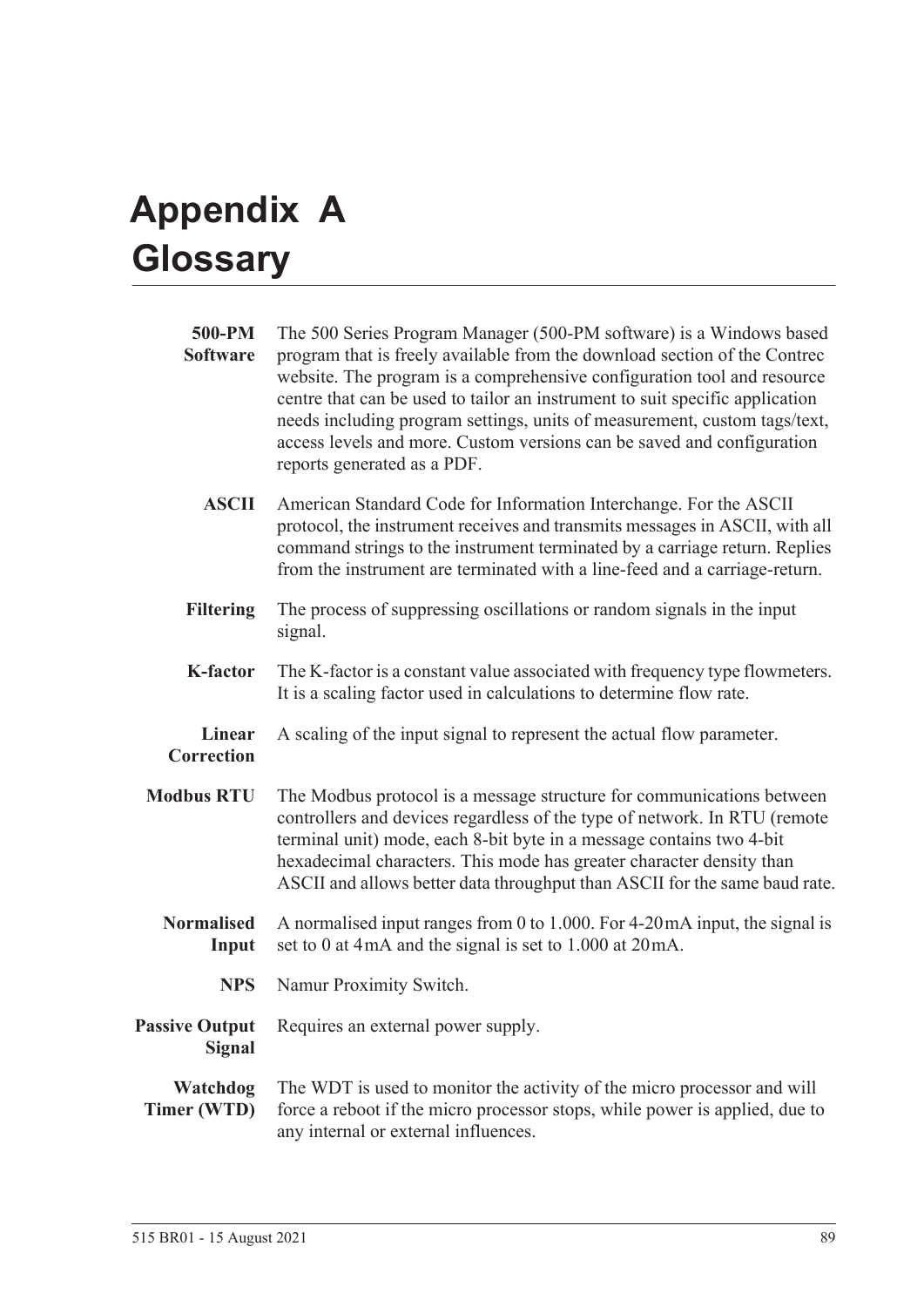# <span id="page-98-1"></span>**Appendix A Glossary**

<span id="page-98-0"></span>

| 500-PM<br><b>Software</b>              | The 500 Series Program Manager (500-PM software) is a Windows based<br>program that is freely available from the download section of the Contrec<br>website. The program is a comprehensive configuration tool and resource<br>centre that can be used to tailor an instrument to suit specific application<br>needs including program settings, units of measurement, custom tags/text,<br>access levels and more. Custom versions can be saved and configuration<br>reports generated as a PDF. |
|----------------------------------------|---------------------------------------------------------------------------------------------------------------------------------------------------------------------------------------------------------------------------------------------------------------------------------------------------------------------------------------------------------------------------------------------------------------------------------------------------------------------------------------------------|
| <b>ASCII</b>                           | American Standard Code for Information Interchange. For the ASCII<br>protocol, the instrument receives and transmits messages in ASCII, with all<br>command strings to the instrument terminated by a carriage return. Replies<br>from the instrument are terminated with a line-feed and a carriage-return.                                                                                                                                                                                      |
| <b>Filtering</b>                       | The process of suppressing oscillations or random signals in the input<br>signal.                                                                                                                                                                                                                                                                                                                                                                                                                 |
| <b>K-factor</b>                        | The K-factor is a constant value associated with frequency type flowmeters.<br>It is a scaling factor used in calculations to determine flow rate.                                                                                                                                                                                                                                                                                                                                                |
| <b>Linear</b><br>Correction            | A scaling of the input signal to represent the actual flow parameter.                                                                                                                                                                                                                                                                                                                                                                                                                             |
| <b>Modbus RTU</b>                      | The Modbus protocol is a message structure for communications between<br>controllers and devices regardless of the type of network. In RTU (remote<br>terminal unit) mode, each 8-bit byte in a message contains two 4-bit<br>hexadecimal characters. This mode has greater character density than<br>ASCII and allows better data throughput than ASCII for the same baud rate.                                                                                                                  |
| <b>Normalised</b><br>Input             | A normalised input ranges from 0 to 1.000. For 4-20 mA input, the signal is<br>set to 0 at 4mA and the signal is set to 1.000 at 20mA.                                                                                                                                                                                                                                                                                                                                                            |
| <b>NPS</b>                             | Namur Proximity Switch.                                                                                                                                                                                                                                                                                                                                                                                                                                                                           |
| <b>Passive Output</b><br><b>Signal</b> | Requires an external power supply.                                                                                                                                                                                                                                                                                                                                                                                                                                                                |
| Watchdog<br>Timer (WTD)                | The WDT is used to monitor the activity of the micro processor and will<br>force a reboot if the micro processor stops, while power is applied, due to<br>any internal or external influences.                                                                                                                                                                                                                                                                                                    |
|                                        |                                                                                                                                                                                                                                                                                                                                                                                                                                                                                                   |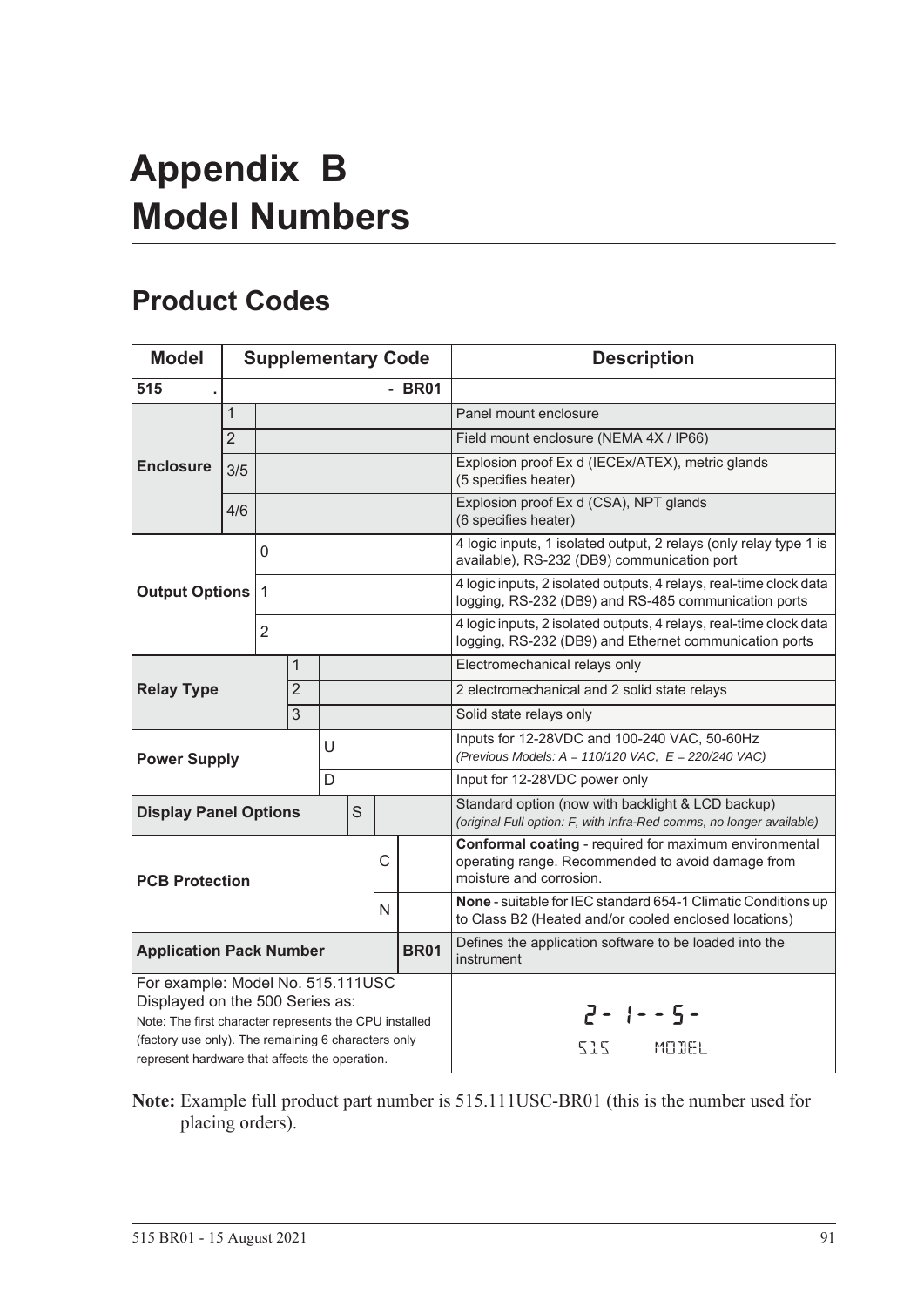# **Appendix B Model Numbers**

## <span id="page-100-0"></span>**Product Codes**

| <b>Model</b>                                                                                                                                                                                                                            | <b>Supplementary Code</b> |                |                | <b>Description</b> |                                 |   |             |                                                                                                                                        |
|-----------------------------------------------------------------------------------------------------------------------------------------------------------------------------------------------------------------------------------------|---------------------------|----------------|----------------|--------------------|---------------------------------|---|-------------|----------------------------------------------------------------------------------------------------------------------------------------|
| 515                                                                                                                                                                                                                                     |                           |                |                |                    |                                 |   | - BR01      |                                                                                                                                        |
|                                                                                                                                                                                                                                         | $\mathbf{1}$              |                |                |                    |                                 |   |             | Panel mount enclosure                                                                                                                  |
|                                                                                                                                                                                                                                         | $\overline{2}$            |                |                |                    |                                 |   |             | Field mount enclosure (NEMA 4X / IP66)                                                                                                 |
| <b>Enclosure</b>                                                                                                                                                                                                                        | 3/5                       |                |                |                    |                                 |   |             | Explosion proof Ex d (IECEx/ATEX), metric glands<br>(5 specifies heater)                                                               |
|                                                                                                                                                                                                                                         | 4/6                       |                |                |                    |                                 |   |             | Explosion proof Ex d (CSA), NPT glands<br>(6 specifies heater)                                                                         |
|                                                                                                                                                                                                                                         |                           | 0              |                |                    |                                 |   |             | 4 logic inputs, 1 isolated output, 2 relays (only relay type 1 is<br>available), RS-232 (DB9) communication port                       |
| <b>Output Options</b>                                                                                                                                                                                                                   |                           | $\mathbf{1}$   |                |                    |                                 |   |             | 4 logic inputs, 2 isolated outputs, 4 relays, real-time clock data<br>logging, RS-232 (DB9) and RS-485 communication ports             |
|                                                                                                                                                                                                                                         |                           | $\overline{2}$ |                |                    |                                 |   |             | 4 logic inputs, 2 isolated outputs, 4 relays, real-time clock data<br>logging, RS-232 (DB9) and Ethernet communication ports           |
|                                                                                                                                                                                                                                         |                           |                | $\mathbf{1}$   |                    |                                 |   |             | Electromechanical relays only                                                                                                          |
| <b>Relay Type</b>                                                                                                                                                                                                                       |                           |                | $\overline{2}$ |                    |                                 |   |             | 2 electromechanical and 2 solid state relays                                                                                           |
|                                                                                                                                                                                                                                         |                           |                | $\overline{3}$ |                    |                                 |   |             | Solid state relays only                                                                                                                |
| <b>Power Supply</b>                                                                                                                                                                                                                     |                           |                |                | U                  |                                 |   |             | Inputs for 12-28VDC and 100-240 VAC, 50-60Hz<br>(Previous Models: $A = 110/120$ VAC, $E = 220/240$ VAC)                                |
|                                                                                                                                                                                                                                         |                           |                |                | D                  |                                 |   |             | Input for 12-28VDC power only                                                                                                          |
| <b>Display Panel Options</b>                                                                                                                                                                                                            |                           |                |                |                    | S                               |   |             | Standard option (now with backlight & LCD backup)<br>(original Full option: F, with Infra-Red comms, no longer available)              |
| <b>PCB Protection</b>                                                                                                                                                                                                                   |                           |                |                |                    |                                 | C |             | Conformal coating - required for maximum environmental<br>operating range. Recommended to avoid damage from<br>moisture and corrosion. |
|                                                                                                                                                                                                                                         |                           |                |                |                    |                                 | N |             | None - suitable for IEC standard 654-1 Climatic Conditions up<br>to Class B2 (Heated and/or cooled enclosed locations)                 |
| <b>Application Pack Number</b>                                                                                                                                                                                                          |                           |                |                |                    |                                 |   | <b>BR01</b> | Defines the application software to be loaded into the<br>instrument                                                                   |
| For example: Model No. 515.111USC<br>Displayed on the 500 Series as:<br>Note: The first character represents the CPU installed<br>(factory use only). The remaining 6 characters only<br>represent hardware that affects the operation. |                           |                |                |                    | $2 - 1 - - 5 -$<br>515<br>MODEL |   |             |                                                                                                                                        |

**Note:** Example full product part number is 515.111USC-BR01 (this is the number used for placing orders).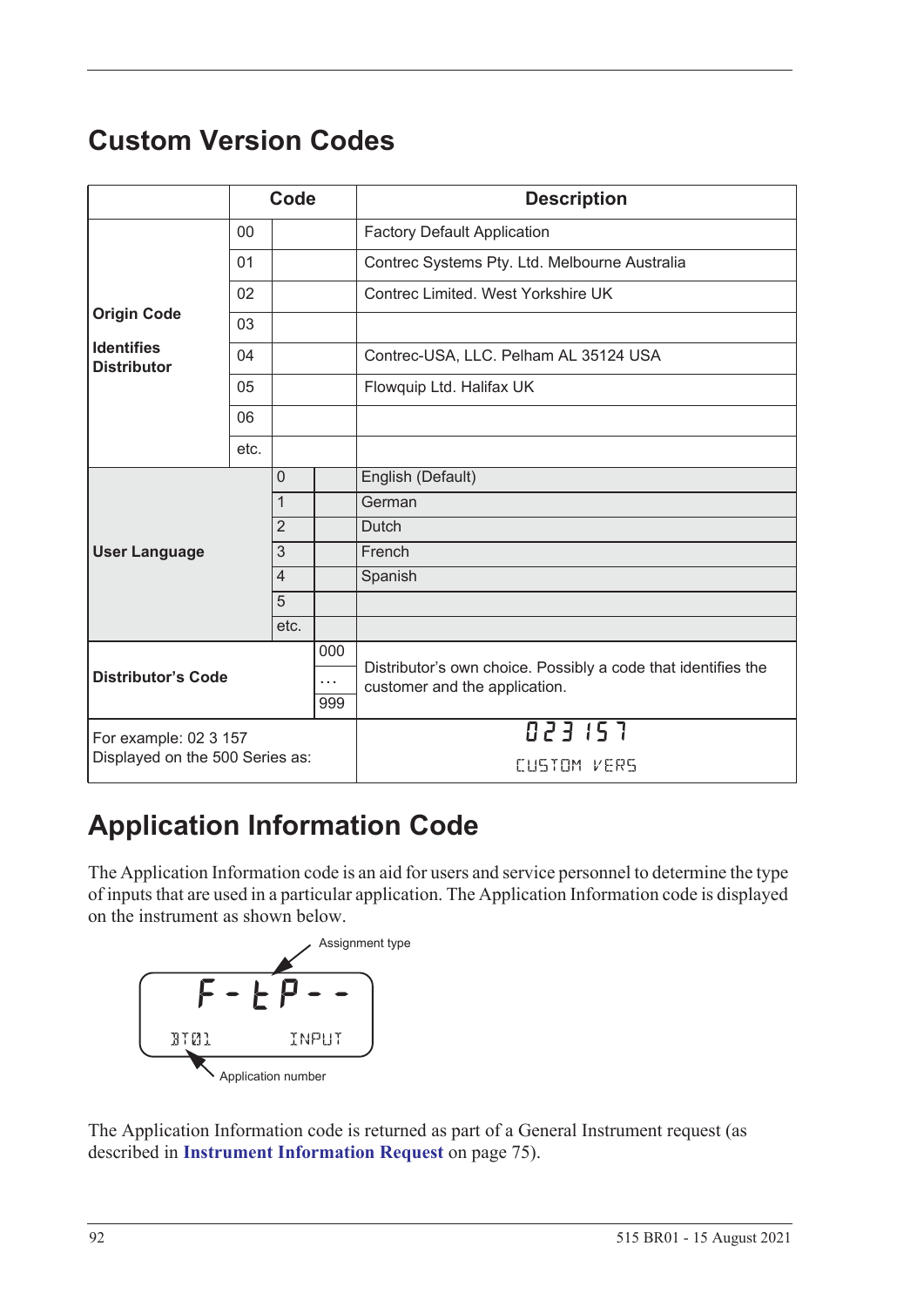# <span id="page-101-1"></span>**Custom Version Codes**

|                                              | Code |                |                                                                                                | <b>Description</b>                            |  |  |
|----------------------------------------------|------|----------------|------------------------------------------------------------------------------------------------|-----------------------------------------------|--|--|
|                                              | 00   |                |                                                                                                | <b>Factory Default Application</b>            |  |  |
|                                              | 01   |                |                                                                                                | Contrec Systems Pty. Ltd. Melbourne Australia |  |  |
|                                              | 02   |                |                                                                                                | Contrec Limited, West Yorkshire UK            |  |  |
| <b>Origin Code</b>                           | 03   |                |                                                                                                |                                               |  |  |
| <b>Identifies</b><br><b>Distributor</b>      | 04   |                |                                                                                                | Contrec-USA, LLC. Pelham AL 35124 USA         |  |  |
|                                              | 05   |                |                                                                                                | Flowquip Ltd. Halifax UK                      |  |  |
|                                              | 06   |                |                                                                                                |                                               |  |  |
|                                              | etc. |                |                                                                                                |                                               |  |  |
|                                              |      | $\overline{0}$ |                                                                                                | English (Default)                             |  |  |
|                                              |      | $\mathbf{1}$   |                                                                                                | German                                        |  |  |
|                                              |      | $\overline{2}$ |                                                                                                | Dutch                                         |  |  |
| <b>User Language</b>                         |      | 3              |                                                                                                | French                                        |  |  |
|                                              |      | $\overline{4}$ |                                                                                                | Spanish                                       |  |  |
|                                              |      | $\overline{5}$ |                                                                                                |                                               |  |  |
|                                              |      | etc.           |                                                                                                |                                               |  |  |
|                                              |      |                | 000                                                                                            |                                               |  |  |
| <b>Distributor's Code</b><br>$\cdots$<br>999 |      |                | Distributor's own choice. Possibly a code that identifies the<br>customer and the application. |                                               |  |  |
|                                              |      |                |                                                                                                |                                               |  |  |
| For example: 02 3 157                        |      |                |                                                                                                | 023157                                        |  |  |
| Displayed on the 500 Series as:              |      |                | <b>CUSTOM VERS</b>                                                                             |                                               |  |  |

# **Application Information Code**

The Application Information code is an aid for users and service personnel to determine the type of inputs that are used in a particular application. The Application Information code is displayed on the instrument as shown below.

<span id="page-101-0"></span>

The Application Information code is returned as part of a General Instrument request (as described in **[Instrument Information Request](#page-84-0)** on page 75).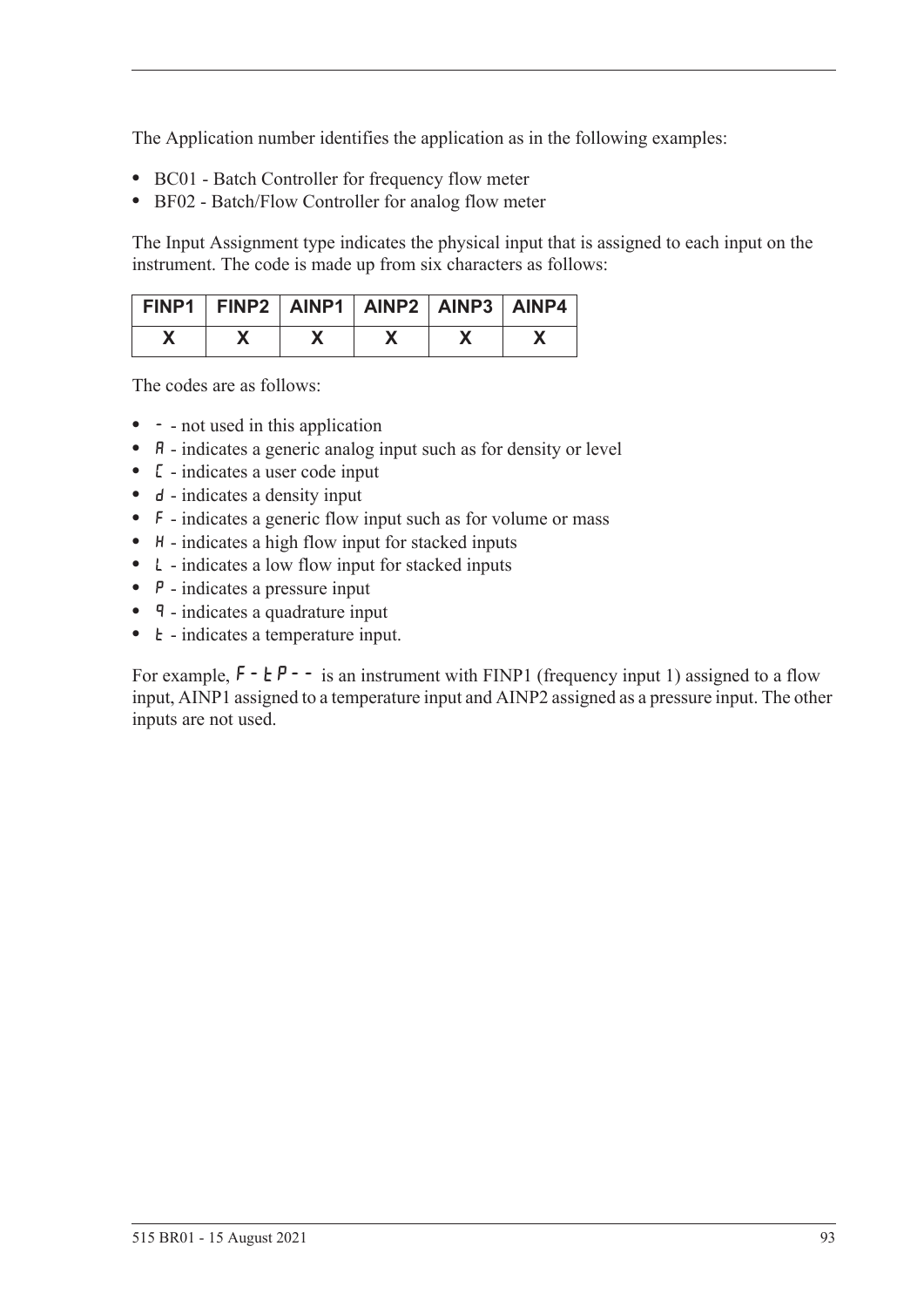The Application number identifies the application as in the following examples:

- **•** BC01 Batch Controller for frequency flow meter
- **•** BF02 Batch/Flow Controller for analog flow meter

The Input Assignment type indicates the physical input that is assigned to each input on the instrument. The code is made up from six characters as follows:

| FINP1   FINP2   AINP1   AINP2   AINP3   AINP4 |  |  |  |
|-----------------------------------------------|--|--|--|
|                                               |  |  |  |

The codes are as follows:

- - not used in this application
- **A** indicates a generic analog input such as for density or level
- **•** C indicates a user code input
- d indicates a density input
- **•** F indicates a generic flow input such as for volume or mass
- H indicates a high flow input for stacked inputs
- **•** L indicates a low flow input for stacked inputs
- **•** P indicates a pressure input
- **q** indicates a quadrature input
- *k* indicates a temperature input.

For example,  $F - tP - -$  is an instrument with FINP1 (frequency input 1) assigned to a flow input, AINP1 assigned to a temperature input and AINP2 assigned as a pressure input. The other inputs are not used.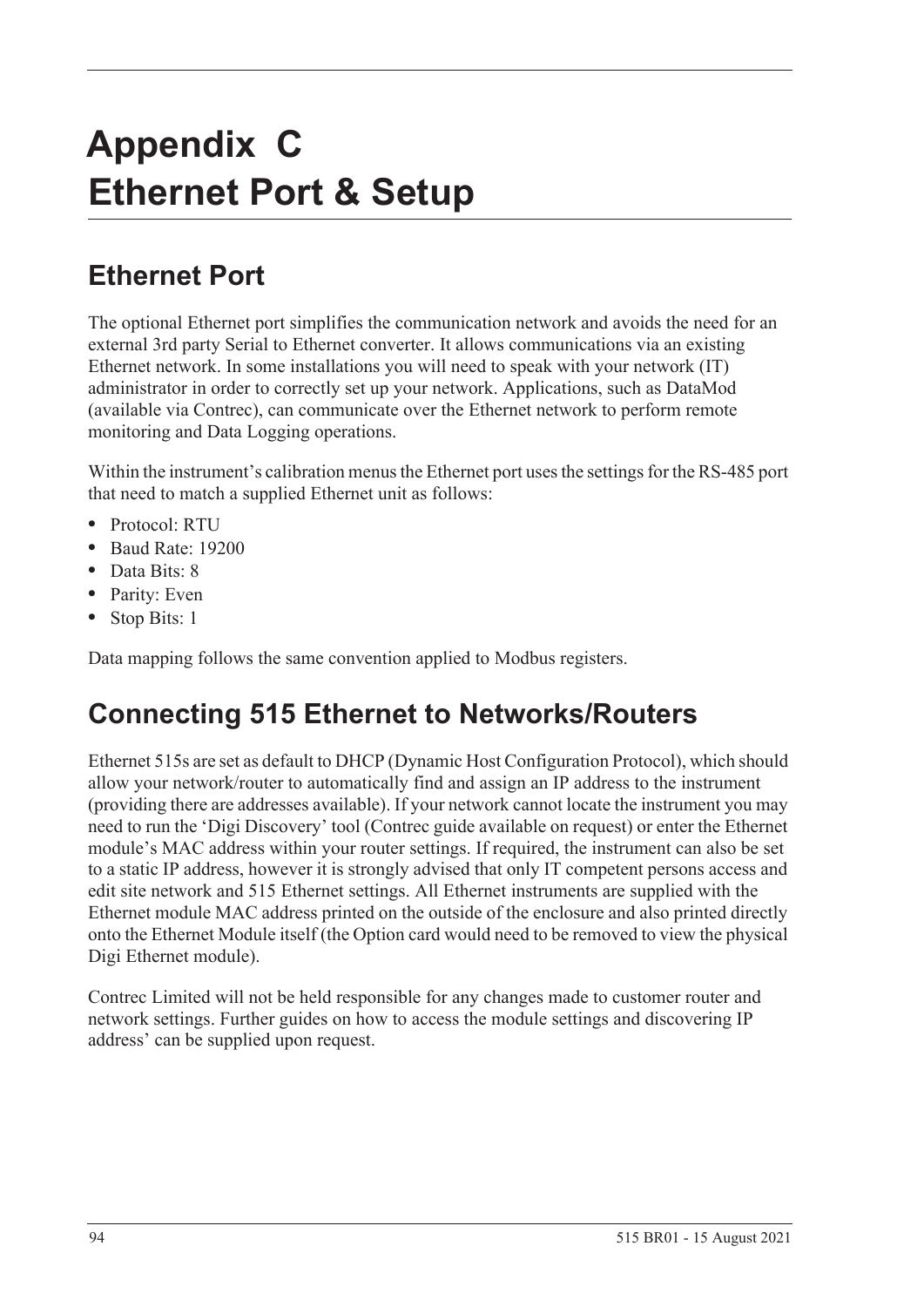# <span id="page-103-0"></span>**Appendix C Ethernet Port & Setup**

# **Ethernet Port**

The optional Ethernet port simplifies the communication network and avoids the need for an external 3rd party Serial to Ethernet converter. It allows communications via an existing Ethernet network. In some installations you will need to speak with your network (IT) administrator in order to correctly set up your network. Applications, such as DataMod (available via Contrec), can communicate over the Ethernet network to perform remote monitoring and Data Logging operations.

Within the instrument's calibration menus the Ethernet port uses the settings for the RS-485 port that need to match a supplied Ethernet unit as follows:

- **•** Protocol: RTU
- **•** Baud Rate: 19200
- **•** Data Bits: 8
- **•** Parity: Even
- **•** Stop Bits: 1

Data mapping follows the same convention applied to Modbus registers.

# **Connecting 515 Ethernet to Networks/Routers**

Ethernet 515s are set as default to DHCP (Dynamic Host Configuration Protocol), which should allow your network/router to automatically find and assign an IP address to the instrument (providing there are addresses available). If your network cannot locate the instrument you may need to run the 'Digi Discovery' tool (Contrec guide available on request) or enter the Ethernet module's MAC address within your router settings. If required, the instrument can also be set to a static IP address, however it is strongly advised that only IT competent persons access and edit site network and 515 Ethernet settings. All Ethernet instruments are supplied with the Ethernet module MAC address printed on the outside of the enclosure and also printed directly onto the Ethernet Module itself (the Option card would need to be removed to view the physical Digi Ethernet module).

Contrec Limited will not be held responsible for any changes made to customer router and network settings. Further guides on how to access the module settings and discovering IP address' can be supplied upon request.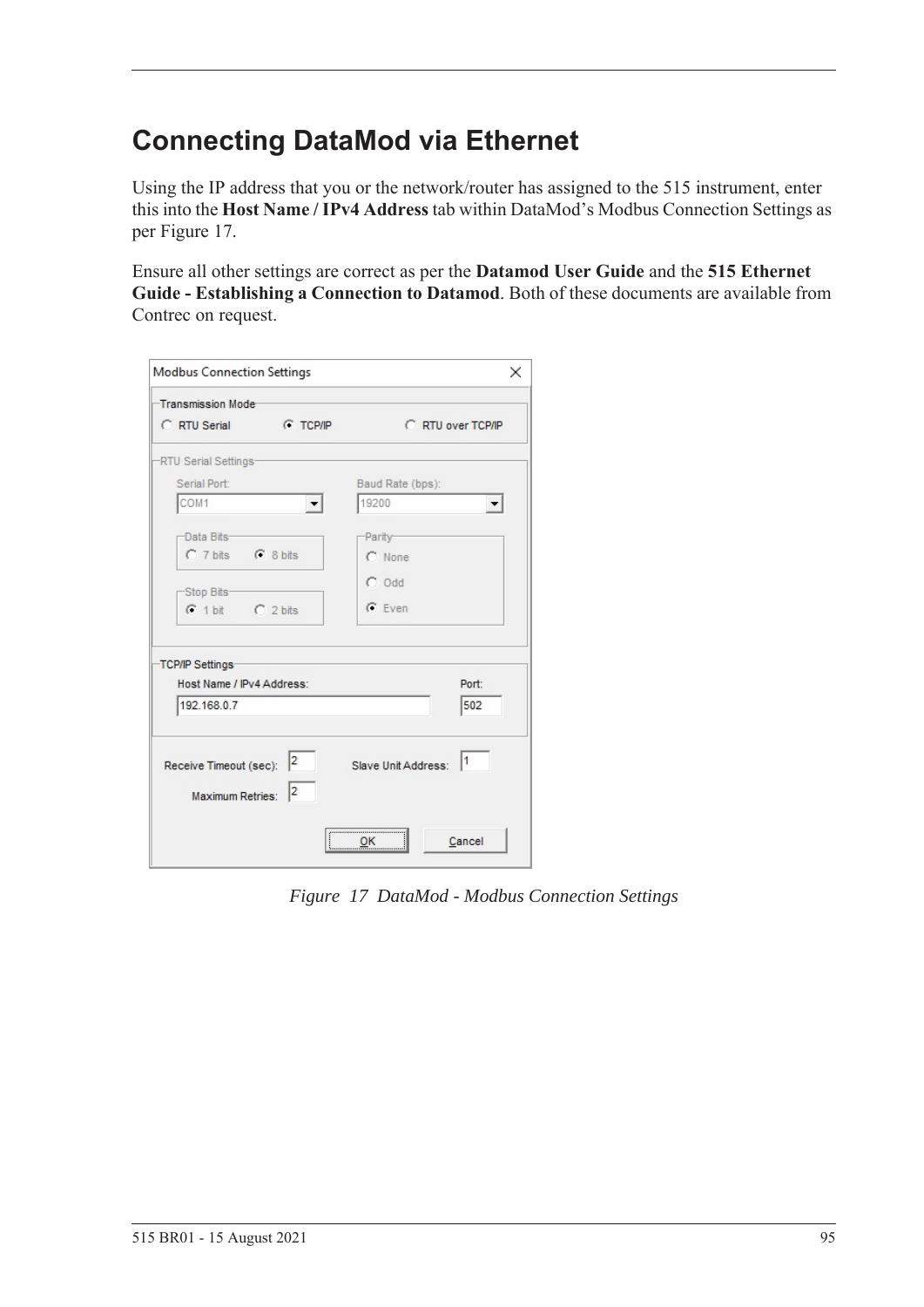# **Connecting DataMod via Ethernet**

Using the IP address that you or the network/router has assigned to the 515 instrument, enter this into the **Host Name / IPv4 Address** tab within DataMod's Modbus Connection Settings as per [Figure 17.](#page-104-0)

Ensure all other settings are correct as per the **Datamod User Guide** and the **515 Ethernet Guide - Establishing a Connection to Datamod**. Both of these documents are available from Contrec on request.

| Transmission Mode-                                   |                 |                     |                      |
|------------------------------------------------------|-----------------|---------------------|----------------------|
| C RTU Serial                                         | <b>C</b> TCP/IP | C RTU over TCP/IP   |                      |
| -RTU Serial Settings-                                |                 |                     |                      |
| Serial Port:                                         |                 | Baud Rate (bps):    |                      |
| COM1                                                 |                 | 19200               | $\blacktriangledown$ |
| -Data Bits-                                          |                 | -Parity-            |                      |
| C 7 bits C 8 bits                                    |                 | C None              |                      |
|                                                      |                 | $C$ Odd             |                      |
| -Stop Bits-                                          |                 | $G$ Even            |                      |
| $C$ 1 bit $C$ 2 bits                                 |                 |                     |                      |
| TCP/IP Settings                                      |                 |                     |                      |
| Host Name / IPv4 Address:                            |                 |                     | Port:                |
| 192.168.0.7                                          |                 |                     | 502                  |
| Receive Timeout (sec): $\vert^2$<br>Maximum Retries: | 2               | Slave Unit Address: | 11                   |
|                                                      |                 | ,                   | Cancel               |

<span id="page-104-0"></span>*Figure 17 DataMod - Modbus Connection Settings*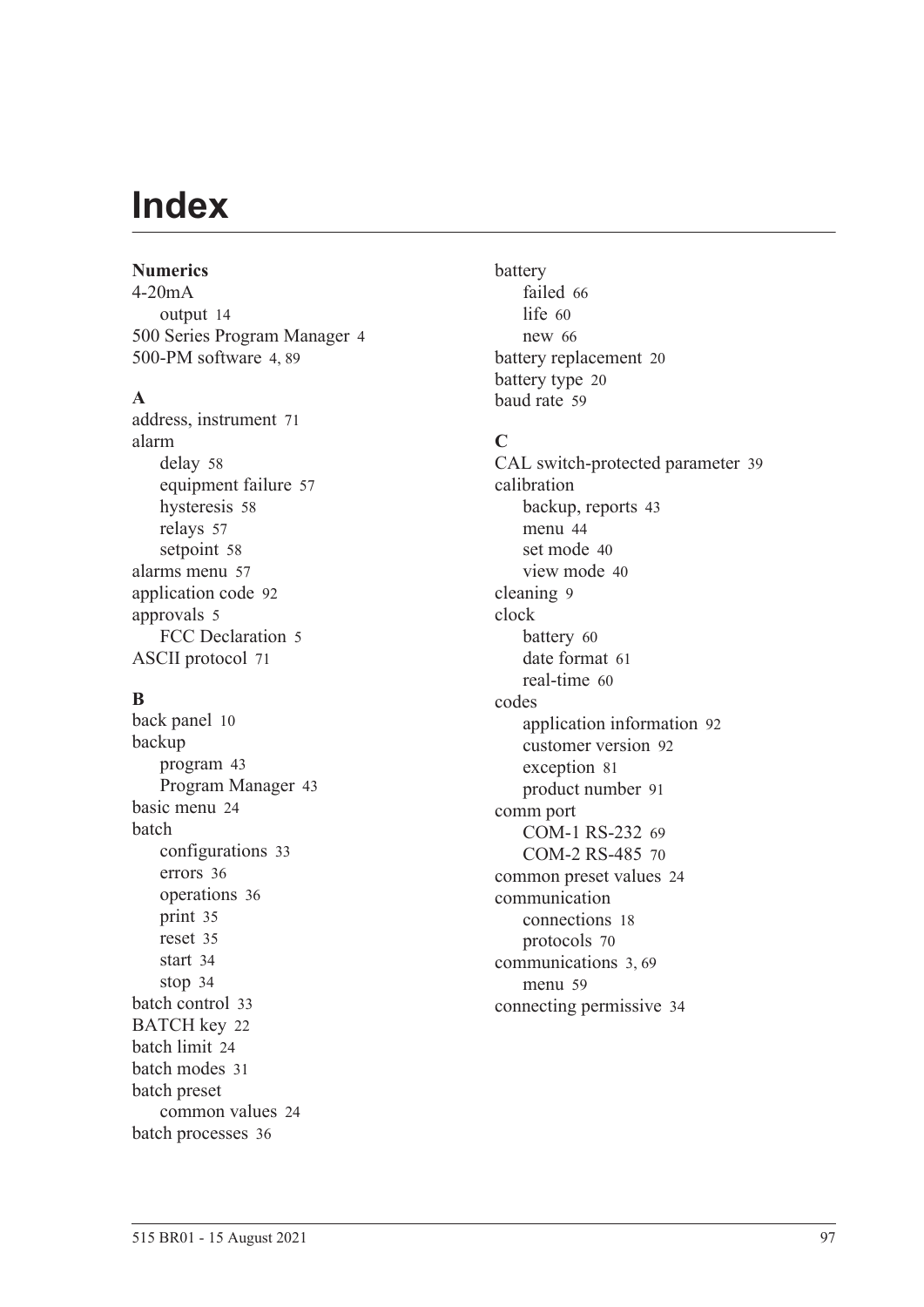# **Index**

**Numerics** 4-20mA output [14](#page-23-0) 500 Series Program Manage[r 4](#page-13-0) 500-PM software [4,](#page-13-0) [89](#page-98-0)

#### **A**

address, instrumen[t 71](#page-80-0) alarm dela[y 58](#page-67-0) equipment failur[e 57](#page-66-0) hysteresi[s 58](#page-67-1) relays [57](#page-66-1) setpoin[t 58](#page-67-2) alarms menu [57](#page-66-2) application cod[e 92](#page-101-0) approvals [5](#page-14-0) FCC Declaration [5](#page-14-1) ASCII protoco[l 71](#page-80-1)

#### **B**

back panel [10](#page-19-0) backup program [43](#page-52-1) Program Manage[r 43](#page-52-2) basic men[u 24](#page-33-0) batch configuration[s 33](#page-42-0) error[s 36](#page-45-0) operation[s 36](#page-45-1) print [35](#page-44-0) reset [35](#page-44-1) start [34](#page-43-0) sto[p 34](#page-43-1) batch contro[l 33](#page-42-1) BATCH ke[y 22](#page-31-0) batch limit [24](#page-33-1) batch mode[s 31](#page-40-0) batch preset common values [24](#page-33-2) batch processe[s 36](#page-45-1)

battery faile[d 66](#page-75-0) life [60](#page-69-1) new [66](#page-75-0) battery replacement [20](#page-29-0) battery type [20](#page-29-1) baud rat[e 59](#page-68-1) **C** CAL switch-protected parameter [39](#page-48-0) calibration backup, reports [43](#page-52-1) menu [44](#page-53-0) set mode [40](#page-49-0) view mode [40](#page-49-1) cleaning [9](#page-18-0) clock batter[y 60](#page-69-1) date format [61](#page-70-0) real-tim[e 60](#page-69-2) codes application information [92](#page-101-0) customer versio[n 92](#page-101-1) exception [81](#page-90-1) product numbe[r 91](#page-100-0) comm port COM-1 RS-232 [69](#page-78-1) COM-2 RS-485 [70](#page-79-1) common preset value[s 24](#page-33-2) communication connection[s 18](#page-27-0) protocols [70](#page-79-2) communication[s 3,](#page-12-1) [69](#page-78-2) menu [59](#page-68-2) connecting permissive [34](#page-43-2)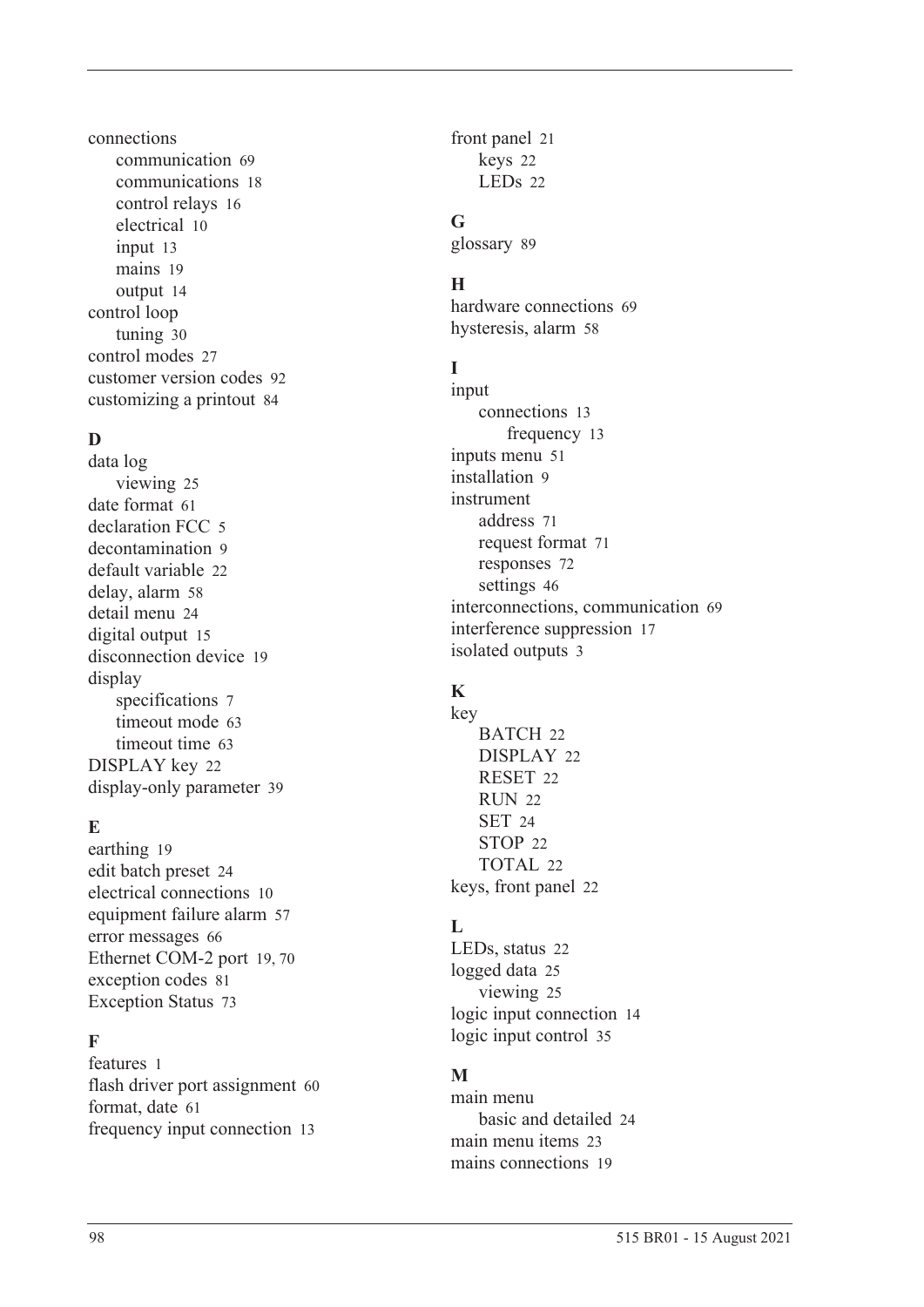connections communicatio[n 69](#page-78-3) communication[s 18](#page-27-0) control relay[s 16](#page-25-0) electrical [10](#page-19-1) inpu[t 13](#page-22-0) main[s 19](#page-28-0) outpu[t 14](#page-23-1) control loop tunin[g 30](#page-39-0) control mode[s 27](#page-36-0) customer version code[s 92](#page-101-1) customizing a printout [84](#page-93-1)

### **D**

data log viewin[g 25](#page-34-0) date format [61](#page-70-0) declaration FCC [5](#page-14-1) decontamination [9](#page-18-0) default variable [22](#page-31-1) delay, alar[m 58](#page-67-0) detail men[u 24](#page-33-0) digital outpu[t 15](#page-24-0) disconnection device [19](#page-28-1) display specifications [7](#page-16-0) timeout mod[e 63](#page-72-0) timeout time [63](#page-72-1) DISPLAY key [22](#page-31-2) display-only parameter [39](#page-48-1)

#### **E**

earthin[g 19](#page-28-2) edit batch prese[t 24](#page-33-3) electrical connections [10](#page-19-1) equipment failure alarm [57](#page-66-0) error message[s 66](#page-75-1) Ethernet COM-2 por[t 19,](#page-28-3) [70](#page-79-3) exception codes [81](#page-90-1) Exception Status [73](#page-82-0)

#### **F**

features [1](#page-10-0) flash driver port assignmen[t 60](#page-69-3) format, date [61](#page-70-0) frequency input connection [13](#page-22-1)

front panel [21](#page-30-0) keys [22](#page-31-3) LEDs [22](#page-31-4)

#### **G**

glossary [89](#page-98-1)

#### **H**

hardware connections [69](#page-78-3) hysteresis, alar[m 58](#page-67-1)

#### **I**

input connections [13](#page-22-0) frequency [13](#page-22-1) inputs menu [51](#page-60-0) installation [9](#page-18-1) instrument address [71](#page-80-0) request forma[t 71](#page-80-2) response[s 72](#page-81-0) setting[s 46](#page-55-0) interconnections, communication [69](#page-78-3) interference suppression [17](#page-26-0) isolated output[s 3](#page-12-2)

#### **K**

key BATC[H 22](#page-31-0) DISPLA[Y 22](#page-31-2) RESE[T 22](#page-31-5) RUN [22](#page-31-6) SET [24](#page-33-4) STOP [22](#page-31-7) TOTAL [22](#page-31-8) keys, front panel [22](#page-31-3)

#### **L**

LEDs, status [22](#page-31-4) logged dat[a 25](#page-34-0) viewin[g 25](#page-34-1) logic input connection [14](#page-23-2) logic input contro[l 35](#page-44-2)

#### **M**

main menu basic and detailed [24](#page-33-0) main menu item[s 23](#page-32-0) mains connections [19](#page-28-0)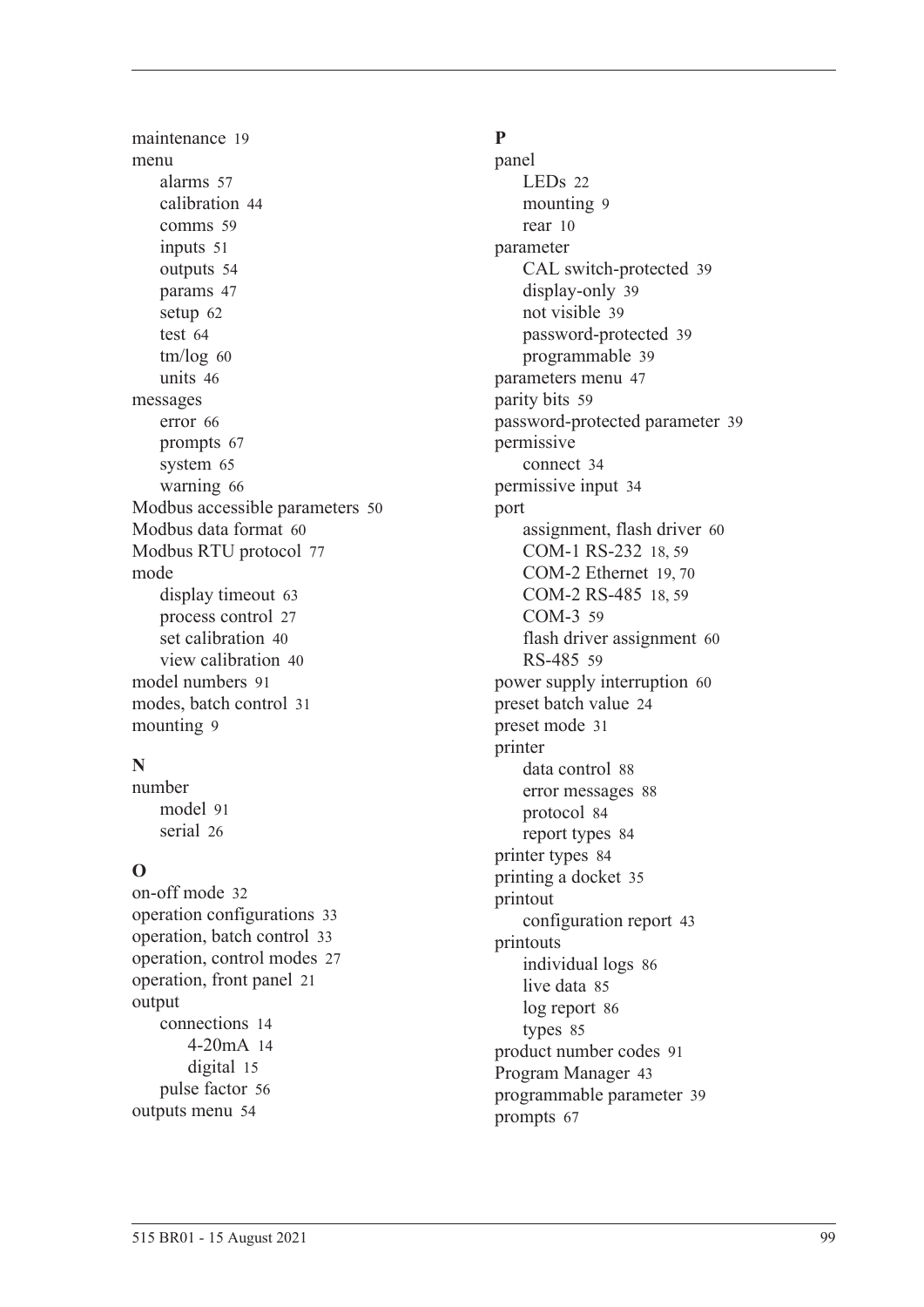maintenance [19](#page-28-0) menu alarm[s 57](#page-66-0) calibratio[n 44](#page-53-0) comms [59](#page-68-0) input[s 51](#page-60-0) output[s 54](#page-63-0) params [47](#page-56-0) setu[p 62](#page-71-0) test [64](#page-73-0) tm/lo[g 60](#page-69-0) unit[s 46](#page-55-0) messages erro[r 66](#page-75-0) prompt[s 67](#page-76-0) syste[m 65](#page-74-0) warnin[g 66](#page-75-1) Modbus accessible parameters [50](#page-59-0) Modbus data forma[t 60](#page-69-1) Modbus RTU protoco[l 77](#page-86-0) mode display timeou[t 63](#page-72-0) process contro[l 27](#page-36-0) set calibration [40](#page-49-0) view calibration [40](#page-49-1) model number[s 91](#page-100-0) modes, batch contro[l 31](#page-40-0) mountin[g 9](#page-18-0)

## **N**

number mode[l 91](#page-100-0) seria[l 26](#page-35-0)

# **O**

on-off mode [32](#page-41-0) operation configurations [33](#page-42-0) operation, batch contro[l 33](#page-42-1) operation, control modes [27](#page-36-0) operation, front panel [21](#page-30-0) output connection[s 14](#page-23-0) 4-20m[A 14](#page-23-1) digital [15](#page-24-0) pulse facto[r 56](#page-65-0) outputs men[u 54](#page-63-0)

## **P**

panel LEDs [22](#page-31-0) mounting [9](#page-18-0) rear [10](#page-19-0) parameter CAL switch-protected [39](#page-48-0) display-only [39](#page-48-1) not visibl[e 39](#page-48-2) password-protected [39](#page-48-3) programmable [39](#page-48-4) parameters men[u 47](#page-56-0) parity bit[s 59](#page-68-1) password-protected parameter [39](#page-48-3) permissive connec[t 34](#page-43-0) permissive input [34](#page-43-1) port assignment, flash driver [60](#page-69-2) COM-1 RS-232 [18,](#page-27-0) [59](#page-68-2) COM-2 Ethernet [19,](#page-28-1) [70](#page-79-0) COM-2 RS-485 [18,](#page-27-1) [59](#page-68-3) COM-[3 59](#page-68-4) flash driver assignment [60](#page-69-2) RS-485 [59](#page-68-5) power supply interruption [60](#page-69-3) preset batch value [24](#page-33-0) preset mod[e 31](#page-40-1) printer data control [88](#page-97-0) error messages [88](#page-97-1) protocol [84](#page-93-0) report types [84](#page-93-1) printer type[s 84](#page-93-2) printing a docke[t 35](#page-44-0) printout configuration repor[t 43](#page-52-0) printouts individual logs [86](#page-95-0) live data [85](#page-94-0) log report [86](#page-95-1) type[s 85](#page-94-1) product number codes [91](#page-100-1) Program Manager [43](#page-52-1) programmable parameter [39](#page-48-4) prompt[s 67](#page-76-0)